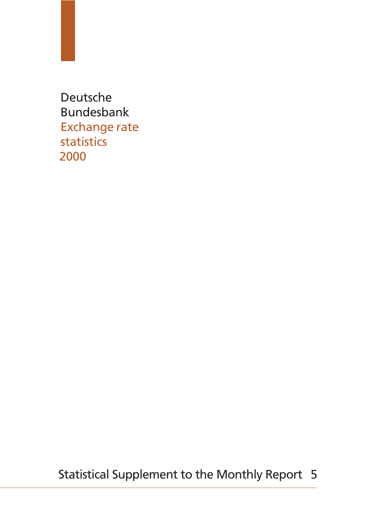Statistical Supplement to the Monthly Report 5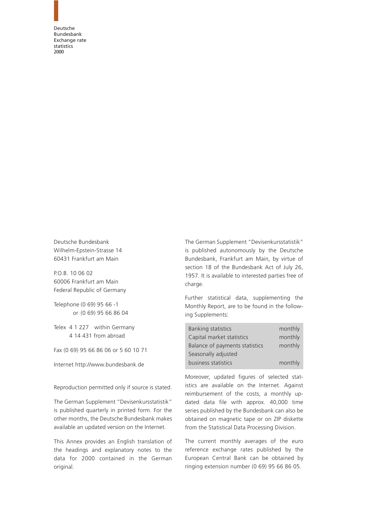Deutsche Bundesbank Wilhelm-Epstein-Strasse 14 60431 Frankfurt am Main

P.O.B. 10 06 02 60006 Frankfurt am Main Federal Republic of Germany

Telephone (0 69) 95 66 -1 or (0 69) 95 66 86 04

Telex 4 1 227 within Germany 4 14 431 from abroad

Fax (0 69) 95 66 86 06 or 5 60 10 71

Internet http://www.bundesbank.de

Reproduction permitted only if source is stated.

The German Supplement "Devisenkursstatistik" is published quarterly in printed form. For the other months, the Deutsche Bundesbank makes available an updated version on the Internet.

This Annex provides an English translation of the headings and explanatory notes to the data for 2000 contained in the German original.

The German Supplement "Devisenkursstatistik" is published autonomously by the Deutsche Bundesbank, Frankfurt am Main, by virtue of section 18 of the Bundesbank Act of July 26, 1957. It is available to interested parties free of charge.

Further statistical data, supplementing the Monthly Report, are to be found in the following Supplements:

| <b>Banking statistics</b>      | monthly |
|--------------------------------|---------|
| Capital market statistics      | monthly |
| Balance of payments statistics | monthly |
| Seasonally adjusted            |         |
| business statistics            | monthly |

Moreover, updated figures of selected statistics are available on the Internet. Against reimbursement of the costs, a monthly updated data file with approx. 40,000 time series published by the Bundesbank can also be obtained on magnetic tape or on ZIP diskette from the Statistical Data Processing Division.

The current monthly averages of the euro reference exchange rates published by the European Central Bank can be obtained by ringing extension number (0 69) 95 66 86 05.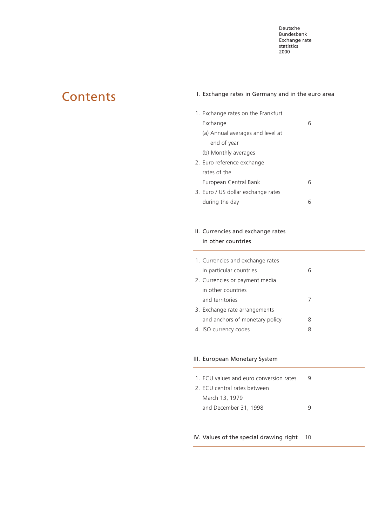# <span id="page-2-0"></span>**Contents**

# I. Exchange rates in Germany and in the euro area

| 1. Exchange rates on the Frankfurt |   |
|------------------------------------|---|
| Exchange                           | 6 |
| (a) Annual averages and level at   |   |
| end of year                        |   |
| (b) Monthly averages               |   |
| 2. Euro reference exchange         |   |
| rates of the                       |   |
| European Central Bank              | 6 |
| 3. Euro / US dollar exchange rates |   |
| during the day                     |   |

# II. Currencies and exchange rates in other countries

| 1. Currencies and exchange rates |   |
|----------------------------------|---|
| in particular countries          |   |
| 2. Currencies or payment media   |   |
| in other countries               |   |
| and territories                  |   |
| 3. Exchange rate arrangements    |   |
| and anchors of monetary policy   | 8 |
| 4. ISO currency codes            |   |

# III. European Monetary System

| 1. ECU values and euro conversion rates |  |
|-----------------------------------------|--|
| 2. ECU central rates between            |  |
| March 13, 1979                          |  |
| and December 31, 1998                   |  |
|                                         |  |

# [IV. Values of the special drawing right](#page-9-0) 10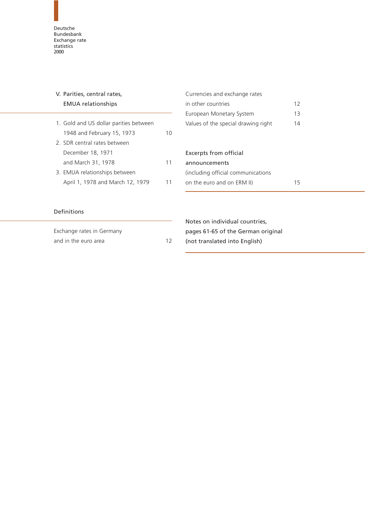<span id="page-3-3"></span><span id="page-3-2"></span><span id="page-3-1"></span><span id="page-3-0"></span>

| V. Parities, central rates,            |    | Currencies and exchange rates       |    |
|----------------------------------------|----|-------------------------------------|----|
| <b>EMUA</b> relationships              |    | in other countries                  | 12 |
|                                        |    | European Monetary System            | 13 |
| 1. Gold and US dollar parities between |    | Values of the special drawing right | 14 |
| 1948 and February 15, 1973             | 10 |                                     |    |
| 2. SDR central rates between           |    |                                     |    |
| December 18, 1971                      |    | Excerpts from official              |    |
| and March 31, 1978                     | 11 | announcements                       |    |
| 3. EMUA relationships between          |    | (including official communications  |    |
| April 1, 1978 and March 12, 1979       | 11 | on the euro and on ERM II)          | 15 |
| Definitions                            |    |                                     |    |
|                                        |    | Notes on individual countries,      |    |
| Exchange rates in Germany              |    | pages 61-65 of the German original  |    |
| and in the euro area                   | 12 | (not translated into English)       |    |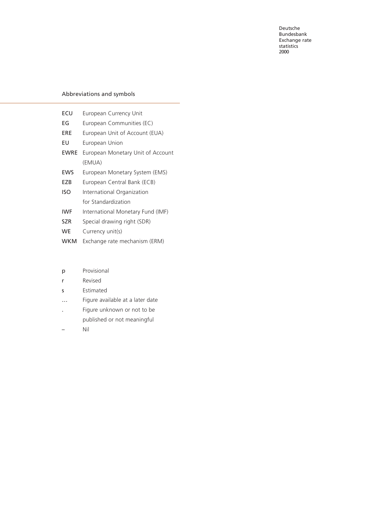# Abbreviations and symbols

| ECU         | European Currency Unit            |
|-------------|-----------------------------------|
| EG          | European Communities (EC)         |
| ERE         | European Unit of Account (EUA)    |
| EU          | European Union                    |
| <b>EWRE</b> | European Monetary Unit of Account |
|             | (EMUA)                            |
| <b>EWS</b>  | European Monetary System (EMS)    |
| EZB         | European Central Bank (ECB)       |
| ISO         | International Organization        |
|             | for Standardization               |
| <b>IWF</b>  | International Monetary Fund (IMF) |
| <b>SZR</b>  | Special drawing right (SDR)       |
| <b>WE</b>   | Currency unit(s)                  |
| <b>WKM</b>  | Exchange rate mechanism (ERM)     |

- p Provisional
- r Revised
- s Estimated
- … Figure available at a later date
- . Figure unknown or not to be published or not meaningful
- Nil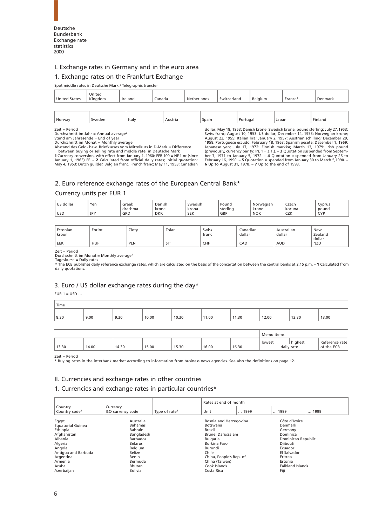<span id="page-5-7"></span><span id="page-5-6"></span><span id="page-5-5"></span><span id="page-5-4"></span><span id="page-5-0"></span>

# I. Exchange rates in Germany and in the euro area

#### 1. Exchange rates on the Frankfurt Exchange

Spot middle rates in Deutsche Mark / Telegraphic transfer

<span id="page-5-10"></span><span id="page-5-8"></span>

| <b>United States</b> | United<br>Kingdom | Ireland | Ianada | Netherlands | itzerland<br><b>SMI</b> | Belaium | France <sup>1</sup> | Denmark |
|----------------------|-------------------|---------|--------|-------------|-------------------------|---------|---------------------|---------|
|                      |                   |         |        |             |                         |         |                     |         |

<span id="page-5-9"></span><span id="page-5-1"></span>

| $-$<br>Italy<br>Norway<br>Portugai<br>Spain<br>Japar<br>Finland<br>weden \<br>Austria<br>the contract of the contract of the<br>.<br>the contract of the contract of<br>. |  |  |  |  |
|---------------------------------------------------------------------------------------------------------------------------------------------------------------------------|--|--|--|--|
|                                                                                                                                                                           |  |  |  |  |

Zeit = Period<br>Durchschnitt im Jahr = Annual average<sup>2</sup>

<span id="page-5-3"></span>Stand am Jahresende = End of year<br>Durchschnitt im Monat = Monthly average<br>Abstand des Geld- bzw. Briefkurses vom Mittelkurs in D-Mark = Difference<br>Abstand des Geld- bzw. Briefkurses vom Mittelkurs in Deutsche Mark<br>1 Curren

dollar; May 18, 1953: Danish krone, Swedish krona, pound sterling; July 27,1953: Swiss franc; August 10, 1953: US dollar; December 14, 1953: Norwegian krone; August 22, 1955: Italian lira; January 2, 1957: Austrian schilling; December 29,<br>1958: Portuguese escudo; February 18, 1963: Spanish peseta; December 1, 1969:<br>Japanese yen; July 17, 1972: Finnish markka; March 13, 1979: Ir February 16, 1990. – **5** Quotation suspended from January 30 to March 5,1990. – **6** Up to August 31, 1978. – **7** Up to the end of 1993.

### [2. Euro reference exchange rates of the European Central Bank\\*](#page-22-0)

#### Currency units per EUR 1

<span id="page-5-11"></span>

| dollar<br>11C | Yen        | Greek          | Danish              | $\cdots$<br>Swedish     | Pound           | Norwegiar           | Czech               | Cyprus            |
|---------------|------------|----------------|---------------------|-------------------------|-----------------|---------------------|---------------------|-------------------|
| <b>USD</b>    | <b>JPY</b> | drachma<br>GRD | krone<br><b>DKK</b> | krona<br>$C = 1$<br>SEK | sterling<br>GBP | krone<br><b>NOK</b> | koruna<br>22L<br>◡∠ | pound<br>CVP<br>◡ |

<span id="page-5-2"></span>

| Estonian<br>kroon | Forint     | Zloty | Tolar          | Swiss<br>franc | Canadian<br>dollar | Australian<br>dollar | New<br>Zealand       |
|-------------------|------------|-------|----------------|----------------|--------------------|----------------------|----------------------|
| EEK               | <b>HUF</b> | PLN   | $\sim$ 17<br>ы | CHF            | CAD                | <b>AUD</b>           | dollar<br><b>NZD</b> |

Zeit = Period

Durchschnitt im Monat = Monthly average<sup>1</sup>

Tageskurse = Daily rates \* The ECB publishes daily reference exchange rates, which are calculated on the basis of the concertation between the central banks at 2.15 p.m. – **1** Calculated from daily quotations.

# 3. Euro / US dollar exchange rates during the day\*

EUR  $1 =$  USD ...

| Time |      |      |       |       |       |      |       |       |       |
|------|------|------|-------|-------|-------|------|-------|-------|-------|
|      |      |      |       |       |       |      |       |       |       |
| 8.30 | 9.00 | 9.30 | 10.00 | 10.30 | 11.00 | 1.30 | 12.00 | 12.30 | 13.00 |
|      |      |      |       |       |       |      |       |       |       |

|       |       |       |       |       |       |       | Memo items |                       |                              |
|-------|-------|-------|-------|-------|-------|-------|------------|-----------------------|------------------------------|
| 13.30 | 14.00 | 14.30 | 15.00 | 15.30 | 16.00 | 16.30 | lowest     | highest<br>daily rate | Reference rate<br>of the ECB |

Zeit = Period

\* Buying rates in the interbank market according to information from business news agencies. See also the definitions on page 12.

#### II. Currencies and exchange rates in other countries

#### [1. Currencies and exchange rates in particular countries\\*](#page-28-0)

|                           |                   |                           | Rates at end of month   |      |                         |      |  |
|---------------------------|-------------------|---------------------------|-------------------------|------|-------------------------|------|--|
| Country                   | Currency          |                           |                         |      |                         |      |  |
| Country code <sup>1</sup> | ISO currency code | Type of rate <sup>2</sup> | Unit                    | 1999 | 1999                    | 1999 |  |
| Egypt                     | Australia         |                           | Bosnia and Herzegovina  |      | Côte d'Ivoire           |      |  |
| <b>Equatorial Guinea</b>  | <b>Bahamas</b>    |                           | <b>Botswana</b>         |      |                         |      |  |
| Ethiopia                  | Bahrain           |                           | Brazil                  |      | Germany                 |      |  |
| Afghanistan               | Bangladesh        |                           | Brunei Darussalam       |      | Dominica                |      |  |
| Albania                   | <b>Barbados</b>   |                           | Bulgaria                |      | Dominican Republic      |      |  |
| Algeria                   | <b>Belarus</b>    |                           | Burkina Faso            |      | Djibouti                |      |  |
| Angola                    | Belgium           |                           | Burundi                 |      | Ecuador                 |      |  |
| Antigua and Barbuda       | Belize            |                           | Chile                   |      | El Salvador             |      |  |
| Argentina                 | Benin             |                           | China, People's Rep. of |      | Eritrea                 |      |  |
| Armenia                   | Bermuda           |                           | China (Taiwan)          |      | Estonia                 |      |  |
| Aruba                     | Bhutan            |                           | Cook Islands            |      | <b>Falkland Islands</b> |      |  |
| Azerbaijan                | <b>Bolivia</b>    |                           | Costa Rica              |      | Fiji                    |      |  |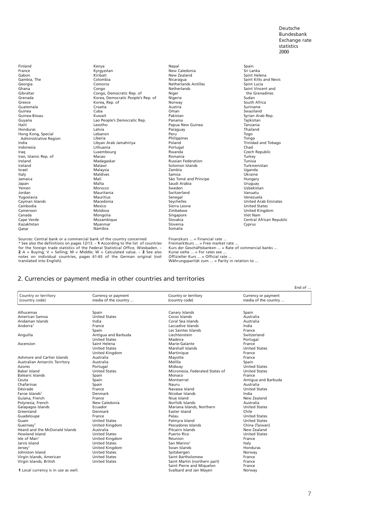<span id="page-6-3"></span><span id="page-6-2"></span><span id="page-6-1"></span>Finland France Gabon [Gambia, The](#page-33-0) Georgia Ghana Gibraltar Grenada Greece Guatemala Guinea Guinea-Bissau Guyana Haiti Honduras Hong Kong, Special [Administrative Region](#page-34-0) India Indonesia Iraq [Iran, Islamic Rep. of](#page-35-0) Ireland Iceland Israel Italy Jamaica Japan Yemen Jordan Yugoslavia [Cayman Islands](#page-36-0) Cambodia Cameroon Canada Cape Verde Kazakhstan Qatar

Kenya Kyrgyzstan Kiribati Colombia Comoros Congo Congo, Democratic Rep. of [Korea, Democratic People's Rep. of](#page-37-0) Korea, Rep. of Croatia Cuba Kuwait [Lao People's Democratic Rep.](#page-38-0) Lesotho Latvia Latvia<br>Lebanon Liberia Libyan Arab Jamahiriya Lithuania [Luxembourg](#page-39-0) Macao Madagaskar Malawi Malaysia Maldives Mali Malta Morocco Mauritania Mauritius Macedonia **Mexico** Moldova Mongolia [Mozambique](#page-40-0) Myanmar Namibia

Nepal New Caledonia New Zealand Nicaragua [Netherlands Antilles](#page-41-0) Netherlands Niger Nigeria Norway Austria Oman Pakistan Panama [Papua New Guinea](#page-42-0) Paraguay Peru **Philippines** Poland Portugal Rwanda Romania Russian Federation Solomon Islands Zambia Samoa<br>[São Tomé and Principe](#page-43-0) Saudi Arabia Sweden Switzerland Senegal Seychelles [Sierra Leone](#page-44-0) Zimbabwe Singapore Slovakia Slovenia [Somalia](#page-45-0)

Spain Sri Lanka Saint Helena [Saint Kitts and Nevis](#page-45-0)  Saint Lucia Saint Lucia the Grenadines Sudan South Africa Suriname Swaziland Syrian Arab Rep. Tajikistan Tanzania Thailand Togo Tonga [Trinidad and Tobago](#page-46-0) Chad [Czech Republic](#page-47-0) Turkey Tunisia Turkmenistan Uganda Ukraine Hungary Uruguay Uzbekistan Vanuatu Venezuela United Arab Emirates United States United Kingdom Viet Nam [Central African Republic](#page-48-0) Cyprus

<span id="page-6-4"></span><span id="page-6-0"></span>Sources: Central bank or a commercial bank of the country concerned<br>\* See also the definitions on pages 12/13. – 1 According to the list of countries<br>for the foreign trade statistics of the Federal Statistical Office, Wie **2** A = Buying; V = Selling; M = Middle; W = Calculated value. – **3** See also notes on individual countries, pages 61-65 of the German original (not translated into English).

Finanzkurs ... = Financial rate ... Freimarktkurs ... = Free market rate ...<br>Kurs der Geschäftsbanken ... = Rate of commercial banks ...<br>Kurse siehe ... = For rates see ...<br>Offizieller Kurs ... = Official rate ... Währungsparität zum ... = Parity in relation to ...

#### [2. Currencies or payment media in other countries and territories](#page-49-0)

| Country or territory<br>Country or territory<br>Currency or payment<br>Currency or payment<br>(country code)<br>media of the country<br>(country code)<br>media of the country<br>Alhucemas<br>Spain<br>Canary Islands<br>Spain<br><b>United States</b><br>American Samoa<br>Cocos Islands<br>Australia<br>India<br>Andaman Islands<br>Coral Sea Islands<br>Australia<br>Andorra <sup>1</sup><br>Laccadive Islands<br>India<br>France<br>Les Saintes Islands<br>Spain<br>France<br>Antigua and Barbuda<br>Liechtenstein<br>Switzerland<br><b>United States</b><br>Madeira<br>Portugal<br>Saint Helena<br>Marie-Galante<br>France<br>Marshall Islands<br><b>United States</b><br><b>United States</b><br>United Kingdom<br>Martinique<br>France<br>Australia<br>Mayotte<br>France<br>Australia<br>Melilla<br>Spain<br><b>United States</b><br>Portugal<br>Midway<br><b>United States</b><br><b>United States</b><br>Micronesia, Federated States of<br>Monaco<br>Spain<br>France<br>Antiqua and Barbuda<br>Montserrat<br>Spain<br>Spain<br>Australia<br>Nauru<br>France<br>Navassa Island<br><b>United States</b><br>India<br>Denmark<br>Nicobar Islands<br>New Zealand<br>Guiana, French<br>France<br>Niue Island<br>New Caledonia<br>Norfolk Islands<br>Polynesia, French<br>Australia<br>Galapagos Islands<br>Ecuador<br>Mariana Islands, Northern<br><b>United States</b><br>Chile<br>Greenland<br>Denmark<br>Easter Island<br>Palau<br>Guadeloupe<br><b>United States</b><br>France<br><b>United States</b><br>Palmyra Island<br><b>United States</b><br>Guam<br>United Kingdom<br>Pescadores Islands<br>Guernsey <sup>1</sup><br>China (Taiwan)<br>Heard and the McDonald Islands<br>Australia<br>Pitcairn Islands<br>New Zealand |                                     |  |  |
|----------------------------------------------------------------------------------------------------------------------------------------------------------------------------------------------------------------------------------------------------------------------------------------------------------------------------------------------------------------------------------------------------------------------------------------------------------------------------------------------------------------------------------------------------------------------------------------------------------------------------------------------------------------------------------------------------------------------------------------------------------------------------------------------------------------------------------------------------------------------------------------------------------------------------------------------------------------------------------------------------------------------------------------------------------------------------------------------------------------------------------------------------------------------------------------------------------------------------------------------------------------------------------------------------------------------------------------------------------------------------------------------------------------------------------------------------------------------------------------------------------------------------------------------------------------------------------------------------------------------------------------------------------------------------------------------------------------------------------------|-------------------------------------|--|--|
|                                                                                                                                                                                                                                                                                                                                                                                                                                                                                                                                                                                                                                                                                                                                                                                                                                                                                                                                                                                                                                                                                                                                                                                                                                                                                                                                                                                                                                                                                                                                                                                                                                                                                                                                        |                                     |  |  |
|                                                                                                                                                                                                                                                                                                                                                                                                                                                                                                                                                                                                                                                                                                                                                                                                                                                                                                                                                                                                                                                                                                                                                                                                                                                                                                                                                                                                                                                                                                                                                                                                                                                                                                                                        |                                     |  |  |
|                                                                                                                                                                                                                                                                                                                                                                                                                                                                                                                                                                                                                                                                                                                                                                                                                                                                                                                                                                                                                                                                                                                                                                                                                                                                                                                                                                                                                                                                                                                                                                                                                                                                                                                                        |                                     |  |  |
|                                                                                                                                                                                                                                                                                                                                                                                                                                                                                                                                                                                                                                                                                                                                                                                                                                                                                                                                                                                                                                                                                                                                                                                                                                                                                                                                                                                                                                                                                                                                                                                                                                                                                                                                        |                                     |  |  |
|                                                                                                                                                                                                                                                                                                                                                                                                                                                                                                                                                                                                                                                                                                                                                                                                                                                                                                                                                                                                                                                                                                                                                                                                                                                                                                                                                                                                                                                                                                                                                                                                                                                                                                                                        |                                     |  |  |
|                                                                                                                                                                                                                                                                                                                                                                                                                                                                                                                                                                                                                                                                                                                                                                                                                                                                                                                                                                                                                                                                                                                                                                                                                                                                                                                                                                                                                                                                                                                                                                                                                                                                                                                                        |                                     |  |  |
|                                                                                                                                                                                                                                                                                                                                                                                                                                                                                                                                                                                                                                                                                                                                                                                                                                                                                                                                                                                                                                                                                                                                                                                                                                                                                                                                                                                                                                                                                                                                                                                                                                                                                                                                        |                                     |  |  |
|                                                                                                                                                                                                                                                                                                                                                                                                                                                                                                                                                                                                                                                                                                                                                                                                                                                                                                                                                                                                                                                                                                                                                                                                                                                                                                                                                                                                                                                                                                                                                                                                                                                                                                                                        |                                     |  |  |
|                                                                                                                                                                                                                                                                                                                                                                                                                                                                                                                                                                                                                                                                                                                                                                                                                                                                                                                                                                                                                                                                                                                                                                                                                                                                                                                                                                                                                                                                                                                                                                                                                                                                                                                                        | Anguilla                            |  |  |
|                                                                                                                                                                                                                                                                                                                                                                                                                                                                                                                                                                                                                                                                                                                                                                                                                                                                                                                                                                                                                                                                                                                                                                                                                                                                                                                                                                                                                                                                                                                                                                                                                                                                                                                                        |                                     |  |  |
|                                                                                                                                                                                                                                                                                                                                                                                                                                                                                                                                                                                                                                                                                                                                                                                                                                                                                                                                                                                                                                                                                                                                                                                                                                                                                                                                                                                                                                                                                                                                                                                                                                                                                                                                        | Ascension                           |  |  |
|                                                                                                                                                                                                                                                                                                                                                                                                                                                                                                                                                                                                                                                                                                                                                                                                                                                                                                                                                                                                                                                                                                                                                                                                                                                                                                                                                                                                                                                                                                                                                                                                                                                                                                                                        |                                     |  |  |
|                                                                                                                                                                                                                                                                                                                                                                                                                                                                                                                                                                                                                                                                                                                                                                                                                                                                                                                                                                                                                                                                                                                                                                                                                                                                                                                                                                                                                                                                                                                                                                                                                                                                                                                                        |                                     |  |  |
|                                                                                                                                                                                                                                                                                                                                                                                                                                                                                                                                                                                                                                                                                                                                                                                                                                                                                                                                                                                                                                                                                                                                                                                                                                                                                                                                                                                                                                                                                                                                                                                                                                                                                                                                        | Ashmore and Cartier Islands         |  |  |
|                                                                                                                                                                                                                                                                                                                                                                                                                                                                                                                                                                                                                                                                                                                                                                                                                                                                                                                                                                                                                                                                                                                                                                                                                                                                                                                                                                                                                                                                                                                                                                                                                                                                                                                                        | Australian Antarctic Territory      |  |  |
|                                                                                                                                                                                                                                                                                                                                                                                                                                                                                                                                                                                                                                                                                                                                                                                                                                                                                                                                                                                                                                                                                                                                                                                                                                                                                                                                                                                                                                                                                                                                                                                                                                                                                                                                        | Azores                              |  |  |
|                                                                                                                                                                                                                                                                                                                                                                                                                                                                                                                                                                                                                                                                                                                                                                                                                                                                                                                                                                                                                                                                                                                                                                                                                                                                                                                                                                                                                                                                                                                                                                                                                                                                                                                                        | <b>Baker Island</b>                 |  |  |
|                                                                                                                                                                                                                                                                                                                                                                                                                                                                                                                                                                                                                                                                                                                                                                                                                                                                                                                                                                                                                                                                                                                                                                                                                                                                                                                                                                                                                                                                                                                                                                                                                                                                                                                                        | <b>Balearic Islands</b>             |  |  |
|                                                                                                                                                                                                                                                                                                                                                                                                                                                                                                                                                                                                                                                                                                                                                                                                                                                                                                                                                                                                                                                                                                                                                                                                                                                                                                                                                                                                                                                                                                                                                                                                                                                                                                                                        | Ceuta                               |  |  |
|                                                                                                                                                                                                                                                                                                                                                                                                                                                                                                                                                                                                                                                                                                                                                                                                                                                                                                                                                                                                                                                                                                                                                                                                                                                                                                                                                                                                                                                                                                                                                                                                                                                                                                                                        | Chafarinas                          |  |  |
|                                                                                                                                                                                                                                                                                                                                                                                                                                                                                                                                                                                                                                                                                                                                                                                                                                                                                                                                                                                                                                                                                                                                                                                                                                                                                                                                                                                                                                                                                                                                                                                                                                                                                                                                        | Désirade                            |  |  |
|                                                                                                                                                                                                                                                                                                                                                                                                                                                                                                                                                                                                                                                                                                                                                                                                                                                                                                                                                                                                                                                                                                                                                                                                                                                                                                                                                                                                                                                                                                                                                                                                                                                                                                                                        | Faroe Islands <sup>1</sup>          |  |  |
|                                                                                                                                                                                                                                                                                                                                                                                                                                                                                                                                                                                                                                                                                                                                                                                                                                                                                                                                                                                                                                                                                                                                                                                                                                                                                                                                                                                                                                                                                                                                                                                                                                                                                                                                        |                                     |  |  |
|                                                                                                                                                                                                                                                                                                                                                                                                                                                                                                                                                                                                                                                                                                                                                                                                                                                                                                                                                                                                                                                                                                                                                                                                                                                                                                                                                                                                                                                                                                                                                                                                                                                                                                                                        |                                     |  |  |
|                                                                                                                                                                                                                                                                                                                                                                                                                                                                                                                                                                                                                                                                                                                                                                                                                                                                                                                                                                                                                                                                                                                                                                                                                                                                                                                                                                                                                                                                                                                                                                                                                                                                                                                                        |                                     |  |  |
|                                                                                                                                                                                                                                                                                                                                                                                                                                                                                                                                                                                                                                                                                                                                                                                                                                                                                                                                                                                                                                                                                                                                                                                                                                                                                                                                                                                                                                                                                                                                                                                                                                                                                                                                        |                                     |  |  |
|                                                                                                                                                                                                                                                                                                                                                                                                                                                                                                                                                                                                                                                                                                                                                                                                                                                                                                                                                                                                                                                                                                                                                                                                                                                                                                                                                                                                                                                                                                                                                                                                                                                                                                                                        |                                     |  |  |
|                                                                                                                                                                                                                                                                                                                                                                                                                                                                                                                                                                                                                                                                                                                                                                                                                                                                                                                                                                                                                                                                                                                                                                                                                                                                                                                                                                                                                                                                                                                                                                                                                                                                                                                                        |                                     |  |  |
|                                                                                                                                                                                                                                                                                                                                                                                                                                                                                                                                                                                                                                                                                                                                                                                                                                                                                                                                                                                                                                                                                                                                                                                                                                                                                                                                                                                                                                                                                                                                                                                                                                                                                                                                        |                                     |  |  |
|                                                                                                                                                                                                                                                                                                                                                                                                                                                                                                                                                                                                                                                                                                                                                                                                                                                                                                                                                                                                                                                                                                                                                                                                                                                                                                                                                                                                                                                                                                                                                                                                                                                                                                                                        |                                     |  |  |
| <b>United States</b><br><b>United States</b><br>Puerto Rico                                                                                                                                                                                                                                                                                                                                                                                                                                                                                                                                                                                                                                                                                                                                                                                                                                                                                                                                                                                                                                                                                                                                                                                                                                                                                                                                                                                                                                                                                                                                                                                                                                                                            | Howland Island                      |  |  |
| United Kingdom<br>Réunion<br>France                                                                                                                                                                                                                                                                                                                                                                                                                                                                                                                                                                                                                                                                                                                                                                                                                                                                                                                                                                                                                                                                                                                                                                                                                                                                                                                                                                                                                                                                                                                                                                                                                                                                                                    | Isle of Man <sup>1</sup>            |  |  |
| <b>United States</b><br>San Marino <sup>1</sup><br>Italy                                                                                                                                                                                                                                                                                                                                                                                                                                                                                                                                                                                                                                                                                                                                                                                                                                                                                                                                                                                                                                                                                                                                                                                                                                                                                                                                                                                                                                                                                                                                                                                                                                                                               | Jarvis Island                       |  |  |
| United Kingdom<br>Swan Islands<br>Honduras                                                                                                                                                                                                                                                                                                                                                                                                                                                                                                                                                                                                                                                                                                                                                                                                                                                                                                                                                                                                                                                                                                                                                                                                                                                                                                                                                                                                                                                                                                                                                                                                                                                                                             | Jersev <sup>1</sup>                 |  |  |
| <b>United States</b><br>Spitsbergen<br>Norway                                                                                                                                                                                                                                                                                                                                                                                                                                                                                                                                                                                                                                                                                                                                                                                                                                                                                                                                                                                                                                                                                                                                                                                                                                                                                                                                                                                                                                                                                                                                                                                                                                                                                          | Johnston Island                     |  |  |
| <b>United States</b><br>Saint Bartholomew<br>France                                                                                                                                                                                                                                                                                                                                                                                                                                                                                                                                                                                                                                                                                                                                                                                                                                                                                                                                                                                                                                                                                                                                                                                                                                                                                                                                                                                                                                                                                                                                                                                                                                                                                    | Virgin Islands, American            |  |  |
| Saint Martin (northern part)<br><b>United States</b><br>France                                                                                                                                                                                                                                                                                                                                                                                                                                                                                                                                                                                                                                                                                                                                                                                                                                                                                                                                                                                                                                                                                                                                                                                                                                                                                                                                                                                                                                                                                                                                                                                                                                                                         | Virgin Islands, British             |  |  |
| Saint Pierre and Miguelon<br>France                                                                                                                                                                                                                                                                                                                                                                                                                                                                                                                                                                                                                                                                                                                                                                                                                                                                                                                                                                                                                                                                                                                                                                                                                                                                                                                                                                                                                                                                                                                                                                                                                                                                                                    |                                     |  |  |
| Svalbard and Jan Mayen<br>Norway                                                                                                                                                                                                                                                                                                                                                                                                                                                                                                                                                                                                                                                                                                                                                                                                                                                                                                                                                                                                                                                                                                                                                                                                                                                                                                                                                                                                                                                                                                                                                                                                                                                                                                       | 1 Local currency is in use as well. |  |  |

**1** Local currency is in use as well.

End of …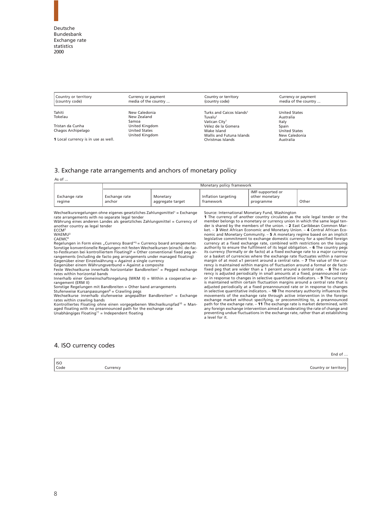<span id="page-7-3"></span><span id="page-7-2"></span><span id="page-7-0"></span>

| Country or territory<br>(country code)     | Currency or payment<br>media of the country | Country or territory<br>(country code) | Currency or payment<br>media of the country |  |
|--------------------------------------------|---------------------------------------------|----------------------------------------|---------------------------------------------|--|
| Tahiti                                     | New Caledonia                               | Turks and Caicos Islands <sup>1</sup>  | <b>United States</b>                        |  |
| Tokelau                                    | New Zealand                                 | Tuvalu <sup>1</sup>                    | Australia                                   |  |
|                                            | Samoa                                       | Vatican City <sup>1</sup>              | Italy                                       |  |
| Tristan da Cunha                           | United Kingdom                              | Vélez de la Gomera                     | Spain                                       |  |
| Chagos Archipelago                         | <b>United States</b>                        | Wake Island                            | <b>United States</b>                        |  |
|                                            | United Kingdom                              | Wallis and Futuna Islands              | New Caledonia                               |  |
| <b>1</b> Local currency is in use as well. |                                             | Christmas Islands                      | <b>Australia</b>                            |  |

#### [3. Exchange rate arrangements and anchors of monetary policy](#page-50-0)

#### As of ...

|                         | Monetary policy framework |                              |                                  |                                                 |       |  |  |
|-------------------------|---------------------------|------------------------------|----------------------------------|-------------------------------------------------|-------|--|--|
| Exchange rate<br>regime | Exchange rate<br>anchor   | Monetary<br>aggregate target | Inflation targeting<br>tramework | IMF-supported or<br>other monetary<br>programme | Other |  |  |
|                         |                           |                              |                                  |                                                 |       |  |  |

<span id="page-7-4"></span>Wechselkursregelungen ohne eigenes gesetzliches Zahlungsmittel<sup>1</sup> = Exchange rate arrangements with no separate legal tender Währung eines anderen Landes als gesetzliches Zahlungsmittel = Currency of another country as legal tender

ECCM<sup>2</sup>

<span id="page-7-1"></span>WAEMU<sup>3</sup>

CAEMC<sup>4</sup>

Regelungen in Form eines "Currency Board"<sup>s</sup> = Currency board arrangements<br>Sonstige konventionelle Regelungen mit festen Wechselkursen (einschl. de-facto-Festkursen bei kontrolliertem Floating)<sup>6</sup> = Other conventional fixed peg ar-<br>rangements (including de facto peg arrangements under managed floating)<br>Gegenüber einem Währungsverbund = Against a single currency<br>Gegenüber

rates within horizontal bands Innerhalb einer Gemeinschaftsregelung (WKM II) = Within a cooperative ar-

rangement (ERM II)

Sonstige Regelungen mit Bandbreiten = Other band arrangements

Stufenweise Kursanpassungen<sup>8</sup> = Crawling pegs<br>Wechselkurse innerhalb stufenweise angepaßter Bandbreiten<sup>9</sup> = Exchange rates within crawling bands

Kontrolliertes Floating ohne einen vorgegebenen Wechselkurspfad<sup>10</sup> = Man-<br>aged floating with no preannounced path for the exchange rate<br>Unabhängiges Floating<sup>11</sup> = Independent floating

Source: International Monetary Fund, Washington **1** The currency of another country circulates as the sole legal tender or the member belongs to a monetary or currency union in which the same legal tender is shared by the members of the union.  $-2$  East Caribbean Common Market.  $-3$  West African Economic and Monetary Union.  $-4$  Central African Eco-<br>nomic and Monetary Community.  $-5$  A monetary regime based on an impli margin of at most  $\pm 1$  percent around a central rate.  $-\mathbf{7}$  The value of the currency is maintained within margins of fluctuation around a formal or de factor fixed peg that are wider than  $\pm 1$  percent around a cen in selective quantitative indicators. – **10** The monetary authority influences the movements of the exchange rate through active intervention in the foreign exchange market without specifying, or precommitting to, a preannounced path for the exchange rate. – **11** The exchange rate is market determined, with any foreign exchange intervention aimed at moderating the rate of change and preventing undue fluctuations in the exchange rate, rather than at establishing a level for it.

End of …

#### [4. ISO currency codes](#page-52-0)

| $ $ ISO           |                              |
|-------------------|------------------------------|
| <sup>l</sup> Code | $\alpha$<br>.<br>ו טויי<br>ີ |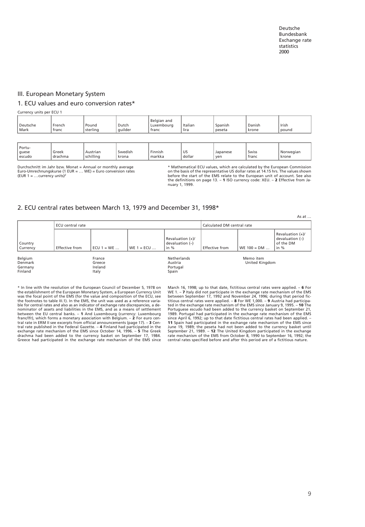As at …

#### <span id="page-8-8"></span><span id="page-8-6"></span><span id="page-8-5"></span><span id="page-8-4"></span><span id="page-8-3"></span><span id="page-8-1"></span><span id="page-8-0"></span>III. European Monetary System

#### 1. ECU values and euro conversion rates\*

Currency units per ECU 1

<span id="page-8-7"></span><span id="page-8-2"></span>

| Deutsche<br>Mark | French<br>franc | Pound<br>sterling | Dutch<br>, guilder | Belgian and<br>Luxemboura<br>franc | Italian<br><b>lira</b> | Spanish<br>peseta | Danish<br>krone | Irish<br>pound |
|------------------|-----------------|-------------------|--------------------|------------------------------------|------------------------|-------------------|-----------------|----------------|
|                  |                 |                   |                    |                                    |                        |                   |                 |                |

|  | * Portu-<br>Greek<br>guese<br>escudo<br>l drachma | Austrian<br>schillina | Swedish<br>krona | Finnish<br>markka | US<br>dollar | Japanese<br>ven | Swiss<br>franc | Norwegian<br>krone |
|--|---------------------------------------------------|-----------------------|------------------|-------------------|--------------|-----------------|----------------|--------------------|
|--|---------------------------------------------------|-----------------------|------------------|-------------------|--------------|-----------------|----------------|--------------------|

Durchschnitt im Jahr bzw. Monat = Annual or monthly average<br>Euro-Umrechnungskurse (1 EUR = ... WE) = Euro conversion rates<br>(EUR 1 = ...currency units)<sup>2</sup>

\* Mathematical ECU values, which are calculated by the European Commission on the basis of the representative US dollar rates at 14.15 hrs. The values shown before the start of the EMS relate to the European unit of account. See also the definitions on page 13. – **1** ISO currency code: XEU. – **2** Effective from January 1, 1999.

#### [2. ECU central rates between March 13, 1979 and December 31, 1998\\*](#page-56-0)

|                                          | ECU central rate |                                      |               | Calculated DM central rate                        |                |                             |                                                              |
|------------------------------------------|------------------|--------------------------------------|---------------|---------------------------------------------------|----------------|-----------------------------|--------------------------------------------------------------|
| Country<br>Currency                      | Effective from   | ECU $1 = WE$                         | $WE 1 = ECU $ | Revaluation $(+)/$<br>devaluation $(-)$<br>in $%$ | Effective from | $WE 100 = DM $              | Revaluation (+)/<br>devaluation $(-)$<br>of the DM<br>in $%$ |
| Belgium<br>Denmark<br>Germany<br>Finland |                  | France<br>Greece<br>Ireland<br>Italy |               | Netherlands<br>Austria<br>Portugal<br>Spain       |                | Memo item<br>United Kingdom |                                                              |

\* In line with the resolution of the European Council of December 5, 1978 on the establishment of the European Monetary System, a European Currency Unit<br>was the focal point of the EMS (for the value and composition of the ECU, see<br>the footnotes to table III.1). In the EMS, the unit was used as a re ble for central rates and also as an indicator of exchange rate discrepancies, a de-nominator of assets and liabilities in the EMS, and as a means of settlement between the EU central banks. – **1** And Luxembourg (currency: Luxembourg franc/lfr), which forms a monetary association with Belgium. – **2** For euro central rate in ERM II see excerpts from official announcements (page 17). – **3** Central rate published in the Federal Gazette. – **4** Finland had participated in the exchange retex meximal exchange rate mechanism of the EMS s Greece had participated in the exchange rate mechanism of the EMS since

March 16, 1998; up to that date, fictitious central rates were applied. – 6 For WE 1. – 7 Italy did not participate in the exhange rate mechanism of the EMS between September 17, 1992 and November 24, 1996; during that per **11** Spain had participated in the exchange rate mechanism of the EMS since<br>June 19, 1989; the peseta had not been added to the currency basket until<br>September 21, 1989. – **12** The United Kingdom participated in the exchan central rates specified before and after this period are of a fictitious nature.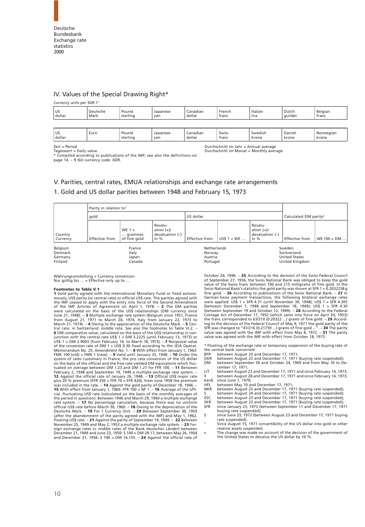<span id="page-9-3"></span><span id="page-9-2"></span><span id="page-9-1"></span><span id="page-9-0"></span>

#### IV. Values of the Special Drawing Right\*

Currency units per SDR 11

| <b>US</b><br>dollar | Deutsche<br>Mark | Pound<br>sterling | Japanese<br>ven | Lanadian<br>dollar | French<br>franc | Italian<br>$\cdots$<br>lira | Dutch<br>auilder | Belaian<br>franc |
|---------------------|------------------|-------------------|-----------------|--------------------|-----------------|-----------------------------|------------------|------------------|
|                     |                  |                   |                 |                    |                 |                             |                  |                  |

<span id="page-9-4"></span>

Zeit = Period Durchschnitt im Jahr = Annual average Durchschnitt im Monat = Monthly average

\* Compiled according to publications of the IMF; see also the definitions on page 14. – **1** ISO currency code: XDR.

# [V. Parities, central rates, EMUA relationships and exchange rate arrangements](#page-62-0)

#### 1. Gold and US dollar parities between 1948 and February 15, 1973

|                                          | Parity in relation to <sup>1</sup> |                                     |                                                        |                                              |             |                                                    |                                                                 |                |
|------------------------------------------|------------------------------------|-------------------------------------|--------------------------------------------------------|----------------------------------------------|-------------|----------------------------------------------------|-----------------------------------------------------------------|----------------|
|                                          | qold                               |                                     | US dollar                                              |                                              |             | Calculated DM parity <sup>2</sup>                  |                                                                 |                |
| Country<br>Currency                      | <b>Effective from</b>              | WE $1 =$<br>grammes<br>of fine gold | Revalu-<br>ation $(+)/$<br>devaluation $(-)$<br>in $%$ | Effective from                               | $US$1 = WE$ | Revalu-<br>ation $(+)/$<br>devaluation (-)<br>in % | <b>Effective from</b>                                           | $WE 100 = DM $ |
| Belgium<br>Denmark<br>Germany<br>Finland |                                    | France<br>Italy<br>Japan<br>Canada  |                                                        | Netherlands<br>Norway<br>Austria<br>Portugal |             |                                                    | Sweden<br>Switzerland<br><b>United States</b><br>United Kingdom |                |

Währungsumstellung = Currency conversion Nur gültig bis  $\ldots$  = Effective only up to  $\ldots$ 

#### **Footnotes to Table V.1**

**1** Gold parity agreed with the International Monetary Fund or fixed autono-<br>mously, US\$ parity (or central rate) or official US\$ rate. The parities agreed with mously, US\$ parity (or central rate) or official US\$ rate. The parities agreed with<br>the IMF ceased to apply with the entry into force of the Second Amendment<br>of the IMF Articles of Agreement on April 1, 1978. - 2 The DM pa **6** DM comparative value, calculated on the basis of the US\$ relationship in con-<br>junction with the central rate US\$ 1 = DM 3.2225 (until February 13, 1973) or<br>US\$ 1 = DM 2.9003 (from February 14, to March 18, 1973). – **7** Memorandum No. 25, Amendment No. 1. – **8** With effect from January 1, 1963:<br>FMK 100 (old) = FMK 1 (new). – **9** Valid until January 25, 1948. – **10** Under the<br>system of rates customary in France, the pro rata conversion of on the basis of the official and the free rate yielded DM equivalents which fluctuated on average between DM 1.23 and DM 1.27 for FFR 100. – **11** Between February 2, 1948 and September 19, 1949 a multiple exchange rate system. –<br>**12** Against the official rate of January 26, 1948. – **13** Official US\$ major rate<br>plus 20 % premium (FFR 350 + FFR 70 = FFR 420); from June 1958 t was included in the rate. – **14** Against the gold parity of December 18, 1946. –<br>**15** With effect from January 1, 1960: FFR 100 = NF 1. – **16** Average of the offi-<br>cial, fluctuating US\$ rate (calculated on the basis of the the period in question). Between 1946 and March 29, 1960 a multiple exchange<br>rate system. — **17** No percentage calculation, because there was no uniform<br>official US\$ rate before March 30, 1960. — **18** Owing to the deprecia (after the abandonment of the parity agreed with the IMF) and May 1, 1962,<br>floating US\$ rate. – **21** Against the parity of September 19, 1949. – **22 Between**<br>November 25, 1949 and May 2, 1953 a multiple exchange rate syste eign exchange rates (= middle rates of the Bank deutscher Länder) between<br>December 21, 1949 and June 23, 1950: S 100 = DM 29.17; between May 26, 1954<br>and December 31, 1956: S 100 = DM 16.155. – **24** Against the official ra

October 26, 1946. – **25** According to the decision of the Swiss Federal Council of September 27, 1936, the Swiss National Bank was obliged to keep the gold value of the Swiss franc between 190 and 215 milligrams of fine gold. In the<br>Swiss National Bank's statistics the gold parity was shown at SFR 1 = 0.2032258 g<br>fine gold. – **26** According to publications of the Swiss Nation were applied: US\$ 1 = SFR 4.31 (until November 30, 1948); US\$ 1 = SFR 4.305 (between December 1, 1948 and September 18, 1949); US\$ 1 = SFR 4.30 (between September 19 and October 12, 1949). – **28** According to the Federal Coinage Act of December 17, 1952 (which came into force on April 20, 1953) the franc corresponded to 63/310 (0.20322 ...) grams of fine gold. **– 29** Accord-<br>ing to the decision of the Federal Council of May 9, 1971 the gold parity of the<br>SFR was changed to "47/216 (0.21759 ...) grams of fine gold value was agreed with the IMF with effect from October 18, 1973.

\* Floating of the exchange rate or temporary suspension of the buying rate of the central bank concerned:<br>BFR between August 23 a

- 
- BFR between August 23 and December 17, 1971; DKR between August 23 and December 17, 1971 (buying rate suspended); DM between September 30 and October 24, 1969 and from May 10 to December 17, 1971;
- LIT between August 23 and December 17, 1971 and since February 14, 1973; ¥ between August 28 and December 17, 1971 and since February 14, 1973; kan\$ since June 1, 1970;
- 
- HFL between May 10 and December 17, 1971; NKR between August 23 and December 17, 1971 (buying rate suspended);
- S between August 24 and December 17, 1971 (buying rate suspended); ESC between August 23 and December 17, 1971 (buying rate suspended);
- 
- SKR between August 23 and December 17, 1971 (buying rate suspended); SFR since January 23, 1973 (between September 11 and December 17, 1971
- buying rate suspended); £ since June 23, 1972 (between August 23 and December 17, 1971 buying
- rate suspended). ° Since August 15, 1971 convertibility of the US dollar into gold or other reserve assets suspended.
- v The change was made on account of the decision of the government of the United States to devalue the US dollar by 10 %.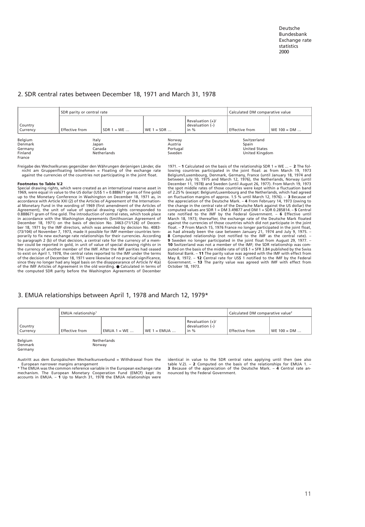#### <span id="page-10-1"></span>[2. SDR central rates between December 18, 1971 and March 31, 1978](#page-64-0)

|                                                    | SDR parity or central rate              |               | Calculated DM comparative value         |                                               |                                                                |                |
|----------------------------------------------------|-----------------------------------------|---------------|-----------------------------------------|-----------------------------------------------|----------------------------------------------------------------|----------------|
| Country<br>Currency                                | <b>Effective from</b>                   | $SDR 1 = WE $ | $WE 1 = SDR $                           | Revaluation (+)/<br>devaluation (-)<br>in $%$ | <b>Effective from</b>                                          | $WE 100 = DM $ |
| Belgium<br>Denmark<br>Germany<br>Finland<br>France | Italy<br>Japan<br>Canada<br>Netherlands |               | Norway<br>Austria<br>Portugal<br>Sweden |                                               | Switzerland<br>Spain<br><b>United States</b><br>United Kingdom |                |

Freigabe des Wechselkurses gegenüber den Währungen derjenigen Länder, die nicht am Gruppenfloating teilnehmen = Floating of the exchange rate against the currencies of the countries not participating in the joint float.

#### **Footnotes to Table V.2**

<span id="page-10-2"></span><span id="page-10-0"></span>Special drawing rights, which were created as an international reserve asset in 1969, were equal in value to the US dollar (US\$ 1 = 0.888671 grams of fine gold) up to the Monetary Conference in Washington on December 18, 1971 as, in accordance with Article XXI (2) of the Articles of Agreement of the International Monetary Fund in the wording of 1969 (first amendment of the Articles of Agreement), the unit of value of special drawing rights corresponded to 0.888671 gram of fine gold. The introduction of central rates, which took place<br>in accordance with the Washington Agreements (Smithsonian Agreement of<br>December 18, 1971) on the basis of decision No. 3463-(71/126) of December 18, 1971 by the IMF directors, which was amended by decision No. 4083- (73/104) of November 7, 1973, made it possible for IMF member countries temporarily to fix new exchange rate relationships for their currencies. According to paragraph 2 (b) of that decision, a central rate for the currency of a member could be reported in gold, in unit of value of special drawing rights or in the currency of another member of the IMF. After the IMF parities had ceased to exist on April 1, 1978, the central rates reported to the IMF under the terms of the decision of December 18, 1971 were likewise of no practical significance, since they no longer had any legal basis on the disappearance of Article IV 4(a) of the IMF Articles of Agreement in the old wording. ● Calculated in terms of the computed SDR parity before the Washington Agreements of December

1971. – **1** Calculated on the basis of the relationship SDR 1 = WE ... – **2** The following countries participated in the joint float: as from March 19, 1973<br>Belgium/Luxembourg, Denmark, Germany, France (until January 18, 1974 and<br>between July 10, 1975 and March 12, 1976), the Netherlands, Norway (until<br>De the spot middle rates of those countries were kept within a fluctuation band of 2.25% (except: Belgium/Luxembourg and the Netherlands, which had agreed on fluctuation margins of approx. 1.5 % until March 12, 1976). – **3** Because of the appreciation of the Deutsche Mark. – **4** From February 14, 1973 (owing to the change in the central rate of the Deutsche Mark against the US dollar) the computed values are SDR 1 = DM 3.49877 and DM 1 = SDR 0.285814. – **5** Central rate notified to the IMF by the Federal Government. – **6** Effective until<br>March 18, 1973; thereafter, the exchange rate of the Deutsche Mark floated<br>against the currencies of those countries which did not participate in th float. – **7** From March 15, 1976 France no longer participated in the joint float,<br>as had already been the case between January 21, 1974 and July 9, 1975. –<br>**8** Computed relationship (not notified to the IMF as the central **9** Sweden no longer participated in the joint float from August 29, 1977. – **10** Switzerland was not a member of the IMF; the SDR relationship was computed on the basis of the middle rate of US\$ 1 = SFR 3.84 published by the Swiss National Bank.  $-$  **11** The parity value was agreed with the IMF w October 18, 1973.

#### [3. EMUA relationships between April 1, 1978 and March 12, 1979\\*](#page-66-0)

|                               | EMUA relationship <sup>1</sup> |              | Calculated DM comparative value <sup>2</sup> |                                               |                       |                |
|-------------------------------|--------------------------------|--------------|----------------------------------------------|-----------------------------------------------|-----------------------|----------------|
| Country<br>Currency           | <b>Effective from</b>          | $EMUA = WE $ | $WE 1 = E MUA $                              | Revaluation (+)/<br>devaluation (-)<br>in $%$ | <b>Effective from</b> | $WE 100 = DM $ |
| Belgium<br>Denmark<br>Germany | Norway                         | Netherlands  |                                              |                                               |                       |                |

Austritt aus dem Europäischen Wechselkursverbund = Withdrawal from the European narrower margins arrangement

\* The EMUA was the common reference variable in the European exchange rate mechanism. The European Monetary Cooperation Fund (EMCF) kept its accounts in EMUA. – **1** Up to March 31, 1978 the EMUA relationships were

identical in value to the SDR central rates applying until then (see also table V.2). – **2** Computed on the basis of the relationships for EMUA 1. – **3** Because of the appreciation of the Deutsche Mark. – **4** Central rate announced by the Federal Government.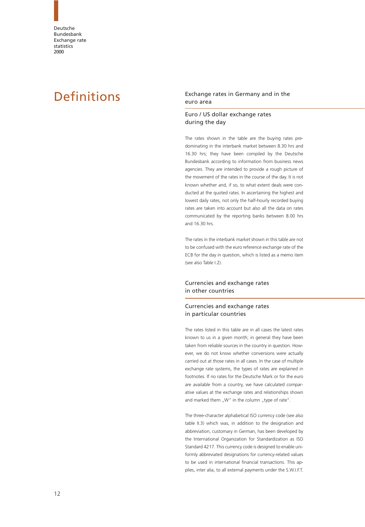### <span id="page-11-1"></span><span id="page-11-0"></span>Definitions Exchange rates in Germany and in the euro area

#### Euro / US dollar exchange rates during the day

The rates shown in the table are the buying rates predominating in the interbank market between 8.30 hrs and 16.30 hrs; they have been compiled by the Deutsche Bundesbank according to information from business news agencies. They are intended to provide a rough picture of the movement of the rates in the course of the day. It is not known whether and, if so, to what extent deals were conducted at the quoted rates. In ascertaining the highest and lowest daily rates, not only the half-hourly recorded buying rates are taken into account but also all the data on rates communicated by the reporting banks between 8.00 hrs and 16.30 hrs.

The rates in the interbank market shown in this table are not to be confused with the euro reference exchange rate of the ECB for the day in question, which is listed as a memo item (see also Table I.2).

#### Currencies and exchange rates in other countries

#### Currencies and exchange rates in particular countries

The rates listed in this table are in all cases the latest rates known to us in a given month; in general they have been taken from reliable sources in the country in question. However, we do not know whether conversions were actually carried out at those rates in all cases. In the case of multiple exchange rate systems, the types of rates are explained in footnotes. If no rates for the Deutsche Mark or for the euro are available from a country, we have calculated comparative values at the exchange rates and relationships shown and marked them "W" in the column "type of rate".

The three-character alphabetical ISO currency code (see also table II.3) which was, in addition to the designation and abbreviation, customary in German, has been developed by the International Organization for Standardization as ISO Standard 4217. This currency code is designed to enable uniformly abbreviated designations for currency-related values to be used in international financial transactions. This applies, inter alia, to all external payments under the S.W.I.F.T.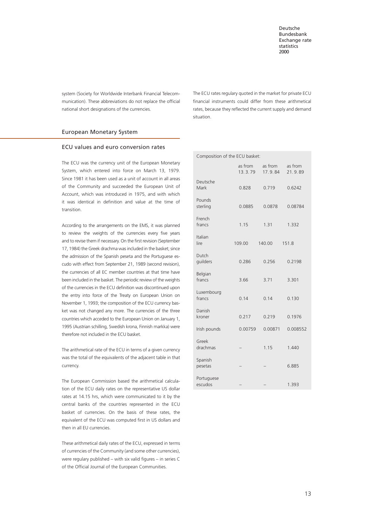<span id="page-12-0"></span>system (Society for Worldwide Interbank Financial Telecommunication). These abbreviations do not replace the official national short designations of the currencies.

The ECU rates regulary quoted in the market for private ECU financial instruments could differ from these arithmetical rates, because they reflected the current supply and demand situation.

#### European Monetary System

#### ECU values and euro conversion rates

The ECU was the currency unit of the European Monetary System, which entered into force on March 13, 1979. Since 1981 it has been used as a unit of account in all areas of the Community and succeeded the European Unit of Account, which was introduced in 1975, and with which it was identical in definition and value at the time of transition.

According to the arrangements on the EMS, it was planned to review the weights of the currencies every five years and to revise them if necessary. On the first revision (September 17, 1984) the Greek drachma was included in the basket; since the admission of the Spanish peseta and the Portuguese escudo with effect from September 21, 1989 (second revision), the currencies of all EC member countries at that time have been included in the basket. The periodic review of the weights of the currencies in the ECU definition was discontinued upon the entry into force of the Treaty on European Union on November 1, 1993; the composition of the ECU currency basket was not changed any more. The currencies of the three countries which acceded to the European Union on January 1, 1995 (Austrian schilling, Swedish krona, Finnish markka) were therefore not included in the ECU basket.

The arithmetical rate of the ECU in terms of a given currency was the total of the equivalents of the adjacent table in that currency.

The European Commission based the arithmetical calculation of the ECU daily rates on the representative US dollar rates at 14.15 hrs, which were communicated to it by the central banks of the countries represented in the ECU basket of currencies. On the basis of these rates, the equivalent of the ECU was computed first in US dollars and then in all EU currencies.

These arithmetical daily rates of the ECU, expressed in terms of currencies of the Community (and some other currencies), were regulary published – with six valid figures – in series C of the Official Journal of the European Communities.

| Composition of the ECU basket: |                    |                    |                    |  |  |  |  |
|--------------------------------|--------------------|--------------------|--------------------|--|--|--|--|
|                                | as from<br>13.3.79 | as from<br>17.9.84 | as from<br>21.9.89 |  |  |  |  |
| Deutsche<br>Mark               | 0.828              | 0.719              | 0.6242             |  |  |  |  |
| Pounds<br>sterling             | 0.0885             | 0.0878             | 0.08784            |  |  |  |  |
| French<br>francs               | 1.15               | 1.31               | 1.332              |  |  |  |  |
| Italian<br>lire                | 109.00             | 140.00             | 151.8              |  |  |  |  |
| Dutch<br>guilders              | 0.286              | 0.256              | 0.2198             |  |  |  |  |
| Belgian<br>francs              | 3.66               | 3.71               | 3.301              |  |  |  |  |
| Luxembourg<br>francs           | 0.14               | 0.14               | 0.130              |  |  |  |  |
| Danish<br>kroner               | 0.217              | 0.219              | 0.1976             |  |  |  |  |
| Irish pounds                   | 0.00759            | 0.00871            | 0.008552           |  |  |  |  |
| Greek<br>drachmas              |                    | 1.15               | 1.440              |  |  |  |  |
| Spanish<br>pesetas             |                    |                    | 6.885              |  |  |  |  |
| Portuguese<br>escudos          |                    |                    | 1.393              |  |  |  |  |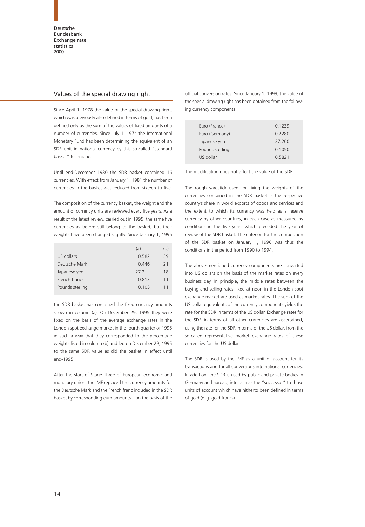#### <span id="page-13-0"></span>Values of the special drawing right

Since April 1, 1978 the value of the special drawing right, which was previously also defined in terms of gold, has been defined only as the sum of the values of fixed amounts of a number of currencies. Since July 1, 1974 the International Monetary Fund has been determining the equivalent of an SDR unit in national currency by this so-called "standard basket" technique.

Until end-December 1980 the SDR basket contained 16 currencies. With effect from January 1, 1981 the number of currencies in the basket was reduced from sixteen to five.

The composition of the currency basket, the weight and the amount of currency units are reviewed every five years. As a result of the latest review, carried out in 1995, the same five currencies as before still belong to the basket, but their weights have been changed slightly. Since January 1, 1996

|                 | (a)   | (b) |
|-----------------|-------|-----|
| US dollars      | 0.582 | 39  |
| Deutsche Mark   | 0.446 | 21  |
| Japanese yen    | 272   | 18  |
| French francs   | 0.813 | 11  |
| Pounds sterling | 0.105 | 11  |

the SDR basket has contained the fixed currency amounts shown in column (a). On December 29, 1995 they were fixed on the basis of the average exchange rates in the London spot exchange market in the fourth quarter of 1995 in such a way that they corresponded to the percentage weights listed in column (b) and led on December 29, 1995 to the same SDR value as did the basket in effect until end-1995.

After the start of Stage Three of European economic and monetary union, the IMF replaced the currency amounts for the Deutsche Mark and the French franc included in the SDR basket by corresponding euro amounts – on the basis of the official conversion rates. Since January 1, 1999, the value of the special drawing right has been obtained from the following currency components:

| Euro (France)   | 0.1239 |
|-----------------|--------|
| Euro (Germany)  | 0.2280 |
| Japanese yen    | 27 200 |
| Pounds sterling | 0.1050 |
| US dollar       | 0.5821 |

The modification does not affect the value of the SDR.

The rough yardstick used for fixing the weights of the currencies contained in the SDR basket is the respective country's share in world exports of goods and services and the extent to which its currency was held as a reserve currency by other countries, in each case as measured by conditions in the five years which preceded the year of review of the SDR basket. The criterion for the composition of the SDR basket on January 1, 1996 was thus the conditions in the period from 1990 to 1994.

The above-mentioned currency components are converted into US dollars on the basis of the market rates on every business day. In principle, the middle rates between the buying and selling rates fixed at noon in the London spot exchange market are used as market rates. The sum of the US dollar equivalents of the currency components yields the rate for the SDR in terms of the US dollar. Exchange rates for the SDR in terms of all other currencies are ascertained, using the rate for the SDR in terms of the US dollar, from the so-called representative market exchange rates of these currencies for the US dollar.

The SDR is used by the IMF as a unit of account for its transactions and for all conversions into national currencies. In addition, the SDR is used by public and private bodies in Germany and abroad, inter alia as the "successor" to those units of account which have hitherto been defined in terms of gold (e. g. gold francs).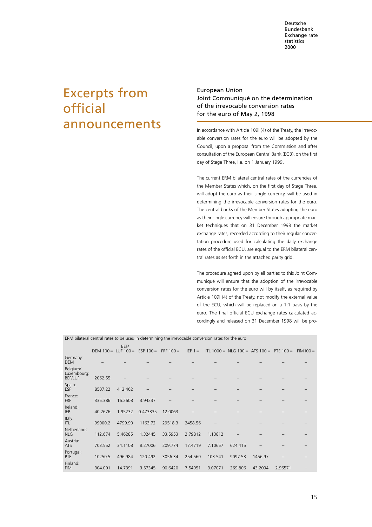# <span id="page-14-0"></span>Excerpts from official announcements

European Union Joint Communiqué on the determination of the irrevocable conversion rates for the euro of May 2, 1998

In accordance with Article 109l (4) of the Treaty, the irrevocable conversion rates for the euro will be adopted by the Council, upon a proposal from the Commission and after consultation of the European Central Bank (ECB), on the first day of Stage Three, i.e. on 1 January 1999.

The current ERM bilateral central rates of the currencies of the Member States which, on the first day of Stage Three, will adopt the euro as their single currency, will be used in determining the irrevocable conversion rates for the euro. The central banks of the Member States adopting the euro as their single currency will ensure through appropriate market techniques that on 31 December 1998 the market exchange rates, recorded according to their regular concertation procedure used for calculating the daily exchange rates of the official ECU, are equal to the ERM bilateral central rates as set forth in the attached parity grid.

The procedure agreed upon by all parties to this Joint Communiqué will ensure that the adoption of the irrevocable conversion rates for the euro will by itself, as required by Article 109l (4) of the Treaty, not modify the external value of the ECU, which will be replaced on a 1:1 basis by the euro. The final official ECU exchange rates calculated accordingly and released on 31 December 1998 will be pro-

ERM bilateral central rates to be used in determining the irrevocable conversion rates for the euro

|                                           | DEM $100 = LUF 100 =$ | BEF/    | $ESP 100 =$ | $FRF 100 =$ | $IEP 1 =$ |         | ITL 1000 = NLG 100 = ATS 100 = PTE 100 = |         |         | $FIM100 =$ |
|-------------------------------------------|-----------------------|---------|-------------|-------------|-----------|---------|------------------------------------------|---------|---------|------------|
| Germany:<br><b>DEM</b>                    |                       |         |             |             |           |         |                                          |         |         |            |
| Belgium/<br>Luxembourg:<br><b>BEF/LUF</b> | 2062.55               |         |             |             |           |         |                                          |         |         |            |
| Spain:<br><b>ESP</b>                      | 8507.22               | 412.462 |             |             |           |         |                                          |         |         |            |
| France:<br><b>FRF</b>                     | 335.386               | 16.2608 | 3.94237     |             |           |         |                                          |         |         |            |
| Ireland:<br><b>IEP</b>                    | 40.2676               | 1.95232 | 0.473335    | 12.0063     |           |         |                                          |         |         |            |
| Italy:<br>ITL.                            | 99000.2               | 4799.90 | 1163.72     | 29518.3     | 2458.56   |         |                                          |         |         |            |
| Netherlands:<br><b>NLG</b>                | 112.674               | 5.46285 | 1.32445     | 33.5953     | 2.79812   | 1.13812 |                                          |         |         |            |
| Austria:<br><b>ATS</b>                    | 703.552               | 34.1108 | 8.27006     | 209.774     | 17.4719   | 7.10657 | 624.415                                  |         |         |            |
| Portugal:<br><b>PTE</b>                   | 10250.5               | 496.984 | 120.492     | 3056.34     | 254.560   | 103.541 | 9097.53                                  | 1456.97 |         |            |
| Finland:<br><b>FIM</b>                    | 304.001               | 14.7391 | 3.57345     | 90.6420     | 7.54951   | 3.07071 | 269.806                                  | 43.2094 | 2.96571 |            |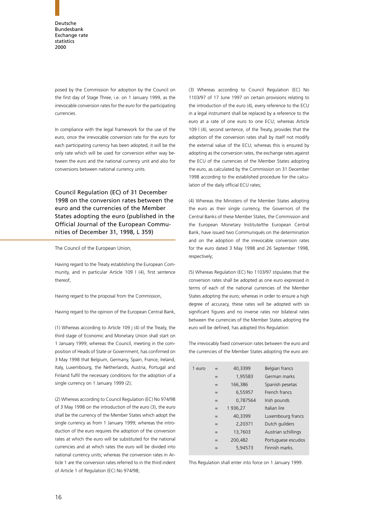posed by the Commission for adoption by the Council on the first day of Stage Three, i.e. on 1 January 1999, as the irrevocable conversion rates for the euro for the participating currencies.

In compliance with the legal framework for the use of the euro, once the irrevocable conversion rate for the euro for each participating currency has been adopted, it will be the only rate which will be used for conversion either way between the euro and the national currency unit and also for conversions between national currency units.

Council Regulation (EC) of 31 December 1998 on the conversion rates between the euro and the currencies of the Member States adopting the euro (published in the Official Journal of the European Communities of December 31, 1998, L 359)

The Council of the European Union,

Having regard to the Treaty establishing the European Community, and in particular Article 109 l (4), first sentence thereof,

Having regard to the proposal from the Commission,

Having regard to the opinion of the European Central Bank,

(1) Whereas according to Article 109 j (4) of the Treaty, the third stage of Economic and Monetary Union shall start on 1 January 1999; whereas the Council, meeting in the composition of Heads of State or Government, has confirmed on 3 May 1998 that Belgium, Germany, Spain, France, Ireland, Italy, Luxembourg, the Netherlands, Austria, Portugal and Finland fulfil the necessary conditions for the adoption of a single currency on 1 January 1999 (2);

(2) Whereas according to Council Regulation (EC) No 974/98 of 3 May 1998 on the introduction of the euro (3), the euro shall be the currency of the Member States which adopt the single currency as from 1 January 1999; whereas the introduction of the euro requires the adoption of the conversion rates at which the euro will be substituted for the national currencies and at which rates the euro will be divided into national currency units; whereas the conversion rates in Article 1 are the conversion rates referred to in the third indent of Article 1 of Regulation (EC) No 974/98;

(3) Whereas according to Council Regulation (EC) No 1103/97 of 17 June 1997 on certain provisions relating to the introduction of the euro (4), every reference to the ECU in a legal instrument shall be replaced by a reference to the euro at a rate of one euro to one ECU; whereas Article 109 l (4), second sentence, of the Treaty, provides that the adoption of the conversion rates shall by itself not modify the external value of the ECU; whereas this is ensured by adopting as the conversion rates, the exchange rates against the ECU of the currencies of the Member States adopting the euro, as calculated by the Commission on 31 December 1998 according to the established procedure for the calculation of the daily official ECU rates;

(4) Whereas the Ministers of the Member States adopting the euro as their single currency, the Governors of the Central Banks of these Member States, the Commission and the European Monetary Institute/the European Central Bank, have issued two Communiqués on the determination and on the adoption of the irrevocable conversion rates for the euro dated 3 May 1998 and 26 September 1998, respectively;

(5) Whereas Regulation (EC) No 1103/97 stipulates that the conversion rates shall be adopted as one euro expressed in terms of each of the national currencies of the Member States adopting the euro; whereas in order to ensure a high degree of accuracy, these rates will be adopted with six significant figures and no inverse rates nor bilateral rates between the currencies of the Member States adopting the euro will be defined, has adopted this Regulation:

The irrevocably fixed conversion rates between the euro and the currencies of the Member States adopting the euro are:

| 1 euro | $=$ | 40,3399  | Belgian francs      |
|--------|-----|----------|---------------------|
|        | $=$ | 1,95583  | German marks        |
|        | $=$ | 166,386  | Spanish pesetas     |
|        | $=$ | 6,55957  | French francs       |
|        | $=$ | 0,787564 | Irish pounds        |
|        | $=$ | 1936,27  | Italian lire        |
|        | $=$ | 40,3399  | Luxembourg francs   |
|        | $=$ | 2,20371  | Dutch quilders      |
|        | $=$ | 13,7603  | Austrian schillings |
|        | $=$ | 200,482  | Portuguese escudos  |
|        |     | 5.94573  | Finnish marks       |

This Regulation shall enter into force on 1 January 1999.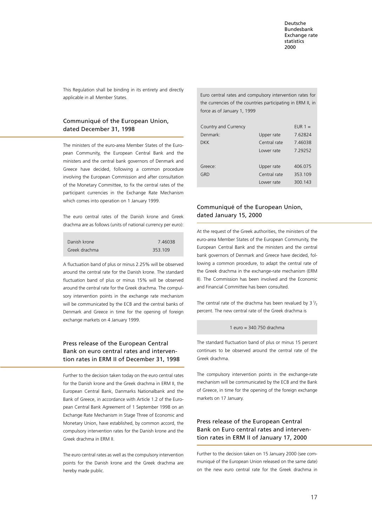This Regulation shall be binding in its entirety and directly applicable in all Member States.

### Communiqué of the European Union, dated December 31, 1998

The ministers of the euro-area Member States of the European Community, the European Central Bank and the ministers and the central bank governors of Denmark and Greece have decided, following a common procedure involving the European Commission and after consultation of the Monetary Committee, to fix the central rates of the participant currencies in the Exchange Rate Mechanism which comes into operation on 1 January 1999.

The euro central rates of the Danish krone and Greek drachma are as follows (units of national currency per euro):

| Danish krone  | 7.46038 |
|---------------|---------|
| Greek drachma | 353.109 |

A fluctuation band of plus or minus 2.25% will be observed around the central rate for the Danish krone. The standard fluctuation band of plus or minus 15% will be observed around the central rate for the Greek drachma. The compulsory intervention points in the exchange rate mechanism will be communicated by the ECB and the central banks of Denmark and Greece in time for the opening of foreign exchange markets on 4 January 1999.

### Press release of the European Central Bank on euro central rates and intervention rates in ERM II of December 31, 1998

Further to the decision taken today on the euro central rates for the Danish krone and the Greek drachma in ERM II, the European Central Bank, Danmarks Nationalbank and the Bank of Greece, in accordance with Article 1.2 of the European Central Bank Agreement of 1 September 1998 on an Exchange Rate Mechanism in Stage Three of Economic and Monetary Union, have established, by common accord, the compulsory intervention rates for the Danish krone and the Greek drachma in ERM II.

The euro central rates as well as the compulsory intervention points for the Danish krone and the Greek drachma are hereby made public.

Euro central rates and compulsory intervention rates for the currencies of the countries participating in ERM II, in force as of January 1, 1999

| Country and Currency |              | EUR $1 =$ |
|----------------------|--------------|-----------|
| Denmark:             | Upper rate   | 7.62824   |
| DKK                  | Central rate | 7.46038   |
|                      | Lower rate   | 7.29252   |
|                      |              |           |
| Greece:              | Upper rate   | 406.075   |
| GRD                  | Central rate | 353.109   |
|                      | Lower rate   | 300.143   |

# Communiqué of the European Union, dated January 15, 2000

At the request of the Greek authorities, the ministers of the euro-area Member States of the European Community, the European Central Bank and the ministers and the central bank governors of Denmark and Greece have decided, following a common procedure, to adapt the central rate of the Greek drachma in the exchange-rate mechanism (ERM II). The Commission has been involved and the Economic and Financial Committee has been consulted.

The central rate of the drachma has been revalued by 3  $\frac{1}{2}$ percent. The new central rate of the Greek drachma is

#### 1 euro = 340.750 drachma

The standard fluctuation band of plus or minus 15 percent continues to be observed around the central rate of the Greek drachma.

The compulsory intervention points in the exchange-rate mechanism will be communicated by the ECB and the Bank of Greece, in time for the opening of the foreign exchange markets on 17 January.

# Press release of the European Central Bank on Euro central rates and intervention rates in ERM II of January 17, 2000

Further to the decision taken on 15 January 2000 (see communiqué of the European Union released on the same date) on the new euro central rate for the Greek drachma in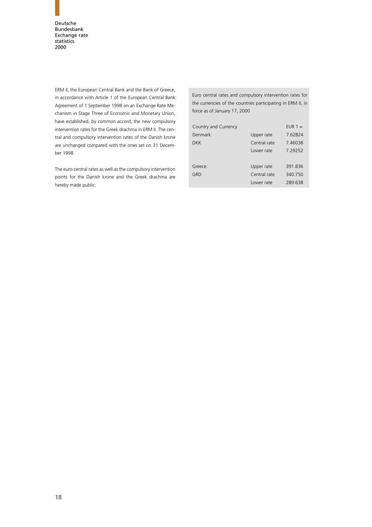ERM II, the European Central Bank and the Bank of Greece, in accordance with Article 1 of the European Central Bank Agreement of 1 September 1998 on an Exchange Rate Mechanism in Stage Three of Economic and Monetary Union, have established, by common accord, the new compulsory intervention rates for the Greek drachma in ERM II. The central and compulsory intervention rates of the Danish krone are unchanged compared with the ones set on 31 December 1998.

The euro central rates as well as the compulsory intervention points for the Danish krone and the Greek drachma are hereby made public.

Euro central rates and compulsory intervention rates for the currencies of the countries participating in ERM II, in force as of January 17, 2000

| Country and Currency |              | EUR $1 =$ |
|----------------------|--------------|-----------|
| Denmark:             | Upper rate   | 7.62824   |
| DKK                  | Central rate | 7.46038   |
|                      | Lower rate   | 7 29252   |
|                      |              |           |
| Greece:              | Upper rate   | 391.836   |
| GRD                  | Central rate | 340.750   |
|                      | Lower rate   | 289.638   |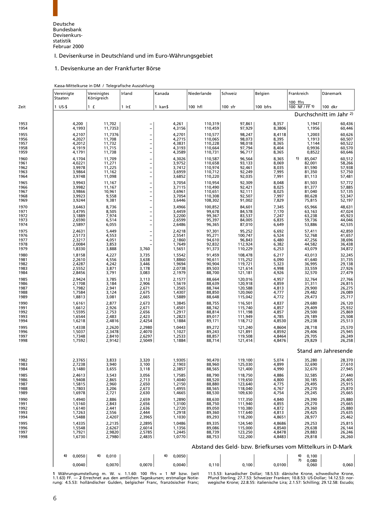<span id="page-18-0"></span>Deutsche Bundesbank Devisenkursstatistik Februar 2000

# I. Devisenkurse in Deutschland und im Euro-Währungsgebiet

#### 1. Devisenkurse an der Frankfurter Börse

|  | Kassa-Mittelkurse in DM / Telegrafische Auszahlung |
|--|----------------------------------------------------|

|              | Vereinigte<br>Staaten | Vereinigtes<br>Königreich | Irland                                     | Kanada           | Niederlande        | Schweiz            | Belgien          | Frankreich                                                  | Dänemark                           |
|--------------|-----------------------|---------------------------|--------------------------------------------|------------------|--------------------|--------------------|------------------|-------------------------------------------------------------|------------------------------------|
| Zeit         | $1$ US-\$             | 1 f                       | $1$ Ir $f$                                 | 1 kan\$          | 100 hfl            | $100$ sfr          | 100 bfrs         | 100 ffrs<br>100 NF / FF 1)                                  | 100 dkr                            |
|              |                       |                           |                                            |                  |                    |                    |                  |                                                             | Durchschnitt im Jahr <sup>2)</sup> |
| 1953<br>1954 | 4,200<br>4,1993       | 11,702<br>11,7353         |                                            | 4,261<br>4,3156  | 110,319<br>110,459 | 97,861<br>97,929   | 8,357<br>8,3806  | 1,1947<br>1,1956                                            | 60,436<br>60,446                   |
| 1955         | 4,2107                | 11,7376                   |                                            | 4,2701           | 110,577            | 98,247             | 8,4118           | 1,2003                                                      | 60,626                             |
| 1956         | 4,2027                | 11,708                    | <sup>-</sup>                               | 4,2715           | 110,065            | 98,073             | 8,395            | 1,1913                                                      | 60,507                             |
| 1957         | 4,2012                | 11,732<br>11,715          | $\overline{\phantom{0}}$                   | 4,3831           | 110,228            | 98,018             | 8,365            | 1,1144                                                      | 60,522                             |
| 1958<br>1959 | 4,1919<br>4,1791      | 11,738                    | $\overline{\phantom{0}}$<br>$\overline{a}$ | 4,3193<br>4,3589 | 110,664<br>110,731 | 97,794<br>96,717   | 8,404<br>8,365   | 0,9936<br>0,8522                                            | 60,570<br>60,646                   |
| 1960         | 4,1704                | 11,709                    | $\overline{\phantom{a}}$                   | 4,3026           | 110,587            | 96,564             | 8,365            | 85,047<br>1)                                                | 60,512                             |
| 1961         | 4,0221                | 11,271                    | $\overline{a}$                             | 3,9752           | 110,658            | 93,133             | 8,069            | 82,001                                                      | 58,266                             |
| 1962<br>1963 | 3,9978<br>3,9864      | 11,225<br>11,162          | $\overline{a}$<br>$\overline{\phantom{0}}$ | 3,7412<br>3,6959 | 110,974<br>110,712 | 92,461<br>92,249   | 8,035<br>7,995   | 81,590<br>81,350                                            | 57,938<br>57,750                   |
| 1964         | 3,9748                | 11,098                    | $\overline{\phantom{0}}$                   | 3,6852           | 110,220            | 92,035             | 7,991            | 81,113                                                      | 57,481                             |
| 1965         | 3,9943                | 11,167                    | $\overline{\phantom{0}}$                   | 3,7054           | 110,954            | 92,309             | 8,048            | 81,503                                                      | 57,772                             |
| 1966         | 3,9982                | 11,167                    | $\overline{\phantom{a}}$                   | 3,7115           | 110,490            | 92,421             | 8,025<br>8,025   | 81,377                                                      | 57,885                             |
| 1967<br>1968 | 3,9866<br>3,9923      | 10,961<br>9,558           | $\overline{a}$<br>$\overline{a}$           | 3,6961<br>3,7054 | 110,651<br>110,308 | 92,111<br>92,507   | 7,997            | 81,040<br>80,628                                            | 57,135<br>53,347                   |
| 1969         | 3,9244                | 9,381                     | $\overline{a}$                             | 3,6446           | 108,302            | 91,002             | 7,829            | 75,815                                                      | 52,197                             |
| 1970         | 3,6463                | 8,736                     |                                            | 3,4966           | 100,852            | 84,601             | 7,345            | 65,966                                                      | 48,631                             |
| 1971<br>1972 | 3,4795<br>3,1889      | 8,505<br>7,974            | $\overline{\phantom{0}}$                   | 3,4459<br>3,2200 | 99,678<br>99,367   | 84,578<br>83,537   | 7,170<br>7,247   | 63,163<br>63,238                                            | 47,024<br>45,923                   |
| 1973         | 2,6590                | 6,514                     | $\overline{a}$<br>$\overline{a}$           | 2,6599           | 95,397             | 84,005             | 6,835            | 59,736                                                      | 44,046                             |
| 1974         | 2,5897                | 6,055                     | $\overline{\phantom{0}}$                   | 2,6486           | 96,365             | 87,010             | 6,649            | 53,886                                                      | 42,535                             |
| 1975<br>1976 | 2,4631<br>2,5173      | 5,449<br>4,553            | $\overline{a}$                             | 2,4218<br>2,5541 | 97,301             | 95,252<br>100,747  | 6,692<br>6,524   | 57,411                                                      | 42,850<br>41,657                   |
| 1977         | 2,3217                | 4,051                     | $\overline{a}$<br>$\overline{\phantom{a}}$ | 2,1860           | 95,271<br>94,610   | 96,843             | 6,480            | 52,768<br>47,256                                            | 38,696                             |
| 1978         | 2,0084                | 3,853                     |                                            | 1,7649           | 92,832             | 112,924            | 6,382            | 44,582                                                      | 36,438                             |
| 1979         | 1,8330                | 3,888                     | 3,760                                      | 1,5651           | 91,373             | 110,229            | 6,253            | 43,079                                                      | 34,872                             |
| 1980<br>1981 | 1,8158<br>2,2610      | 4,227<br>4,556            | 3,735<br>3,638                             | 1,5542<br>1,8860 | 91,459<br>90,611   | 108,478<br>115,252 | 6,217<br>6,090   | 43,013<br>41,640                                            | 32,245<br>31,735                   |
| 1982         | 2,4287                | 4,242                     | 3,446                                      | 1,9694           | 90,904             | 119,721            | 5,323            | 36,995                                                      | 29,138                             |
| 1983<br>1984 | 2,5552<br>2,8456      | 3,871<br>3,791            | 3,178<br>3,083                             | 2,0738<br>2,1979 | 89,503<br>88,700   | 121,614<br>121,181 | 4,998<br>4,926   | 33,559<br>32,570                                            | 27,926<br>27,479                   |
| 1985         | 2,9424                | 3,785                     | 3,113                                      | 2,1577           | 88,664             | 120,016            | 4,957            | 32,764                                                      | 27,766                             |
| 1986         | 2,1708                | 3,184                     | 2,906                                      | 1,5619           | 88,639             | 120,918            | 4,859            | 31,311                                                      | 26,815                             |
| 1987<br>1988 | 1,7982<br>1,7584      | 2,941<br>3,124            | 2,671<br>2,675                             | 1,3565<br>1,4307 | 88,744<br>88,850   | 120,588<br>120,060 | 4,813<br>4,777   | 29,900<br>29,482                                            | 26,275<br>26,089                   |
| 1989         | 1,8813                | 3,081                     | 2,665                                      | 1,5889           | 88,648             | 115,042            | 4,772            | 29,473                                                      | 25,717                             |
| 1990         | 1,6161                | 2,877                     | 2,673                                      | 1,3845           | 88,755             | 116,501            | 4,837            | 29,680                                                      | 26,120                             |
| 1991<br>1992 | 1,6612<br>1,5595      | 2,926<br>2,753            | 2,671<br>2,656                             | 1,4501<br>1,2917 | 88,742<br>88,814   | 115,740<br>111,198 | 4,857<br>4,857   | 29,409<br>29,500                                            | 25,932<br>25,869                   |
| 1993         | 1,6544                | 2,483                     | 2,423                                      | 1,2823           | 89,017             | 111,949            | 4,785            | 29,189                                                      | 25,508                             |
| 1994         | 1,6218                | 2,4816                    | 2,4254                                     | 1,1884           | 89,171             | 118,712            | 4,8530           | 29,238                                                      | 25,513                             |
| 1995         | 1,4338                | 2,2620                    | 2,2980                                     | 1,0443           | 89,272             | 121,240            | 4,8604           | 28,718                                                      | 25,570                             |
| 1996<br>1997 | 1,5037<br>1,7348      | 2,3478<br>2,8410          | 2,4070<br>2,6297                           | 1,1027<br>1,2533 | 89,243<br>88,857   | 121,891<br>119,508 | 4,8592<br>4,8464 | 29,406<br>29,705                                            | 25,945<br>26,249                   |
| 1998         | 1,7592                | 2,9142                    | 2,5049                                     | 1,1884           | 88,714             | 121,414            | 4,8476           | 29,829                                                      | 26,258                             |
|              |                       |                           |                                            |                  |                    |                    |                  |                                                             | Stand am Jahresende                |
| 1982         | 2,3765                | 3,833                     | 3,320                                      | 1,9305           | 90,470             | 119,100            | 5,074            | 35.280                                                      | 28,370                             |
| 1983<br>1984 | 2,7238<br>3,1480      | 3,940                     | 3,100<br>3,118                             | 2,1903<br>2,3857 | 88,960<br>88,565   | 125,030<br>121,400 | 4,899<br>4,990   | 32,690<br>32,670                                            | 27,610<br>27,945                   |
| 1985         | 2,4613                | 3,655<br>3,543            | 3,056                                      | 1,7585           | 88,790             | 118,750            | 4,886            | 32,585                                                      | 27,440                             |
| 1986         | 1,9408                | 2,865                     | 2,713                                      | 1,4040           | 88,520             | 119,650<br>123,640 | 4,800            | 30,185                                                      | 26,405                             |
| 1987<br>1988 | 1,5815                | 2,960                     | 2,650                                      | 1,2150           | 88,880             | 118,040            | 4,775            | 29,495                                                      | 25,915                             |
| 1989         | 1,7803<br>1,6978      | 3,206<br>2,721            | 2,673<br>2,630                             | 1,4955<br>1,4665 | 88,565<br>88,530   | 109,630            | 4,767<br>4,754   | 29,270<br>29,245                                            | 25,870<br>25,665                   |
| 1990         | 1,4940                | 2,886                     | 2,659                                      | 1,2890           | 88,630             | 117,350            | 4,840            | 29,390                                                      | 25,880                             |
| 1991         | 1,5160                | 2,843                     | 2,656                                      | 1,3100           | 88,750             | 111,940<br>110,380 | 4,855            | 29,270                                                      | 25,665                             |
| 1992<br>1993 | 1,6140<br>1,7263      | 2,441<br>2,556            | 2,636<br>2,444                             | 1,2720<br>1,2918 | 89,050<br>89,360   | 117,640            | 4,872<br>4,813   | 29,360<br>29,425                                            | 25,880<br>25,635                   |
| 1994         | 1,5488                | 2,4207                    | 2,3965                                     | 1,1030           | 89,293             | 118,200            | 4,8651           | 28,977                                                      | 25,462                             |
| 1995         | 1,4335                | 2,2135                    | 2,2895                                     | 1,0486           | 89,335             | 124,540            | 4,8686           | 29,253                                                      | 25,815                             |
| 1996<br>1997 | 1,5548<br>1,7921      | 2,6267<br>2,9820          | 2,6014<br>2,5785                           | 1,1356<br>1,2445 | 89,086<br>88,739   | 115,000<br>123,250 | 4,8540<br>4,8478 | 29,638<br>29,883                                            | 26,144<br>26,246                   |
| 1998         | 1,6730                | 2,7980                    | 2,4835                                     | 1,0770           | 88,753             | 122,200            | 4,8483           | 29,818                                                      | 26,260                             |
|              |                       |                           |                                            |                  |                    |                    |                  | Abstand des Geld- bzw. Briefkurses vom Mittelkurs in D-Mark |                                    |
|              | 6)<br>0,0050          | 0,010<br>6)               |                                            | 0,0050<br>6)     |                    |                    |                  | 0,100<br>6)                                                 |                                    |
|              | 0,0040                | 0,0070                    | 0,0070                                     | 0,0040           | 0,110              | 0,100              | 0,0100           | 7) 0,080<br>0,060                                           | 0,060                              |

1 Währungsumstellung m. W. v. 1.1.60: 100 ffrs = 1 NF bzw. (seit - 11.5.53: kanadischer Dollar; 18.5.53: dänische Krone, schwedische Krone,<br>1.1.63) FF. — 2 Errechnet aus den amtlichen Tageskursen; erstmalige Notie- – Pfund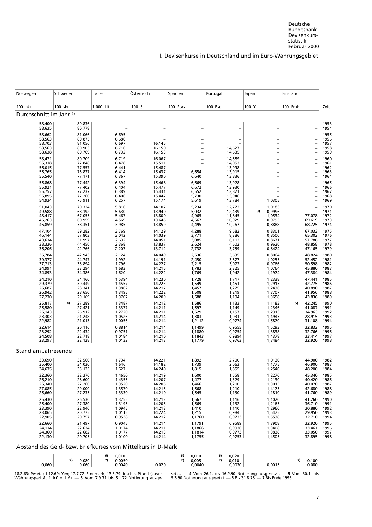| Norwegen                           | Schweden               | Italien                                                     | Österreich                       | Spanien                    | Portugal                   | Japan                                     | Finnland                                      |              |
|------------------------------------|------------------------|-------------------------------------------------------------|----------------------------------|----------------------------|----------------------------|-------------------------------------------|-----------------------------------------------|--------------|
| 100 nkr                            | 100 skr                | 1 000 Lit                                                   | 100 S                            | 100 Ptas                   | 100 Esc                    | 100 Y                                     | 100 Fmk                                       | Zeit         |
| Durchschnitt im Jahr <sup>2)</sup> |                        |                                                             |                                  |                            |                            |                                           |                                               |              |
| 58,400<br>58,635                   | 80,836<br>80,778       |                                                             |                                  |                            |                            |                                           |                                               | 1953<br>1954 |
| 58,662                             | 81,066                 | 6,695                                                       |                                  |                            |                            |                                           |                                               | 1955         |
| 58,563<br>58,703                   | 80,875                 | 6,686                                                       |                                  |                            | $\overline{\phantom{0}}$   | $\overline{\phantom{a}}$                  |                                               | 1956         |
| 58,563                             | 81,056<br>80,903       | 6,697<br>6,716                                              | 16,145<br>16,150                 |                            | 14,627                     | $\overline{\phantom{0}}$                  | $\overline{a}$                                | 1957<br>1958 |
| 58,638                             | 80,769                 | 6,732                                                       | 16,153                           |                            | 14,635                     |                                           |                                               | 1959         |
| 58,471<br>56,318                   | 80,709<br>77,848       | 6,719<br>6,478                                              | 16,067<br>15,511                 |                            | 14,589<br>14,053           |                                           |                                               | 1960<br>1961 |
| 56,015                             | 77,557                 | 6,441                                                       | 15,487                           |                            | 13,998                     |                                           |                                               | 1962         |
| 55,765<br>55,540                   | 76,837<br>77,171       | 6,414<br>6,367                                              | 15,437<br>15,390                 | 6,654<br>6,640             | 13,915<br>13,836           | $\overline{\phantom{a}}$                  | $\overline{a}$                                | 1963<br>1964 |
| 55,868                             | 77,442                 | 6,394                                                       | 15,468                           | 6,669                      | 13,928                     |                                           |                                               | 1965         |
| 55,921<br>55,757                   | 77,402<br>77,237       | 6,404<br>6,389                                              | 15,477<br>15,431                 | 6,672<br>6,552             | 13,930<br>13,871           | $\frac{1}{2}$<br>$\overline{\phantom{0}}$ |                                               | 1966<br>1967 |
| 55,895                             | 77,260                 | 6,406                                                       | 15,447                           | 5,730                      | 13,946                     |                                           | $\overline{\phantom{0}}$<br>$\qquad \qquad -$ | 1968         |
| 54,934                             | 75,911                 | 6,257                                                       | 15,174                           | 5,619                      | 13,784                     | 1,0305                                    |                                               | 1969         |
| 51,043<br>49,588                   | 70,324<br>68,192       | 5,816<br>5,630                                              | 14,107<br>13,940                 | 5,234<br>5,032             | 12,772<br>12,439           | 1,0183<br>0,9996<br>3)                    | $\overline{\phantom{a}}$                      | 1970<br>1971 |
| 48,417                             | 67,055                 | 5,467                                                       | 13,800                           | 4,965                      | 11,845                     | 1,0534                                    | 77,078                                        | 1972         |
| 46,263<br>46,859                   | 60,959<br>58,351       | 4,569<br>3,985                                              | 13,645<br>13,859                 | 4,567<br>4,495             | 10,929<br>10,267           | 0,9795<br>0,8888                          | 69,619<br>68,725                              | 1973<br>1974 |
| 47,104                             | 59,282                 | 3,769                                                       | 14,129                           | 4,288                      | 9,682                      | 0,8301                                    | 67,033                                        | 1975         |
| 46,144<br>43,634                   | 57,803<br>51,997       | 3,042<br>2,632                                              | 14,039<br>14,051                 | 3,771<br>3,085             | 8,386<br>6,112             | 0,8500<br>0,8671                          | 65,302<br>57,786                              | 1976<br>1977 |
| 38,336                             | 44,456                 | 2,368                                                       | 13,837                           | 2,624                      | 4,602                      | 0,9626                                    | 48,858                                        | 1978         |
| 36,206                             | 42,766                 | 2,207                                                       | 13,712                           | 2,732                      | 3,759                      | 0,8424                                    | 47,165                                        | 1979         |
| 36,784                             | 42,943<br>44,747       | 2,124                                                       | 14,049<br>14,191                 | 2,536                      | 3,635<br>3,677             | 0,8064<br>1,0255                          | 48,824                                        | 1980<br>1981 |
| 39,377<br>37,713<br>34,991         | 38,894<br>33,294       | 1,992<br>1,796<br>1,683                                     | 14,227<br>14,215                 | 2,450<br>2,215<br>1,783    | 3,072<br>2,325             | 0,9766<br>1,0764                          | 52,452<br>50,598<br>45,880                    | 1982<br>1983 |
| 34,893                             | 34,386                 | 1,620                                                       | 14,222                           | 1,769                      | 1,942                      | 1,1974                                    | 47,384                                        | 1984         |
| 34,210                             | 34,160                 | 1,5394                                                      | 14,230                           | 1,728                      | 1,717                      | 1,2338                                    | 47,441                                        | 1985         |
| 29,379<br>26,687                   | 30,449<br>28,341       | 1,4557<br>1,3862                                            | 14,223<br>14,217                 | 1,549<br>1,457             | 1,451<br>1,275             | 1,2915<br>1,2436                          | 42,775<br>40,890                              | 1986<br>1987 |
| 26,942                             | 28,650                 | 1,3495                                                      | 14,222                           | 1,508                      | 1,219                      | 1,3707                                    | 41,956                                        | 1988         |
| 27,230                             | 29,169<br>4)<br>27,289 | 1,3707<br>1,3487                                            | 14,209                           | 1,588<br>1,586             | 1,194<br>1,133             | 1,3658<br>1,1183                          | 43,836<br>5)<br>42,245                        | 1989<br>1990 |
| 25,817<br>25,580                   | 27,421                 | 1,3377                                                      | 14,212<br>14,211                 | 1,597                      | 1,149                      | 1,2346                                    | 41,087                                        | 1991         |
| 25,143<br>23,303                   | 26,912<br>21,248       | 1,2720<br>1,0526                                            | 14,211<br>14,214                 | 1,529<br>1,303             | 1,157<br>1,031             | 1,2313<br>1,4945                          | 34,963                                        | 1992<br>1993 |
| 22,982                             | 21,013                 | 1,0056                                                      | 14,214                           | 1,2112                     | 0,9774                     | 1,5870                                    | 28,915<br>31,108                              | 1994         |
| 22,614<br>23,292                   | 20,116<br>22,434       | 0,8814                                                      | 14,214<br>14,214                 | 1,1499                     | 0,9555                     | 1,5293                                    | 32,832<br>32,766                              | 1995         |
| 24,508                             | 22,718                 | 0,9751<br>1,0184                                            | 14,210                           | 1,1880<br>1,1843           | 0,9754<br>0,9894           | 1,3838<br>1,4378                          | 33,414                                        | 1996<br>1997 |
| 23,297                             | 22,128                 | 1,0132                                                      | 14,213                           | 1,1779                     | 0,9763                     | 1,3484                                    | 32,920                                        | 1998         |
| Stand am Jahresende                |                        |                                                             |                                  |                            |                            |                                           |                                               |              |
| 33,690                             | 32,560                 | 1,734                                                       | 14,221                           | 1,892                      | 2,700                      | 1,0130                                    | 44,900                                        | 1982         |
| 35,400<br>34,635                   | 34,030<br>35,125       | 1,646<br>1,627                                              | 14,182<br>14,240                 | 1,739<br>1,815             | 2,063<br>1,855             | 1,1775<br>1,2540                          | 46,900<br>48,200                              | 1983<br>1984 |
| 32,360                             | 32,370                 | 1,4650                                                      | 14,219                           | 1,600                      | 1,558                      | 1,2270                                    | 45,340                                        | 1985         |
| 26,210<br>25,340                   | 28,600                 | 1,4355<br>1,3520                                            | $14,207$<br>$14,205$<br>$14,215$ | 1,477<br>1,466             | 1,329<br>1,210             | 1,2130                                    | $40,420$<br>$40,070$<br>$42,680$              | 1986<br>1987 |
| 27,085                             | 27,260<br>29,000       | 1,3570                                                      |                                  | 1,568                      | 1,210                      | 1,3015<br>1,4175                          |                                               | 1988         |
| 25,660                             | 27,235                 | 1,3330                                                      | 14,210                           | 1,545                      | 1,130                      | 1,1810                                    | 41,760                                        | 1989         |
| 25,430<br>25,400                   | 26,530<br>27,380       | 1,3255<br>1,3195                                            | 14,212<br>14,205                 | 1,567<br>1,569             | 1,116<br>1,132             | 1,1020<br>1,2165                          | 41,260<br>36,710                              | 1990<br>1991 |
| 23,390<br>23,065                   | 22,940<br>20,775       | 1,0945                                                      | 14,213<br>14,224                 | 1,410                      | 1,110                      | 1,2960                                    | 30,880                                        | 1992<br>1993 |
| 22,905                             | 20,757                 | 1,0115<br>0,9538                                            | 14,212                           | 1,215<br>1,1760            | 0,984<br>0,9733            | 1,5475<br>1,5538                          | 29,950<br>32,710                              | 1994         |
| 22,660                             | 21,497                 | 0,9045                                                      | 14,214<br>14,211                 | 1,1791                     | 0,9589                     | 1,3908                                    |                                               | 1995         |
| 24,114<br>24,360                   | 22,634<br>22,682       | 1,0174<br>1,0177                                            | 14,213                           | 1,1866<br>1,1814           | 0,9936<br>0,9773           | 1,3408<br>1,3838                          | 32,920<br>33,461<br>33,050<br>32,895          | 1996<br>1997 |
| 22,130                             | 20,705                 | 1,0100                                                      | 14,214                           | 1,1755                     | 0,9753                     | 1,4505                                    |                                               | 1998         |
|                                    |                        | Abstand des Geld- bzw. Briefkurses vom Mittelkurs in D-Mark |                                  |                            |                            |                                           |                                               |              |
|                                    | 7)<br>0,080            | 0,010<br>6)<br>7)<br>0,0050                                 |                                  | 6)<br>0,010<br>7)<br>0,005 | 0,020<br>6)<br>7)<br>0,010 |                                           | 7)<br>0,100                                   |              |
| 0,060                              | 0,060                  | 0,0040                                                      | 0,020                            | 0,0040                     | 0,0030                     | 0,0015                                    | 0,080                                         |              |

18.2.63: Peseta; 1.12.69: Yen; 17.7.72: Finnmark; 13.3.79: irisches Pfund (zuvor<br>Währungsparität 1 Ir£ = 1 £). — 3 Vom 7.9.71 bis 5.1.72 Notierung ausge-

setzt. **— 4** Vom 26.1. bis 16.2.90 Notierung ausgesetzt. — 5 Vom 30.1. bis 5.3.90 Notierung ausgesetzt. — 6 Bis 31.8.78. — 7 Bis Ende 1993.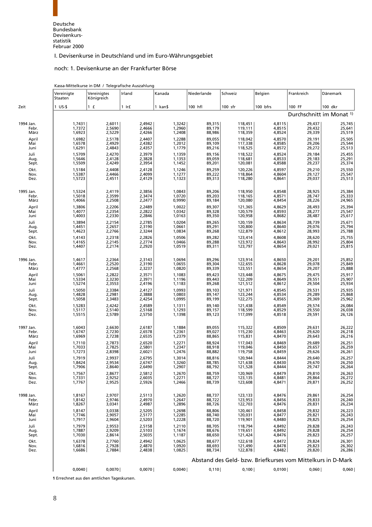#### noch: 1. Devisenkurse an der Frankfurter Börse

|           | Vereinigte<br>Staaten | Vereinigtes<br>Königreich | Irland | Kanada  | Niederlande | Schweiz                                                     | Belgien  | Frankreich                          | Dänemark |
|-----------|-----------------------|---------------------------|--------|---------|-------------|-------------------------------------------------------------|----------|-------------------------------------|----------|
| Zeit      | $1$ US-\$             | 1 f                       | 1 Ir£  | 1 kan\$ | 100 hfl     | $100$ sfr                                                   | 100 bfrs | 100 FF                              | 100 dkr  |
|           |                       |                           |        |         |             |                                                             |          | Durchschnitt im Monat <sup>1)</sup> |          |
| 1994 Jan. | 1,7431                | 2,6011                    | 2,4942 | 1,3242  | 89,315      | 118,451                                                     | 4,8115   | 29,437                              | 25,745   |
| Febr.     | 1,7372                | 2,5690                    | 2,4666 | 1,2960  | 89,179      | 119,111                                                     | 4,8515   | 29,432                              | 25,641   |
| März      | 1,6923                | 2,5229                    | 2,4266 | 1,2408  | 88,986      | 118,359                                                     | 4,8524   | 29,339                              | 25,519   |
| April     | 1,6982                | 2,5178                    | 2,4407 | 1,2288  | 89,055      | 118,042                                                     | 4,8570   | 29,191                              | 25,505   |
| Mai       | 1,6578                | 2,4929                    | 2,4382 | 1,2012  | 89,109      | 117,338                                                     | 4,8585   | 29,206                              | 25,544   |
| Juni      | 1,6291                | 2,4843                    | 2,4357 | 1,1779  | 89,216      | 118,525                                                     | 4,8572   | 29,272                              | 25,513   |
| Juli      | 1,5709                | 2,4270                    | 2,3979 | 1,1359  | 89,156      | 118,522                                                     | 4,8524   | 29,184                              | 25,455   |
| Aug.      | 1,5646                | 2,4128                    | 2,3828 | 1,1353  | 89,059      | 118,681                                                     | 4,8533   | 29,183                              | 25,291   |
| Sept.     | 1,5509                | 2,4249                    | 2,3954 | 1,1452  | 89,201      | 120,081                                                     | 4,8588   | 29,237                              | 25,374   |
| Okt.      | 1,5184                | 2,4408                    | 2,4128 | 1,1246  | 89,259      | 120,226                                                     | 4,8597   | 29,210                              | 25,550   |
| Nov.      | 1,5387                | 2,4466                    | 2,4099 | 1,1277  | 89,222      | 118,864                                                     | 4,8604   | 29,127                              | 25,547   |
| Dez.      | 1,5723                | 2,4511                    | 2,4129 | 1,1323  | 89,313      | 118,280                                                     | 4,8641   | 29,037                              | 25,513   |
| 1995 Jan. | 1,5324                | 2,4119                    | 2,3856 | 1,0843  | 89,206      | 118,950                                                     | 4,8548   | 28,925                              | 25,384   |
| Febr.     | 1,5018                | 2,3599                    | 2,3474 | 1,0720  | 89,203      | 118,165                                                     | 4,8571   | 28,747                              | 25,333   |
| März      | 1,4066                | 2,2508                    | 2,2477 | 0,9990  | 89,184      | 120,080                                                     | 4,8454   | 28,226                              | 24,965   |
| April     | 1,3806                | 2,2206                    | 2,2489 | 1,0022  | 89,307      | 121,365                                                     | 4,8629   | 28,493                              | 25,394   |
| Mai       | 1,4077                | 2,2354                    | 2,2822 | 1,0342  | 89,328      | 120,579                                                     | 4,8593   | 28,277                              | 25,547   |
| Juni      | 1,4003                | 2,2330                    | 2,2846 | 1,0163  | 89,350      | 120,958                                                     | 4,8682   | 28,487                              | 25,617   |
| Juli      | 1,3894                | 2,2154                    | 2,2785 | 1,0204  | 89,265      | 120,159                                                     | 4,8634   | 28,739                              | 25,671   |
| Aug.      | 1,4451                | 2,2657                    | 2,3190 | 1,0661  | 89,291      | 120,800                                                     | 4,8640   | 29,076                              | 25,794   |
| Sept.     | 1,4623                | 2,2766                    | 2,3244 | 1,0834  | 89,268      | 122,879                                                     | 4,8612   | 28,993                              | 25,788   |
| Okt.      | 1,4143                | 2,2318                    | 2,2826 | 1,0506  | 89,282      | 123,414                                                     | 4,8608   | 28,620                              | 25,755   |
| Nov.      | 1,4165                | 2,2145                    | 2,2774 | 1,0466  | 89,288      | 123,972                                                     | 4,8643   | 28,992                              | 25,804   |
| Dez.      | 1,4407                | 2,2174                    | 2,2920 | 1,0519  | 89,311      | 123,797                                                     | 4,8654   | 29,021                              | 25,815   |
| 1996 Jan. | 1,4617                | 2,2364                    | 2,3143 | 1,0694  | 89,296      | 123,914                                                     | 4,8650   | 29,201                              | 25,852   |
| Febr.     | 1,4661                | 2,2520                    | 2,3190 | 1,0655  | 89,304      | 122,655                                                     | 4,8628   | 29,078                              | 25,849   |
| März      | 1,4777                | 2,2568                    | 2,3237 | 1,0820  | 89,339      | 123,551                                                     | 4,8654   | 29,207                              | 25,888   |
| April     | 1,5061                | 2,2822                    | 2,3571 | 1,1083  | 89,423      | 123,448                                                     | 4,8675   | 29,475                              | 25,917   |
| Mai       | 1,5334                | 2,3230                    | 2,3971 | 1,1196  | 89,443      | 122,209                                                     | 4,8649   | 29,551                              | 25,907   |
| Juni      | 1,5274                | 2,3553                    | 2,4196 | 1,1183  | 89,268      | 121,512                                                     | 4,8612   | 29,504                              | 25,934   |
| Juli      | 1,5050                | 2,3384                    | 2,4127 | 1,0993  | 89,103      | 121,971                                                     | 4,8545   | 29,531                              | 25,935   |
| Aug.      | 1,4828                | 2,2981                    | 2,3888 | 1,0803  | 89,147      | 123,244                                                     | 4,8534   | 29,289                              | 25,868   |
| Sept.     | 1,5058                | 2,3483                    | 2,4254 | 1,0995  | 89,199      | 122,275                                                     | 4,8565   | 29,369                              | 25,962   |
| Okt.      | 1,5283                | 2,4242                    | 2,4589 | 1,1311  | 89,140      | 121,438                                                     | 4,8549   | 29,574                              | 26,084   |
| Nov.      | 1,5117                | 2,5140                    | 2,5168 | 1,1293  | 89,157      | 118,599                                                     | 4,8529   | 29,550                              | 26,038   |
| Dez.      | 1,5515                | 2,5789                    | 2,5750 | 1,1398  | 89,123      | 117,099                                                     | 4,8518   | 29,591                              | 26,126   |
| 1997 Jan. | 1,6043                | 2,6630                    | 2,6187 | 1,1884  | 89,055      | 115,322                                                     | 4,8509   | 29,631                              | 26,222   |
| Febr.     | 1,6747                | 2,7230                    | 2,6578 | 1,2361  | 89,027      | 115,230                                                     | 4,8463   | 29,620                              | 26,218   |
| März      | 1,6969                | 2,7238                    | 2,6535 | 1,2379  | 88,865      | 115,831                                                     | 4,8470   | 29,643                              | 26,216   |
| April     | 1,7110                | 2,7873                    | 2,6520 | 1,2271  | 88,924      | 117,043                                                     | 4,8469   | 29,689                              | 26,251   |
| Mai       | 1,7033                | 2,7825                    | 2,5801 | 1,2347  | 88,918      | 119,046                                                     | 4,8450   | 29,657                              | 26,259   |
| Juni      | 1,7273                | 2,8398                    | 2,6021 | 1,2476  | 88,882      | 119,758                                                     | 4,8459   | 29,626                              | 26,261   |
| Juli      | 1,7919                | 2,9937                    | 2,6795 | 1,3014  | 88,816      | 120,944                                                     | 4,8444   | 29,640                              | 26,257   |
| Aug.      | 1,8424                | 2,9534                    | 2,6747 | 1,3260  | 88,785      | 121,638                                                     | 4,8430   | 29,670                              | 26,250   |
| Sept.     | 1,7906                | 2,8640                    | 2,6490 | 1,2907  | 88,792      | 121,528                                                     | 4,8444   | 29,747                              | 26,264   |
| Okt.      | 1,7567                | 2,8677                    | 2,5812 | 1,2670  | 88,759      | 120,969                                                     | 4,8479   | 29,810                              | 26,263   |
| Nov.      | 1,7331                | 2,9252                    | 2,6035 | 1,2271  | 88,727      | 123,135                                                     | 4,8481   | 29,864                              | 26,272   |
| Dez.      | 1,7767                | 2,9525                    | 2,5926 | 1,2466  | 88,739      | 123,608                                                     | 4,8471   | 29,871                              | 26,252   |
| 1998 Jan. | 1,8167                | 2,9707                    | 2,5113 | 1,2620  | 88,737      | 123,133                                                     | 4,8476   | 29,861                              | 26,254   |
| Febr.     | 1,8142                | 2,9746                    | 2,4970 | 1,2647  | 88,722      | 123,953                                                     | 4,8456   | 29,833                              | 26,240   |
| März      | 1,8267                | 3,0341                    | 2,4987 | 1,2896  | 88,726      | 122,703                                                     | 4,8476   | 29,831                              | 26,234   |
| April     | 1,8147                | 3,0338                    | 2,5205 | 1,2698  | 88,806      | 120,461                                                     | 4,8458   | 29,832                              | 26,223   |
| Mai       | 1,7746                | 2,9057                    | 2,5177 | 1,2285  | 88,740      | 120,031                                                     | 4,8477   | 29,821                              | 26,243   |
| Juni      | 1,7917                | 2,9604                    | 2,5203 | 1,2228  | 88,720      | 119,901                                                     | 4,8480   | 29,825                              | 26,254   |
| Juli      | 1,7979                | 2,9553                    | 2,5158 | 1,2110  | 88,705      | 118.794                                                     | 4,8492   | 29,828                              | 26,243   |
| Aug.      | 1,7887                | 2,9209                    | 2,5103 | 1,1674  | 88,676      | 119,651                                                     | 4,8492   | 29,828                              | 26,254   |
| Sept.     | 1,7030                | 2,8614                    | 2,5035 | 1,1187  | 88,650      | 121,424                                                     | 4,8476   | 29,823                              | 26,257   |
| Okt.      | 1,6378                | 2,7760                    | 2,4942 | 1,0625  | 88,677      | 122,618                                                     | 4,8472   | 29,824                              | 26,301   |
| Nov.      | 1,6816                | 2,7928                    | 2,4870 | 1,0920  | 88,693      | 121,490                                                     | 4,8478   | 29,823                              | 26,302   |
| Dez.      | 1,6686                | 2,7884                    | 2,4838 | 1,0825  | 88,734      | 122,878                                                     | 4,8482   | 29,820                              | 26,286   |
|           |                       |                           |        |         |             | Abstand des Geld- bzw. Briefkurses vom Mittelkurs in D-Mark |          |                                     |          |
|           | 0,0040                | 0,0070                    | 0,0070 | 0,0040  | 0,110       | 0,100                                                       | 0,0100   | 0,060                               | 0,060    |

**1** Errechnet aus den amtlichen Tageskursen.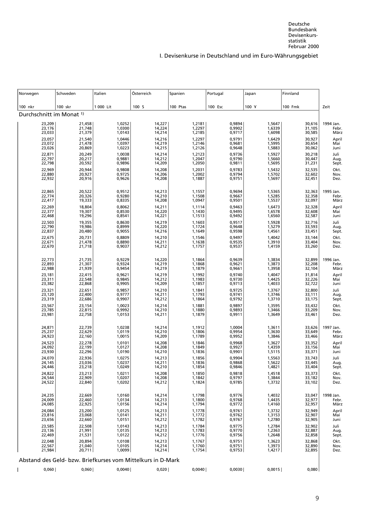| Norwegen                            | Schweden                   | Italien                                                     | Österreich                     | Spanien                        | Portugal                   | Japan                      | Finnland                   |                               |
|-------------------------------------|----------------------------|-------------------------------------------------------------|--------------------------------|--------------------------------|----------------------------|----------------------------|----------------------------|-------------------------------|
| 100 nkr                             | 100 skr                    | 1 000 Lit                                                   | 100S                           | 100 Ptas                       | 100 Esc                    | 100 Y                      | 100 Fmk                    | Zeit                          |
| Durchschnitt im Monat <sup>1)</sup> |                            |                                                             |                                |                                |                            |                            |                            |                               |
| 23,209<br>23,176<br>23,033          | 21,458<br>21,748<br>21,379 | 1,0252<br>1,0300<br>1,0143                                  | 14,227<br>14,224<br>14,214     | 1,2181<br>1,2297<br>1,2185     | 0,9894<br>0,9902<br>0,9717 | 1,5647<br>1,6339<br>1,6098 | 30,616<br>31,105<br>30,585 | 1994 Jan.<br>Febr.<br>März    |
| 23,057<br>23,072<br>23,026          | 21,540<br>21,478           | 1,0446<br>1,0397                                            | 14,216<br>14,219<br>14,215     | 1,2297<br>$1,2146$<br>$1,2126$ | 0,9791<br>0,9681           | 1,6429<br>1,5995<br>1,5883 | 30,927<br>30,654           | April<br>Mai                  |
|                                     | 20,869                     | 1,0223<br>1,0038                                            |                                | 1,2123<br>1,2047               | 0,9648<br>0,9736<br>0,9790 |                            | 30,062<br>30,218<br>30,447 | Juni                          |
| 22,871<br>22,797<br>22,798          | 20,249<br>20,217<br>20,592 | 0,9881<br>0,9896<br>0,9808                                  | 14,214<br>14,212<br>14,209     | 1,2050                         | 0,9811<br>0,9783           | 1,5927<br>1,5660<br>1,5695 | 31,231                     | Juli<br>Aug.<br>Sept.<br>Okt. |
| 22,969<br>22,880<br>22,932          | 20,944<br>20,927<br>20,916 | 0,9725<br>0,9626                                            | 14,208<br>14,206<br>14,208     | 1,2031<br>1,2002<br>1,1887     | 0,9794<br>0,9751           | 1,5432<br>1,5702<br>1,5697 | 32,535<br>32,602<br>32,451 | Nov.<br>Dez.                  |
| 22,865<br>22,774<br>22,417          | 20,522<br>20,326<br>19,333 | 0,9512<br>0,9280<br>0,8335                                  | 14,213<br>14,210<br>14,208     | 1,1557<br>1,1508<br>1,0947     | 0,9694<br>0,9667<br>0,9501 | 1,5365<br>1,5285<br>1,5537 | 32,363<br>32,358<br>32,097 | 1995 Jan.<br>Febr.<br>März    |
| 22,269<br>22,377<br>22,468          | 18,804<br>19,307<br>19,296 | 0,8062<br>0,8530<br>0,8541                                  | 14,211<br>14,220<br>14,221     | 1,1114<br>1,1430<br>1,1513     | 0,9463<br>0,9495<br>0,9492 | 1,6473<br>1,6578<br>1,6560 | 32,328<br>32,608<br>32,587 | April<br>Mai<br>Juni          |
| 22,503<br>22,790<br>22,837          | 19,355<br>19,986<br>20,480 | 0,8630<br>0,8999<br>0,9055                                  | 14,219<br>14,220<br>14,216     | 1,1603<br>1,1724<br>1,1649     | 0,9517<br>0,9648<br>0,9598 | 1,5928<br>1,5279<br>1,4561 | 32,716<br>33,593<br>33,451 | Juli<br>Aug.<br>Sept.         |
| 22,675<br>22,671<br>22,670          | 20,731<br>21,478<br>21,718 | 0,8809<br>0,8890<br>0,9037                                  | $14,210$<br>$14,211$<br>14,212 | 1,1546<br>1,1638<br>1,1757     | 0,9497<br>0,9535<br>0,9537 | 1,4042<br>1,3910<br>1,4159 | 33,144<br>33,404<br>33,260 | Okt.<br>Nov.<br>Dez.          |
| 22,773<br>22,893<br>22,988          | 21,735<br>21,307<br>21,939 | 0,9229<br>0,9324<br>0,9454                                  | 14,220<br>14,219<br>14,219     | 1,1864<br>1,1868<br>1,1879     | 0,9639<br>0,9621<br>0,9661 | 1,3834<br>1,3873<br>1,3958 | 32,899<br>32,208<br>32,104 | 1996 Jan.<br>Febr.<br>März    |
| 23,181<br>23,311<br>23,382          | 22,415<br>22,548<br>22,868 | 0,9621<br>0,9845<br>0,9905                                  | 14,219<br>14,212<br>14,209     | 1,1992<br>1,1983<br>1,1857     | 0,9740<br>0,9730<br>0,9713 | 1,4047<br>1,4425<br>1,4033 | 31,814<br>32,226<br>32,722 | April<br>Mai<br>Juni          |
| 23,321<br>23,120<br>23,319          | 22,651<br>22,400<br>22,686 | 0,9857<br>0,9777<br>0,9907                                  | $14,210$<br>$14,211$<br>14,212 | 1,1841<br>1,1793<br>1,1864     | 0,9725<br>0,9741<br>0,9792 | 1,3767<br>1,3746<br>1,3710 | 32,800<br>33,111<br>33,175 | Juli<br>Aug.<br>Sept.         |
| 23,567<br>23,785<br>23,981          | 23,154<br>22,815<br>22,758 | 1,0023<br>0,9992<br>1,0153                                  | 14,214<br>14,210<br>14,211     | 1,1881<br>1,1880<br>1,1879     | 0,9897<br>0,9893<br>0,9911 | 1,3595<br>1,3466<br>1,3649 | 33,432<br>33,209<br>33,461 | Okt.<br>Nov.<br>Dez.          |
| 24,871<br>25,237<br>24,923          | 22,739<br>22,629<br>22,160 | 1,0238<br>1,0119<br>1,0015                                  | 14,214<br>14,210<br>14,209     | 1,1912<br>1,1806<br>1,1789     | 1,0004<br>0,9954<br>0,9952 | 1,3611<br>1,3630<br>1,3846 | 33,626<br>33,649<br>33,466 | 1997 Jan.<br>Febr.<br>März    |
| 24,523<br>24,092<br>23,930          | 22,278<br>22,199<br>22,296 | 1,0101<br>1,0127<br>1,0190                                  | 14,208<br>14,208<br>14,210     | 1,1846<br>1,1849<br>1,1836     | 0,9968<br>0,9927<br>0,9901 | 1,3627<br>1,4359<br>1,5115 | 33,352<br>33,156<br>33,371 | April<br>Mai<br>Juni          |
| 24,070<br>24,145<br>24,446          | 22,936<br>23,036<br>23,218 | 1,0275<br>1,0237<br>1,0249                                  | 14,213<br>14,211<br>14,210     | 1,1856<br>1,1836<br>1,1854     | 0,9904<br>0,9868<br>0,9846 | 1,5563<br>1,5622<br>1,4821 | 33,743<br>33,445<br>33,404 | Juli<br>Aug.<br>Sept.         |
| 24,822<br>24,544<br>24,522          | 23,213<br>22,909<br>22,840 | 1,0211<br>1,0207<br>1,0202                                  | 14,208<br>14,208<br>14,212     | 1,1850<br>1,1842<br>1,1824     | 0,9818<br>0,9797<br>0,9785 | 1.4518<br>1,3844<br>1,3732 | 33,373<br>33,182<br>33,102 | Okt.<br>Nov.<br>Dez.          |
| 24,235<br>24,009                    | 22,669<br>22,460           | 1,0160<br>1,0134                                            | 14,214<br>14,213               | 1,1798<br>1,1800               | 0,9776<br>0,9768           | 1,4032<br>1,4435           | 33,047<br>32,977           | 1998 Jan.<br>Febr.            |
| 24,085<br>24,084<br>23,816          | 22,925<br>23,200<br>23,068 | 1,0156<br>1,0125<br>1,0141                                  | 14,214<br>14,213<br>14,211     | 1,1794<br>1,1778<br>1,1772     | 0,9772<br>0,9761<br>0,9762 | 1,4160<br>1,3732<br>1,3153 | 32,957<br>32,949<br>32,907 | März<br>April<br>Mai          |
| 23,656<br>23,585<br>23,136          | 22,660<br>22,508<br>21,991 | 1,0151<br>1,0143<br>1,0135                                  | 14,212<br>14,213<br>14,213     | 1,1782<br>1,1784<br>1,1783     | 0,9767<br>0,9775<br>0,9770 | 1,2780<br>1,2784<br>1,2363 | 32,905<br>32,902<br>32,887 | Juni<br>Juli<br>Aug.          |
| 22,469<br>22,048                    | 21,531<br>20,894           | 1,0122<br>1,0108                                            | 14,212<br>14,213               | 1,1776<br>1,1767               | 0,9756<br>0,9751           | 1,2648<br>1,3623           | 32,858<br>32,868           | Sept.<br>Okt.                 |
| 22,567<br>21,984                    | 21,040<br>20,711           | 1,0105<br>1,0099                                            | 14,214<br>14,214               | 1,1760<br>1,1754               | 0,9751<br>0,9753           | 1,3973<br>1,4217           | 32,890<br>32,895           | Nov.<br>Dez.                  |
|                                     |                            | Abstand des Geld- bzw. Briefkurses vom Mittelkurs in D-Mark |                                |                                |                            |                            |                            |                               |
| 0,060                               | 0,060                      | 0,0040                                                      | 0,020                          | 0,0040                         | 0,0030                     | 0,0015                     | 0,080                      |                               |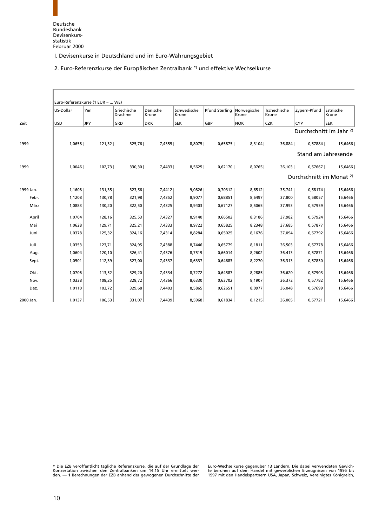2. Euro-Referenzkurse der Europäischen Zentralbank \*) und effektive Wechselkurse

<span id="page-22-0"></span>

|           |            | Euro-Referenzkurse (1 EUR =  WE) |                        |                   |                      |                       |                      |                       |              |                                     |
|-----------|------------|----------------------------------|------------------------|-------------------|----------------------|-----------------------|----------------------|-----------------------|--------------|-------------------------------------|
|           | US-Dollar  | Yen                              | Griechische<br>Drachme | Dänische<br>Krone | Schwedische<br>Krone | <b>Pfund Sterling</b> | Norwegische<br>Krone | Tschechische<br>Krone | Zypern-Pfund | Estnische<br>Krone                  |
| Zeit      | <b>USD</b> | <b>JPY</b>                       | GRD                    | <b>DKK</b>        | <b>SEK</b>           | GBP                   | NOK                  | <b>CZK</b>            | <b>CYP</b>   | <b>EEK</b>                          |
|           |            |                                  |                        |                   |                      |                       |                      |                       |              | Durchschnitt im Jahr <sup>2)</sup>  |
| 1999      | 1,0658     | 121,32                           | 325,76                 | 7,4355            | 8,8075               | 0,65875               | 8,3104               | 36,884                | 0,57884      | 15,6466                             |
|           |            |                                  |                        |                   |                      |                       |                      |                       |              | Stand am Jahresende                 |
| 1999      | 1,0046     | 102,73                           | 330,30                 | 7,4433            | 8,5625               | 0,62170               | 8,0765               | 36,103                | 0,57667      | 15,6466                             |
|           |            |                                  |                        |                   |                      |                       |                      |                       |              | Durchschnitt im Monat <sup>2)</sup> |
| 1999 Jan. | 1,1608     | 131,35                           | 323,56                 | 7,4412            | 9,0826               | 0,70312               | 8,6512               | 35,741                | 0,58174      | 15,6466                             |
| Febr.     | 1,1208     | 130,78                           | 321,98                 | 7,4352            | 8,9077               | 0,68851               | 8,6497               | 37,800                | 0,58057      | 15,6466                             |
| März      | 1,0883     | 130,20                           | 322,50                 | 7,4325            | 8,9403               | 0,67127               | 8,5065               | 37,993                | 0,57959      | 15,6466                             |
| April     | 1,0704     | 128,16                           | 325,53                 | 7,4327            | 8,9140               | 0,66502               | 8,3186               | 37,982                | 0,57924      | 15,6466                             |
| Mai       | 1,0628     | 129,71                           | 325,21                 | 7,4333            | 8,9722               | 0,65825               | 8,2348               | 37,685                | 0,57877      | 15,6466                             |
| Juni      | 1,0378     | 125,32                           | 324,16                 | 7,4314            | 8,8284               | 0,65025               | 8,1676               | 37,094                | 0,57792      | 15,6466                             |
| Juli      | 1,0353     | 123,71                           | 324,95                 | 7,4388            | 8,7446               | 0,65779               | 8,1811               | 36,503                | 0,57778      | 15,6466                             |
| Aug.      | 1,0604     | 120,10                           | 326,41                 | 7,4376            | 8,7519               | 0,66014               | 8,2602               | 36,413                | 0,57871      | 15,6466                             |
| Sept.     | 1,0501     | 112,39                           | 327,00                 | 7,4337            | 8,6337               | 0,64683               | 8,2270               | 36,313                | 0,57830      | 15,6466                             |
| Okt.      | 1,0706     | 113,52                           | 329,20                 | 7,4334            | 8,7272               | 0,64587               | 8,2885               | 36,620                | 0,57903      | 15,6466                             |
| Nov.      | 1,0338     | 108,25                           | 328,72                 | 7,4366            | 8,6330               | 0,63702               | 8,1907               | 36,372                | 0,57782      | 15,6466                             |
| Dez.      | 1,0110     | 103,72                           | 329,68                 | 7,4403            | 8,5865               | 0,62651               | 8,0977               | 36,048                | 0,57699      | 15,6466                             |
| 2000 Jan. | 1,0137     | 106,53                           | 331,07                 | 7,4439            | 8,5968               | 0,61834               | 8,1215               | 36,005                | 0,57721      | 15,6466                             |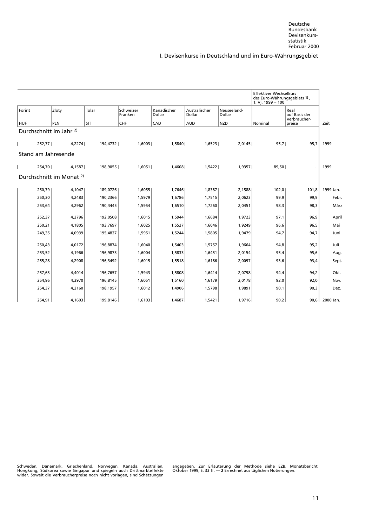|        |        |                                     |            |                      |                       |                         |                       | <b>Effektiver Wechselkurs</b><br>des Euro-Währungsgebiets 1),<br>$1. Vj. 1999 = 100$ |                                       |                |
|--------|--------|-------------------------------------|------------|----------------------|-----------------------|-------------------------|-----------------------|--------------------------------------------------------------------------------------|---------------------------------------|----------------|
| Forint |        | Zloty                               | Tolar      | Schweizer<br>Franken | Kanadischer<br>Dollar | Australischer<br>Dollar | Neuseeland-<br>Dollar |                                                                                      | Real<br>auf Basis der<br>Verbraucher- |                |
| HUF    |        | <b>PLN</b>                          | <b>SIT</b> | <b>CHF</b>           | CAD                   | AUD                     | <b>NZD</b>            | Nominal                                                                              | preise                                | Zeit           |
|        |        | Durchschnitt im Jahr <sup>2)</sup>  |            |                      |                       |                         |                       |                                                                                      |                                       |                |
|        | 252,77 | 4,2274                              | 194,4732   | 1,6003               | 1,5840                | 1,6523                  | 2,0145                | 95,7                                                                                 | 95,7                                  | 1999           |
|        |        | Stand am Jahresende                 |            |                      |                       |                         |                       |                                                                                      |                                       |                |
|        | 254,70 | 4,1587                              | 198,9055   | 1.6051               | 1,4608                | 1,5422                  | 1.9357                | 89,50                                                                                |                                       | 1999           |
|        |        | Durchschnitt im Monat <sup>2)</sup> |            |                      |                       |                         |                       |                                                                                      |                                       |                |
|        | 250,79 | 4,1047                              | 189,0726   | 1,6055               | 1,7646                | 1,8387                  | 2,1588                | 102,0                                                                                | 101,8                                 | 1999 Jan.      |
|        | 250,30 | 4,2483                              | 190,2366   | 1,5979               | 1,6786                | 1,7515                  | 2,0623                | 99,9                                                                                 | 99,9                                  | Febr.          |
|        | 253,64 | 4,2962                              | 190,4445   | 1,5954               | 1,6510                | 1,7260                  | 2,0451                | 98,3                                                                                 | 98,3                                  | März           |
|        | 252,37 | 4,2796                              | 192,0508   | 1,6015               | 1,5944                | 1,6684                  | 1,9723                | 97,1                                                                                 | 96,9                                  | April          |
|        | 250,21 | 4,1805                              | 193,7697   | 1,6025               | 1,5527                | 1,6046                  | 1,9249                | 96,6                                                                                 | 96,5                                  | Mai            |
|        | 249,35 | 4,0939                              | 195,4837   | 1,5951               | 1,5244                | 1,5805                  | 1,9479                | 94,7                                                                                 | 94,7                                  | Juni           |
|        | 250,43 | 4,0172                              | 196,8874   | 1,6040               | 1,5403                | 1,5757                  | 1,9664                | 94,8                                                                                 | 95,2                                  | Juli           |
|        | 253,52 | 4,1966                              | 196,9873   | 1,6004               | 1,5833                | 1,6451                  | 2,0154                | 95,4                                                                                 | 95,6                                  | Aug.           |
|        | 255,28 | 4,2908                              | 196,3492   | 1,6015               | 1,5518                | 1,6186                  | 2,0097                | 93,6                                                                                 | 93,4                                  | Sept.          |
|        | 257,63 | 4,4014                              | 196,7657   | 1,5943               | 1,5808                | 1,6414                  | 2,0798                | 94,4                                                                                 | 94,2                                  | Okt.           |
|        | 254,96 | 4,3970                              | 196,8145   | 1,6051               | 1,5160                | 1,6179                  | 2,0178                | 92,0                                                                                 | 92,0                                  | Nov.           |
|        | 254,37 | 4,2160                              | 198,1957   | 1,6012               | 1,4906                | 1,5798                  | 1,9891                | 90,1                                                                                 | 90,3                                  | Dez.           |
|        | 254,91 | 4,1603                              | 199,8146   | 1,6103               | 1,4687                | 1,5421                  | 1,9716                | 90,2                                                                                 |                                       | 90.6 2000 Jan. |

Hongkong, Südkorea sowie Singapur und spiegeln auch Drittmarkteffekte Oktober 1999, S. 33 ff. — **2** Errechnet aus täglichen Notierungen.<br>wider. Soweit die Verbraucherpreise noch nicht vorlagen, sind Schätzungen

angegeben. Zur Erläuterung der Methode siehe EZB, Monatsbericht, Oktober 1999, S. 33 ff. - 2 Errechnet australien Notierungen.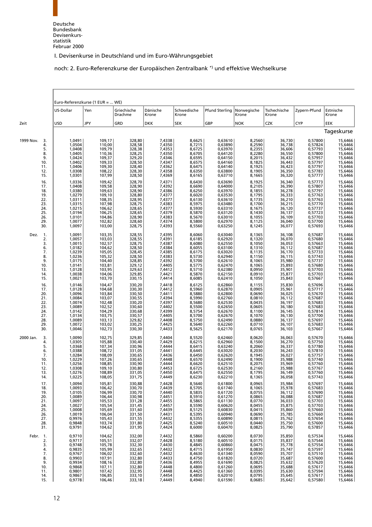noch: 2. Euro-Referenzkurse der Europäischen Zentralbank \*) und effektive Wechselkurse

|                                                                                           |                                                                                                            | Euro-Referenzkurse (1 EUR =  WE)                                                                                     |                                                                                                                      |                                                                                                            |                                                                                                                |                                                                                                                           |                                                                                                            |                                                                                                                                                                                             |                                                                                                                           |                                                                                                                       |
|-------------------------------------------------------------------------------------------|------------------------------------------------------------------------------------------------------------|----------------------------------------------------------------------------------------------------------------------|----------------------------------------------------------------------------------------------------------------------|------------------------------------------------------------------------------------------------------------|----------------------------------------------------------------------------------------------------------------|---------------------------------------------------------------------------------------------------------------------------|------------------------------------------------------------------------------------------------------------|---------------------------------------------------------------------------------------------------------------------------------------------------------------------------------------------|---------------------------------------------------------------------------------------------------------------------------|-----------------------------------------------------------------------------------------------------------------------|
|                                                                                           | US-Dollar                                                                                                  | Yen                                                                                                                  | Griechische<br>Drachme                                                                                               | Dänische<br>Krone                                                                                          | Schwedische<br>Krone                                                                                           | <b>Pfund Sterling</b>                                                                                                     | Norwegische<br>Krone                                                                                       | Tschechische<br>Krone                                                                                                                                                                       | Zypern-Pfund                                                                                                              | Estnische<br>Krone                                                                                                    |
| Zeit                                                                                      | <b>USD</b>                                                                                                 | <b>JPY</b>                                                                                                           | GRD                                                                                                                  | <b>DKK</b>                                                                                                 | <b>SEK</b>                                                                                                     | GBP                                                                                                                       | <b>NOK</b>                                                                                                 | <b>CZK</b>                                                                                                                                                                                  | CYP                                                                                                                       | EEK                                                                                                                   |
|                                                                                           |                                                                                                            |                                                                                                                      |                                                                                                                      |                                                                                                            |                                                                                                                |                                                                                                                           |                                                                                                            |                                                                                                                                                                                             |                                                                                                                           | Tageskurse                                                                                                            |
| 1999 Nov.<br>3.<br>4.<br>5.<br>8.<br>9.<br>10.<br>11.<br>12.<br>15.                       | 1,0491<br>1,0504<br>1,0408<br>1,0405<br>1,0424<br>1,0402<br>1,0406<br>1,0308<br>1,0301                     | 109,17<br>110,00<br>109,79<br>110,36<br>109,37<br>109,33<br>109,30<br>108,22<br>107,99                               | 328,80<br>328,58<br>328,38<br>328,25<br>329,20<br>328,50<br>328,40<br>328,30<br>328,50                               | 7,4338<br>7,4350<br>7,4353<br>7,4350<br>7,4346<br>7,4347<br>7,4362<br>7,4358<br>7,4369                     | 8,6625<br>8,7215<br>8,6725<br>8,6705<br>8,6595<br>8,6575<br>8,6475<br>8,6350<br>8,6165                         | 0,63610<br>0,63890<br>0,63970<br>0,64120<br>0,64150<br>0,64160<br>0,64140<br>0,63800<br>0,63710                           | 8,2560<br>8,2590<br>8,2355<br>8,2280<br>8,2015<br>8,1825<br>8,1925<br>8,1905<br>8,1665                     | 36,730<br>36,738<br>36,606<br>36,550<br>36,432<br>36,443<br>36,423<br>36,350<br>36,320                                                                                                      | 0,57800<br>0,57824<br>0,57793<br>0,57800<br>0,57957<br>0,57797<br>0,57797<br>0,57783<br>0,57777                           | 15,6466<br>15,6466<br>15,6466<br>15,6466<br>15,6466<br>15,6466<br>15,6466<br>15,6466<br>15,6466                       |
| 16.<br>17.<br>18.<br>19.<br>22.<br>23.<br>24.<br>25.<br>26.<br>29.<br>30.                 | 1,0336<br>1,0408<br>1,0380<br>1,0279<br>1,0311<br>1,0315<br>1,0215<br>1,0194<br>1,0101<br>1,0077<br>1,0097 | 109,42<br>109,58<br>109,63<br>109, 10<br>108,35<br>$107,98$<br>$106,62$<br>$106,25$<br>104,86<br>102,82<br>103,00    | 328,70<br>328,90<br>328,90<br>328,80<br>328,95<br>328,75<br>328,65<br>328,65<br>328,90<br>328,60<br>328,75           | 7,4371<br>7,4392<br>7,4386<br>7,4377<br>7,4377<br>7,4383<br>7,4377<br>7,4379<br>7,4383<br>7,4374<br>7,4393 | 8,6430<br>8,6690<br>8,6250<br>8,6020<br>8,6130<br>8,5975<br>8,5930<br>8,5870<br>8,5670<br>8,5800<br>8,5560     | 0,63690<br>0,64000<br>0,63970<br>0,63530<br>0,63610<br>0,63480<br>0,63310<br>0,63120<br>0,63010<br>0,62970<br>0,63250     | 8,1925<br>8,2105<br>8,1855<br>8,1795<br>8,1735<br>8,1700<br>8,1675<br>8,1430<br>8,1055<br>8,1125<br>8,1245 | 36,340<br>36,390<br>36,278<br>36,333<br>36,210<br>36,215<br>36,120<br>36,137<br>36,109<br>36,040<br>36,077                                                                                  | 0,57773<br>0,57807<br>0,57797<br>0,57763<br>0,57763<br>0,57770<br>0,57737<br>0,57723<br>0,57703<br>0,57700<br>0,57693     | 15,6466<br>15,6466<br>15,6466<br>15,6466<br>15,6466<br>15,6466<br>15,6466<br>15,6466<br>15,6466<br>15,6466<br>15,6466 |
| Dez.<br>-1.<br>2.<br>3.<br>6.<br>7.<br>8.<br>9.<br>10.<br>13.<br>14.<br>15.               | 1,0091<br>1,0057<br>1,0015<br>1,0182<br>1,0239<br>1,0236<br>1,0175<br>1,0141<br>1,0128<br>1,0038<br>1,0021 | 103,35<br>103,03<br>102,57<br>104,62<br>105,05<br>105,32<br>104,40<br>103,81<br>103,95<br>104,06<br>103,70           | 328,55<br>328,55<br>328,75<br>328,50<br>328,45<br>328,50<br>328,85<br>329,12<br>329,63<br>329,85<br>330,15           | 7,4395<br>7,4391<br>7,4387<br>7,4384<br>7,4385<br>7,4383<br>7,4392<br>7,4405<br>7,4412<br>7,4421<br>7,4414 | 8,6060<br>8,6185<br>8,6080<br>8,6055<br>8,6175<br>8,5730<br>8,5700<br>8,5775<br>8,5710<br>8,5870<br>8,6085     | 0,63040<br>0,62920<br>0,62550<br>0,63100<br>0,63020<br>0,62940<br>0,62610<br>0,62470<br>0,62380<br>0,62150<br>0,62410     | 8,1365<br>8,1320<br>8,1050<br>8,1310<br>8,1135<br>8,1150<br>8,1065<br>8,1065<br>8,0950<br>8,0910<br>8,1050 | 36,108<br>36,070<br>36,053<br>36,112<br>36,170<br>36,115<br>35,980<br>35,893<br>35,901<br>35,877<br>35,843                                                                                  | 0,57687<br>0,57680<br>0,57663<br>0,57687<br>0,57733<br>0,57743<br>0,57737<br>0,57680<br>0,57703<br>0,57703<br>0,57667     | 15,6466<br>15,6466<br>15,6466<br>15,6466<br>15,6466<br>15,6466<br>15,6466<br>15,6466<br>15,6466<br>15,6466<br>15,6466 |
| 16.<br>17.<br>20.<br>21.<br>22.<br>23.<br>24.<br>27.<br>28.<br>29.<br>30.                 | 1,0146<br>1,0128<br>1,0096<br>1,0084<br>1,0074<br>1,0089<br>1,0142<br>1,0134<br>1,0089<br>1,0072<br>1,0046 | 104,47<br>104,68<br>103,84<br>103,07<br>102,48<br>102,52<br>104,29<br>103,75<br>103,13<br>103,02<br>102,73           | 330,20<br>330,30<br>330,50<br>330,55<br>330,20<br>330,60<br>330,68<br>330,57<br>329,82<br>330,25<br>330,30           | 7,4418<br>7,4412<br>7,4411<br>7,4394<br>7,4397<br>7,4402<br>7,4399<br>7,4405<br>7,4408<br>7,4425<br>7,4433 | 8,6125<br>8,5960<br>8,5880<br>8,5990<br>8,5680<br>8,5500<br>8,5754<br>8,5700<br>8,5750<br>8,5640<br>8,5625     | 0,62860<br>0,62870<br>0,62800<br>0,62760<br>0,62530<br>0,62650<br>0,62670<br>0,62670<br>0,62490<br>0,62260<br>0,62170     | 8,1155<br>8,0905<br>8,0690<br>8,0810<br>8,0435<br>8,0605<br>8,1100<br>8,1070<br>8,0880<br>8,0710<br>8,0765 | 35,830<br>35,961<br>36,025<br>36,112<br>36,197<br>36,180<br>36,145<br>36,130<br>36,137<br>36,107<br>36,103                                                                                  | 0,57696<br>0,57717<br>0,57670<br>0,57687<br>0,57683<br>0,57683<br>0,57814<br>0,57700<br>0,57697<br>0,57683<br>0,57667     | 15,6466<br>15,6466<br>15,6466<br>15,6466<br>15,6466<br>15,6466<br>15,6466<br>15,6466<br>15,6466<br>15,6466<br>15,6466 |
| 2000 Jan.<br>3.<br>4.<br>5.<br>6.<br>7.<br>10.<br>11.<br>12.<br>13.<br>14.                | 1,0090<br>1,0305<br>1,0368<br>1,0388<br>1,0284<br>1,0229<br>1,0256<br>1,0308<br>1,0276<br>1,0225           | 102,75<br>105,88<br>107,34<br>108,72<br>$\frac{108,09}{107,26}$<br>108,85<br>109,10<br>108,89<br>108,05              | 329,85<br>330,40<br>330,96<br>331,05<br>330,65<br>330,65<br>330,90<br>330,80<br>331,05<br>331,75                     | 7,4404<br>7,4429<br>7,4444<br>7,4441<br>7,4436<br>7,4448<br>7,4444<br>7,4453<br>7,4450<br>7,4449           | 8,5520<br>8,6215<br>8,6415<br>8,6445<br>8,6450<br>8,6570<br>8,6620<br>8,6725<br>8,6475<br>8,6230               | 0,62460<br>0,62960<br>0,63240<br>0,63020<br>0,62620<br>0,62490<br>0,62510<br>0,62530<br>0,62550<br>0,62210                | 8,0620<br>8,1500<br>8,2060<br>8,2030<br>8,1945<br>8,1900<br>8,2075<br>8,2160<br>8,1795<br>8,1365           | 36,063<br>36,270<br>36,337<br>36,243<br>36,027<br>35,988<br>35,969<br>35,988<br>36,149<br>36,058                                                                                            | 0,57670<br>0,57750<br>0,57780<br>0,57810<br>0,57757<br>0,57740<br>0,57760<br>0,57767<br>0,57760<br>0,57743                | 15,6466<br>15,6466<br>15,6466<br>15,6466<br>15,6466<br>15,6466<br>15,6466<br>15,6466<br>15,6466<br>15,6466            |
| 17.<br>18.<br>19.<br>20.<br>21.<br>24.<br>25.<br>26.<br>27.<br>28.<br>31.                 | 1,0094<br>1,0093<br>1,0105<br>1,0089<br>1,0097<br>1,0027<br>1,0008<br>1,0019<br>0,9976<br>0,9848<br>0,9791 | 105,81<br>$106,42$<br>$106,99$<br>$106,44$<br>$105,53$<br>$105,54$<br>105,69<br>106,04<br>105,43<br>103,74<br>104,62 | 330,88<br>330,70<br>330,70<br>330,98<br>331,28<br>331,45<br>331,60<br>331,50<br>331,55<br>331,80<br>331,95           | 7,4428<br>7,4439<br>7,4440<br>7,4451<br>7,4455<br>7,4457<br>7,4439<br>7,4431<br>7,4432<br>7,4425<br>7,4424 | 8,5640<br>8,5705<br>8,5835<br>8,5835<br>8,5910<br>8,5865<br>8,5590<br>$8,5395$<br>$8,5355$<br>8,5240<br>8,6000 | 0,61800<br>0,61740<br>0,61720<br>0,61270<br>0,61130<br>$0,60620$<br>$0,60830$<br>0,60940<br>0,60890<br>0,60510<br>0,60470 | 8,0965<br>8,1065<br>8,0755<br>8,0865<br>8,0770<br>8,0455<br>8,0415<br>8,0690<br>8,0815<br>8,0440<br>8,0825 | 35,984<br>35,978<br>36,112<br>36,088<br>36,033<br>35,875<br>35,860<br>35,785<br>35,762<br>35,750<br>35,790                                                                                  | 0,57697<br>0,57683<br>$0,57690$<br>$0,57687$<br>0,57703<br>0,57703<br>0,57660<br>0,57660<br>0,57654<br>0,57600<br>0,57857 | 15,6466<br>15,6466<br>15,6466<br>15,6466<br>15,6466<br>15,6466<br>15,6466<br>15,6466<br>15,6466<br>15,6466<br>15,6466 |
| Febr.<br>$\overline{1}$ .<br>2.<br>3.<br>4.<br>7.<br>8.<br>9.<br>10.<br>11.<br>14.<br>15. | 0,9710<br>0,9717<br>0,9748<br>0,9835<br>0,9767<br>0,9903<br>0,9934<br>0,9868<br>0,9801<br>0,9867<br>0,9778 | 104,62<br>$105,51$<br>$105,78$<br>105,99<br>106,02<br>107,91<br>108,16<br>107,11<br>$107,42$<br>106,85<br>106,46     | 332,00<br>332,07<br>332,30<br>332,30<br>332,65<br>332,60<br>332,80<br>332,80<br>332,80<br>332,95<br>333,10<br>333,18 | 7,4432<br>7,4428<br>7,4430<br>7,4432<br>7,4432<br>7,4433<br>7,4436<br>7,4448<br>7,4448<br>7,4454<br>7,4449 | 8,5860<br>8,5180<br>8,4845<br>8,4630<br>8,4750<br>8,4955<br>8,4800<br>8,4425<br>8,4850<br>8,4940               | 0,60200<br>0,60510<br>0,60860<br>0,61950<br>0,61340<br>0,61820<br>0,61690<br>0,61260<br>0,61360<br>0,62010<br>0,61590     | 8,0730<br>8,0175<br>8,0475<br>8,0475<br>8,0590<br>8,0720<br>8,0825<br>8,0695<br>8,0395<br>8,0795<br>8,0685 | 35,850<br>35,837<br>$\begin{array}{c} 35,778 \\ 35,747 \\ -7.77 \end{array}$<br>35,707<br>$\begin{array}{c} 35,687 \\ 35,632 \\ -7,632 \end{array}$<br>35,688<br>35,630<br>35,645<br>35,642 | 0,57534<br>0,57544<br>0,57554<br>0,57597<br>0,57510<br>0,57600<br>0,57620<br>0,57617<br>0,57594<br>0,57617<br>0,57580     | 15,6466<br>15,6466<br>15,6466<br>15,6466<br>15,6466<br>15,6466<br>15,6466<br>15,6466<br>15,6466<br>15,6466<br>15,6466 |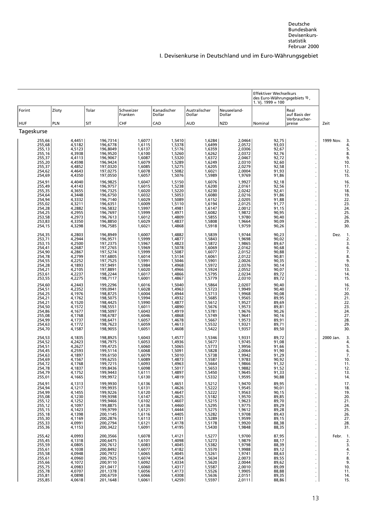|            |                                                                                                                                                                                                                          |                                                                                                                                                                                                                          |                                                                                                                                                                                                                                                                      |                                                                                                                                                                                                                          |                                                                                                                                                                                                                          |                                                                                                                                                                                                                          |                                                                                                                                                                                                                          | Effektiver Wechselkurs<br>des Euro-Währungsgebiets 1),<br>1. Vj. 1999 = 100                                                                                                                        |                                       |           |                                                                                                                                             |
|------------|--------------------------------------------------------------------------------------------------------------------------------------------------------------------------------------------------------------------------|--------------------------------------------------------------------------------------------------------------------------------------------------------------------------------------------------------------------------|----------------------------------------------------------------------------------------------------------------------------------------------------------------------------------------------------------------------------------------------------------------------|--------------------------------------------------------------------------------------------------------------------------------------------------------------------------------------------------------------------------|--------------------------------------------------------------------------------------------------------------------------------------------------------------------------------------------------------------------------|--------------------------------------------------------------------------------------------------------------------------------------------------------------------------------------------------------------------------|--------------------------------------------------------------------------------------------------------------------------------------------------------------------------------------------------------------------------|----------------------------------------------------------------------------------------------------------------------------------------------------------------------------------------------------|---------------------------------------|-----------|---------------------------------------------------------------------------------------------------------------------------------------------|
| Forint     |                                                                                                                                                                                                                          | Zloty                                                                                                                                                                                                                    | Tolar                                                                                                                                                                                                                                                                | Schweizer<br>Franken                                                                                                                                                                                                     | Kanadischer<br>Dollar                                                                                                                                                                                                    | Australischer<br>Dollar                                                                                                                                                                                                  | Neuseeland-<br>Dollar                                                                                                                                                                                                    |                                                                                                                                                                                                    | Real<br>auf Basis der<br>Verbraucher- |           |                                                                                                                                             |
| <b>HUF</b> |                                                                                                                                                                                                                          | <b>PLN</b>                                                                                                                                                                                                               | <b>SIT</b>                                                                                                                                                                                                                                                           | CHF                                                                                                                                                                                                                      | CAD                                                                                                                                                                                                                      | <b>AUD</b>                                                                                                                                                                                                               | <b>NZD</b>                                                                                                                                                                                                               | Nominal                                                                                                                                                                                            | preise                                | Zeit      |                                                                                                                                             |
|            | Tageskurse<br>255,66<br>255,68<br>255,13<br>255,16<br>255,37<br>255,20<br>255,37<br>254,62<br>254,69<br>254,91<br>255,49<br>255,35<br>254,64<br>254,94<br>255,02<br>254,28                                               | 4,4451<br>4,5182<br>4,5123<br>4,3938<br>4,4113<br>4,4598<br>4,4852<br>4,4643<br>4,4350<br>4,4040<br>4,4143<br>4,3655<br>4,3448<br>4,3332<br>4,3211<br>4,2882                                                             | 196,7314<br>196,6778<br>196,8049<br>196,9520<br>196,9067<br>196,9424<br>197,0320<br>197,0275<br>197,0550<br>196,9825<br>196,9757<br>196,7325<br>196,6750<br>196,7140<br>196,6351<br>196,5832                                                                         | 1,6077<br>1,6115<br>1,6137<br>1,6100<br>1,6087<br>1,6079<br>1,6085<br>1,6078<br>1,6057<br>1,6047<br>1,6015<br>1,6020<br>1,6032<br>1,6029<br>1,6009<br>1,5997                                                             | 1,5410<br>1,5378<br>1,5176<br>1,5260<br>1,5320<br>1,5289<br>1,5275<br>1,5082<br>1,5076<br>1,5150<br>1,5238<br>1,5220<br>1,5053<br>1,5089<br>1,5110<br>1,4981                                                             | 1,6284<br>1,6499<br>1,6359<br>1,6262<br>1,6372<br>1,6249<br>1,6205<br>1,6021<br>1,5989<br>1,6076<br>1,6200<br>1,6230<br>1,6080<br>1,6152<br>1,6194<br>1,6147                                                             | 2,0464<br>2,0572<br>2,0306<br>2,0372<br>2,0467<br>2,0310<br>2,0279<br>2,0004<br>1,9769<br>1,9927<br>2,0161<br>2,0242<br>2,0216<br>2,0205<br>2,0125<br>2,0012                                                             | 92,75<br>93,03<br>92,67<br>92,76<br>92,72<br>92,60<br>92,58<br>91,93<br>91,86<br>92,18<br>92,56<br>92,41<br>91,86<br>91,88<br>91,77<br>91,15                                                       |                                       | 1999 Nov. | 3<br>4.<br>5.<br>8.<br>9<br>10.<br>11.<br>12.<br>15.<br>16<br>17.<br>18.<br>19<br>22.<br>23.<br>24                                          |
|            | 254,25<br>254,25<br>253,58<br>253,83<br>254,15                                                                                                                                                                           | 4,2955<br>4,2973<br>4,3350<br>4,3298                                                                                                                                                                                     | 196,7697<br>196,7613<br>196,8850<br>196,7585                                                                                                                                                                                                                         | 1,5999<br>1,6012<br>1,6029<br>1,6021                                                                                                                                                                                     | 1,4971<br>1,4809<br>1,4837<br>1,4868                                                                                                                                                                                     | 1,6082<br>1,5855<br>1,5808<br>1,5918                                                                                                                                                                                     | 1,9872<br>1,9780<br>1,9664<br>1,9759                                                                                                                                                                                     | 90,95<br>90,40<br>90,09<br>90,26                                                                                                                                                                   |                                       |           | 25<br>26.<br>29<br>30.                                                                                                                      |
|            | 254,35<br>253,71<br>253,15<br>254,41<br>254,90<br>254,78<br>254,55<br>254,28<br>254,21<br>253,61<br>253,55<br>254,60<br>254,51<br>254,25<br>254,21<br>254,21<br>254,50<br>254,86<br>255,08<br>254,99<br>254,63<br>254,70 | 4,2803<br>4,2944<br>4,2500<br>4,2687<br>4,2867<br>4,2799<br>4,2252<br>4,1893<br>4,2105<br>4,2237<br>4,2275<br>4,2443<br>4,2352<br>4,1976<br>4,1762<br>4,1520<br>4,1572<br>4,1677<br>4,1768<br>4,1737<br>4,1772<br>4,1587 | 196,8949<br>196,9571<br>197,2375<br>197,2765<br>197,5274<br>197,6805<br>197,7525<br>197,9491<br>197,8891<br>198,2244<br>198,7117<br>199,2296<br>199,0941<br>198,8725<br>198,5075<br>198,4425<br>198,5551<br>198,5097<br>198,6787<br>198,6471<br>198,7623<br>198,9055 | 1,6007<br>1,5999<br>1,5967<br>1,5969<br>1,5999<br>1,6014<br>1,5991<br>1,5984<br>1,6020<br>1,6017<br>1,6001<br>1,6016<br>1,6028<br>1,6004<br>1,5994<br>1,5990<br>1,6011<br>1,6043<br>1,6046<br>1,6057<br>1,6059<br>1,6051 | 1,4882<br>1,4877<br>1,4823<br>1,5078<br>1,5087<br>1,5134<br>1,5046<br>1,4968<br>1,4966<br>1,4866<br>1,4867<br>1,5040<br>1,4963<br>1,4944<br>1,4932<br>1,4877<br>1,4890<br>1,4919<br>1,4868<br>1,4678<br>1,4613<br>1,4608 | 1,5839<br>1,5843<br>1,5872<br>1,6069<br>1,6077<br>1,6061<br>1,5901<br>1,5972<br>1,5924<br>1,5795<br>1,5779<br>1,5864<br>1,5723<br>1,5713<br>1,5685<br>1,5612<br>1,5676<br>1,5781<br>1,5749<br>1,5667<br>1,5532<br>1,5422 | 1,9744<br>1,9698<br>1,9865<br>2,0162<br>2,0152<br>2,0122<br>2,0026<br>2,0376<br>2,0552<br>2,0234<br>2,0310<br>2,0207<br>1,9949<br>1,9968<br>1,9565<br>1,9527<br>1,9573<br>1,9676<br>1,9641<br>1,9573<br>1,9321<br>1,9357 | 90,23<br>90,02<br>89,67<br>90,68<br>90,88<br>90,81<br>90,35<br>90,14<br>90,07<br>89,72<br>89,72<br>90,40<br>90,40<br>90,08<br>89,95<br>89,69<br>89,81<br>90,26<br>90,16<br>89,91<br>89,71<br>89,50 |                                       | Dez.      | -1.<br>2.<br>3.<br>6.<br>7.<br>8.<br>9<br>10.<br>13.<br>14<br>15.<br>16.<br>17.<br>20.<br>21<br>22.<br>23.<br>24<br>27.<br>28.<br>29<br>30. |
|            | 254,53<br>254,52<br>254,51<br>254,45<br>254,63<br>254,69<br>254,72<br>254,78<br>254,79<br>255,01<br>254,91<br>254,94<br>254,99<br>255,08<br>255,12<br>255,12<br>255,15<br>255,18<br>255,30<br>255,33<br>255,36           | 4,1835<br>4,2423<br>4,2627<br>4,2593<br>4,1897<br>4,1567<br>4,1768<br>4,1837<br>4,1752<br>4,1665<br>4,1313<br>4,1217<br>4,1455<br>4,1230<br>4,1252<br>4,1097<br>4,1423<br>4,1398<br>4,1169<br>4,0991<br>4,1153           | 198,8925<br>198,7975<br>199,4725<br>199,5114<br>199,6150<br>199,6255<br>199,7215<br>199,8436<br>199.9443<br>199,9972<br>199,9930<br>199,9935<br>199,9226<br>199,9398<br>199,9466<br>199,8875<br>199,9799<br>200,1145<br>200,2876<br>200,2794<br>200,3422             | 1,6043<br>1,6053<br>1,6060<br>1,6068<br>1,6079<br>1,6089<br>1,6093<br>1,6098<br>1,6111<br>1,6130<br>1,6136<br>1,6131<br>1,6120<br>1,6147<br>1,6102<br>1,6136<br>1,6121<br>1,6116<br>1,6113<br>1,6121<br>1,6091           | 1,4577<br>1,4936<br>1,5065<br>1,5091<br>1,5010<br>1,4873<br>1,4963<br>1,5017<br>1,4897<br>1,4819<br>1,4651<br>1,4626<br>1,4647<br>1,4625<br>1,4607<br>1,4460<br>1,4444<br>1,4405<br>1,4331<br>1,4178<br>1,4195           | 1,5346<br>1,5677<br>1,5773<br>1,5828<br>1,5738<br>1,5587<br>1,5664<br>1,5653<br>1,5450<br>1,5332<br>1,5212<br>1,5222<br>1,5222<br>1,5182<br>1,5215<br>1,5295<br>1,5275<br>1,5282<br>1,5289<br>1,5178<br>1,5430           | 1,9331<br>1,9745<br>1,9956<br>2,0064<br>1,9942<br>1,9783<br>1,9866<br>1,9882<br>1,9645<br>1,9595<br>1,9470<br>1,9545<br>1,9563<br>1,9570<br>1,9623<br>1,9775<br>1,9612<br>1,9708<br>1,9599<br>1,9920<br>1,9848           | 89,72<br>91,08<br>91,66<br>91,90<br>91,29<br>90,92<br>91,32<br>91,52<br>91,33<br>90,88<br>89,95<br>90,01<br>90,15<br>89,85<br>89,70<br>89,29<br>89,28<br>89,43<br>89,15<br>88,38<br>88,35          |                                       | 2000 Jan. | 3.<br>4.<br>5.<br>6.<br>7.<br>10<br>11.<br>12.<br>13.<br>14<br>17.<br>18.<br>19.<br>20.<br>21.<br>24<br>25.<br>26.<br>27.<br>28.<br>31.     |
|            | 255,42<br>255,45<br>255,59<br>255,61<br>255,58<br>255,61<br>255,66<br>255,75<br>255,78<br>255,81<br>255,85                                                                                                               | 4,0993<br>4,1318<br>4,0805<br>4,1038<br>4,0948<br>4,0960<br>4,1072<br>4,0983<br>4,0707<br>4,0898<br>4,0618                                                                                                               | 200,3566<br>200,6475<br>200,7612<br>200,8492<br>200,7972<br>200,7925<br>200,9110<br>201,0417<br>201,1378<br>200,6759<br>201,1648                                                                                                                                     | 1,6078<br>1,6101<br>1,6083<br>1,6077<br>1,6065<br>1,6074<br>1,6092<br>1,6060<br>1,6056<br>1,6066<br>1,6061                                                                                                               | 1,4121<br>1,4098<br>1,4045<br>1,4182<br>1,4045<br>1,4354<br>1,4334<br>1,4317<br>1,4173<br>1,4308<br>1,4259                                                                                                               | 1,5277<br>1,5273<br>1,5382<br>1,5570<br>1,5261<br>1,5634<br>1,5620<br>1,5587<br>1,5526<br>1,5636<br>1,5597                                                                                                               | 1,9700<br>1,9879<br>1,9798<br>1,9988<br>1,9741<br>2,0073<br>2,0044<br>2,0010<br>1,9905<br>2,0151<br>2,0111                                                                                                               | 87,95<br>88,17<br>88,39<br>89,12<br>88,63<br>89,55<br>89,62<br>89,09<br>88,88<br>89,35<br>88,86                                                                                                    |                                       | Febr. 1.  | 2.<br>3.<br>4.<br>7.<br>8.<br>9.<br>10.<br>11.<br>14.<br>15.                                                                                |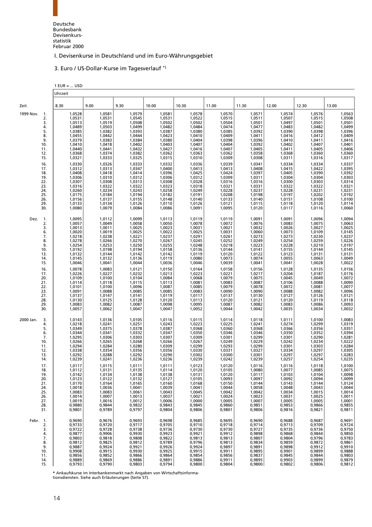### 3. Euro / US-Dollar-Kurse im Tagesverlauf \*)

<span id="page-26-0"></span>

|                                                                                                                                                              | $1$ EUR =  USD                                                                                                                                                                                                           |                                                                                                                                                                                                                          |                                                                                                                                                                                                                          |                                                                                                                                                                                                                          |                                                                                                                                                                                                                          |                                                                                                                                                                                                                          |                                                                                                                                                                                                                          |                                                                                                                                                                                                                          |                                                                                                                                                                                                                          |                                                                                                                                                                                                                          |
|--------------------------------------------------------------------------------------------------------------------------------------------------------------|--------------------------------------------------------------------------------------------------------------------------------------------------------------------------------------------------------------------------|--------------------------------------------------------------------------------------------------------------------------------------------------------------------------------------------------------------------------|--------------------------------------------------------------------------------------------------------------------------------------------------------------------------------------------------------------------------|--------------------------------------------------------------------------------------------------------------------------------------------------------------------------------------------------------------------------|--------------------------------------------------------------------------------------------------------------------------------------------------------------------------------------------------------------------------|--------------------------------------------------------------------------------------------------------------------------------------------------------------------------------------------------------------------------|--------------------------------------------------------------------------------------------------------------------------------------------------------------------------------------------------------------------------|--------------------------------------------------------------------------------------------------------------------------------------------------------------------------------------------------------------------------|--------------------------------------------------------------------------------------------------------------------------------------------------------------------------------------------------------------------------|--------------------------------------------------------------------------------------------------------------------------------------------------------------------------------------------------------------------------|
|                                                                                                                                                              | Uhrzeit                                                                                                                                                                                                                  |                                                                                                                                                                                                                          |                                                                                                                                                                                                                          |                                                                                                                                                                                                                          |                                                                                                                                                                                                                          |                                                                                                                                                                                                                          |                                                                                                                                                                                                                          |                                                                                                                                                                                                                          |                                                                                                                                                                                                                          |                                                                                                                                                                                                                          |
| Zeit                                                                                                                                                         | 8.30                                                                                                                                                                                                                     | 9.00                                                                                                                                                                                                                     | 9.30                                                                                                                                                                                                                     | 10.00                                                                                                                                                                                                                    | 10.30                                                                                                                                                                                                                    | 11.00                                                                                                                                                                                                                    | 11.30                                                                                                                                                                                                                    | 12.00                                                                                                                                                                                                                    | 12.30                                                                                                                                                                                                                    | 13.00                                                                                                                                                                                                                    |
| 1999 Nov.<br>1.<br>2.<br>3.<br>4.<br>5.<br>8.<br>9.<br>10.<br>11.<br>12.<br>15.<br>16.<br>17.<br>18.<br>19.<br>22.<br>23.<br>24.<br>25.<br>26.<br>29.<br>30. | 1,0528<br>1,0531<br>1,0513<br>1,0489<br>1,0385<br>1,0455<br>1,0379<br>1,0410<br>1,0440<br>1,0368<br>1,0321<br>1,0330<br>1,0312<br>1,0408<br>1,0306<br>1,0307<br>1,0316<br>1,0260<br>1,0175<br>1,0156<br>1,0133<br>1,0080 | 1,0581<br>1,0531<br>1,0519<br>1,0503<br>1,0382<br>1,0442<br>1,0383<br>1,0418<br>1,0441<br>1,0374<br>1,0333<br>1,0326<br>1,0313<br>1,0418<br>1,0310<br>1,0308<br>1,0322<br>1,0234<br>1,0184<br>1,0137<br>1,0134<br>1,0079 | 1,0579<br>1,0545<br>1,0508<br>1,0499<br>1,0393<br>1,0444<br>1,0384<br>1,0402<br>1,0432<br>1,0382<br>1,0325<br>1,0333<br>1,0347<br>1,0414<br>1,0312<br>1,0313<br>1,0322<br>1,0243<br>1,0194<br>1,0155<br>1,0126<br>1,0084 | 1,0581<br>1,0531<br>1,0502<br>1,0482<br>1,0387<br>1,0423<br>1,0380<br>1,0403<br>1,0427<br>1,0362<br>1,0315<br>1,0332<br>1,0400<br>1,0396<br>1,0306<br>1,0308<br>1,0323<br>1,0258<br>1,0182<br>1,0148<br>1,0110<br>1,0086 | 1,0578<br>1,0522<br>1,0502<br>1,0484<br>1,0380<br>1,0410<br>1,0404<br>1,0407<br>1,0416<br>1,0363<br>1,0310<br>1,0336<br>1,0413<br>1,0425<br>1,0312<br>1,0328<br>1,0318<br>1,0249<br>1,0191<br>1,0140<br>1,0126<br>1,0091 | 1,0570<br>1,0515<br>1,0504<br>1,0474<br>1,0385<br>1,0409<br>1,0398<br>1,0404<br>1,0407<br>1,0362<br>1,0309<br>1,0339<br>1,0413<br>1,0424<br>1,0309<br>1,0316<br>1,0321<br>1,0228<br>1,0208<br>1,0133<br>1,0121<br>1,0095 | 1,0571<br>1,0511<br>1,0501<br>1,0477<br>1,0392<br>1,0411<br>1,0396<br>1,0392<br>1,0405<br>1,0358<br>1,0308<br>1,0341<br>1,0408<br>1,0397<br>1,0311<br>1,0316<br>1,0331<br>1,0237<br>1,0198<br>1,0140<br>1,0115<br>1,0120 | 1,0574<br>1,0507<br>1,0497<br>1,0483<br>1,0390<br>1,0416<br>1,0410<br>1,0402<br>1,0411<br>1,0368<br>1,0311<br>1,0334<br>1,0415<br>1,0405<br>1,0304<br>1,0300<br>1,0322<br>1,0228<br>1,0197<br>1,0151<br>1,0118<br>1,0117 | 1,0576<br>1,0515<br>1,0501<br>1,0482<br>1,0398<br>1,0412<br>1,0411<br>1,0407<br>1,0405<br>1,0360<br>1,0316<br>1,0334<br>1,0422<br>1,0390<br>1,0304<br>1,0303<br>1,0322<br>1,0231<br>1,0202<br>1,0108<br>1,0120<br>1,0116 | 1,0563<br>1,0508<br>1,0501<br>1,0499<br>1,0396<br>1,0409<br>1,0416<br>1,0401<br>1,0406<br>1,0360<br>1,0317<br>1,0337<br>1,0395<br>1,0392<br>1,0303<br>1,0314<br>1,0321<br>1,0231<br>1,0192<br>1,0100<br>1,0114<br>1,0060 |
| Dez.<br>1.<br>2.<br>3.<br>6.<br>7.<br>8.<br>9.<br>10.<br>13.<br>14.<br>15.<br>16.<br>17.<br>20.<br>21.<br>22.<br>23.<br>27.<br>28.<br>29.<br>30.             | 1,0095<br>1,0057<br>1,0013<br>1,0020<br>1,0218<br>1,0278<br>1,0254<br>1,0192<br>1,0132<br>1,0145<br>1,0046<br>1,0078<br>1,0226<br>1,0109<br>1,0114<br>1,0101<br>1,0091<br>1,0137<br>1,0130<br>1,0083<br>1,0057           | 1,0112<br>1,0049<br>1,0011<br>1,0019<br>1,0238<br>1,0266<br>1,0253<br>1,0198<br>1,0144<br>1,0132<br>1,0041<br>1,0083<br>1,0227<br>1,0100<br>1,0118<br>1,0100<br>1,0088<br>1,0147<br>1,0125<br>1,0082<br>1,0062           | 1,0099<br>1,0058<br>1,0025<br>1,0025<br>1,0221<br>1,0270<br>1,0250<br>1,0194<br>1,0142<br>1,0136<br>1,0044<br>1,0121<br>1,0232<br>1,0104<br>1,0115<br>1,0096<br>1,0085<br>1,0141<br>1,0128<br>1,0087<br>1,0047           | 1,0113<br>1,0050<br>1,0023<br>1,0022<br>1,0237<br>1,0267<br>1,0255<br>1,0158<br>1,0142<br>1,0119<br>1,0036<br>1,0150<br>1,0213<br>1,0084<br>1,0113<br>1,0087<br>1,0085<br>1,0119<br>1,0120<br>1,0098<br>1,0047           | 1,0119<br>1,0078<br>1,0031<br>1,0025<br>1,0291<br>1,0245<br>1,0248<br>1,0136<br>1,0119<br>1,0080<br>1,0046<br>1,0164<br>1,0223<br>1,0068<br>1,0081<br>1,0085<br>1,0083<br>1,0117<br>1,0113<br>1,0095<br>1,0052           | 1,0119<br>1,0072<br>1,0021<br>1,0031<br>1,0261<br>1,0252<br>1,0218<br>1,0144<br>1,0120<br>1,0073<br>1,0039<br>1,0158<br>1,0221<br>1,0079<br>1,0083<br>1,0079<br>1,0090<br>1,0137<br>1,0120<br>1,0087<br>1,0044           | 1,0091<br>1,0076<br>1,0032<br>1,0060<br>1,0273<br>1,0249<br>1,0223<br>1,0141<br>1,0122<br>1,0074<br>1,0041<br>1,0156<br>1,0217<br>1,0075<br>1,0087<br>1,0078<br>1,0090<br>1,0130<br>1,0121<br>1,0082<br>1,0042           | 1,0091<br>1,0083<br>1,0026<br>1,0073<br>1,0273<br>1,0254<br>1,0228<br>1,0155<br>1,0123<br>1,0055<br>1,0041<br>1,0128<br>1,0204<br>1,0045<br>1,0106<br>1,0072<br>1,0088<br>1,0127<br>1,0120<br>1,0083<br>1,0035           | 1,0096<br>1,0075<br>1,0027<br>1,0109<br>1,0230<br>1,0259<br>1,0210<br>1,0144<br>1,0131<br>1,0063<br>1,0028<br>1,0135<br>1,0187<br>1,0049<br>1,0088<br>1,0081<br>1,0082<br>1,0126<br>1,0119<br>1,0086<br>1,0034           | 1,0094<br>1,0063<br>1,0025<br>1,0145<br>1,0237<br>1,0226<br>1,0197<br>1,0145<br>1,0131<br>1,0049<br>1,0022<br>1,0156<br>1,0176<br>1,0072<br>1,0090<br>1,0077<br>1,0096<br>1,0121<br>1,0118<br>1,0093<br>1,0032           |
| 2000 Jan.<br>3.<br>4.<br>5.<br>6.<br>7.<br>10.<br>11.<br>12.<br>13.<br>14.<br>17.<br>18.<br>19.<br>20.<br>21.<br>24.<br>25.<br>26.<br>27.<br>28.<br>31.      | 1,0143<br>1,0218<br>1,0349<br>1,0344<br>1,0295<br>1,0266<br>1,0294<br>1,0338<br>1,0292<br>1,0239<br>1,0117<br>1,0112<br>1,0142<br>1,0123<br>1,0170<br>1,0018<br>1,0083<br>1,0014<br>1,0019<br>0,9880<br>0,9801           | 1,0136<br>1,0241<br>1,0375<br>1,0341<br>1,0306<br>1,0265<br>1,0284<br>1,0354<br>1,0288<br>1,0241<br>1,0115<br>1,0131<br>1,0134<br>1,0122<br>1,0164<br>1,0036<br>1,0083<br>1,0007<br>1,0016<br>0,9844<br>0,9789           | 1,0105<br>1,0251<br>1,0378<br>1,0332<br>1,0303<br>1,0268<br>1,0280<br>1,0356<br>1,0292<br>1,0236<br>1,0111<br>1,0135<br>1,0138<br>1,0132<br>1,0165<br>1,0041<br>1,0061<br>1,0013<br>1,0012<br>0,9832<br>0,9797           | 1,0116<br>1,0243<br>1,0387<br>1,0347<br>1,0307<br>1,0266<br>1,0309<br>1,0356<br>1,0290<br>1,0236<br>1,0111<br>1,0114<br>1,0138<br>1,0127<br>1,0160<br>1,0039<br>1,0043<br>1,0037<br>1,0006<br>0,9843<br>0,9804           | 1,0115<br>1,0223<br>1,0368<br>1,0350<br>1,0309<br>1,0267<br>1,0299<br>1,0330<br>1,0302<br>1,0239<br>1,0123<br>1,0120<br>1,0131<br>1,0105<br>1,0168<br>1,0041<br>1,0045<br>1,0021<br>1,0000<br>0,9845<br>0,9806           | 1,0114<br>1,0225<br>1,0360<br>1,0346<br>1,0301<br>1,0249<br>1,0293<br>1,0331<br>1,0300<br>1,0242<br>1,0120<br>1,0105<br>1,0120<br>1,0093<br>1,0150<br>1,0044<br>1,0042<br>1,0024<br>1,0005<br>0,9860<br>0,9801           | 1,0118<br>1,0241<br>1,0368<br>1,0346<br>1,0299<br>1,0229<br>1,0299<br>1,0327<br>1,0301<br>1,0239<br>1,0116<br>1,0080<br>1,0117<br>1,0097<br>1,0144<br>1,0058<br>1,0042<br>1,0023<br>1,0007<br>0,9851<br>0,9806           | 1,0111<br>1,0274<br>1,0366<br>1,0350<br>1,0301<br>1,0242<br>1,0301<br>1,0334<br>1,0297<br>1,0257<br>1,0116<br>1,0077<br>1,0103<br>1,0092<br>1,0143<br>1,0048<br>1,0034<br>1,0031<br>1,0005<br>0,9853<br>0,9816           | 1,0100<br>1,0299<br>1,0356<br>1,0352<br>1,0290<br>1,0234<br>1,0303<br>1,0297<br>1,0297<br>1,0254<br>1,0118<br>1,0085<br>1,0104<br>1,0094<br>1,0144<br>1,0043<br>1,0015<br>1,0025<br>1,0005<br>0,9866<br>0,9821           | 1,0083<br>$1,0319$<br>$1,0351$<br>$1,0394$<br>1,0281<br>1,0222<br>1,0284<br>1,0305<br>1,0283<br>1,0235<br>1,0100<br>1,0075<br>1,0098<br>1,0099<br>1,0124<br>1,0044<br>1,0014<br>1,0011<br>1,0001<br>0,9855<br>0,9811     |
| Febr. 1.<br>2.<br>3.<br>4.<br>7.<br>8.<br>9.<br>10.<br>11.<br>14.<br>15.                                                                                     | 0,9690<br>0,9733<br>0,9722<br>0,9877<br>0,9803<br>0,9812<br>0,9887<br>0,9908<br>0,9856<br>0,9889<br>0,9793                                                                                                               | 0,9676<br>0,9720<br>0,9728<br>0,9906<br>0,9818<br>0,9825<br>0,9924<br>0,9915<br>0,9852<br>0,9869<br>0,9790                                                                                                               | 0,9693<br>0,9717<br>0,9738<br>0,9930<br>0,9808<br>0,9812<br>0,9921<br>0,9930<br>0,9866<br>0,9886<br>0,9803                                                                                                               | 0,9698<br>0,9705<br>0,9736<br>0,9923<br>0,9822<br>0,9789<br>0,9926<br>0,9925<br>0,9864<br>0,9891<br>0,9794                                                                                                               | 0,9685<br>0,9710<br>0,9730<br>0,9921<br>0,9813<br>0,9796<br>0,9924<br>0,9915<br>0,9854<br>0,9886<br>0,9800                                                                                                               | 0,9695<br>0,9718<br>0,9730<br>0,9912<br>0,9813<br>0,9813<br>0,9897<br>0,9911<br>0,9856<br>0,9911<br>0,9804                                                                                                               | 0,9690<br>0,9714<br>0,9727<br>0,9898<br>0,9807<br>0,9834<br>0,9891<br>0,9895<br>0,9837<br>0,9895<br>0,9800                                                                                                               | 0,9688<br>0,9713<br>0,9735<br>0,9868<br>0,9804<br>0,9859<br>0,9898<br>0,9901<br>0,9845<br>0,9903<br>0,9802                                                                                                               | 0,9687<br>0,9709<br>0,9736<br>0,9844<br>0,9796<br>0,9872<br>0,9912<br>0,9899<br>0,9844<br>0,9899<br>0,9806                                                                                                               | 0,9691<br>0,9724<br>0,9750<br>0,9850<br>0,9783<br>0,9861<br>0,9910<br>0,9888<br>0,9803<br>0,9879<br>0,9812                                                                                                               |

**\*** Ankaufskurse im Interbankenmarkt nach Angaben von Wirtschaftsinforma-tionsdiensten. Siehe auch Erläuterungen (Seite 57).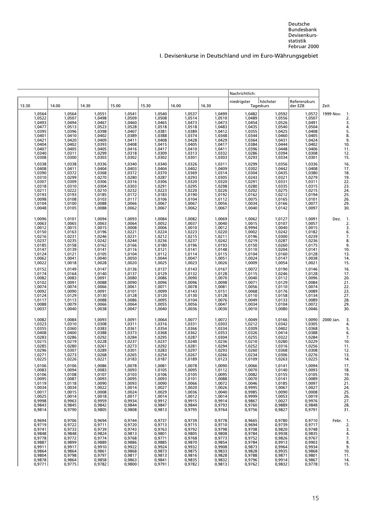|                                                                                                            |                                                                                                                |                                                                                                            |                                                                                                            |                                                                                                            |                                                                                                                      |                                                                                                            | Nachrichtlich:                                                                                             |                                                                                                            |                                                                                                                |                                                                                        |
|------------------------------------------------------------------------------------------------------------|----------------------------------------------------------------------------------------------------------------|------------------------------------------------------------------------------------------------------------|------------------------------------------------------------------------------------------------------------|------------------------------------------------------------------------------------------------------------|----------------------------------------------------------------------------------------------------------------------|------------------------------------------------------------------------------------------------------------|------------------------------------------------------------------------------------------------------------|------------------------------------------------------------------------------------------------------------|----------------------------------------------------------------------------------------------------------------|----------------------------------------------------------------------------------------|
| 13.30                                                                                                      | 14.00                                                                                                          | 14.30                                                                                                      | 15.00                                                                                                      | 15.30                                                                                                      | 16.00                                                                                                                | 16.30                                                                                                      | niedrigster                                                                                                | höchster<br>Tageskurs                                                                                      | Referenzkurs<br>der EZB                                                                                        | Zeit                                                                                   |
| 1,0564<br>1,0522<br>1,0493<br>1,0477<br>1,0395<br>1,0401<br>1,0404<br>1,0407<br>1,0340<br>1,03340          | 1,0564<br>1,0507<br>1,0494<br>1,0513<br>1,0396<br>1,0410<br>1,0420<br>1,0402<br>1,0405<br>1,0311<br>1,0300     | 1,0551<br>1,0498<br>1,0467<br>1,0523<br>1,0398<br>1,0402<br>1,0409<br>1,0393<br>1,0405<br>1,0299<br>1,0303 | 1,0541<br>1,0509<br>1,0460<br>1,0528<br>1,0407<br>1,0389<br>1,0411<br>1,0408<br>1,0416<br>1,0318<br>1,0302 | 1,0540<br>1,0508<br>1,0465<br>1,0518<br>1,0381<br>1,0388<br>1,0408<br>1,0415<br>1,0417<br>1,0309<br>1,0302 | 1,0537<br>1,0514<br>1,0473<br>1,0518<br>1,0518<br>1,0389<br>1,0374<br>1,0428<br>1,0405<br>1,0410<br>1,0313<br>1,0301 | 1,0499<br>1,0510<br>1,0473<br>1,0483<br>1,0412<br>1,0348<br>1,0429<br>1,0417<br>1,0411<br>1,0332<br>1,0332 | 1,0482<br>1,0489<br>1,0454<br>1,0435<br>1,0355<br>1,0344<br>1,0364<br>1,0384<br>1,0396<br>1,0286<br>1,0293 | 1,0592<br>1,0556<br>1,0526<br>1,0540<br>1,0425<br>1,0460<br>1,0431<br>1,0444<br>1,0448<br>1,0394<br>1,0334 | 1,0572<br>1,0507<br>1,0491<br>1,0504<br>1,0408<br>1,0405<br>1,0424<br>1,0402<br>1,0406<br>1,0308<br>1,0301     | 1999 Nov.<br>-1<br>3.<br>4.<br>5.<br>8.<br>9.<br>10.<br>11.<br>12.15                   |
| 1,0338<br>1,0408<br>1,0390<br>1,0310<br>1,0318<br>1,0211<br>1,0193<br>1,0098<br>1,0104<br>1,0048           | 1,0338<br>1,0411<br>1,0372<br>1,0299<br>1,0309<br>1,0310<br>1,0222<br>1,0193<br>1,0108<br>1,0100<br>1,0105     | 1,0336<br>1,0404<br>1,0368<br>1,0270<br>1,0306<br>1,0304<br>1,0210<br>1,0185<br>1,0103<br>1,0088<br>1,0088 | 1,0340<br>1,0403<br>1,0372<br>1,0280<br>1,0316<br>1,0303<br>1,0232<br>1,0172<br>1,0117<br>1,0066<br>1,0062 | 1,0340<br>1,0404<br>1,0370<br>1,0287<br>1,0306<br>1,0291<br>1,0223<br>1,0183<br>1,0106<br>1,0067<br>1,0067 | 1,0326<br>1,0402<br>1,0369<br>1,0293<br>1,0320<br>1,0295<br>1,0220<br>1,0190<br>1,0104<br>1,0067<br>1,0062           | 1,0311<br>1,0409<br>1,0314<br>1,0305<br>1,0320<br>1,0298<br>1,0226<br>1,0192<br>1,0112<br>1,0056<br>1,0067 | 1,0299<br>1,0302<br>1,0304<br>1,0243<br>1,0291<br>1,0280<br>1,0202<br>1,0162<br>1,0075<br>1,0034<br>1,0040 | 1,0356<br>1,0442<br>1,0435<br>1,0321<br>1,0331<br>1,0335<br>1,0275<br>1,0212<br>1,0165<br>1,0166<br>1,0142 | 1,0336<br>1,0408<br>1,0380<br>1,0279<br>1,0311<br>1,0315<br>1,0215<br>1,0194<br>1,0101<br>1,0077<br>1,0097     | 16<br>17.<br>18<br>19<br>22.<br>$\overline{23}$<br>24.<br>25<br>26.<br>$\frac{29}{30}$ |
| 1,0096<br>1,0063<br>1,0012<br>1,0150<br>1,0216<br>1,0237<br>1,0185<br>1,0147<br>1,0124<br>1,0062<br>1,0062 | 1,0101<br>1,0065<br>1,0015<br>1,0163<br>1,0231<br>1,0235<br>1,0158<br>1,0139<br>1,0121<br>$1,0041$<br>$1,0018$ | 1,0094<br>1,0063<br>1,0015<br>1,0196<br>1,0246<br>1,0242<br>1,0162<br>1,0141<br>1,0105<br>1,0040<br>1,0028 | 1,0093<br>1,0064<br>1,0008<br>1,0221<br>1,0231<br>1,0244<br>1,0166<br>1,0116<br>1,0104<br>1,0050<br>1,0020 | 1,0084<br>1,0052<br>1,0006<br>1,0224<br>1,0212<br>1,0236<br>1,0180<br>1,0121<br>1,0112<br>1,0044<br>1,0025 | 1,0082<br>1,0037<br>1,0010<br>1,0223<br>1,0215<br>1,0237<br>1,0196<br>1,0141<br>1,0114<br>$1,0047$<br>$1,0023$       | 1,0069<br>1,0040<br>1,0012<br>1,0220<br>1,0211<br>1,0242<br>1,0193<br>1,0148<br>1,0115<br>1,0051<br>1,0026 | 1,0062<br>1,0015<br>0,9994<br>1,0002<br>1,0196<br>1,0219<br>1,0150<br>1,0110<br>1,0104<br>1,0024<br>1,0009 | 1,0127<br>1,0107<br>1,0040<br>1,0242<br>1,0300<br>1,0287<br>1,0260<br>1,0204<br>1,0160<br>1,0147<br>1,0054 | 1,0091<br>1,0057<br>1,0015<br>$1,0182$<br>$1,0239$<br>1,0236<br>1,0175<br>1,0141<br>1,0128<br>1,0038<br>1,0021 | Dez.<br>-1<br>2.<br>3.<br>6.<br>7.<br>8.<br>9<br>10.<br>13.<br>14<br>15.               |
| 1,0152<br>1,0174<br>1,0082<br>1,0032<br>1,0102<br>1,0074<br>1,0092<br>1,0124<br>1,0117<br>1,0088<br>1,0037 | 1,0149<br>1,0164<br>1,0083<br>1,0091<br>1,0074<br>1,0090<br>1,0129<br>1,0113<br>1,0079<br>1,0040               | 1,0147<br>1,0140<br>1,0091<br>1,0088<br>1,0066<br>1,0091<br>1,0130<br>1,0088<br>1,0066<br>1,0038           | 1,0136<br>1,0137<br>1,0080<br>1,0090<br>1,0061<br>1,0101<br>1,0128<br>1,0086<br>1,0064<br>1,0047           | 1,0137<br>1,0129<br>1,0086<br>1,0096<br>1,0071<br>1,0099<br>1,0120<br>1,0095<br>1,0055<br>1,0040           | 1,0143<br>1,0132<br>1,0090<br>1,0078<br>1,0143<br>1,0143<br>$1,0130$<br>$1,0104$<br>1,0056<br>1,0036                 | 1,0167<br>1,0128<br>1,0070<br>1,0098<br>1,0081<br>1,0151<br>1,0128<br>1,0076<br>1,0047<br>1,0030           | 1,0072<br>1,0115<br>1,0040<br>1,0071<br>1,0056<br>1,0068<br>1,0110<br>1,0049<br>1,0034<br>1,0010           | 1,0190<br>1,0246<br>1,0112<br>1,0129<br>1,0110<br>1,0176<br>1,0158<br>1,0133<br>1,0104<br>1,0080           | 1,0146<br>1,0128<br>1,0096<br>1,0084<br>1,0074<br>1,0089<br>1,0134<br>1,0089<br>1,0072<br>1,0046               | 16.<br>17.<br>20.<br>21.<br>22.<br>23.<br>27.<br>28.<br>29.<br>30.                     |
| 1,0082<br>1,0323<br>1,0355<br>1,0408<br>1,0283<br>1,0285<br>1,0285<br>1,0296<br>1,0271<br>1,0225           | 1,0084<br>1,0310<br>1,0360<br>1,0400<br>1,0286<br>1,0219<br>1,0280<br>1,0307<br>1,0273<br>1,0226               | 1,0093<br>1,0308<br>1,0383<br>1,0388<br>1,0292<br>1,0228<br>1,0261<br>1,0289<br>1,0268<br>1,0221           | 1,0091<br>1,0311<br>1,0361<br>1,0373<br>1,0284<br>1,0237<br>1,0273<br>1,0301<br>1,0265<br>1,0183           | 1,0064<br>1,0316<br>1,0354<br>1,0368<br>1,0295<br>1,0237<br>1,0292<br>1,0283<br>1,0254<br>1,0187           | 1,0077<br>1,0331<br>1,0366<br>1,0362<br>1,0287<br>1,0240<br>1,0281<br>1,0297<br>1,0267<br>1,0189                     | 1,0072<br>1,0303<br>1,0334<br>1,0353<br>1,0304<br>1,0236<br>1,0294<br>1,0293<br>1,0266<br>1,0123           | 1,0049<br>1,0212<br>1,0309<br>1,0326<br>1,0255<br>1,0210<br>1,0252<br>1,0260<br>1,0234<br>1,0109           | 1,0166<br>1,0342<br>1,0402<br>1,0414<br>1,0322<br>1,0280<br>1,0316<br>1,0368<br>1,0306<br>1,0263           | 1,0090<br>1,0305<br>1,0368<br>1,0388<br>1,0284<br>1,0229<br>1,0256<br>1,0308<br>1,0276<br>1,0225               | 2000 Jan.<br>3.<br>4.<br>5.<br>6.<br>7.<br>10<br>11.<br>12.<br>13.<br>14               |
| 1,0106<br>1,0083<br>1,0106<br>1,0095<br>1,0119<br>1,0034<br>1,0017<br>1,0025<br>0,9998<br>0,9843<br>0,9814 | 1,0106<br>1,0094<br>1,0108<br>1,0087<br>1,0118<br>1,0034<br>1,0015<br>1,0014<br>0,9963<br>0,9845<br>0,9790     | 1,0086<br>1,0083<br>1,0107<br>1,0093<br>1,0090<br>1,0022<br>1,0008<br>1,0018<br>0,9959<br>0,9842<br>0,9805 | 1,0078<br>1,0093<br>1,0103<br>1,0095<br>1,0093<br>1,0014<br>1,0024<br>1,0017<br>0,9934<br>0,9844<br>0,9808 | 1,0081<br>1,0105<br>1,0106<br>1,0093<br>1,0090<br>1,0027<br>1,0029<br>1,0014<br>0,9912<br>0,9847<br>0,9813 | 1,0078<br>1,0095<br>1,0105<br>1,0101<br>1,0066<br>1,0020<br>1,0036<br>1,0012<br>0,9915<br>0,9844<br>0,9795           | 1,0090<br>1,0112<br>1,0095<br>1,0088<br>1,0072<br>1,0026<br>1,0040<br>1,0014<br>0,9914<br>0,9793<br>0,9764 | 1,0066<br>1,0070<br>1,0082<br>1,0070<br>1,0046<br>0,9995<br>0,9985<br>0,9999<br>0,9867<br>0,9760<br>0,9756 | 1,0141<br>1,0140<br>1,0155<br>1,0141<br>1,0185<br>1,0067<br>1,0090<br>1,0053<br>1,0027<br>0,9889<br>0,9827 | 1,0094<br>1,0093<br>1,0105<br>1,0089<br>1,0097<br>1,0027<br>1,0008<br>1,0019<br>0,9976<br>0,9848<br>0,9791     | 17<br>18.<br>19<br>20.<br>21.<br>24.<br>25.<br>26.<br>27.<br>28.<br>31.                |
| 0,9694<br>0,9719<br>0,9741<br>0,9848<br>0,9778<br>0,9887<br>0,9911<br>0,9864<br>0,9804<br>0,9878<br>0,9771 | 0,9706<br>0,9722<br>0,9733<br>0,9848<br>0,9772<br>0,9899<br>0,9917<br>0,9864<br>0,9798<br>0,9864<br>0,9775     | 0,9694<br>0,9711<br>0,9739<br>0,9824<br>0,9774<br>0,9889<br>0,9910<br>0,9861<br>0,9797<br>0,9858<br>0,9782 | 0,9744<br>0,9720<br>0,9743<br>0,9813<br>0,9768<br>0,9886<br>0,9922<br>0,9868<br>0,9817<br>0,9863<br>0,9800 | 0,9737<br>0,9713<br>0,9763<br>0,9801<br>0,9771<br>0,9885<br>0,9924<br>0,9873<br>0,9813<br>0,9841<br>0,9791 | 0,9739<br>0,9715<br>0,9792<br>0,9805<br>0,9768<br>0,9870<br>0,9932<br>0,9875<br>0,9816<br>0,9835<br>0,9782           | 0,9778<br>0,9710<br>0,9798<br>0,9808<br>0,9773<br>0,9854<br>0,9908<br>0,9833<br>0,9828<br>0,9832<br>0,9813 | 0,9665<br>0,9694<br>0,9708<br>0,9784<br>0,9752<br>0,9784<br>0,9873<br>0,9828<br>0,9788<br>0,9796<br>0,9762 | 0,9780<br>0,9739<br>0,9820<br>0,9938<br>0,9826<br>0,9913<br>0,9964<br>0,9935<br>0,9871<br>0,9914<br>0,9832 | 0,9710<br>0,9717<br>0,9748<br>0,9835<br>0,9767<br>0,9903<br>0,9934<br>0,9868<br>0,9801<br>0,9867<br>0,9778     | Febr. 1.<br>2.<br>3.<br>4.<br>7.<br>8.<br>9.<br>10.<br>11.<br>14.<br>15.               |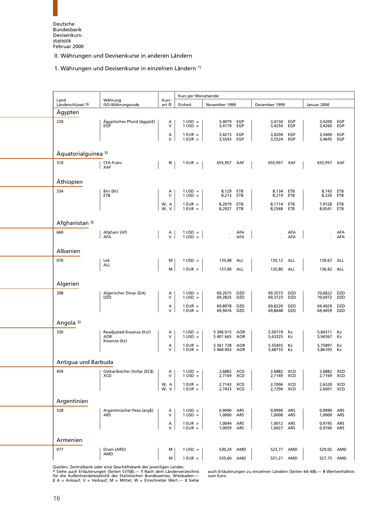<span id="page-28-1"></span>

1. Währungen und Devisenkurse in einzelnen Ländern \*)

<span id="page-28-0"></span>

| Land                 | Währung                                      | Kurs-          | Kurs per Monatsende            |                            |                   |                          |            |                          |            |
|----------------------|----------------------------------------------|----------------|--------------------------------|----------------------------|-------------------|--------------------------|------------|--------------------------|------------|
| Länderschlüssel 1)   | ISO-Währungscode                             | art $2)$       | Einheit                        | November 1999              |                   | Dezember 1999            |            | Januar 2000              |            |
| Ägypten              |                                              |                |                                |                            |                   |                          |            |                          |            |
| 220                  | Ägyptisches Pfund (ägypt£)<br>EGP            | A<br>V         | $1 \text{ USD} =$<br>$1$ USD = | 3,4079 EGP<br>3,4179 EGP   |                   | 3,4150<br>3,4250         | EGP<br>EGP | 3,4200<br>3,4260         | EGP<br>EGP |
|                      |                                              | Α<br>V         | $1$ EUR $=$<br>$1$ EUR $=$     | 3,4215<br>3,5543           | EGP<br>EGP        | 3,4204<br>3,5524         | EGP<br>EGP | 3.3400<br>3,4645         | EGP<br>EGP |
| Äquatorialguinea 3)  |                                              |                |                                |                            |                   |                          |            |                          |            |
| 310                  | CFA-Franc<br><b>XAF</b>                      | 4)             | $1$ EUR $=$                    | 655,957 XAF                |                   | 655,957 XAF              |            | 655,957 XAF              |            |
| Äthiopien            |                                              |                |                                |                            |                   |                          |            |                          |            |
| 334                  | Birr (Br)<br>ETB                             | Α<br>V         | $1 \text{ USD} =$<br>$1$ USD = | 8,129 ETB<br>8,213 ETB     |                   | 8,134<br>8,219           | ETB<br>ETB | 8,143<br>8,226           | ETB<br>ETB |
|                      |                                              | W, A<br>W, V   | $1$ EUR $=$<br>$1$ EUR $=$     | 8,2079 ETB<br>8,2927 ETB   |                   | 8,1714<br>8,2568         | ETB<br>ETB | 7,9728<br>8,0541         | ETB<br>ETB |
| Afghanistan 3)       |                                              |                |                                |                            |                   |                          |            |                          |            |
| 660                  | Afghani (Af)<br>AFA                          | A<br>V         | $1$ USD =<br>$1 \text{ USD} =$ |                            | AFA<br>AFA        | $\sim$                   | AFA<br>AFA | $\epsilon$               | AFA<br>AFA |
| Albanien             |                                              |                |                                |                            |                   |                          |            |                          |            |
| 070                  | Lek                                          | м              | $1$ USD =                      | 135,48 ALL                 |                   | 135,12 ALL               |            | 139,67                   | ALL        |
|                      | ALL                                          | М              | $1$ EUR $=$                    | 137,00 ALL                 |                   | 135,80                   | ALL        | 136,82 ALL               |            |
| Algerien             |                                              |                |                                |                            |                   |                          |            |                          |            |
| 208                  | Algerischer Dinar (DA)<br><b>DZD</b>         | Α<br>$\sf V$   | $1$ USD =<br>$1$ USD =         | 69,2675<br>69,2825         | DZD<br>DZD        | 69,3573<br>69,3723       | DZD<br>DZD | 70,6822<br>70,6972       | DZD<br>DZD |
|                      |                                              | $\lambda$<br>V | $1$ EUR =<br>$1$ EUR $=$       | 69,8978<br>69,9476         | <b>DZD</b><br>DZD | 69,8220<br>69,8648       | DZD<br>DZD | 69,4029<br>69,4459       | DZD<br>DZD |
| Angola <sup>3)</sup> |                                              |                |                                |                            |                   |                          |            |                          |            |
| 330                  | Readjusted Kwanza (Kzr)<br><b>AOR</b>        | Α<br>V         | $1 \text{ USD} =$<br>$1$ USD = | 5 306 015 AOR<br>5 401 665 | AOR               | 5,50719<br>5,63325 Kz    | Kz         | 5,84311<br>5,94367       | Кz<br>Kz   |
|                      | Kwanza (Kz)                                  | Α<br>$\vee$    | $1$ EUR $=$<br>$1$ EUR $=$     | 5 361 728<br>5460003 AOR   | AOR               | 5,55455<br>5,68733 Kz    | Kz         | 5,75897<br>5,86105 Kz    | Кz         |
| Antigua und Barbuda  |                                              |                |                                |                            |                   |                          |            |                          |            |
| 459                  | Ostkaribischer Dollar (EC\$)  <br><b>XCD</b> | $A \mid$<br>V  | $1 \text{ USD} =$<br>$1$ USD = | 2,6882 XCD<br>2,7169 XCD   |                   | 2,6882 XCD<br>2,7169 XCD |            | 2,6882 XCD<br>2,7169 XCD |            |
|                      |                                              | W, A<br>W, V   | $1$ EUR =<br>$1$ EUR $=$       | 2,7143 XCD<br>2,7433 XCD   |                   | 2,7006 XCD<br>2,7294 XCD |            | 2,6320 XCD<br>2,6601 XCD |            |
| Argentinien          |                                              |                |                                |                            |                   |                          |            |                          |            |
| 528                  | Argentinischer Peso (arg\$)<br>ARS           | A<br>V         | $1$ USD =<br>$1$ USD =         | 0,9990 ARS<br>1,0000 ARS   |                   | 0,9990 ARS<br>1,0000     | ARS        | 0,9990 ARS<br>1,0000     | ARS        |
|                      |                                              | Α<br>V         | $1$ EUR $=$<br>$1$ EUR $=$     | 1,0044 ARS<br>1,0059 ARS   |                   | 1,0012<br>1,0027         | ARS<br>ARS | 0,9745<br>0,9760 ARS     | <b>ARS</b> |
| Armenien             |                                              |                |                                |                            |                   |                          |            |                          |            |
| 077                  | Dram (ARD)<br>AMD                            | м              | $1 \text{ USD} =$              | 530,24                     | AMD               | 523,77                   | AMD        | 529,02 AMD               |            |
|                      |                                              | M              | $1$ EUR $=$                    | 535,60 AMD                 |                   | 531,21 AMD               |            | 527,75 AMD               |            |

Quellen: Zentralbank oder eine Geschäftsbank des jeweiligen Landes.

für die Außenhandelsstatistik des Statistischen Bundesamtes, Wiesbaden.— zum Euro. **2** A = Ankauf;V=Verkauf; M = Mittel; W = Errechneter Wert.— **3** Siehe

auch Erläuterungen zu einzelnen Ländern (Seiten 64–68).— 4 Wertverhältnis zum Euro.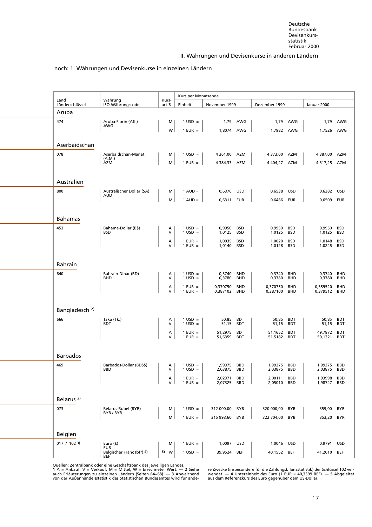#### noch: 1. Währungen und Devisenkurse in einzelnen Ländern

<span id="page-29-0"></span>

|                           |                                         |                   | Kurs per Monatsende                    |                      |            |                    |                          |                    |                   |
|---------------------------|-----------------------------------------|-------------------|----------------------------------------|----------------------|------------|--------------------|--------------------------|--------------------|-------------------|
| Land<br>Länderschlüssel   | Währung<br>ISO-Währungscode             | Kurs-<br>art 1)   | Einheit                                | November 1999        |            | Dezember 1999      |                          | Januar 2000        |                   |
| Aruba                     |                                         |                   |                                        |                      |            |                    |                          |                    |                   |
| 474                       | Aruba-Florin (Afl.)<br>AWG              | м                 | $1 \text{ USD} =$                      | 1,79                 | AWG        |                    | 1,79 AWG                 | 1,79               | AWG               |
|                           |                                         | W                 | $1$ EUR $=$                            | 1,8074 AWG           |            | 1,7982 AWG         |                          | 1,7526 AWG         |                   |
| Aserbaidschan             |                                         |                   |                                        |                      |            |                    |                          |                    |                   |
| 078                       | Aserbaidschan-Manat<br>(A.M.)           | м                 | $1 \text{ USD} =$                      | 4 361,00             | AZM        | 4 373,00           | AZM                      | 4 387,00           | AZM               |
|                           | AZM                                     | м                 | $1$ EUR $=$                            | 4 384,33 AZM         |            | 4 404,27           | AZM                      | 4 317,25 AZM       |                   |
|                           |                                         |                   |                                        |                      |            |                    |                          |                    |                   |
| Australien                |                                         |                   |                                        |                      |            |                    |                          |                    |                   |
| 800                       | Australischer Dollar (\$A)<br>AUD       | м                 | $1 \text{ AUD} =$                      | 0,6376 USD           |            | 0,6538             | USD                      | 0,6382 USD         |                   |
|                           |                                         | M                 | $1 \text{ AUD} =$                      | 0,6311 EUR           |            | 0,6486             | EUR                      | 0,6509             | EUR               |
|                           |                                         |                   |                                        |                      |            |                    |                          |                    |                   |
| <b>Bahamas</b>            |                                         |                   |                                        |                      |            |                    |                          |                    |                   |
| 453                       | Bahama-Dollar (B\$)<br><b>BSD</b>       | А<br>$\mathsf{V}$ | $1 \text{ USD} =$<br>$1 \text{ USD} =$ | 0,9950<br>1,0125 BSD | <b>BSD</b> | 0,9950<br>1,0125   | <b>BSD</b><br><b>BSD</b> | 0,9950<br>1,0125   | <b>BSD</b><br>BSD |
|                           |                                         | А                 | $1$ EUR $=$                            | 1,0035               | <b>BSD</b> | 1,0020             | <b>BSD</b>               | 1,0148             | BSD               |
|                           |                                         | $\vee$            | $1$ EUR $=$                            | 1,0140               | <b>BSD</b> | 1,0128             | <b>BSD</b>               | 1,0245             | BSD               |
|                           |                                         |                   |                                        |                      |            |                    |                          |                    |                   |
| <b>Bahrain</b>            |                                         |                   |                                        |                      |            |                    |                          |                    |                   |
| 640                       | Bahrain-Dinar (BD)<br><b>BHD</b>        | А<br>$\mathsf{V}$ | $1 \text{ USD} =$<br>$1$ USD =         | 0,3740<br>0,3780     | BHD<br>BHD | 0,3740<br>0,3780   | BHD<br><b>BHD</b>        | 0,3740<br>0,3780   | BHD<br>BHD        |
|                           |                                         | А                 | $1$ EUR $=$                            | 0,370750             | BHD        | 0,370750           | <b>BHD</b>               | 0,359520           | <b>BHD</b>        |
|                           |                                         | $\vee$            | $1$ EUR $=$                            | 0,387102             | BHD        | 0,387100           | <b>BHD</b>               | 0,379512           | BHD               |
|                           |                                         |                   |                                        |                      |            |                    |                          |                    |                   |
| Bangladesch <sup>2)</sup> |                                         |                   |                                        |                      |            |                    |                          |                    |                   |
| 666                       | Taka (Tk.)<br>BDT                       | А<br>v            | $1 \text{ USD} =$<br>$1 \text{ USD} =$ | 50,85<br>51,15       | BDT<br>BDT | 50,85<br>51,15     | <b>BDT</b><br>BDT        | 50,85<br>51,15     | <b>BDT</b><br>BDT |
|                           |                                         | Α                 | $1$ EUR $=$                            | 51,2975              | <b>BDT</b> | 51,1652            | <b>BDT</b>               | 49,7872            | <b>BDT</b>        |
|                           |                                         | $\vee$            | $1$ EUR $=$                            | 51,6359              | BDT        | 51,5182            | BDT                      | 50,1321            | BDT               |
|                           |                                         |                   |                                        |                      |            |                    |                          |                    |                   |
| <b>Barbados</b>           |                                         |                   |                                        |                      |            |                    |                          |                    |                   |
| 469                       | Barbados-Dollar (BDS\$)<br><b>BBD</b>   | А<br>v            | $1 \text{ USD} =$<br>$1 \text{ USD} =$ | 1,99375<br>2,03875   | BBD<br>BBD | 1,99375<br>2,03875 | BBD<br>BBD               | 1,99375<br>2,03875 | BBD<br>BBD        |
|                           |                                         | А                 | $1$ EUR $=$                            | 2,02371              | <b>BBD</b> | 2,00111            | BBD                      | 1,93998            | BBD               |
|                           |                                         | V                 | $1$ EUR $=$                            | 2,07325              | <b>BBD</b> | 2,05010            | <b>BBD</b>               | 1,98747            | <b>BBD</b>        |
|                           |                                         |                   |                                        |                      |            |                    |                          |                    |                   |
| Belarus <sup>2)</sup>     |                                         |                   |                                        |                      |            |                    |                          |                    |                   |
| 073                       | Belarus-Rubel (BYR)<br>BYB/BYR          | м                 | $1 \text{ USD} =$                      | 312 000,00           | BYB        | 320 000,00         | <b>BYB</b>               | 359,00             | BYR               |
|                           |                                         | M                 | $1$ EUR $=$                            | 315 993,60           | <b>BYB</b> | 322 704,00         | BYB                      | 353,20             | BYR               |
| Belgien                   |                                         |                   |                                        |                      |            |                    |                          |                    |                   |
| 017 / 1023                | Euro $(\epsilon)$                       | м                 | $1$ EUR =                              | 1,0097 USD           |            | 1,0046             | <b>USD</b>               | 0,9791 USD         |                   |
|                           | <b>EUR</b><br>Belgischer Franc (bfr) 4) | 5) W              | $1 \text{ USD} =$                      | 39,9524 BEF          |            | 40,1552 BEF        |                          | 41,2010 BEF        |                   |
|                           | <b>BEF</b>                              |                   |                                        |                      |            |                    |                          |                    |                   |

[Quellen: Zentralbank oder eine Geschäftsbank des jew](#page-5-11)eiligen Landes.

von der Außenhandelsstatistik des Statistischen Bundesamtes wird für ande- aus dem Referenzkurs des Euro gegenüber dem US-Dollar.

1 A = Ankauf; V = Verkauf; M = Mittel; W = Errechneter Wert. — 2 Siehe ‱re Zwecke (insbesondere für die Zahlungsbilanzstatistik) der Schlüssel 102 ver-<br>auch Erläuterungen zu einzelnen Ländern (Seiten 64–68). — 3 Abweichend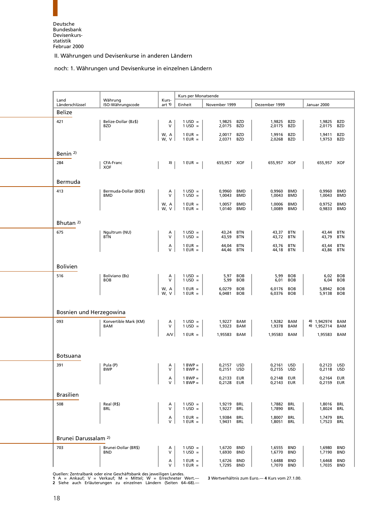#### noch: 1. Währungen und Devisenkurse in einzelnen Ländern

<span id="page-30-0"></span>

| Land                            | Währung                            | Kurs-        | Kurs per Monatsende            |                          |                          |                          |                          |                          |                          |
|---------------------------------|------------------------------------|--------------|--------------------------------|--------------------------|--------------------------|--------------------------|--------------------------|--------------------------|--------------------------|
| Länderschlüssel                 | ISO-Währungscode                   | art 1)       | Einheit                        | November 1999            |                          | Dezember 1999            |                          | Januar 2000              |                          |
| Belize                          |                                    |              |                                |                          |                          |                          |                          |                          |                          |
| 421                             | Belize-Dollar (Bz\$)<br>BZD        | Α<br>$\vee$  | $1 \text{ USD} =$<br>$1$ USD = | 1,9825<br>2,0175         | <b>BZD</b><br><b>BZD</b> | 1,9825<br>2,0175         | BZD<br><b>BZD</b>        | 1,9825<br>2,0175         | BZD<br><b>BZD</b>        |
|                                 |                                    | W, A<br>W, V | $1$ EUR $=$<br>$1$ EUR =       | 2,0017<br>2,0371 BZD     | <b>BZD</b>               | 1,9916<br>2,0268         | BZD<br><b>BZD</b>        | 1,9411<br>1,9753         | <b>BZD</b><br><b>BZD</b> |
| Benin <sup>2)</sup>             |                                    |              |                                |                          |                          |                          |                          |                          |                          |
| 284                             | CFA-Franc                          | 3)           | $1$ EUR =                      | 655,957 XOF              |                          | 655,957 XOF              |                          |                          |                          |
|                                 | <b>XOF</b>                         |              |                                |                          |                          |                          |                          | 655,957 XOF              |                          |
| Bermuda                         |                                    |              |                                |                          |                          |                          |                          |                          |                          |
| 413                             | Bermuda-Dollar (BD\$)<br>BMD       | Α<br>$\vee$  | $1 \text{ USD} =$<br>$1$ USD = | 0,9960<br>1,0043         | <b>BMD</b><br><b>BMD</b> | 0,9960<br>1,0043         | BMD<br>BMD               | 0,9960<br>1,0043         | <b>BMD</b><br><b>BMD</b> |
|                                 |                                    | W, A         | $1$ EUR $=$                    | 1,0057                   | <b>BMD</b>               | 1,0006                   | <b>BMD</b>               | 0,9752                   | <b>BMD</b>               |
|                                 |                                    | W, V         | $1$ EUR =                      | 1,0140                   | BMD                      | 1,0089                   | BMD                      | 0,9833                   | <b>BMD</b>               |
| Bhutan <sup>2)</sup>            |                                    |              |                                |                          |                          |                          |                          |                          |                          |
| 675                             | Ngultrum (NU)<br><b>BTN</b>        | Α<br>$\vee$  | $1 \text{ USD} =$<br>$1$ USD = | 43,24 BTN<br>43,59       | BTN                      | 43,37<br>43,72           | BTN<br><b>BTN</b>        | 43,44<br>43,79           | <b>BTN</b><br><b>BTN</b> |
|                                 |                                    | Α<br>$\vee$  | $1$ EUR =                      | 44,04                    | <b>BTN</b>               | 43,76                    | <b>BTN</b>               | 43,44                    | <b>BTN</b>               |
|                                 |                                    |              | $1$ EUR =                      | 44,46                    | BTN                      | 44,18                    | BTN                      | 43,86                    | <b>BTN</b>               |
| <b>Bolivien</b>                 |                                    |              |                                |                          |                          |                          |                          |                          |                          |
| 516                             | Boliviano (Bs)                     | Α            | $1 \text{ USD} =$              | 5,97                     | <b>BOB</b>               | 5,99                     | <b>BOB</b>               | 6,02                     | <b>BOB</b>               |
|                                 | <b>BOB</b>                         | V            | $1$ USD =                      | 5,99                     | <b>BOB</b>               | 6,01                     | <b>BOB</b>               | 6,04                     | <b>BOB</b>               |
|                                 |                                    | W, A<br>W, V | $1$ EUR =<br>$1$ EUR $=$       | 6,0279<br>6,0481         | <b>BOB</b><br><b>BOB</b> | 6,0176<br>6,0376         | <b>BOB</b><br><b>BOB</b> | 5,8942<br>5,9138         | <b>BOB</b><br><b>BOB</b> |
|                                 |                                    |              |                                |                          |                          |                          |                          |                          |                          |
| Bosnien und Herzegowina         |                                    |              |                                |                          |                          |                          |                          |                          |                          |
| 093                             | Konvertible Mark (KM)              | Α            | $1 \text{ USD} =$              | 1,9227 BAM               |                          | 1,9282                   | BAM                      | 4) 1,942974              | BAM                      |
|                                 | BAM                                | $\vee$       | $1 \text{ USD} =$              | 1,9323                   | BAM                      | 1,9378                   | BAM                      | 4) 1,952714              | <b>BAM</b>               |
|                                 |                                    | A/V          | $1$ EUR $=$                    | 1,95583 BAM              |                          | 1,95583                  | BAM                      | 1,95583                  | BAM                      |
|                                 |                                    |              |                                |                          |                          |                          |                          |                          |                          |
| <b>Botsuana</b>                 |                                    |              |                                |                          |                          |                          |                          |                          |                          |
| 391                             | Pula (P)<br>BWP                    | A<br>V       | $1 BWP =$<br>$1$ BWP $=$       | 0,2157 USD<br>0,2151 USD |                          | 0,2161 USD<br>0,2155 USD |                          | 0,2123 USD<br>0,2118 USD |                          |
|                                 |                                    | Α            | $1 BWP =$                      | 0,2133 EUR               |                          | 0,2148 EUR               |                          | 0,2164 EUR               |                          |
|                                 |                                    | $\mathsf{V}$ | $1 BWP =$                      | 0,2128 EUR               |                          | 0,2143 EUR               |                          | 0,2159 EUR               |                          |
| <b>Brasilien</b>                |                                    |              |                                |                          |                          |                          |                          |                          |                          |
| 508                             | Real (R\$)                         | Α            | $1 \text{ USD} =$              | 1,9219 BRL               |                          | 1,7882 BRL               |                          | 1,8016                   | BRL                      |
|                                 | BRL                                | $\mathsf{V}$ | $1$ USD =                      | 1,9227 BRL               |                          | 1,7890                   | BRL                      | 1,8024                   | BRL                      |
|                                 |                                    | Α<br>$\vee$  | $1$ EUR $=$<br>$1$ EUR $=$     | 1,9384 BRL<br>1,9431 BRL |                          | 1,8007 BRL<br>1,8051 BRL |                          | 1,7479<br>1,7523         | BRL<br>BRL               |
|                                 |                                    |              |                                |                          |                          |                          |                          |                          |                          |
| Brunei Darussalam <sup>2)</sup> |                                    |              |                                |                          |                          |                          |                          |                          |                          |
| 703                             | Brunei-Dollar (BR\$)<br><b>BND</b> | Α<br>$\vee$  | $1 \text{ USD} =$<br>$1$ USD = | 1,6720 BND<br>1,6930 BND |                          | 1,6555 BND<br>1,6770     | <b>BND</b>               | 1,6980<br>1,7190         | <b>BND</b><br><b>BND</b> |
|                                 |                                    | Α            | $1$ EUR =                      | 1,6726 BND               |                          | 1,6488                   | BND                      | 1,6468                   | <b>BND</b>               |
|                                 |                                    | V            | $1$ EUR $=$                    | 1,7295 BND               |                          | 1,7070 BND               |                          | 1,7035                   | BND                      |

Quellen: Zentralbank oder eine Geschäftsbank des jeweiligen Landes.<br>1 A = Ankauf; V = Verkauf; M = Mittel; W = Errechneter Wert.— 3 Wertverhältnis zum Euro.— 4 Kurs vom 27.1.00.<br>2 Siehe auch Erläuterungen zu einzel

L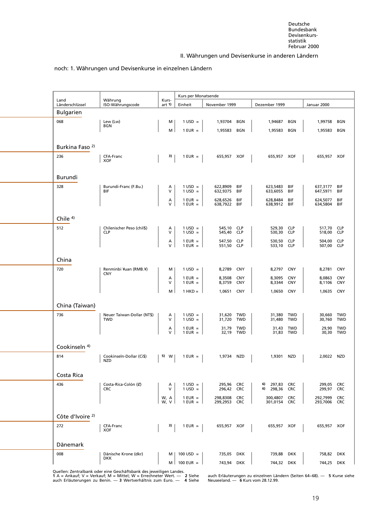#### [noch: 1. Währungen und Devisenkurse in einzelnen](#page-5-11) Ländern

<span id="page-31-0"></span>

|                                                                                                                                                                                                                                                                                                                                                                                                                                                                                                                                                                                                                                                                                                                                                                                                                                                                                                                                                                                                                                                                                                                                                                                                                                                                                                                                                                                                                                                                                                                                                                                                                                                                                                                                                                                                                                                                                                                                                                                                                                                                                          | Land     | Währung                            | Kurs- |                                      |                          |     |                      |     |                          |                          |
|------------------------------------------------------------------------------------------------------------------------------------------------------------------------------------------------------------------------------------------------------------------------------------------------------------------------------------------------------------------------------------------------------------------------------------------------------------------------------------------------------------------------------------------------------------------------------------------------------------------------------------------------------------------------------------------------------------------------------------------------------------------------------------------------------------------------------------------------------------------------------------------------------------------------------------------------------------------------------------------------------------------------------------------------------------------------------------------------------------------------------------------------------------------------------------------------------------------------------------------------------------------------------------------------------------------------------------------------------------------------------------------------------------------------------------------------------------------------------------------------------------------------------------------------------------------------------------------------------------------------------------------------------------------------------------------------------------------------------------------------------------------------------------------------------------------------------------------------------------------------------------------------------------------------------------------------------------------------------------------------------------------------------------------------------------------------------------------|----------|------------------------------------|-------|--------------------------------------|--------------------------|-----|----------------------|-----|--------------------------|--------------------------|
|                                                                                                                                                                                                                                                                                                                                                                                                                                                                                                                                                                                                                                                                                                                                                                                                                                                                                                                                                                                                                                                                                                                                                                                                                                                                                                                                                                                                                                                                                                                                                                                                                                                                                                                                                                                                                                                                                                                                                                                                                                                                                          |          |                                    |       |                                      |                          |     |                      |     |                          |                          |
|                                                                                                                                                                                                                                                                                                                                                                                                                                                                                                                                                                                                                                                                                                                                                                                                                                                                                                                                                                                                                                                                                                                                                                                                                                                                                                                                                                                                                                                                                                                                                                                                                                                                                                                                                                                                                                                                                                                                                                                                                                                                                          | 068      | Lew (Lw)                           | м     | $1 \text{ USD} =$                    | 1,93704                  | BGN | 1,94687              | BGN | 1,99758                  | BGN                      |
| Kurs per Monatsende<br>Länderschlüssel<br>Einheit<br>November 1999<br>Dezember 1999<br>Januar 2000<br>ISO-Währungscode<br>art 1)<br><b>Bulgarien</b><br>BGN<br>M<br>$1$ EUR $=$<br>1,95583<br>BGN<br>1,95583<br>BGN<br>Burkina Faso <sup>2)</sup><br>236<br>3)<br>655,957 XOF<br>CFA-Franc<br>$1$ EUR $=$<br>655,957 XOF<br>XOF<br>Burundi<br>328<br>Burundi-Franc (F.Bu.)<br>$1 \text{ USD} =$<br>622,8909<br>BIF<br>623,5483<br>BIF<br>Α<br>V<br>BIF<br>BIF<br>$1 \text{ USD} =$<br>632,9375<br>633,6055<br>BIF<br>624,5077<br>А<br>$1$ EUR =<br>628,6526 BIF<br>628,8484<br>BIF<br>V<br>638,7922 BIF<br>$1$ EUR = $\vert$<br>638,9912 BIF<br>Chile $4$ )<br>512<br>Chilenischer Peso (chil\$)<br>$1 \text{ USD} =$<br>545,10 CLP<br>529,30<br><b>CLP</b><br>Α<br>V<br><b>CLP</b><br>$1 \text{ USD} =$<br>545,40 CLP<br>530,30<br><b>CLP</b><br>530,50<br>$1$ EUR =<br>547,50 CLP<br><b>CLP</b><br>Α<br>V<br>551,50 CLP<br>533,10<br>$1$ EUR $=$<br><b>CLP</b><br>China<br>720<br>Renminbi ¥uan (RMB.¥)<br>$1 \text{ USD} =$<br>8,2789<br><b>CNY</b><br>8,2797<br><b>CNY</b><br>м<br><b>CNY</b><br><b>CNY</b><br>$1$ EUR $=$<br>8,3508<br>8,3095<br><b>CNY</b><br>Α<br>V<br>$1$ EUR $=$<br>8,3759<br><b>CNY</b><br>8,3344<br><b>CNY</b><br>M<br><b>CNY</b><br>$1$ HKD =<br>1,0651<br>1,0650<br><b>CNY</b><br>China (Taiwan)<br>736<br>Neuer Taiwan-Dollar (NT\$)<br>$1 \text{ USD} =$<br>31,620 TWD<br>31,380<br>TWD<br>Α<br>V<br>$1$ USD =<br><b>TWD</b><br><b>TWD</b><br>31,720<br>31,480<br>TWD<br>31,79 TWD<br>31,43<br>Α<br>$1$ EUR $=$<br>TWD<br>V<br>32,19 TWD<br>$1$ EUR $=$<br>31,83 TWD<br>Cookinseln <sup>4)</sup><br>814<br>Cookinseln-Dollar (Ci\$)<br>1,9734 NZD<br>1,9301<br>NZD<br>5) W<br>$1$ EUR =<br><b>NZD</b><br>Costa Rica<br>436<br>295,96 CRC<br>6) 297,83 CRC<br>Costa-Rica-Colón (C)<br>$1 \text{ USD} =$<br>Α<br>6) 298,36 CRC<br><b>CRC</b><br>V<br>$1 \text{ USD} =$<br>296,42 CRC<br>298,8308 CRC<br>W, A<br>$1$ EUR $=$<br>300,4807 CRC<br>W, V<br>$1$ EUR = $\vert$<br>299,2953<br><b>CRC</b><br>301,0154<br><b>CRC</b><br>Côte d'Ivoire <sup>2)</sup> |          | 1,95583                            | BGN   |                                      |                          |     |                      |     |                          |                          |
|                                                                                                                                                                                                                                                                                                                                                                                                                                                                                                                                                                                                                                                                                                                                                                                                                                                                                                                                                                                                                                                                                                                                                                                                                                                                                                                                                                                                                                                                                                                                                                                                                                                                                                                                                                                                                                                                                                                                                                                                                                                                                          |          |                                    |       |                                      |                          |     |                      |     |                          |                          |
|                                                                                                                                                                                                                                                                                                                                                                                                                                                                                                                                                                                                                                                                                                                                                                                                                                                                                                                                                                                                                                                                                                                                                                                                                                                                                                                                                                                                                                                                                                                                                                                                                                                                                                                                                                                                                                                                                                                                                                                                                                                                                          |          |                                    |       |                                      |                          |     |                      |     |                          |                          |
|                                                                                                                                                                                                                                                                                                                                                                                                                                                                                                                                                                                                                                                                                                                                                                                                                                                                                                                                                                                                                                                                                                                                                                                                                                                                                                                                                                                                                                                                                                                                                                                                                                                                                                                                                                                                                                                                                                                                                                                                                                                                                          |          |                                    |       |                                      |                          |     |                      |     | 655,957 XOF              |                          |
|                                                                                                                                                                                                                                                                                                                                                                                                                                                                                                                                                                                                                                                                                                                                                                                                                                                                                                                                                                                                                                                                                                                                                                                                                                                                                                                                                                                                                                                                                                                                                                                                                                                                                                                                                                                                                                                                                                                                                                                                                                                                                          |          |                                    |       |                                      |                          |     |                      |     |                          |                          |
|                                                                                                                                                                                                                                                                                                                                                                                                                                                                                                                                                                                                                                                                                                                                                                                                                                                                                                                                                                                                                                                                                                                                                                                                                                                                                                                                                                                                                                                                                                                                                                                                                                                                                                                                                                                                                                                                                                                                                                                                                                                                                          |          |                                    |       |                                      |                          |     |                      |     |                          |                          |
|                                                                                                                                                                                                                                                                                                                                                                                                                                                                                                                                                                                                                                                                                                                                                                                                                                                                                                                                                                                                                                                                                                                                                                                                                                                                                                                                                                                                                                                                                                                                                                                                                                                                                                                                                                                                                                                                                                                                                                                                                                                                                          |          |                                    |       |                                      |                          |     |                      |     | 637,3177                 | BIF                      |
|                                                                                                                                                                                                                                                                                                                                                                                                                                                                                                                                                                                                                                                                                                                                                                                                                                                                                                                                                                                                                                                                                                                                                                                                                                                                                                                                                                                                                                                                                                                                                                                                                                                                                                                                                                                                                                                                                                                                                                                                                                                                                          |          |                                    |       |                                      |                          |     |                      |     | 647,5971                 | BIF                      |
|                                                                                                                                                                                                                                                                                                                                                                                                                                                                                                                                                                                                                                                                                                                                                                                                                                                                                                                                                                                                                                                                                                                                                                                                                                                                                                                                                                                                                                                                                                                                                                                                                                                                                                                                                                                                                                                                                                                                                                                                                                                                                          |          |                                    |       |                                      |                          |     |                      |     | 634,5804                 | BIF<br>BIF               |
|                                                                                                                                                                                                                                                                                                                                                                                                                                                                                                                                                                                                                                                                                                                                                                                                                                                                                                                                                                                                                                                                                                                                                                                                                                                                                                                                                                                                                                                                                                                                                                                                                                                                                                                                                                                                                                                                                                                                                                                                                                                                                          |          |                                    |       |                                      |                          |     |                      |     |                          |                          |
|                                                                                                                                                                                                                                                                                                                                                                                                                                                                                                                                                                                                                                                                                                                                                                                                                                                                                                                                                                                                                                                                                                                                                                                                                                                                                                                                                                                                                                                                                                                                                                                                                                                                                                                                                                                                                                                                                                                                                                                                                                                                                          |          |                                    |       |                                      |                          |     |                      |     | 517,70                   | <b>CLP</b>               |
|                                                                                                                                                                                                                                                                                                                                                                                                                                                                                                                                                                                                                                                                                                                                                                                                                                                                                                                                                                                                                                                                                                                                                                                                                                                                                                                                                                                                                                                                                                                                                                                                                                                                                                                                                                                                                                                                                                                                                                                                                                                                                          |          |                                    |       |                                      |                          |     |                      |     | 518,00                   | <b>CLP</b>               |
|                                                                                                                                                                                                                                                                                                                                                                                                                                                                                                                                                                                                                                                                                                                                                                                                                                                                                                                                                                                                                                                                                                                                                                                                                                                                                                                                                                                                                                                                                                                                                                                                                                                                                                                                                                                                                                                                                                                                                                                                                                                                                          |          |                                    |       |                                      |                          |     |                      |     | 504,00<br>507,00         | <b>CLP</b><br><b>CLP</b> |
|                                                                                                                                                                                                                                                                                                                                                                                                                                                                                                                                                                                                                                                                                                                                                                                                                                                                                                                                                                                                                                                                                                                                                                                                                                                                                                                                                                                                                                                                                                                                                                                                                                                                                                                                                                                                                                                                                                                                                                                                                                                                                          |          |                                    |       |                                      |                          |     |                      |     |                          |                          |
|                                                                                                                                                                                                                                                                                                                                                                                                                                                                                                                                                                                                                                                                                                                                                                                                                                                                                                                                                                                                                                                                                                                                                                                                                                                                                                                                                                                                                                                                                                                                                                                                                                                                                                                                                                                                                                                                                                                                                                                                                                                                                          |          |                                    |       |                                      |                          |     |                      |     |                          |                          |
|                                                                                                                                                                                                                                                                                                                                                                                                                                                                                                                                                                                                                                                                                                                                                                                                                                                                                                                                                                                                                                                                                                                                                                                                                                                                                                                                                                                                                                                                                                                                                                                                                                                                                                                                                                                                                                                                                                                                                                                                                                                                                          |          |                                    |       |                                      |                          |     |                      |     | 8,2781                   | <b>CNY</b>               |
|                                                                                                                                                                                                                                                                                                                                                                                                                                                                                                                                                                                                                                                                                                                                                                                                                                                                                                                                                                                                                                                                                                                                                                                                                                                                                                                                                                                                                                                                                                                                                                                                                                                                                                                                                                                                                                                                                                                                                                                                                                                                                          |          |                                    |       |                                      |                          |     |                      |     | 8,0863<br>8,1106         | <b>CNY</b><br><b>CNY</b> |
|                                                                                                                                                                                                                                                                                                                                                                                                                                                                                                                                                                                                                                                                                                                                                                                                                                                                                                                                                                                                                                                                                                                                                                                                                                                                                                                                                                                                                                                                                                                                                                                                                                                                                                                                                                                                                                                                                                                                                                                                                                                                                          |          |                                    |       |                                      |                          |     |                      |     | 1,0635                   | <b>CNY</b>               |
|                                                                                                                                                                                                                                                                                                                                                                                                                                                                                                                                                                                                                                                                                                                                                                                                                                                                                                                                                                                                                                                                                                                                                                                                                                                                                                                                                                                                                                                                                                                                                                                                                                                                                                                                                                                                                                                                                                                                                                                                                                                                                          |          |                                    |       |                                      |                          |     |                      |     |                          |                          |
|                                                                                                                                                                                                                                                                                                                                                                                                                                                                                                                                                                                                                                                                                                                                                                                                                                                                                                                                                                                                                                                                                                                                                                                                                                                                                                                                                                                                                                                                                                                                                                                                                                                                                                                                                                                                                                                                                                                                                                                                                                                                                          |          |                                    |       |                                      |                          |     |                      |     |                          |                          |
|                                                                                                                                                                                                                                                                                                                                                                                                                                                                                                                                                                                                                                                                                                                                                                                                                                                                                                                                                                                                                                                                                                                                                                                                                                                                                                                                                                                                                                                                                                                                                                                                                                                                                                                                                                                                                                                                                                                                                                                                                                                                                          |          |                                    |       |                                      |                          |     |                      |     | 30,660<br>30,760         | <b>TWD</b><br><b>TWD</b> |
|                                                                                                                                                                                                                                                                                                                                                                                                                                                                                                                                                                                                                                                                                                                                                                                                                                                                                                                                                                                                                                                                                                                                                                                                                                                                                                                                                                                                                                                                                                                                                                                                                                                                                                                                                                                                                                                                                                                                                                                                                                                                                          |          |                                    |       |                                      |                          |     |                      |     | 29,90 TWD                |                          |
|                                                                                                                                                                                                                                                                                                                                                                                                                                                                                                                                                                                                                                                                                                                                                                                                                                                                                                                                                                                                                                                                                                                                                                                                                                                                                                                                                                                                                                                                                                                                                                                                                                                                                                                                                                                                                                                                                                                                                                                                                                                                                          |          |                                    |       |                                      |                          |     |                      |     | 30,30 TWD                |                          |
|                                                                                                                                                                                                                                                                                                                                                                                                                                                                                                                                                                                                                                                                                                                                                                                                                                                                                                                                                                                                                                                                                                                                                                                                                                                                                                                                                                                                                                                                                                                                                                                                                                                                                                                                                                                                                                                                                                                                                                                                                                                                                          |          |                                    |       |                                      |                          |     |                      |     |                          |                          |
|                                                                                                                                                                                                                                                                                                                                                                                                                                                                                                                                                                                                                                                                                                                                                                                                                                                                                                                                                                                                                                                                                                                                                                                                                                                                                                                                                                                                                                                                                                                                                                                                                                                                                                                                                                                                                                                                                                                                                                                                                                                                                          |          |                                    |       |                                      |                          |     |                      |     | 2.0022 NZD               |                          |
|                                                                                                                                                                                                                                                                                                                                                                                                                                                                                                                                                                                                                                                                                                                                                                                                                                                                                                                                                                                                                                                                                                                                                                                                                                                                                                                                                                                                                                                                                                                                                                                                                                                                                                                                                                                                                                                                                                                                                                                                                                                                                          |          |                                    |       |                                      |                          |     |                      |     |                          |                          |
|                                                                                                                                                                                                                                                                                                                                                                                                                                                                                                                                                                                                                                                                                                                                                                                                                                                                                                                                                                                                                                                                                                                                                                                                                                                                                                                                                                                                                                                                                                                                                                                                                                                                                                                                                                                                                                                                                                                                                                                                                                                                                          |          |                                    |       |                                      |                          |     |                      |     |                          |                          |
|                                                                                                                                                                                                                                                                                                                                                                                                                                                                                                                                                                                                                                                                                                                                                                                                                                                                                                                                                                                                                                                                                                                                                                                                                                                                                                                                                                                                                                                                                                                                                                                                                                                                                                                                                                                                                                                                                                                                                                                                                                                                                          |          |                                    |       |                                      |                          |     |                      |     | 299,05 CRC               |                          |
|                                                                                                                                                                                                                                                                                                                                                                                                                                                                                                                                                                                                                                                                                                                                                                                                                                                                                                                                                                                                                                                                                                                                                                                                                                                                                                                                                                                                                                                                                                                                                                                                                                                                                                                                                                                                                                                                                                                                                                                                                                                                                          |          |                                    |       |                                      |                          |     |                      |     | 299,97 CRC<br>292,7999   | <b>CRC</b>               |
|                                                                                                                                                                                                                                                                                                                                                                                                                                                                                                                                                                                                                                                                                                                                                                                                                                                                                                                                                                                                                                                                                                                                                                                                                                                                                                                                                                                                                                                                                                                                                                                                                                                                                                                                                                                                                                                                                                                                                                                                                                                                                          |          |                                    |       |                                      |                          |     |                      |     | 293,7006                 | <b>CRC</b>               |
|                                                                                                                                                                                                                                                                                                                                                                                                                                                                                                                                                                                                                                                                                                                                                                                                                                                                                                                                                                                                                                                                                                                                                                                                                                                                                                                                                                                                                                                                                                                                                                                                                                                                                                                                                                                                                                                                                                                                                                                                                                                                                          |          |                                    |       |                                      |                          |     |                      |     |                          |                          |
|                                                                                                                                                                                                                                                                                                                                                                                                                                                                                                                                                                                                                                                                                                                                                                                                                                                                                                                                                                                                                                                                                                                                                                                                                                                                                                                                                                                                                                                                                                                                                                                                                                                                                                                                                                                                                                                                                                                                                                                                                                                                                          | 272      |                                    |       |                                      |                          |     |                      |     | 655,957 XOF              |                          |
|                                                                                                                                                                                                                                                                                                                                                                                                                                                                                                                                                                                                                                                                                                                                                                                                                                                                                                                                                                                                                                                                                                                                                                                                                                                                                                                                                                                                                                                                                                                                                                                                                                                                                                                                                                                                                                                                                                                                                                                                                                                                                          |          | CFA-Franc<br><b>XOF</b>            | 3)    | $1$ EUR $=$                          | 655,957 XOF              |     | 655,957 XOF          |     |                          |                          |
|                                                                                                                                                                                                                                                                                                                                                                                                                                                                                                                                                                                                                                                                                                                                                                                                                                                                                                                                                                                                                                                                                                                                                                                                                                                                                                                                                                                                                                                                                                                                                                                                                                                                                                                                                                                                                                                                                                                                                                                                                                                                                          |          |                                    |       |                                      |                          |     |                      |     |                          |                          |
|                                                                                                                                                                                                                                                                                                                                                                                                                                                                                                                                                                                                                                                                                                                                                                                                                                                                                                                                                                                                                                                                                                                                                                                                                                                                                                                                                                                                                                                                                                                                                                                                                                                                                                                                                                                                                                                                                                                                                                                                                                                                                          | Dänemark |                                    |       |                                      |                          |     |                      |     |                          |                          |
|                                                                                                                                                                                                                                                                                                                                                                                                                                                                                                                                                                                                                                                                                                                                                                                                                                                                                                                                                                                                                                                                                                                                                                                                                                                                                                                                                                                                                                                                                                                                                                                                                                                                                                                                                                                                                                                                                                                                                                                                                                                                                          | 008      | Dänische Krone (dkr)<br><b>DKK</b> | M     | $100 \text{ USD} =$<br>M   100 EUR = | 735,05 DKK<br>743,94 DKK |     | 739,88<br>744,32 DKK | DKK | 758,82 DKK<br>744,25 DKK |                          |
|                                                                                                                                                                                                                                                                                                                                                                                                                                                                                                                                                                                                                                                                                                                                                                                                                                                                                                                                                                                                                                                                                                                                                                                                                                                                                                                                                                                                                                                                                                                                                                                                                                                                                                                                                                                                                                                                                                                                                                                                                                                                                          |          |                                    |       |                                      |                          |     |                      |     |                          |                          |

Quellen: Zentralbank oder eine Geschäftsbank des jeweiligen Landes. auch Erläuterungen zu Benin. — **3** Wertverhältnis zum Euro. — **4** Siehe Neuseeland. — **6** Kurs vom 28.12.99.

**1** A = Ankauf;V=Verkauf; M = Mittel; W = Errechneter Wert. — **2** Siehe auch Erläuterungen zu einzelnen Ländern (Seiten 64−68). — **5** Kurse siehe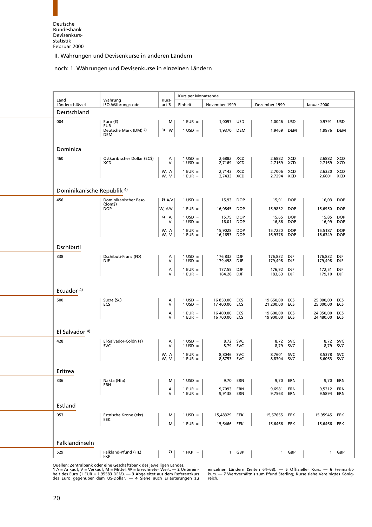#### noch: 1. Währungen und Devisenkurse in einzelnen Ländern

<span id="page-32-0"></span>

| Land                                  | Währung                                    | Kurs-              | Kurs per Monatsende              |                                |                          |                                |                          |                        |                          |
|---------------------------------------|--------------------------------------------|--------------------|----------------------------------|--------------------------------|--------------------------|--------------------------------|--------------------------|------------------------|--------------------------|
| Länderschlüssel                       | ISO-Währungscode                           | art 1)             | Einheit                          | November 1999                  |                          | Dezember 1999                  |                          | Januar 2000            |                          |
| Deutschland                           |                                            |                    |                                  |                                |                          |                                |                          |                        |                          |
| 004                                   | Euro $(\epsilon)$<br><b>EUR</b>            | м                  | $1$ EUR =                        | 1,0097                         | USD                      | 1,0046                         | <b>USD</b>               | 0,9791                 | <b>USD</b>               |
|                                       | Deutsche Mark (DM) 2)<br><b>DEM</b>        | 3) W               | $1 \text{ USD} =$                | 1,9370 DEM                     |                          | 1,9469                         | <b>DEM</b>               | 1,9976                 | <b>DEM</b>               |
|                                       |                                            |                    |                                  |                                |                          |                                |                          |                        |                          |
| Dominica                              |                                            |                    |                                  |                                |                          |                                |                          |                        |                          |
| 460                                   | Ostkaribischer Dollar (EC\$)<br><b>XCD</b> | Α<br>V             | $1 \text{ USD} =$<br>$1$ USD =   | 2,6882<br>2,7169               | <b>XCD</b><br>XCD        | 2,6882 XCD<br>2,7169           | XCD                      | 2,6882<br>2,7169       | XCD<br>XCD               |
|                                       |                                            | W, A               | $1$ EUR $=$                      | 2,7143 XCD                     |                          | 2,7006                         | XCD                      | 2,6320                 | XCD                      |
|                                       |                                            | W, V               | $1$ EUR $=$                      | 2,7433 XCD                     |                          | 2,7294 XCD                     |                          | 2,6601 XCD             |                          |
| Dominikanische Republik <sup>4)</sup> |                                            |                    |                                  |                                |                          |                                |                          |                        |                          |
| 456                                   | Dominikanischer Peso                       | 5) $AVV$           | $1 \text{ USD} =$                | 15,93                          | <b>DOP</b>               | 15,91                          | <b>DOP</b>               | 16,03                  | <b>DOP</b>               |
|                                       | (dom <sub>5</sub> )<br><b>DOP</b>          | W, A/V             | $1$ EUR =                        | 16,0845                        | <b>DOP</b>               | 15,9832                        | <b>DOP</b>               | 15,6950                | <b>DOP</b>               |
|                                       |                                            | 6) $\uparrow$<br>V | $1$ USD =<br>$1$ USD =           | 15,75<br>16,01                 | <b>DOP</b><br><b>DOP</b> | 15,65<br>16,86                 | <b>DOP</b><br><b>DOP</b> | 15,85<br>16,99         | <b>DOP</b><br><b>DOP</b> |
|                                       |                                            | W, A               | $1$ EUR $=$                      | 15,9028                        | <b>DOP</b>               | 15,7220                        | <b>DOP</b>               | 15,5187                | <b>DOP</b>               |
|                                       |                                            | ${\sf V}$<br>W,    | $1$ EUR $=$                      | 16,1653                        | <b>DOP</b>               | 16,9376                        | <b>DOP</b>               | 16,6349                | <b>DOP</b>               |
| Dschibuti                             |                                            |                    |                                  |                                |                          |                                |                          |                        |                          |
| 338                                   | Dschibuti-Franc (FD)                       | Α                  | $1 \text{ USD} =$                | 176,832                        | DJF                      | 176,832                        | DJF                      | 176,832                | DJF                      |
|                                       | DJF                                        | V                  | $1$ USD =                        | 179,498                        | DJF                      | 179,498                        | DJF                      | 179,498                | DJF                      |
|                                       |                                            | Α<br>$\mathsf{V}$  | $1$ EUR $=$<br>$1$ EUR $=$       | 177,55<br>184,28               | DJF<br>DJF               | 176,92<br>183,63               | DJF<br>DJF               | 172,51<br>179,10       | DJF<br>DJF               |
|                                       |                                            |                    |                                  |                                |                          |                                |                          |                        |                          |
| Ecuador $4$ )                         |                                            |                    |                                  |                                |                          |                                |                          |                        |                          |
| 500                                   | Sucre (S/.)<br>ECS                         | Α<br>V             | $1 \text{ USD} =$<br>$1$ USD =   | 16 850,00 ECS<br>17 400,00 ECS |                          | 19 650,00 ECS<br>21 200,00 ECS |                          | 25 000,00<br>25 000,00 | ECS<br>ECS               |
|                                       |                                            | А                  | $1$ EUR $=$                      | 16 400,00                      | ECS                      | 19 600,00                      | ECS                      | 24 350,00              | ECS                      |
|                                       |                                            | V                  | $1$ EUR $=$                      | 16 700,00 ECS                  |                          | 19 900,00 ECS                  |                          | 24 480,00              | ECS                      |
| El Salvador <sup>4)</sup>             |                                            |                    |                                  |                                |                          |                                |                          |                        |                          |
| 428                                   | El-Salvador-Colón (¢)                      | Α                  | $1 \text{ USD} =$                | 8,72 SVC                       |                          |                                | 8,72 SVC                 |                        | 8,72 SVC                 |
|                                       | <b>SVC</b>                                 | V<br>W, A          | $1 \text{ USD} =$<br>$1$ EUR $=$ | 8,79<br>8,8046                 | <b>SVC</b><br>svc        | 8,79<br>8,7601                 | <b>SVC</b><br><b>SVC</b> | 8,79<br>8,5378         | <b>SVC</b><br><b>SVC</b> |
|                                       |                                            | W, V               | $1$ EUR $=$                      | 8,8753                         | <b>SVC</b>               | 8,8304                         | <b>SVC</b>               | 8,6063                 | <b>SVC</b>               |
| Eritrea                               |                                            |                    |                                  |                                |                          |                                |                          |                        |                          |
| 336                                   | Nakfa (Nfa)                                | м                  | $1 \text{ USD} =$                | 9,70 ERN                       |                          | 9,70                           | ERN                      | 9,70                   | ERN                      |
|                                       | ERN                                        | Α                  | $1$ EUR $=$                      | 9,7093                         | ERN                      | 9,6981                         | ERN                      | 9,5312                 | ERN                      |
|                                       |                                            | V                  | $1$ EUR $=$                      | 9,9138                         | ERN                      | 9,7563                         | ERN                      | 9,5894                 | ERN                      |
| Estland                               |                                            |                    |                                  |                                |                          |                                |                          |                        |                          |
| 053                                   | Estnische Krone (ekr)<br>EEK               | м                  | $1 \text{ USD} =$                | 15,48329 EEK                   |                          | 15,57655 EEK                   |                          | 15,95945               | EEK                      |
|                                       |                                            | M                  | $1$ EUR $=$                      | 15,6466 EEK                    |                          | 15,6466 EEK                    |                          | 15,6466 EEK            |                          |
|                                       |                                            |                    |                                  |                                |                          |                                |                          |                        |                          |
| Falklandinseln                        |                                            |                    |                                  |                                |                          |                                |                          |                        |                          |
| 529                                   | Falkland-Pfund (FI£)<br><b>FKP</b>         | 7)                 | $1$ FKP $=$                      |                                | 1 GBP                    |                                | 1 GBP                    |                        | 1 GBP                    |
|                                       |                                            |                    |                                  |                                |                          |                                |                          |                        |                          |

Quellen: Zentralbank oder eine Geschäftsbank des jeweiligen Landes. des Euro gegenüber dem US-Dollar. — **4** Siehe auch Erläuterungen zu reich.

1 A = Ankauf; V = Verkauf; M = Mittel; W = Errechneter Wert. — 2 Unterein- einzelnen Ländern (Seiten 64–68). — 5 Offizieller Kurs. — 6 Freimarkt-<br>heit des Euro (1 EUR = 1,95583 DEM). — 3 Abgeleitet aus dem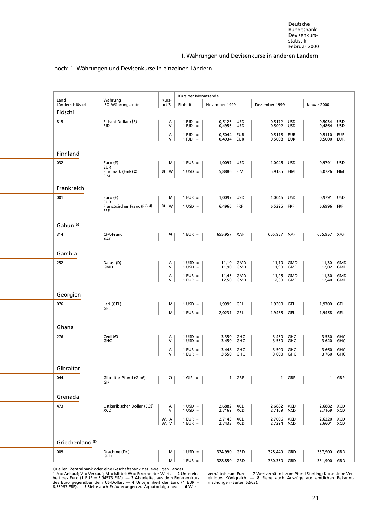#### noch: 1. Währungen und Devisenkurse in einzelnen Ländern

<span id="page-33-0"></span>

| Land                       | Währung                                   | Kurs-        | Kurs per Monatsende            |                          |                   |                          |                   |                          |                          |
|----------------------------|-------------------------------------------|--------------|--------------------------------|--------------------------|-------------------|--------------------------|-------------------|--------------------------|--------------------------|
| Länderschlüssel            | ISO-Währungscode                          | art 1)       | Einheit                        | November 1999            |                   | Dezember 1999            |                   | Januar 2000              |                          |
| Fidschi                    |                                           |              |                                |                          |                   |                          |                   |                          |                          |
| 815                        | Fidschi-Dollar (\$F)<br><b>FJD</b>        | Α<br>$\vee$  | $1 FJD =$<br>$1 FJD =$         | 0,5126<br>0,4956         | USD<br><b>USD</b> | 0,5172<br>0,5002         | USD<br><b>USD</b> | 0,5034<br>0,4864         | <b>USD</b><br><b>USD</b> |
|                            |                                           | Α            | $1 FJD =$                      | 0,5044                   | EUR               | 0,5118                   | EUR               | 0,5110                   | <b>EUR</b>               |
|                            |                                           | V            | $1 FJD =$                      | 0,4934                   | EUR               | 0,5008                   | <b>EUR</b>        | 0,5000                   | <b>EUR</b>               |
| Finnland                   |                                           |              |                                |                          |                   |                          |                   |                          |                          |
| 032                        | Euro $(\epsilon)$                         | м            | $1$ EUR $=$                    | 1,0097                   | USD               | 1,0046                   | <b>USD</b>        | 0,9791                   | <b>USD</b>               |
|                            | <b>EUR</b><br>Finnmark (Fmk) 2)           | 3) W         | $1$ USD =                      | 5,8886 FIM               |                   | 5,9185                   | FIM               | 6,0726                   | <b>FIM</b>               |
|                            | <b>FIM</b>                                |              |                                |                          |                   |                          |                   |                          |                          |
| Frankreich                 |                                           |              |                                |                          |                   |                          |                   |                          |                          |
| 001                        | Euro $(\epsilon)$<br><b>EUR</b>           | М            | $1$ EUR $=$                    | 1,0097 USD               |                   | 1,0046                   | <b>USD</b>        | 0,9791                   | <b>USD</b>               |
|                            | Französischer Franc (FF) 4)<br><b>FRF</b> | $3)$ W       | $1$ USD =                      | 6,4966                   | FRF               | 6,5295                   | FRF               | 6,6996                   | FRF                      |
|                            |                                           |              |                                |                          |                   |                          |                   |                          |                          |
| Gabun <sup>5)</sup>        |                                           |              |                                |                          |                   |                          |                   |                          |                          |
| 314                        | CFA-Franc<br><b>XAF</b>                   | 6)           | $1$ EUR $=$                    | 655,957 XAF              |                   | 655,957 XAF              |                   | 655,957 XAF              |                          |
|                            |                                           |              |                                |                          |                   |                          |                   |                          |                          |
| Gambia                     |                                           |              |                                |                          |                   |                          |                   |                          |                          |
| 252                        | Dalasi (D)<br><b>GMD</b>                  | Α<br>V       | $1 \text{ USD} =$<br>$1$ USD = | 11,10<br>11,90           | GMD<br>GMD        | 11,10<br>11,90           | GMD<br>GMD        | 11,30<br>12,02           | GMD<br><b>GMD</b>        |
|                            |                                           | Α            | $1$ EUR $=$                    | 11,45                    | <b>GMD</b>        | 11,25                    | GMD               | 11,30                    | GMD                      |
|                            |                                           | $\vee$       | $1$ EUR =                      | 12,50                    | GMD               | 12,30                    | GMD               | 12,40                    | GMD                      |
| Georgien                   |                                           |              |                                |                          |                   |                          |                   |                          |                          |
| 076                        | Lari (GEL)                                | м            | $1 \text{ USD} =$              | 1,9999                   | GEL               | 1,9300                   | GEL               | 1,9700                   | GEL                      |
|                            | GEL                                       | M            | $1$ EUR $=$                    | 2,0231                   | GEL               | 1,9435                   | GEL               | 1,9458                   | GEL                      |
|                            |                                           |              |                                |                          |                   |                          |                   |                          |                          |
| Ghana                      |                                           |              |                                |                          |                   |                          |                   |                          |                          |
| 276                        | Cedi (C)<br><b>GHC</b>                    | Α<br>$\vee$  | $1 \text{ USD} =$<br>$1$ USD = | 3 3 5 0<br>3 4 5 0       | GHC<br>GHC        | 3 4 5 0<br>3 5 5 0       | GHC<br>GHC        | 3 5 3 0<br>3 6 4 0       | GHC<br>GHC               |
|                            |                                           | Α            | $1$ EUR $=$                    | 3 4 4 8                  | GHC               | 3 500                    | GHC               | 3 6 6 0                  | GHC                      |
|                            |                                           | $\vee$       | $1$ EUR =                      | 3 5 5 0                  | GHC               | 3 600                    | GHC               | 3760                     | GHC                      |
| Gibraltar                  |                                           |              |                                |                          |                   |                          |                   |                          |                          |
| 044                        | Gibraltar-Pfund (Gib£)                    | 7)           | $1$ GIP = $\vert$              |                          | 1 GBP             |                          | 1 GBP             |                          | 1 GBP                    |
|                            | GIP                                       |              |                                |                          |                   |                          |                   |                          |                          |
| Grenada                    |                                           |              |                                |                          |                   |                          |                   |                          |                          |
| 473                        | Ostkaribischer Dollar (EC\$)              | Α            | $1 \text{ USD} =$              | 2,6882 XCD               |                   | 2,6882 XCD               |                   | 2,6882 XCD               |                          |
|                            | <b>XCD</b>                                | $\vee$       | $1$ USD =                      | 2,7169 XCD               |                   | 2,7169 XCD               |                   | 2,7169 XCD               |                          |
|                            |                                           | W, A<br>W, V | $1$ EUR $=$<br>$1$ EUR $=$     | 2,7143 XCD<br>2,7433 XCD |                   | 2,7006 XCD<br>2,7294 XCD |                   | 2,6320 XCD<br>2,6601 XCD |                          |
|                            |                                           |              |                                |                          |                   |                          |                   |                          |                          |
| Griechenland <sup>8)</sup> |                                           |              |                                |                          |                   |                          |                   |                          |                          |
| 009                        | Drachme (Dr.)                             | м            | $1 \text{ USD} =$              | 324,990 GRD              |                   | 328,440                  | GRD               | 337,900                  | GRD                      |
|                            |                                           |              |                                |                          |                   |                          |                   |                          |                          |

Quellen: Zentralbank oder eine Geschäftsbank des jeweiligen Landes.<br>1 A = Ankauf; V = Verkauf; M = Mittel; W = Errechneter Wert. — 2 Unterein- verhältnis zum Euro. — 7 Wertverhältnis zum Pfund Sterling; Kurse siehe Ver-<br>he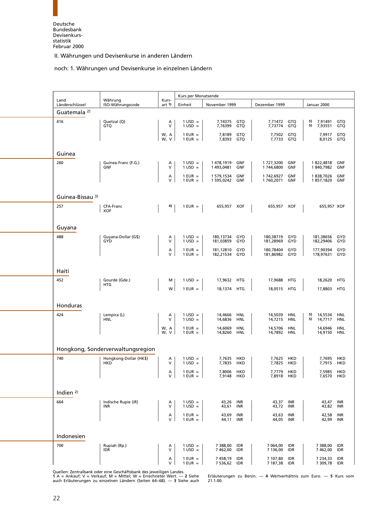#### noch: 1. Währungen und Devisenkurse in einzelnen Ländern

<span id="page-34-0"></span>

|                         |                                      |                      | Kurs per Monatsende            |                            |                   |                          |                          |                                |                          |
|-------------------------|--------------------------------------|----------------------|--------------------------------|----------------------------|-------------------|--------------------------|--------------------------|--------------------------------|--------------------------|
| Land<br>Länderschlüssel | Währung<br>ISO-Währungscode          | Kurs-<br>art 1       | Einheit                        | November 1999              |                   | Dezember 1999            |                          | Januar 2000                    |                          |
| Guatemala <sup>2)</sup> |                                      |                      |                                |                            |                   |                          |                          |                                |                          |
| 416                     | Quetzal (Q)<br><b>GTQ</b>            | А<br>V               | $1$ USD =<br>$1$ USD =         | 7,74375<br>7,76399         | GTQ<br>GTQ        | 7,71472<br>7,73774       | GTQ<br>GTQ               | 5)<br>7,91491<br>7,93551<br>5) | GTQ<br>GTQ               |
|                         |                                      | W, A<br>$\mathsf{V}$ | $1$ EUR $=$<br>$1$ EUR =       | 7,8189                     | GTQ<br>GTQ        | 7,7502                   | GTQ                      | 7,9917                         | GTQ                      |
|                         |                                      | W,                   |                                | 7,8393                     |                   | 7,7733                   | GTQ                      | 8,0125                         | GTQ                      |
| Guinea                  |                                      |                      |                                |                            |                   |                          |                          |                                |                          |
| 260                     | Guinea-Franc (F.G.)<br><b>GNF</b>    | Α<br>V               | $1 \text{ USD} =$<br>$1$ USD = | 1478,1919<br>1493,0481     | GNF<br>GNF        | 1727,3200<br>1744,6800   | GNF<br>GNF               | 1822,4818<br>1840,7982         | GNF<br>GNF               |
|                         |                                      | А<br>V               | $1$ EUR $=$<br>$1$ EUR =       | 1 579,1534<br>1 595,0242   | <b>GNF</b><br>GNF | 1742,6927<br>1760,2071   | GNF<br>GNF               | 1838,7026<br>1857,1820         | GNF<br>GNF               |
|                         |                                      |                      |                                |                            |                   |                          |                          |                                |                          |
| Guinea-Bissau 3)        |                                      |                      |                                |                            |                   |                          |                          |                                |                          |
| 257                     | CFA-Franc<br><b>XOF</b>              | 4)                   | $1$ EUR $=$                    | 655,957 XOF                |                   | 655,957 XOF              |                          | 655,957 XOF                    |                          |
|                         |                                      |                      |                                |                            |                   |                          |                          |                                |                          |
| Guyana                  |                                      |                      |                                |                            |                   |                          |                          |                                |                          |
| 488                     | Guyana-Dollar (G\$)<br>GYD           | Α<br>V               | $1 \text{ USD} =$<br>$1$ USD = | 180,13734 GYD<br>181,03859 | GYD               | 180,38719<br>181,28969   | GYD<br>GYD               | 181,38656<br>182,29406         | GYD<br>GYD               |
|                         |                                      | А                    | $1$ EUR $=$                    | 181,12810                  | GYD               | 180.78404                | GYD                      | 177,90394                      | GYD                      |
|                         |                                      | V                    | $1$ EUR =                      | 182,21534                  | GYD               | 181,86982                | GYD                      | 178,97631                      | GYD                      |
| Haiti                   |                                      |                      |                                |                            |                   |                          |                          |                                |                          |
| 452                     | Gourde (Gde.)                        | м                    | $1 \text{ USD} =$              | 17,9632 HTG                |                   | 17,9688                  | HTG                      | 18,2620                        | HTG                      |
|                         | HTG                                  | W                    | $1$ EUR $=$                    | 18,1374 HTG                |                   | 18,0515 HTG              |                          | 17,8803                        | <b>HTG</b>               |
|                         |                                      |                      |                                |                            |                   |                          |                          |                                |                          |
| Honduras                |                                      |                      |                                |                            |                   |                          |                          |                                |                          |
| 424                     | Lempira (L)<br><b>HNL</b>            | Α<br>$\vee$          | $1$ USD =<br>$1$ USD =         | 14,4666<br>14,6836         | <b>HNL</b><br>HNL | 14,5039<br>14,7215       | <b>HNL</b><br><b>HNL</b> | 5)<br>14,5534<br>5)<br>14,7717 | HNL<br><b>HNL</b>        |
|                         |                                      | W, A<br>W, V         | $1$ EUR $=$<br>$1$ EUR =       | 14,6069<br>14,8260         | <b>HNL</b><br>HNL | 14,5706<br>14,7892       | <b>HNL</b><br><b>HNL</b> | 14,6946<br>14,9150             | <b>HNL</b><br><b>HNL</b> |
|                         |                                      |                      |                                |                            |                   |                          |                          |                                |                          |
|                         | Hongkong, Sonderverwaltungsregion    |                      |                                |                            |                   |                          |                          |                                |                          |
| 740                     | Hongkong-Dollar (HK\$)<br><b>HKD</b> | Α<br>V               | $1$ USD =<br>$1 \text{ USD} =$ | 7,7635<br>7,7835           | HKD<br>HKD        | 7,7625<br>7,7825         | <b>HKD</b><br>HKD        | 7,7695<br>7,7915               | <b>HKD</b><br>HKD        |
|                         |                                      | $\alpha$             | $1$ EUR $=$                    | 7,8006                     | <b>HKD</b>        | 7,7779                   | HKD                      | 7,5985                         | <b>HKD</b>               |
|                         |                                      |                      | $1$ EUR $=$                    | 7,9148 HKD                 |                   | 7,8918 HKD               |                          | 7,6570 HKD                     |                          |
| Indien $2$ )            |                                      |                      |                                |                            |                   |                          |                          |                                |                          |
| 664                     | Indische Rupie (iR)                  | A<br>V               | $1 \text{ USD} =$              | 43,26 INR                  |                   | 43,37 INR                |                          | 43,47                          | INR                      |
|                         | INR                                  |                      | $1$ USD =<br>$1$ EUR $=$       | 43,61<br>43,69             | INR<br>INR        | 43,72 INR<br>43,63       | INR                      | 43,82<br>42,58                 | INR<br>INR               |
|                         |                                      | A<br>V               | $1$ EUR $=$                    | 44,11 INR                  |                   | 44,05                    | INR                      | 42,99                          | INR                      |
|                         |                                      |                      |                                |                            |                   |                          |                          |                                |                          |
| Indonesien<br>700       | Rupiah (Rp.)                         | Α                    | $1 \text{ USD} =$              | 7 388,00 IDR               |                   | 7 064,00 IDR             |                          | 7 388,00                       | <b>IDR</b>               |
|                         | <b>IDR</b>                           | V                    | $1$ USD =                      | 7 462,00                   | IDR               | 7 136,00                 | IDR                      | 7 462,00                       | IDR                      |
|                         |                                      | А<br>$\vee$          | $1$ EUR $=$<br>$1$ EUR $=$     | 7458,19<br>7 536,62 IDR    | IDR               | 7 107,80<br>7 187,38 IDR | <b>IDR</b>               | 7 234,33<br>7 309,78 IDR       | IDR                      |

Quellen: Zentralbank oder eine Geschäftsbank des jeweiligen Landes. auch Erläuterungen zu einzelnen Ländern (Seiten 64−68). — **3** Siehe auch 21.1.00.

**1** A = Ankauf;V=Verkauf; M = Mittel; W = Errechneter Wert. — **2** Siehe Erläuterungen zu Benin. — **4** Wertverhältnis zum Euro. — **5** Kurs vom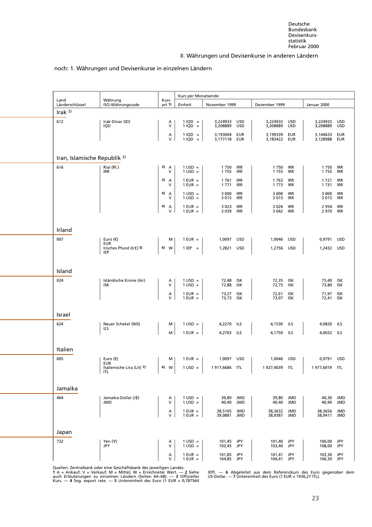#### noch: 1. Währungen und Devisenkurse in einzelnen Ländern

<span id="page-35-0"></span>

|                                         |                                     |                      | Kurs per Monatsende            |                                  |                                           |                          |                          |
|-----------------------------------------|-------------------------------------|----------------------|--------------------------------|----------------------------------|-------------------------------------------|--------------------------|--------------------------|
| Land<br>Länderschlüssel                 | Währung<br>ISO-Währungscode         | Kurs-<br>art 1)      | Einheit                        | November 1999                    | Dezember 1999                             | Januar 2000              |                          |
| Irak $2$                                |                                     |                      |                                |                                  |                                           |                          |                          |
| 612                                     | Irak-Dinar (ID)<br>IQD              | А<br>V               | $1$ IQD =<br>$1$ IQD =         | 3,224933 USD<br>3,208889<br>USD  | 3,224933<br>USD<br>3,208889<br><b>USD</b> | 3,224933<br>3,208889     | <b>USD</b><br><b>USD</b> |
|                                         |                                     | А                    | $1 IQD =$                      | 3,193004 EUR                     | 3,199339<br>EUR                           | 3,144633                 | EUR                      |
|                                         |                                     | V                    | $1 IQD =$                      | 3,177118 EUR                     | 3,183422<br>EUR                           | 3,128988                 | EUR                      |
| Iran, Islamische Republik <sup>2)</sup> |                                     |                      |                                |                                  |                                           |                          |                          |
| 616                                     | Rial (Rl.)                          | 3) A                 | $1 \text{ USD} =$              | 1750<br>IRR                      | 1750 IRR                                  | 1750                     | <b>IRR</b>               |
|                                         | IRR                                 | v                    | $1$ USD =                      | 1755<br>IRR                      | 1755<br>IRR                               | 1755                     | IRR                      |
|                                         |                                     | 3) A<br>v            | $1$ EUR $=$<br>$1$ EUR $=$     | IRR<br>1761<br>1771<br>IRR       | 1763<br>IRR<br>1773<br>IRR                | 1721<br>1 7 3 1          | <b>IRR</b><br>IRR        |
|                                         |                                     | 4) A<br>v            | $1$ USD =<br>$1$ USD =         | 3 0 0 0<br>IRR<br>3 0 1 5<br>IRR | 3 000<br>IRR<br>3 0 1 5<br>IRR            | 3 0 0 0<br>3 0 1 5       | IRR<br><b>IRR</b>        |
|                                         |                                     | 4)<br>$\overline{A}$ | $1$ EUR $=$                    | 3 0 2 3<br>IRR                   | 3 0 2 6<br>IRR                            | 2 9 5 4                  | <b>IRR</b>               |
|                                         |                                     | V                    | $1$ EUR $=$                    | 3 0 39 IRR                       | 3 042<br>IRR                              | 2 970                    | IRR                      |
|                                         |                                     |                      |                                |                                  |                                           |                          |                          |
| Irland                                  |                                     |                      |                                |                                  |                                           |                          |                          |
| 007                                     | Euro $(\epsilon)$<br><b>EUR</b>     | м                    | $1$ EUR =                      | 1,0097 USD                       | 1,0046 USD                                | 0,9791                   | USD                      |
|                                         | Irisches Pfund (Ir£) 5)<br>IEP      | 6) W                 | $1$ IEP $=$                    | 1,2821 USD                       | 1,2756 USD                                | 1,2432 USD               |                          |
|                                         |                                     |                      |                                |                                  |                                           |                          |                          |
| Island                                  |                                     |                      |                                |                                  |                                           |                          |                          |
| 024                                     | Isländische Krone (ikr)<br>ISK      | Α<br>V               | $1$ USD =<br>$1$ USD =         | 72,48 ISK<br>72,88 ISK           | 72,35 ISK<br>72,75<br>ISK                 | 73,40 ISK<br>73,80       | ISK                      |
|                                         |                                     | Α                    | $1$ EUR $=$                    | 73,27 ISK                        | 72,61<br><b>ISK</b>                       | 71,97                    | <b>ISK</b>               |
|                                         |                                     | $\mathsf{V}$         | $1$ EUR $=$                    | 73,73 ISK                        | 73,07 ISK                                 | 72,41 ISK                |                          |
| Israel                                  |                                     |                      |                                |                                  |                                           |                          |                          |
| 624                                     | Neuer Schekel (NIS)                 | м                    | $1$ USD =                      | 4,2270 ILS                       | 4,1530 ILS                                | 4,0820                   | <b>ILS</b>               |
|                                         | ILS                                 | M                    | $1$ EUR = $\vert$              | 4,2703 ILS                       | 4,1750 ILS                                | 4,0032 ILS               |                          |
|                                         |                                     |                      |                                |                                  |                                           |                          |                          |
| Italien                                 |                                     |                      |                                |                                  |                                           |                          |                          |
| 005                                     | Euro $(\epsilon)$<br><b>EUR</b>     | м                    | $1$ EUR $=$                    | 1,0097 USD                       | 1,0046 USD                                | 0,9791 USD               |                          |
|                                         | Italienische Lira (Lit) 7)<br>  ITL | 6) W                 | $1 \text{ USD} =$              | 1917,6686 ITL                    | 1927,4039 ITL                             | 1977,6019 ITL            |                          |
|                                         |                                     |                      |                                |                                  |                                           |                          |                          |
| Jamaika                                 |                                     |                      |                                |                                  |                                           |                          |                          |
| 464                                     | Jamaika-Dollar (J\$)<br><b>JMD</b>  | А<br>$\mathsf{V}$    | $1 \text{ USD} =$<br>$1$ USD = | 39,80 JMD<br>40,40 JMD           | 39,80 JMD<br>40,40 JMD                    | 40,30 JMD<br>40,90 JMD   |                          |
|                                         |                                     | Α                    | $1$ EUR $=$                    | 38,5105<br>JMD                   | 38,3632 JMD                               | 38,3656                  | JMD                      |
|                                         |                                     | V                    | $1$ EUR $=$                    | 39,0881 JMD                      | 38,9387 JMD                               | 38,9411 JMD              |                          |
|                                         |                                     |                      |                                |                                  |                                           |                          |                          |
| Japan<br>732                            | Yen (Y)                             | A                    | $1 \text{ USD} =$              | 101,45 JPY                       | 101,40 JPY                                | 106,00 JPY               |                          |
|                                         | JPY                                 | V                    | $1$ USD =                      | 103,45 JPY                       | 103,40 JPY                                | 108,00 JPY               |                          |
|                                         |                                     | Α<br>V               | $1$ EUR $=$<br>$1$ EUR $=$     | 101,85 JPY<br>104,85 JPY         | 101,41 JPY<br>104,41 JPY                  | 103,30 JPY<br>106,30 JPY |                          |

Quellen: Zentralbank oder eine Geschäftsbank des jeweiligen Landes.

auch Erläuterungen zu einzelnen Ländern (Seiten 64–68). — 3 Offizieller — US-Dollar. — 7 Untereinheit des Euro (1 EUR = 1936,27 ITL).<br>Kurs. — 4 Sog. export rate. — 5 Untereinheit des Euro (1 EUR = 0,787564

**1** IEP). — 6 Abgeleitet aus dem Referenzkurs des Euro gegenüber dem US-Dollar. — 7 Untereinheit des Euro (1 EUR = 1936,27 ITL).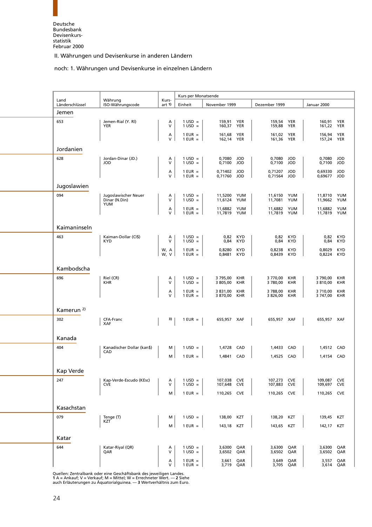### noch: 1. Währungen und Devisenkurse in einzelnen Ländern

<span id="page-36-0"></span>

| Land            | Währung                                             | Kurs-          | Kurs per Monatsende            |                            |                          |                            |                          |                            |                          |
|-----------------|-----------------------------------------------------|----------------|--------------------------------|----------------------------|--------------------------|----------------------------|--------------------------|----------------------------|--------------------------|
| Länderschlüssel | ISO-Währungscode                                    | art 1)         | Einheit                        | November 1999              |                          | Dezember 1999              |                          | Januar 2000                |                          |
| Jemen           |                                                     |                |                                |                            |                          |                            |                          |                            |                          |
| 653             | Jemen-Rial (Y. RI)<br>YER                           | Α<br>V         | $1 \text{ USD} =$<br>$1$ USD = | 159,91<br>160,37           | YER<br><b>YER</b>        | 159,54<br>159,88           | YER<br><b>YER</b>        | 160,91<br>161,22           | YER<br>YER               |
|                 |                                                     | Α<br>$\vee$    | $1$ EUR =<br>$1$ EUR $=$       | 161,68 YER<br>162,14 YER   |                          | 161,02<br>161,36 YER       | YER                      | 156,94<br>157,24 YER       | YER                      |
| Jordanien       |                                                     |                |                                |                            |                          |                            |                          |                            |                          |
| 628             | Jordan-Dinar (JD.)<br><b>JOD</b>                    | Α<br>$\vee$    | $1 \text{ USD} =$<br>$1$ USD = | 0,7080<br>0,7100           | JOD<br><b>JOD</b>        | 0,7080<br>0,7100           | JOD<br>JOD               | 0,7080<br>0,7100           | <b>JOD</b><br>JOD        |
|                 |                                                     | Α<br>$\vee$    | $1$ EUR $=$<br>$1$ EUR $=$     | 0,71402 JOD<br>0,71760 JOD |                          | 0,71207<br>0,71564         | JOD<br>JOD               | 0,69330<br>0,69677         | <b>JOD</b><br>JOD        |
| Jugoslawien     |                                                     |                |                                |                            |                          |                            |                          |                            |                          |
| 094             | Jugoslawischer Neuer<br>Dinar (N.Din)<br><b>YUM</b> | Α<br>$\vee$    | $1 \text{ USD} =$<br>$1$ USD = | 11,5200 YUM<br>11,6124 YUM |                          | 11,6150 YUM<br>11,7081 YUM |                          | 11,8710 YUM<br>11,9662 YUM |                          |
|                 |                                                     | Α<br>V         | $1$ EUR $=$<br>$1$ EUR =       | 11,6882<br>11,7819 YUM     | YUM                      | 11,6882<br>11,7819 YUM     | YUM                      | 11,6882<br>11,7819 YUM     | YUM                      |
| Kaimaninseln    |                                                     |                |                                |                            |                          |                            |                          |                            |                          |
| 463             | Kaiman-Dollar (CI\$)<br><b>KYD</b>                  | Α<br>$\vee$    | $1 \text{ USD} =$<br>$1$ USD = | 0,82<br>0,84               | <b>KYD</b><br>KYD        | 0,82<br>0,84               | <b>KYD</b><br>KYD        | 0,82<br>0,84               | KYD<br>KYD               |
|                 |                                                     | W, A<br>W, V   | $1$ EUR $=$<br>$1$ EUR =       | 0,8280<br>0,8481           | <b>KYD</b><br><b>KYD</b> | 0,8238<br>0,8439           | <b>KYD</b><br><b>KYD</b> | 0,8029<br>0,8224           | <b>KYD</b><br><b>KYD</b> |
| Kambodscha      |                                                     |                |                                |                            |                          |                            |                          |                            |                          |
| 696             | Riel (CR)<br><b>KHR</b>                             | Α<br>$\vee$    | $1 \text{ USD} =$<br>$1$ USD = | 3795,00<br>3 805,00        | <b>KHR</b><br>KHR        | 3 770,00<br>3 780,00       | <b>KHR</b><br>KHR        | 3790,00<br>3 810,00        | <b>KHR</b><br>KHR        |
|                 |                                                     | Α<br>$\vee$    | $1$ EUR =<br>$1$ EUR =         | 3 831,00<br>3 870,00       | <b>KHR</b><br><b>KHR</b> | 3788,00<br>3 826,00        | KHR<br>KHR               | 3710,00<br>3 747,00        | <b>KHR</b><br>KHR        |
| Kamerun $2$ )   |                                                     |                |                                |                            |                          |                            |                          |                            |                          |
| 302             | CFA-Franc<br><b>XAF</b>                             | 3)             | $1$ EUR $=$                    | 655,957 XAF                |                          | 655,957 XAF                |                          | 655,957 XAF                |                          |
| Kanada          |                                                     |                |                                |                            |                          |                            |                          |                            |                          |
| 404             | Kanadischer Dollar (kan\$)                          | м              | $1 \text{ USD} =$              | 1,4728                     | CAD                      | 1,4433                     | CAD                      | 1,4512 CAD                 |                          |
|                 | CAD                                                 | M <sub>1</sub> | $1$ EUR $=$                    | 1,4841 CAD                 |                          | 1,4525                     | CAD                      | 1,4154 CAD                 |                          |
| Kap Verde       |                                                     |                |                                |                            |                          |                            |                          |                            |                          |
| 247             | Kap-Verde-Escudo (KEsc)<br><b>CVE</b>               | Α<br>$\vee$    | $1 \text{ USD} =$<br>$1$ USD = | 107,038 CVE<br>107,648     | <b>CVE</b>               | 107,273 CVE<br>107,883     | <b>CVE</b>               | 109,087 CVE<br>109,697     | <b>CVE</b>               |
|                 |                                                     | M              | $1$ EUR $=$                    | 110,265 CVE                |                          | 110,265 CVE                |                          | 110,265                    | <b>CVE</b>               |
| Kasachstan      |                                                     |                |                                |                            |                          |                            |                          |                            |                          |
| 079             | Tenge (T)                                           | м              | $1 \text{ USD} =$              | 138,00                     | KZT                      | 138,20                     | KZT                      | 139,45                     | KZT                      |
|                 | KZT                                                 | M              | $1$ EUR =                      | 143,18 KZT                 |                          | 143,65 KZT                 |                          | 142,17                     | KZT                      |
| Katar           |                                                     |                |                                |                            |                          |                            |                          |                            |                          |
| 644             | Katar-Riyal (QR)<br>QAR                             | A<br>V         | $1 \text{ USD} =$<br>$1$ USD = | 3,6300 QAR<br>3,6502       | QAR                      | 3,6300<br>3,6502           | QAR<br>QAR               | 3,6300<br>3,6502           | QAR<br>QAR               |
|                 |                                                     | Α<br>$\vee$    | $1$ EUR $=$<br>$1$ EUR $=$     | 3,661 QAR<br>3,719 QAR     |                          | 3,649<br>3,705 QAR         | QAR                      | 3,557<br>3,614 QAR         | QAR                      |

Quellen: Zentralbank oder eine Geschäftsbank des jeweiligen Landes.<br>1 A = Ankauf; V = Verkauf; M = Mittel; W = Errechneter Wert. — 2 Siehe<br>auch Erläuterungen zu Äquatorialguinea. — 3 Wertverhältnis zum Euro.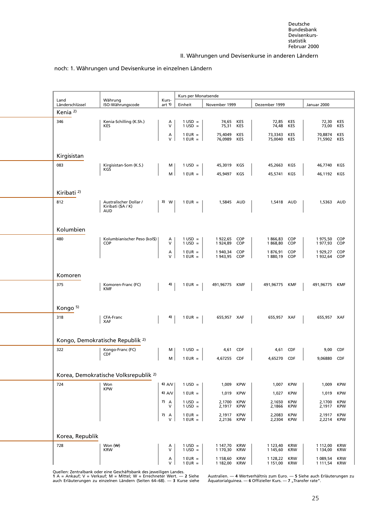#### noch: 1. Währungen und Devisenkurse in einzelnen Ländern

<span id="page-37-0"></span>

| Land                   |                                                            |                 | Kurs per Monatsende                    |                      |                          |                      |                          |                      |                          |
|------------------------|------------------------------------------------------------|-----------------|----------------------------------------|----------------------|--------------------------|----------------------|--------------------------|----------------------|--------------------------|
| Länderschlüssel        | Währung<br>ISO-Währungscode                                | Kurs-<br>art 1) | Einheit                                | November 1999        |                          | Dezember 1999        |                          | Januar 2000          |                          |
| Kenia <sup>2)</sup>    |                                                            |                 |                                        |                      |                          |                      |                          |                      |                          |
| 346                    | Kenia-Schilling (K.Sh.)<br><b>KES</b>                      | Α<br>$\vee$     | $1 \text{ USD} =$<br>$1$ USD =         | 74,65<br>75,31       | KES<br>KES               | 72,85<br>74,48       | KES<br>KES               | 72,30<br>73,00       | KES<br>KES               |
|                        |                                                            | А<br>V          | $1$ EUR $=$<br>$1$ EUR $=$             | 75,4049<br>76,0989   | KES<br>KES               | 73,3343<br>75,0040   | KES<br>KES               | 70,8874<br>71,5902   | <b>KES</b><br>KES        |
| Kirgisistan            |                                                            |                 |                                        |                      |                          |                      |                          |                      |                          |
| 083                    | Kirgisistan-Som (K.S.)                                     | м               | $1 \text{ USD} =$                      | 45,3019              | KGS                      | 45,2663              | KGS                      | 46,7740              | KGS                      |
|                        | KGS                                                        | м               | $1$ EUR $=$                            | 45,9497              | KGS                      | 45,5741              | KGS                      | 46,1192              | KGS                      |
| Kiribati <sup>2)</sup> |                                                            |                 |                                        |                      |                          |                      |                          |                      |                          |
| 812                    | Australischer Dollar /<br>Kiribati (\$A / K)<br><b>AUD</b> | 3) W            | $1$ EUR $=$                            | 1,5845 AUD           |                          | 1,5418 AUD           |                          | 1,5363               | AUD                      |
| Kolumbien              |                                                            |                 |                                        |                      |                          |                      |                          |                      |                          |
| 480                    | Kolumbianischer Peso (kol\$)<br><b>COP</b>                 | Α<br>V          | $1 \text{ USD} =$<br>$1 \text{ USD} =$ | 1922,65<br>1924,89   | COP<br>COP               | 1866,83<br>1868,80   | COP<br>COP               | 1975,50<br>1977,93   | <b>COP</b><br><b>COP</b> |
|                        |                                                            | А<br>$\vee$     | $1$ EUR =<br>$1$ EUR $=$               | 1 940,34<br>1943,95  | COP<br>COP               | 1876,91<br>1880,19   | COP<br>COP               | 1929,27<br>1932,64   | <b>COP</b><br><b>COP</b> |
| Komoren                |                                                            |                 |                                        |                      |                          |                      |                          |                      |                          |
| 375                    | Komoren-Franc (FC)<br><b>KMF</b>                           | 4)              | $1$ EUR $=$                            | 491,96775            | KMF                      | 491,96775            | <b>KMF</b>               | 491,96775            | <b>KMF</b>               |
| Kongo <sup>5)</sup>    |                                                            |                 |                                        |                      |                          |                      |                          |                      |                          |
| 318                    | CFA-Franc<br><b>XAF</b>                                    | 4)              | $1$ EUR $=$                            | 655,957 XAF          |                          | 655,957 XAF          |                          | 655,957 XAF          |                          |
|                        | Kongo, Demokratische Republik <sup>2)</sup>                |                 |                                        |                      |                          |                      |                          |                      |                          |
| 322                    | Kongo-Franc (FC)                                           | м               | $1 \text{ USD} =$                      | 4,61                 | <b>CDF</b>               | 4,61                 | <b>CDF</b>               | 9,00                 | <b>CDF</b>               |
|                        | <b>CDF</b>                                                 | м               | $1$ EUR $=$                            | 4,67255              | CDF                      | 4,65270              | <b>CDF</b>               | 9,06880              | <b>CDF</b>               |
|                        | Korea, Demokratische Volksrepublik <sup>2)</sup>           |                 |                                        |                      |                          |                      |                          |                      |                          |
| 724                    | Won<br><b>KPW</b>                                          | 6) $A/V$        | $1 \text{ USD} =$                      | 1,009                | <b>KPW</b>               | 1,007                | KPW                      | 1,009                | <b>KPW</b>               |
|                        |                                                            | 6) A/V          | $1$ EUR =                              | 1,019                | <b>KPW</b>               | 1,027                | <b>KPW</b>               | 1,019                | <b>KPW</b>               |
|                        |                                                            | 7)<br>A<br>v    | $1 \text{ USD} =$<br>$1$ USD =         | 2,1700<br>2,1917     | <b>KPW</b><br><b>KPW</b> | 2,1650<br>2,1866     | <b>KPW</b><br><b>KPW</b> | 2,1700<br>2,1917     | <b>KPW</b><br><b>KPW</b> |
|                        |                                                            | 7)<br>Α<br>V    | $1$ EUR =<br>$1$ EUR $=$               | 2,1917<br>2,2136     | <b>KPW</b><br><b>KPW</b> | 2,2083<br>2,2304     | <b>KPW</b><br><b>KPW</b> | 2,1917<br>2,2214     | <b>KPW</b><br><b>KPW</b> |
| Korea, Republik        |                                                            |                 |                                        |                      |                          |                      |                          |                      |                          |
| 728                    | Won (\\)<br><b>KRW</b>                                     | А<br>V          | $1$ USD =<br>$1$ USD =                 | 1 147,70<br>1 170,30 | KRW<br><b>KRW</b>        | 1 123,40<br>1 145,60 | KRW<br><b>KRW</b>        | 1 112,00<br>1 134,00 | <b>KRW</b><br><b>KRW</b> |
|                        |                                                            | Α<br>V          | $1$ EUR $=$<br>$1$ EUR $=$             | 1 158,60<br>1 182,00 | <b>KRW</b><br>KRW        | 1 128,22<br>1 151,00 | KRW<br>KRW               | 1 089,54<br>1 111,54 | <b>KRW</b><br><b>KRW</b> |

Quellen: Zentralbank oder eine Geschäftsbank des jeweiligen Landes.<br>1 A = Ankauf; V = Verkauf; M = Mittel; W = Errechneter Wert. — 2 Siehe — Australien. — 4 Wertverhältnis zum Euro. — 5 Siehe auch Erläuterungen zu<br>auch Erl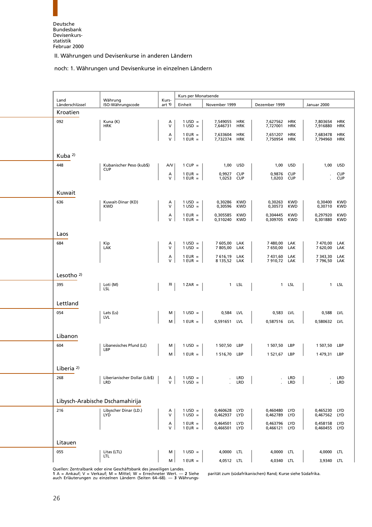#### noch: 1. Währungen und Devisenkurse in einzelnen Ländern

<span id="page-38-0"></span>

|                                 |                                        |                 | Kurs per Monatsende                    |                             |                          |                             |                          |                          |                          |
|---------------------------------|----------------------------------------|-----------------|----------------------------------------|-----------------------------|--------------------------|-----------------------------|--------------------------|--------------------------|--------------------------|
| Land<br>Länderschlüssel         | Währung<br>ISO-Währungscode            | Kurs-<br>art 1) | Einheit                                | November 1999               |                          | Dezember 1999               |                          | Januar 2000              |                          |
| Kroatien                        |                                        |                 |                                        |                             |                          |                             |                          |                          |                          |
| 092                             | Kuna (K)<br><b>HRK</b>                 | А<br>V          | $1 \text{ USD} =$<br>$1$ USD =         | 7,549055<br>7,646731        | HRK<br><b>HRK</b>        | 7,627562<br>7,727001        | <b>HRK</b><br><b>HRK</b> | 7,803654<br>7,916880     | HRK<br><b>HRK</b>        |
|                                 |                                        | Α<br>V          | $1$ EUR $=$<br>$1$ EUR $=$             | 7,633604<br>7,732374 HRK    | <b>HRK</b>               | 7,651207<br>7,750954        | <b>HRK</b><br><b>HRK</b> | 7,683478<br>7,794960     | <b>HRK</b><br><b>HRK</b> |
|                                 |                                        |                 |                                        |                             |                          |                             |                          |                          |                          |
| Kuba $^{2)}$                    |                                        |                 |                                        |                             |                          |                             |                          |                          |                          |
| 448                             | Kubanischer Peso (kub\$)<br><b>CUP</b> | A/V             | $1$ CUP =                              | 1,00                        | USD                      | 1,00                        | <b>USD</b>               | 1,00                     | <b>USD</b>               |
|                                 |                                        | Α<br>V          | $1$ EUR =<br>$1$ EUR $=$               | 0,9927<br>1,0253            | <b>CUP</b><br><b>CUP</b> | 0,9876<br>1,0203            | <b>CUP</b><br><b>CUP</b> |                          | <b>CUP</b><br><b>CUP</b> |
| Kuwait                          |                                        |                 |                                        |                             |                          |                             |                          |                          |                          |
| 636                             | Kuwait-Dinar (KD)<br><b>KWD</b>        | A<br>V          | $1$ USD =<br>$1$ USD =                 | 0,30286<br>0,30596          | <b>KWD</b><br><b>KWD</b> | 0,30263<br>0,30573          | <b>KWD</b><br><b>KWD</b> | 0,30400<br>0,30710       | <b>KWD</b><br><b>KWD</b> |
|                                 |                                        | A<br>V          | $1$ EUR =<br>$1$ EUR $=$               | 0,305585<br>0,310240        | <b>KWD</b><br><b>KWD</b> | 0,304445<br>0,309705        | <b>KWD</b><br><b>KWD</b> | 0,297920<br>0,301880     | <b>KWD</b><br><b>KWD</b> |
| Laos                            |                                        |                 |                                        |                             |                          |                             |                          |                          |                          |
| 684                             | Kip<br>LAK                             | Α<br>V          | $1$ USD =<br>$1$ USD =                 | 7 605,00<br>7 805,00        | LAK<br>LAK               | 7480.00<br>7 650,00 LAK     | LAK                      | 7470,00<br>7 620,00      | LAK<br>LAK               |
|                                 |                                        | Α<br>V          | $1$ EUR =<br>$1$ EUR =                 | 7616,19 LAK<br>8 135,52 LAK |                          | 7 431,60 LAK<br>7910,72 LAK |                          | 7 343,30<br>7 796,50     | LAK<br>LAK               |
| Lesotho $2$ )                   |                                        |                 |                                        |                             |                          |                             |                          |                          |                          |
| 395                             | Loti (M)<br>LSL                        | 3)              | $1 ZAR =$                              |                             | 1 LSL                    |                             | 1 LSL                    |                          | 1 LSL                    |
| Lettland                        |                                        |                 |                                        |                             |                          |                             |                          |                          |                          |
| 054                             | Lats (Ls)                              | м               | $1 \text{ USD} =$                      | 0,584                       | LVL                      | 0,583                       | LVL                      | 0,588                    | LVL                      |
|                                 | LVL                                    | м               | $1$ EUR $=$                            | 0,591651                    | LVL                      | 0,587516                    | LVL                      | 0,580632 LVL             |                          |
| Libanon                         |                                        |                 |                                        |                             |                          |                             |                          |                          |                          |
| 604                             | Libanesisches Pfund (L£)<br>LBP        | М               | $1 \text{ USD} =$                      | 1 507,50                    | LBP                      | 1 507,50                    | LBP                      | 1 507,50                 | LBP                      |
|                                 |                                        | м               | $1$ EUR $=$                            | 1 5 1 6 , 7 0               | LBP                      | 1 521,67                    | LBP                      | 1 479,31                 | LBP                      |
| Liberia <sup>2)</sup>           |                                        |                 |                                        |                             |                          |                             |                          |                          |                          |
| 268                             | Liberianischer Dollar (Lib\$)<br>LRD   | А<br>V          | $1 \text{ USD} =$<br>$1 \text{ USD} =$ |                             | LRD<br>LRD               |                             | LRD<br>LRD               |                          | LRD<br>LRD               |
| Libysch-Arabische Dschamahirija |                                        |                 |                                        |                             |                          |                             |                          |                          |                          |
| 216                             | Libyscher Dinar (LD.)                  |                 |                                        | 0,460628                    |                          | 0,460480                    |                          | 0,465230                 | LYD                      |
|                                 | LYĎ                                    | А<br>V          | $1$ USD $=$<br>$1$ USD =               | 0,462937 LYD                | LYD                      | 0,462789                    | LYD<br><b>LYD</b>        | 0,467562                 | <b>LYD</b>               |
|                                 |                                        | $\lambda$<br>V  | $1$ EUR $=$<br>$1$ EUR $=$             | 0,464501<br>0,466501 LYD    | <b>LYD</b>               | 0,463796<br>0,466121 LYD    | LYD                      | 0,458158<br>0,460455 LYD | <b>LYD</b>               |
| Litauen                         |                                        |                 |                                        |                             |                          |                             |                          |                          |                          |
| 055                             | Litas (LTL)<br><b>LTL</b>              | м               | $1 \text{ USD} =$                      | 4,0000 LTL                  |                          | 4,0000 LTL                  |                          | 4,0000                   | <b>LTL</b>               |
|                                 |                                        | М               | $1$ EUR $=$                            | 4,0512 LTL                  |                          | 4,0340 LTL                  |                          | 3,9340                   | LTL                      |

[Quellen: Zentralbank oder eine Geschäftsbank des jeweiligen Lan](#page-6-1)des.<br>1 A = Ankauf; V = Verkauf; M = Mittel; W = Errechneter Wert. — 2 Siehe parität zum (südafrikanischen) Rand; Kurse siehe Südafrika.<br>auch Erläuterungen zu

L

L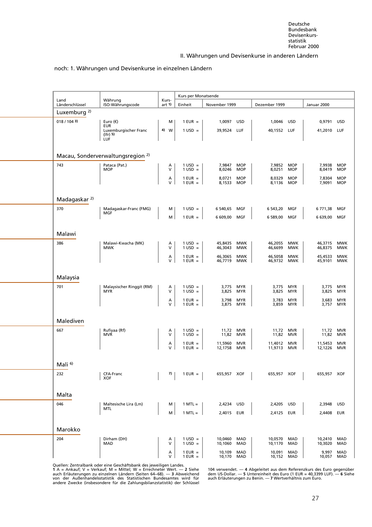#### noch: 1. Währungen und Devisenkurse in einzelnen Ländern

<span id="page-39-0"></span>

|                          |                                                   |                 | Kurs per Monatsende                    |                          |                          |                      |                          |                    |                          |
|--------------------------|---------------------------------------------------|-----------------|----------------------------------------|--------------------------|--------------------------|----------------------|--------------------------|--------------------|--------------------------|
| Land<br>Länderschlüssel  | Währung<br>ISO-Währungscode                       | Kurs-<br>art 1) | Einheit                                | November 1999            |                          | Dezember 1999        |                          | Januar 2000        |                          |
| Luxemburg <sup>2)</sup>  |                                                   |                 |                                        |                          |                          |                      |                          |                    |                          |
| 018/1043                 | Euro (€)<br><b>EUR</b>                            | М               | $1$ EUR =                              | 1,0097 USD               |                          | 1,0046               | <b>USD</b>               | 0,9791             | USD                      |
|                          | Luxemburgischer Franc<br>$(lfr)$ 5)<br><b>LUF</b> | 4)<br>W         | $1$ USD =                              | 39,9524 LUF              |                          | 40,1552 LUF          |                          | 41,2010            | LUF                      |
|                          | Macau, Sonderverwaltungsregion <sup>2)</sup>      |                 |                                        |                          |                          |                      |                          |                    |                          |
| 743                      | Pataca (Pat.)<br><b>MOP</b>                       | А<br>V          | $1 \text{ USD} =$<br>$1$ USD =         | 7,9847<br>8,0246         | <b>MOP</b><br><b>MOP</b> | 7,9852<br>8,0251     | <b>MOP</b><br><b>MOP</b> | 7,9938<br>8,0419   | <b>MOP</b><br><b>MOP</b> |
|                          |                                                   | А<br>V          | $1$ EUR $=$<br>$1$ EUR =               | 8,0721<br>8,1533         | <b>MOP</b><br><b>MOP</b> | 8,0329<br>8,1136     | <b>MOP</b><br><b>MOP</b> | 7,8304<br>7,9091   | <b>MOP</b><br><b>MOP</b> |
| Madagaskar <sup>2)</sup> |                                                   |                 |                                        |                          |                          |                      |                          |                    |                          |
| 370                      | Madagaskar-Franc (FMG)<br><b>MGF</b>              | м               | $1$ USD =                              | 6 540,65                 | MGF                      | 6 543,20             | MGF                      | 6771,38            | MGF                      |
|                          |                                                   | M               | $1$ EUR $=$                            | 6 609,00                 | MGF                      | 6 589,00             | MGF                      | 6 639,00           | MGF                      |
| Malawi                   |                                                   |                 |                                        |                          |                          |                      |                          |                    |                          |
| 386                      | Malawi-Kwacha (MK)<br><b>MWK</b>                  | А<br>v          | $1 \text{ USD} =$<br>$1$ USD =         | 45,8435<br>46,3043       | MWK<br><b>MWK</b>        | 46,2055<br>46,6699   | <b>MWK</b><br><b>MWK</b> | 46,3715<br>46,8375 | <b>MWK</b><br><b>MWK</b> |
|                          |                                                   | А<br>V          | $1$ EUR =<br>$1$ EUR $=$               | 46,3065<br>46,7719       | <b>MWK</b><br>MWK        | 46,5058<br>46,9732   | <b>MWK</b><br>MWK        | 45,4533<br>45,9101 | <b>MWK</b><br><b>MWK</b> |
| Malaysia                 |                                                   |                 |                                        |                          |                          |                      |                          |                    |                          |
| 701                      | Malaysischer Ringgit (RM)<br><b>MYR</b>           | А<br>V          | $1 \text{ USD} =$<br>$1$ USD =         | 3,775<br>3,825           | MYR<br>MYR               | 3,775<br>3,825       | <b>MYR</b><br>MYR        | 3,775<br>3,825     | <b>MYR</b><br><b>MYR</b> |
|                          |                                                   | А<br>v          | $1$ EUR $=$<br>$1$ EUR =               | 3,798<br>3,875           | MYR<br><b>MYR</b>        | 3,783<br>3,859       | <b>MYR</b><br><b>MYR</b> | 3,683<br>3,757     | <b>MYR</b><br><b>MYR</b> |
| Malediven                |                                                   |                 |                                        |                          |                          |                      |                          |                    |                          |
| 667                      | Rufiyaa (Rf)<br><b>MVR</b>                        | А<br>V          | $1 \text{ USD} =$<br>$1$ USD =         | 11,72<br>11,82           | MVR<br>MVR               | 11,72<br>11,82       | <b>MVR</b><br><b>MVR</b> | 11,72<br>11,82     | <b>MVR</b><br><b>MVR</b> |
|                          |                                                   | А<br>$\vee$     | $1$ EUR $=$<br>$1$ EUR $=$             | 11,5960<br>12,1758       | <b>MVR</b><br>MVR        | 11,4012<br>11,9713   | <b>MVR</b><br><b>MVR</b> | 11,5453<br>12,1226 | <b>MVR</b><br><b>MVR</b> |
| Mali <sup>6)</sup>       |                                                   |                 |                                        |                          |                          |                      |                          |                    |                          |
| 232                      | CFA-Franc<br>XOF                                  | 7)              | $1$ EUR $=$                            | 655,957 XOF              |                          | 655,957 XOF          |                          | 655,957 XOF        |                          |
| Malta                    |                                                   |                 |                                        |                          |                          |                      |                          |                    |                          |
| 046                      | Maltesische Lira (Lm)<br>MTL                      | M               | $1$ MTL $=$                            | 2,4234 USD               |                          | 2,4205 USD           |                          | 2,3948             | USD                      |
|                          |                                                   | M               | $1$ MTL $=$                            | 2,4015 EUR               |                          | 2,4125               | EUR                      | 2,4408             | EUR                      |
| Marokko                  |                                                   |                 |                                        |                          |                          |                      |                          |                    |                          |
| 204                      | Dirham (DH)<br>MAD                                | А<br>V          | $1 \text{ USD} =$<br>$1 \text{ USD} =$ | 10,0460<br>10,1060       | MAD<br>MAD               | 10,0570<br>10,1170   | MAD<br>MAD               | 10,2410<br>10,3020 | <b>MAD</b><br>MAD        |
|                          |                                                   | Α<br>V          | $1$ EUR $=$<br>$1$ EUR $=$             | 10,109 MAD<br>10,170 MAD |                          | 10,091<br>10,152 MAD | MAD                      | 9,997<br>10,057    | MAD<br>MAD               |

Quellen: Zentralbank oder eine Geschäftsbank des jeweiligen Landes.<br>1 A = Ankauf; V = Verkauf; M = Mittel; W = Errechneter Wert. — 2 Siehe 104 verwendet. — 4 Abgeleitet aus dem Referenzkurs des Euro gegenüber<br>auch Er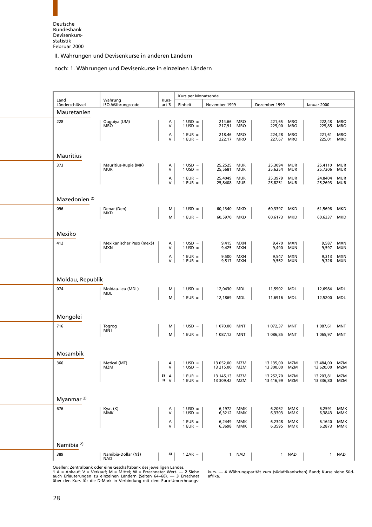#### noch: 1. Währungen und Devisenkurse in einzelnen Ländern

<span id="page-40-0"></span>

| Land                     | Währung                                  | Kurs-             | Kurs per Monatsende                    |                        |                          |                        |                          |                        |                          |
|--------------------------|------------------------------------------|-------------------|----------------------------------------|------------------------|--------------------------|------------------------|--------------------------|------------------------|--------------------------|
| Länderschlüssel          | ISO-Währungscode                         | art 1)            | Einheit                                | November 1999          |                          | Dezember 1999          |                          | Januar 2000            |                          |
| Mauretanien              |                                          |                   |                                        |                        |                          |                        |                          |                        |                          |
| 228                      | Ouguiya (UM)<br><b>MRO</b>               | A<br>V            | $1 \text{ USD} =$<br>$1$ USD =         | 214,66<br>217,91       | <b>MRO</b><br><b>MRO</b> | 221,65<br>225,00       | <b>MRO</b><br><b>MRO</b> | 222,48<br>225,85       | <b>MRO</b><br><b>MRO</b> |
|                          |                                          | А                 | $1$ EUR $=$                            | 218,46                 | <b>MRO</b>               | 224,28                 | <b>MRO</b>               | 221,61                 | <b>MRO</b>               |
|                          |                                          | V                 | $1$ EUR =                              | 222,17                 | <b>MRO</b>               | 227,67                 | <b>MRO</b>               | 225,01                 | <b>MRO</b>               |
| <b>Mauritius</b>         |                                          |                   |                                        |                        |                          |                        |                          |                        |                          |
| 373                      | Mauritius-Rupie (MR)                     | Α                 | $1 \text{ USD} =$                      | 25,2525                | <b>MUR</b>               | 25,3094                | MUR                      | 25,4110                | <b>MUR</b>               |
|                          | <b>MUR</b>                               | V                 | $1 \text{ USD} =$                      | 25,5681                | <b>MUR</b>               | 25,6254                | MUR                      | 25,7306                | <b>MUR</b>               |
|                          |                                          | Α<br>V            | $1$ EUR $=$<br>$1$ EUR $=$             | 25,4049<br>25,8408     | <b>MUR</b><br>MUR        | 25,3979<br>25,8251     | <b>MUR</b><br>MUR        | 24,8404<br>25,2693     | MUR<br><b>MUR</b>        |
|                          |                                          |                   |                                        |                        |                          |                        |                          |                        |                          |
| Mazedonien <sup>2)</sup> |                                          |                   |                                        |                        |                          |                        |                          |                        |                          |
| 096                      | Denar (Den)<br><b>MKD</b>                | м                 | $1 \text{ USD} =$                      | 60,1340                | MKD                      | 60,3397                | MKD                      | 61,5696                | MKD                      |
|                          |                                          | М                 | $1$ EUR $=$                            | 60,5970                | MKD                      | 60,6173                | MKD                      | 60,6337                | MKD                      |
|                          |                                          |                   |                                        |                        |                          |                        |                          |                        |                          |
| Mexiko                   |                                          |                   |                                        |                        |                          |                        |                          |                        |                          |
| 412                      | Mexikanischer Peso (mex\$)<br><b>MXN</b> | Α<br>v            | $1 \text{ USD} =$<br>$1 \text{ USD} =$ | 9,415<br>9,425         | <b>MXN</b><br>MXN        | 9,470<br>9,490         | MXN<br>MXN               | 9,587<br>9,597         | <b>MXN</b><br><b>MXN</b> |
|                          |                                          | Α<br>V            | $1$ EUR $=$<br>$1$ EUR $=$             | 9,500<br>9,517         | <b>MXN</b><br>MXN        | 9,547<br>9,562         | <b>MXN</b><br>MXN        | 9,313<br>9,326         | <b>MXN</b><br><b>MXN</b> |
|                          |                                          |                   |                                        |                        |                          |                        |                          |                        |                          |
| Moldau, Republik         |                                          |                   |                                        |                        |                          |                        |                          |                        |                          |
| 074                      | Moldau-Leu (MDL)                         | м                 | $1 \text{ USD} =$                      | 12,0430                | MDL                      | 11,5902                | <b>MDL</b>               | 12,6984                | <b>MDL</b>               |
|                          | <b>MDL</b>                               | м                 | $1$ EUR $=$                            | 12,1869                | MDL                      | 11,6916                | MDL                      | 12,5200                | MDL                      |
|                          |                                          |                   |                                        |                        |                          |                        |                          |                        |                          |
| Mongolei                 |                                          |                   |                                        |                        |                          |                        |                          |                        |                          |
| 716                      | Togrog                                   | м                 | $1 \text{ USD} =$                      | 1 070,00               | MNT                      | 1 072,37               | MNT                      | 1 087,61               | MNT                      |
|                          | <b>MNT</b>                               | м                 | $1$ EUR $=$                            | 1 087,12 MNT           |                          | 1 086,85 MNT           |                          | 1 065,97               | MNT                      |
|                          |                                          |                   |                                        |                        |                          |                        |                          |                        |                          |
| Mosambik                 |                                          |                   |                                        |                        |                          |                        |                          |                        |                          |
| 366                      | Metical (MT)<br>MZM                      | Α<br>$\mathsf{V}$ | $1 \text{ USD} =$<br>$1 \text{ USD} =$ | 13 052,00<br>13 215,00 | MZM<br>MZM               | 13 135,00<br>13 300,00 | MZM<br>MZM               | 13 484,00<br>13 620,00 | MZM<br>MZM               |
|                          |                                          | 3)<br>A           | $1$ EUR $=$                            | 13 145,13              | MZM                      | 13 252,70              | MZM                      | 13 203,81              | MZM                      |
|                          |                                          | $3)$ V            | $1$ EUR =                              | 13 309,42              | MZM                      | 13 416,99              | MZM                      | 13 336,80              | MZM                      |
|                          |                                          |                   |                                        |                        |                          |                        |                          |                        |                          |
| Myanmar <sup>2)</sup>    |                                          |                   |                                        |                        |                          |                        |                          |                        |                          |
| 676                      | Kyat (K)<br>MMK                          | А<br>v            | $1$ USD =<br>$1$ USD =                 | 6,1972 MMK<br>6,3212   | <b>MMK</b>               | 6,2062 MMK<br>6,3303   | MMK                      | 6,2591<br>6,3843       | MMK<br><b>MMK</b>        |
|                          |                                          | A<br>V            | $1$ EUR $=$                            | 6,2449                 | ммк                      | 6,2348                 | ммк                      | 6,1640                 | <b>MMK</b>               |
|                          |                                          |                   | $1$ EUR $=$                            | 6,3698                 | ммк                      | 6,3595                 | ММК                      | 6,2873                 | <b>MMK</b>               |
|                          |                                          |                   |                                        |                        |                          |                        |                          |                        |                          |
| Namibia <sup>2)</sup>    |                                          |                   |                                        |                        |                          |                        |                          |                        |                          |
| 389                      | Namibia-Dollar (N\$)<br><b>NAD</b>       | 4)                | $1 ZAR =$                              |                        | 1 NAD                    |                        | 1 NAD                    | $\mathbf{1}$           | NAD                      |

[Quellen: Zentralbank oder eine Geschäftsbank des jeweiligen La](#page-6-1)ndes. auch Erläuterungen zu einzelnen Ländern (Seiten 64–68). — 3 Errechnet afrika.<br>über den Kurs für die D-Mark in Verbindung mit dem Euro-Umrechnungs-

**1** A = Ankauf;V=Verkauf; M = Mittel; W = Errechneter Wert. — **2** Siehe kurs. — **4** Währungsparität zum (südafrikanischen) Rand; Kurse siehe Süd-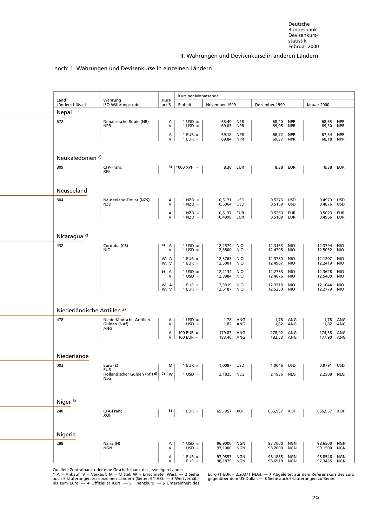#### noch: 1. Währungen und Devisenkurse in einzelnen Ländern

<span id="page-41-0"></span>

| Land                                   | Währung                                          | Kurs-                | Kurs per Monatsende                    |                      |                          |                      |                          |                    |                          |
|----------------------------------------|--------------------------------------------------|----------------------|----------------------------------------|----------------------|--------------------------|----------------------|--------------------------|--------------------|--------------------------|
| Länderschlüssel                        | ISO-Währungscode                                 | art 1)               | Einheit                                | November 1999        |                          | Dezember 1999        |                          | Januar 2000        |                          |
| Nepal                                  |                                                  |                      |                                        |                      |                          |                      |                          |                    |                          |
| 672                                    | Nepalesische Rupie (NR)<br><b>NPR</b>            | A<br>V               | $1 \text{ USD} =$<br>$1$ USD =         | 68,40<br>69,05       | <b>NPR</b><br><b>NPR</b> | 68,40<br>69,05       | <b>NPR</b><br><b>NPR</b> | 68,65              | <b>NPR</b><br><b>NPR</b> |
|                                        |                                                  |                      |                                        |                      |                          |                      |                          | 69,30              |                          |
|                                        |                                                  | A<br>V               | $1$ EUR $=$<br>$1$ EUR $=$             | 69,18<br>69,84       | <b>NPR</b><br><b>NPR</b> | 68,72<br>69,37       | <b>NPR</b><br><b>NPR</b> | 67,54<br>68,18     | <b>NPR</b><br><b>NPR</b> |
|                                        |                                                  |                      |                                        |                      |                          |                      |                          |                    |                          |
| Neukaledonien <sup>2)</sup>            |                                                  |                      |                                        |                      |                          |                      |                          |                    |                          |
| 809                                    | CFP-Franc                                        |                      | 3)   1000 XPF =                        | 8,38 EUR             |                          | 8,38 EUR             |                          |                    | 8,38 EUR                 |
|                                        | <b>XPF</b>                                       |                      |                                        |                      |                          |                      |                          |                    |                          |
|                                        |                                                  |                      |                                        |                      |                          |                      |                          |                    |                          |
| Neuseeland                             |                                                  |                      |                                        |                      |                          |                      |                          |                    |                          |
| 804                                    | Neuseeland-Dollar (NZ\$)                         | A                    | $1$ NZD $=$                            | 0,5171               | <b>USD</b>               | 0,5276 USD           |                          | 0,4979             | USD                      |
|                                        | NZD                                              | v                    | $1$ NZD $=$                            | 0,5064               | <b>USD</b>               | 0,5169               | USD                      | 0,4876             | <b>USD</b>               |
|                                        |                                                  | А<br>V               | $1$ NZD $=$<br>$1$ NZD $=$             | 0,5137<br>0,4998     | EUR<br><b>EUR</b>        | 0,5253<br>0,5109     | EUR<br><b>EUR</b>        | 0,5023<br>0,4966   | EUR<br>EUR               |
|                                        |                                                  |                      |                                        |                      |                          |                      |                          |                    |                          |
|                                        |                                                  |                      |                                        |                      |                          |                      |                          |                    |                          |
| Nicaragua <sup>2)</sup>                |                                                  |                      |                                        |                      |                          |                      |                          |                    |                          |
| 432                                    | Córdoba (C\$)<br><b>NIO</b>                      | 4) A<br>$\mathsf{V}$ | $1 \text{ USD} =$<br>$1 \text{ USD} =$ | 12,2574<br>12,3800   | <b>NIO</b><br><b>NIO</b> | 12,3163<br>12,4395   | NIO<br><b>NIO</b>        | 12,3794<br>12,5032 | <b>NIO</b><br><b>NIO</b> |
|                                        |                                                  | W, A                 | $1$ EUR $=$                            | 12,3763              | <b>NIO</b>               | 12,3730              | NIO                      | 12,1207            | <b>NIO</b>               |
|                                        |                                                  | W, V                 | $1$ EUR $=$                            | 12,5001              | <b>NIO</b>               | 12,4967              | <b>NIO</b>               | 12,2419            | <b>NIO</b>               |
|                                        |                                                  | 5) A<br>$\mathsf{V}$ | $1 \text{ USD} =$<br>$1 \text{ USD} =$ | 12,2134<br>12,3984   | <b>NIO</b><br><b>NIO</b> | 12,2753<br>12,4676   | <b>NIO</b><br><b>NIO</b> | 12,3628<br>12,5400 | <b>NIO</b><br><b>NIO</b> |
|                                        |                                                  | W, A                 | $1$ EUR $=$                            | 12,3319              | <b>NIO</b>               | 12,3318              | <b>NIO</b>               | 12,1044            | <b>NIO</b>               |
|                                        |                                                  | W, V                 | $1$ EUR $=$                            | 12,5187              | <b>NIO</b>               | 12,5250              | <b>NIO</b>               | 12,2779            | <b>NIO</b>               |
|                                        |                                                  |                      |                                        |                      |                          |                      |                          |                    |                          |
| Niederländische Antillen <sup>2)</sup> |                                                  |                      |                                        |                      |                          |                      |                          |                    |                          |
| 478                                    | Niederländische-Antillen-                        | A                    | $1 \text{ USD} =$                      |                      | 1,78 ANG                 |                      | 1,78 ANG                 |                    | 1,78 ANG                 |
|                                        | Gulden (NAf)<br>ANG                              | v                    | $1 \text{ USD} =$                      |                      | 1,82 ANG                 | 1,82                 | ANG                      | 1,82               | ANG                      |
|                                        |                                                  | А<br>v               | 100 EUR $=$<br>$100$ EUR =             | 179,83<br>183,46 ANG | ANG                      | 178,92<br>182,53 ANG | ANG                      | 174,38<br>177,90   | ANG<br>ANG               |
|                                        |                                                  |                      |                                        |                      |                          |                      |                          |                    |                          |
| Niederlande                            |                                                  |                      |                                        |                      |                          |                      |                          |                    |                          |
|                                        |                                                  |                      |                                        |                      |                          |                      |                          |                    |                          |
| 003                                    | Euro $(\epsilon)$<br>EUR                         | M                    | $1$ EUR $=$                            | 1,0097               | <b>USD</b>               | 1,0046 USD           |                          | 0,9791 USD         |                          |
|                                        | Holländischer Gulden (hfl) 6) 7) W<br><b>NLG</b> |                      | $1$ USD =                              | 2,1825               | <b>NLG</b>               | 2,1936 NLG           |                          | 2,2508             | <b>NLG</b>               |
|                                        |                                                  |                      |                                        |                      |                          |                      |                          |                    |                          |
|                                        |                                                  |                      |                                        |                      |                          |                      |                          |                    |                          |
| Niger <sup>8)</sup>                    |                                                  |                      |                                        |                      |                          |                      |                          |                    |                          |
| 240                                    | CFA-Franc<br><b>XOF</b>                          | 3)                   | $1$ EUR $=$                            | 655,957 XOF          |                          | 655,957 XOF          |                          | 655,957 XOF        |                          |
|                                        |                                                  |                      |                                        |                      |                          |                      |                          |                    |                          |
|                                        |                                                  |                      |                                        |                      |                          |                      |                          |                    |                          |
| Nigeria                                |                                                  |                      |                                        |                      |                          |                      |                          |                    |                          |
| 288                                    | Naira (N)<br>NGN                                 | A<br>V               | $1 \text{ USD} =$<br>$1 \text{ USD} =$ | 96,9000<br>97,1000   | NGN<br><b>NGN</b>        | 97,7000<br>98,2000   | NGN<br><b>NGN</b>        | 98,6500<br>99,1500 | <b>NGN</b><br>NGN        |
|                                        |                                                  | Α                    | $1$ EUR =                              | 97,9853              | <b>NGN</b>               | 98,1885              | <b>NGN</b>               | 96,8546            | <b>NGN</b>               |
|                                        |                                                  | V                    | $1$ EUR $=$                            | 98,1875              | NGN                      | 98,6910              | NGN                      | 97,3455            | NGN                      |

Quellen: Zentralbank oder eine Geschäftsbank des jeweiligen Landes. auch Erläuterungen zu einzelnen Ländern (Seiten 64–68). — 3 Wertverhält- ygegenüber dem US-Dollar. — 8 Siehe auch Erläuterungen zu Benin.<br>nis zum Euro. — 4 Offizieller Kurs. — 5 Finanzkurs. — 6 Untereinheit des

**1** A = Ankauf;V=Verkauf; M = Mittel; W = Errechneter Wert. — **2** Siehe Euro (1 EUR = 2,20371 NLG). — **7** Abgeleitet aus dem Referenzkurs des Euro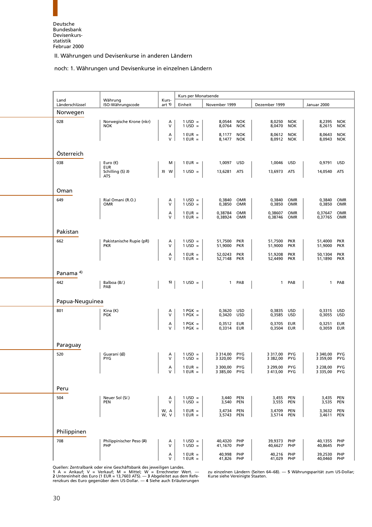#### noch: 1. Währungen und Devisenkurse in einzelnen Ländern

<span id="page-42-0"></span>

| Land                 | Währung                                | Kurs-             | Kurs per Monatsende                    |                                                |                          |                        |                          |                               |                          |
|----------------------|----------------------------------------|-------------------|----------------------------------------|------------------------------------------------|--------------------------|------------------------|--------------------------|-------------------------------|--------------------------|
| Länderschlüssel      | ISO-Währungscode                       | art 1)            | Einheit                                | November 1999                                  |                          | Dezember 1999          |                          | Januar 2000                   |                          |
| Norwegen             |                                        |                   |                                        |                                                |                          |                        |                          |                               |                          |
| 028                  | Norwegische Krone (nkr)<br><b>NOK</b>  | А<br>V            | $1$ USD =<br>$1$ USD =                 | 8,0544<br>8,0764                               | <b>NOK</b><br><b>NOK</b> | 8,0250<br>8,0470       | <b>NOK</b><br><b>NOK</b> | 8,2395<br>8,2615              | <b>NOK</b><br><b>NOK</b> |
|                      |                                        | $\lambda$<br>V    | $1$ EUR $=$<br>$1$ EUR =               | 8,1177<br>8,1477 NOK                           | <b>NOK</b>               | 8,0612<br>8,0912 NOK   | <b>NOK</b>               | 8,0643<br>8,0943              | <b>NOK</b><br><b>NOK</b> |
| Österreich           |                                        |                   |                                        |                                                |                          |                        |                          |                               |                          |
| 038                  | Euro $(\epsilon)$<br><b>EUR</b>        | м                 | $1$ EUR $=$                            | USD<br>1,0097                                  |                          | 1,0046                 | USD                      | 0,9791                        | <b>USD</b>               |
|                      | Schilling (S) 2)<br><b>ATS</b>         | 3) W              | $1$ USD =                              | 13,6281<br><b>ATS</b>                          |                          | 13,6973 ATS            |                          | 14,0540                       | <b>ATS</b>               |
| Oman                 |                                        |                   |                                        |                                                |                          |                        |                          |                               |                          |
| 649                  | Rial Omani (R.O.)<br><b>OMR</b>        | Α<br>V            | $1 \text{ USD} =$<br>$1 \text{ USD} =$ | 0,3840<br>0,3850                               | OMR<br><b>OMR</b>        | 0,3840<br>0,3850       | OMR<br>OMR               | 0,3840<br>0,3850              | <b>OMR</b><br><b>OMR</b> |
|                      |                                        | А<br>$\mathsf{V}$ | $1$ EUR $=$<br>$1$ EUR =               | 0,38784<br>0,38924                             | <b>OMR</b><br>OMR        | 0,38607<br>0,38746     | <b>OMR</b><br>OMR        | 0,37647<br>0,37765            | <b>OMR</b><br>OMR        |
| Pakistan             |                                        |                   |                                        |                                                |                          |                        |                          |                               |                          |
| 662                  | Pakistanische Rupie (pR)<br><b>PKR</b> | Α<br>V            | $1 \text{ USD} =$<br>$1$ USD =         | <b>PKR</b><br>51,7500<br>51,9000<br><b>PKR</b> |                          | 51,7500<br>51,9000     | <b>PKR</b><br><b>PKR</b> | 51,4000<br>51,9000            | <b>PKR</b><br><b>PKR</b> |
|                      |                                        | А<br>$\vee$       | $1$ EUR $=$<br>$1$ EUR $=$             | <b>PKR</b><br>52,0243<br>52,7148 PKR           |                          | 51,9208<br>52,4490     | <b>PKR</b><br><b>PKR</b> | 50,1304<br>51,1890            | <b>PKR</b><br><b>PKR</b> |
| Panama <sup>4)</sup> |                                        |                   |                                        |                                                |                          |                        |                          |                               |                          |
| 442                  | Balboa (B/.)<br>PAB                    | 5)                | $1 \text{ USD} =$                      | 1 PAB                                          |                          | 1 PAB                  |                          | $\mathbf{1}$                  | PAB                      |
| Papua-Neuguinea      |                                        |                   |                                        |                                                |                          |                        |                          |                               |                          |
| 801                  | Kina (K)<br>PGK                        | Α<br>V            | $1$ PGK $=$<br>$1$ PGK $=$             | 0,3620<br><b>USD</b><br>USD<br>0,3420          |                          | 0,3835<br>0,3585       | USD<br>USD               | 0,3315<br>0,3055              | <b>USD</b><br>USD        |
|                      |                                        | Α<br>v            | $1$ PGK $=$<br>$1$ PGK $=$             | 0,3512 EUR<br>0,3314<br>EUR                    |                          | 0,3705<br>0,3504       | EUR<br>EUR               | 0,3251<br>0,3059              | <b>EUR</b><br><b>EUR</b> |
| Paraguay             |                                        |                   |                                        |                                                |                          |                        |                          |                               |                          |
| 520                  | Guaraní (G)<br><b>PYG</b>              | A<br>V            | $1 \text{ USD} =$<br>$1 \text{ USD} =$ | 3 3 1 4 , 0 0<br>PYG<br>PYG<br>3 3 2 0 , 0 0   |                          | 3 3 1 7,00<br>3 382,00 | <b>PYG</b><br><b>PYG</b> | 3 340,00<br>3 3 5 9 , 0 0     | PYG<br><b>PYG</b>        |
|                      | U                                      | A<br>V            | $1$ EUR $=$<br>$1$ EUR = $\parallel$   | 3 300.00 PYG<br>3 385,00 PYG                   | л.                       | 3 299,00<br>3 413,00   | <b>PYG</b><br>PYG        | 3 2 3 8 , 0 0<br>3 335,00 PYG | <b>PYG</b>               |
| Peru                 |                                        |                   |                                        |                                                |                          |                        |                          |                               |                          |
| 504                  | Neuer Sol (S/.)                        | Α                 | $1 \text{ USD} =$                      | 3,440<br>PEN                                   |                          | 3,455                  | PEN                      | 3,435                         | PEN                      |
|                      | <b>PEN</b>                             | $\vee$            | $1$ USD =                              | 3,540<br>PEN                                   |                          | 3,555                  | <b>PEN</b>               | 3,535                         | <b>PEN</b>               |
|                      |                                        | W, A<br>W, V      | $1$ EUR $=$<br>$1$ EUR $=$             | 3,4734<br>PEN<br><b>PEN</b><br>3,5743          |                          | 3,4709<br>3,5714       | <b>PEN</b><br><b>PEN</b> | 3,3632<br>3,4611              | PEN<br><b>PEN</b>        |
| Philippinen          |                                        |                   |                                        |                                                |                          |                        |                          |                               |                          |
| 708                  | Philippinischer Peso (P)<br>PHP        | Α<br>V            | $1 \text{ USD} =$<br>$1$ USD =         | 40,4320<br>PHP<br>41,1670<br>PHP               |                          | 39,9373<br>40,6627     | PHP<br>PHP               | 40,1355<br>40,8645            | PHP<br>PHP               |
|                      |                                        | Α<br>V            | $1$ EUR =<br>$1$ EUR =                 | 40,998<br>PHP<br>41,826<br>PHP                 |                          | 40,216<br>41,029       | PHP<br>PHP               | 39,2530<br>40,0460            | PHP<br>PHP               |

[Quellen: Zentralbank oder eine Geschäftsbank des jeweiligen La](#page-6-1)ndes.<br>1 A = Ankauf; V = Verkauf; M = Mittel; W = Errechneter Wert. — zu einzelnen Ländern (Seiten 64–68). — 5 Währungsparität zum US-Dollar;<br>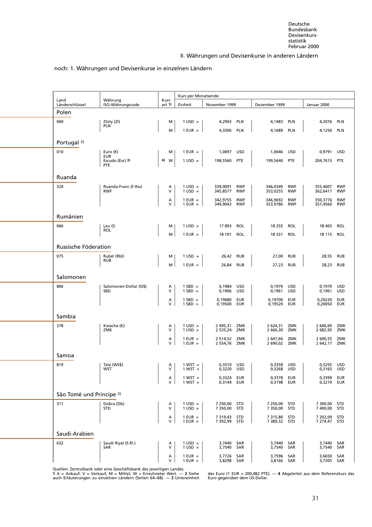#### noch: 1. Währungen und Devisenkurse in einzelnen Ländern

<span id="page-43-0"></span>

|                                     |                                 |                   | Kurs per Monatsende                    |                              |                          |                              |                          |                          |                          |
|-------------------------------------|---------------------------------|-------------------|----------------------------------------|------------------------------|--------------------------|------------------------------|--------------------------|--------------------------|--------------------------|
| Land<br>Länderschlüssel             | Währung<br>ISO-Währungscode     | Kurs-<br>art 1)   | Einheit                                | November 1999                |                          | Dezember 1999                |                          | Januar 2000              |                          |
| Polen                               |                                 |                   |                                        |                              |                          |                              |                          |                          |                          |
| 060                                 | Zloty (ZI)<br><b>PLN</b>        | м                 | $1$ USD =                              | 4,2903                       | <b>PLN</b>               | 4,1483                       | PLN                      | 4,2076                   | PLN                      |
|                                     |                                 | м                 | $1$ EUR $=$                            | 4,3306                       | <b>PLN</b>               | 4,1689                       | <b>PLN</b>               | 4,1250                   | <b>PLN</b>               |
| Portugal <sup>2)</sup>              |                                 |                   |                                        |                              |                          |                              |                          |                          |                          |
| 010                                 | Euro $(\epsilon)$<br><b>EUR</b> | м                 | $1$ EUR $=$                            | 1,0097                       | <b>USD</b>               | 1,0046                       | <b>USD</b>               | 0,9791                   | <b>USD</b>               |
|                                     | Escudo (Esc) 3)<br>PTE          | 4)<br>W           | $1 \text{ USD} =$                      | 198,5560                     | PTE                      | 199,5640                     | <b>PTE</b>               | 204,7615                 | PTE                      |
| Ruanda                              |                                 |                   |                                        |                              |                          |                              |                          |                          |                          |
| 324                                 | Ruanda-Franc (F.Rw)             | А                 | $1 \text{ USD} =$                      | 339,0091                     | <b>RWF</b>               | 346,0349                     | <b>RWF</b>               | 355,4607                 | <b>RWF</b>               |
|                                     | <b>RWF</b>                      | $\mathsf{V}$      | $1 \text{ USD} =$                      | 345,8577                     | <b>RWF</b>               | 353,0255                     | <b>RWF</b>               | 362,6417                 | <b>RWF</b>               |
|                                     |                                 | Α<br>V            | $1$ EUR $=$<br>$1$ EUR $=$             | 342,9755<br>349,9043         | <b>RWF</b><br><b>RWF</b> | 346,9692<br>353,9786         | <b>RWF</b><br><b>RWF</b> | 350,3776<br>357,4560     | <b>RWF</b><br><b>RWF</b> |
| Rumänien                            |                                 |                   |                                        |                              |                          |                              |                          |                          |                          |
| 066                                 | Leu (l)                         | м                 | $1 \text{ USD} =$                      | 17893                        | <b>ROL</b>               | 18 255                       | <b>ROL</b>               | 18 465                   | ROL                      |
|                                     | <b>ROL</b>                      | м                 | $1$ EUR $=$                            | 18 101                       | <b>ROL</b>               | 18 331                       | ROL                      | 18 115                   | ROL                      |
| Russische Föderation                |                                 |                   |                                        |                              |                          |                              |                          |                          |                          |
| 075                                 | Rubel (Rbl)                     | м                 | $1$ USD =                              | 26,42                        | <b>RUB</b>               | 27,00                        | <b>RUB</b>               | 28,55                    | <b>RUB</b>               |
|                                     | <b>RUB</b>                      | м                 | $1$ EUR $=$                            | 26,84                        | <b>RUB</b>               | 27,23                        | <b>RUB</b>               | 28,23                    | <b>RUB</b>               |
| Salomonen                           |                                 |                   |                                        |                              |                          |                              |                          |                          |                          |
| 806                                 | Salomonen-Dollar (SI\$)<br>SBD  | Α<br>$\mathsf{V}$ | $1$ SBD =<br>$1$ SBD =                 | 0,1984<br>0,1966             | <b>USD</b><br><b>USD</b> | 0,1979<br>0,1961             | <b>USD</b><br><b>USD</b> | 0,1979<br>0,1961         | <b>USD</b><br><b>USD</b> |
|                                     |                                 | Α                 | $1$ SBD $=$                            | 0,19680                      | EUR                      | 0,19700                      | <b>EUR</b>               | 0,20230                  | EUR                      |
|                                     |                                 | V                 | $1$ SBD =                              | 0,19500                      | EUR                      | 0,19520                      | <b>EUR</b>               | 0,20050                  | EUR                      |
| Sambia                              |                                 |                   |                                        |                              |                          |                              |                          |                          |                          |
| 378                                 | Kwacha (K)<br>ZMK               | Α<br>$\mathsf{V}$ | $1 \text{ USD} =$<br>$1 \text{ USD} =$ | 2 495,31<br>2 535,24         | ZMK<br>ZMK               | 2 624,31<br>2 666,30 ZMK     | ZMK                      | 2 640,69<br>2 682,95     | ZMK<br>ZMK               |
|                                     |                                 | А<br>$\vee$       | $1$ EUR $=$                            | 2 514,52 ZMK                 |                          | 2 647,66 ZMK                 |                          | 2 600,55                 | ZMK                      |
|                                     |                                 |                   | $1$ EUR $=$                            | 2 554,76 ZMK                 |                          | 2 690,02 ZMK                 |                          | 2 642,17 ZMK             |                          |
| Samoa                               |                                 |                   |                                        |                              |                          |                              |                          |                          |                          |
| 819                                 | Tala (WS\$)<br>WST              | A<br>٧            | $1 WST =$<br>$1 WST =$                 | 0,3310 USD<br>0,3220         | USD                      | 0,3358 USD<br>0,3268         | USD                      | 0,3255<br>0,3165         | USD<br>USD               |
|                                     |                                 | Α<br>V            | $1 WST =$<br>$1 WST =$                 | 0,3324<br>0,3144 EUR         | EUR                      | 0,3378<br>0,3198 EUR         | EUR                      | 0,3399<br>0,3219 EUR     | EUR                      |
|                                     |                                 |                   |                                        |                              |                          |                              |                          |                          |                          |
| São Tomé und Príncipe <sup>2)</sup> |                                 |                   |                                        |                              |                          |                              |                          |                          |                          |
| 311                                 | Dobra (Db)<br><b>STD</b>        | Α<br>$\vee$       | $1 \text{ USD} =$<br>$1 \text{ USD} =$ | 7 250,00 STD<br>7 350,00 STD |                          | 7 250,00<br>7 350,00 STD     | <b>STD</b>               | 7 300,00<br>7 400,00     | <b>STD</b><br><b>STD</b> |
|                                     |                                 | Α<br>$\mathbf{V}$ | $1$ EUR $=$<br>$1$ EUR $=$             | 7 319,43 STD<br>7 392,99 STD |                          | 7 315,80 STD<br>7 389,32 STD |                          | 7 202,09<br>7 274,47 STD | <b>STD</b>               |
| Saudi-Arabien                       |                                 |                   |                                        |                              |                          |                              |                          |                          |                          |
| 632                                 | Saudi Riyal (S.Rl.)             | Α                 | $1 \text{ USD} =$                      | 3,7440 SAR                   |                          | 3,7440 SAR                   |                          | 3,7440                   | SAR                      |
|                                     | SAR                             | V                 | $1 \text{ USD} =$                      | 3,7540                       | SAR                      | 3,7540                       | SAR                      | 3,7540                   | SAR                      |
|                                     |                                 | Α<br>V            | $1$ EUR $=$<br>$1$ EUR $=$             | 3,7726 SAR<br>3,8298 SAR     |                          | 3,7596<br>3,8166 SAR         | SAR                      | 3,6650<br>3,7205 SAR     | SAR                      |

Quellen: Zentralbank oder eine Geschäftsbank des jeweiligen Landes.

auch Erläuterungen zu einzelnen Ländern (Seiten 64−68). — **3** Untereinheit Euro gegenüber dem US-Dollar.

**1** A = Ankauf;V=Verkauf; M = Mittel; W = Errechneter Wert. — **2** Siehe des Euro (1 EUR = 200,482 PTE). — **4** Abgeleitet aus dem Referenzkurs des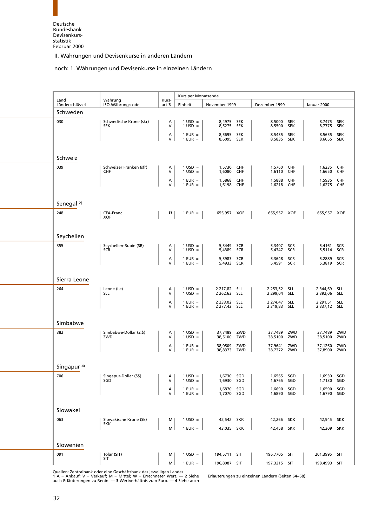#### noch: 1. Währungen und Devisenkurse in einzelnen Ländern

<span id="page-44-0"></span>

| Land                  | Währung                               | Kurs-             | Kurs per Monatsende                    |                                     |                          |                          |                          |                                   |                          |
|-----------------------|---------------------------------------|-------------------|----------------------------------------|-------------------------------------|--------------------------|--------------------------|--------------------------|-----------------------------------|--------------------------|
| Länderschlüssel       | ISO-Währungscode                      | art 1)            | Einheit                                | November 1999                       |                          | Dezember 1999            |                          | Januar 2000                       |                          |
| Schweden              |                                       |                   |                                        |                                     |                          |                          |                          |                                   |                          |
| 030                   | Schwedische Krone (skr)<br><b>SEK</b> | A<br>V            | $1 \text{ USD} =$<br>$1 \text{ USD} =$ | 8,4975<br>8,5275                    | <b>SEK</b><br><b>SEK</b> | 8,5000<br>8,5500         | <b>SEK</b><br><b>SEK</b> | 8,7475<br>8,7775                  | <b>SEK</b><br><b>SEK</b> |
|                       |                                       | $\alpha$          | $1$ EUR $=$<br>$1$ EUR $=$             | 8,5695<br>8,6095 SEK                | <b>SEK</b>               | 8,5435<br>8,5835 SEK     | <b>SEK</b>               | 8,5655<br>8,6055 SEK              | <b>SEK</b>               |
|                       |                                       |                   |                                        |                                     |                          |                          |                          |                                   |                          |
| Schweiz               |                                       |                   |                                        |                                     |                          |                          |                          |                                   |                          |
| 039                   | Schweizer Franken (sfr)               | Α                 | $1 \text{ USD} =$                      | 1,5730                              | CHF                      | 1,5760                   | <b>CHF</b>               | 1,6235                            | CHF                      |
|                       | CHF                                   | V<br>Α            | $1 \text{ USD} =$<br>$1$ EUR $=$       | 1,6080<br>1,5868                    | <b>CHF</b><br><b>CHF</b> | 1,6110<br>1,5888         | CHF<br><b>CHF</b>        | 1,6650<br>1,5935                  | CHF<br>CHF               |
|                       |                                       | V                 | $1$ EUR $=$                            | 1,6198 CHF                          |                          | 1,6218 CHF               |                          | 1,6275                            | <b>CHF</b>               |
|                       |                                       |                   |                                        |                                     |                          |                          |                          |                                   |                          |
| Senegal <sup>2)</sup> |                                       |                   |                                        |                                     |                          |                          |                          |                                   |                          |
| 248                   | CFA-Franc<br><b>XOF</b>               | 3)                | $1$ EUR $=$                            | 655,957 XOF                         |                          | 655,957 XOF              |                          | 655,957 XOF                       |                          |
|                       |                                       |                   |                                        |                                     |                          |                          |                          |                                   |                          |
| Seychellen            |                                       |                   |                                        |                                     |                          |                          |                          |                                   |                          |
| 355                   | Seychellen-Rupie (SR)<br>SCR          | A<br>V            | $1 \text{ USD} =$<br>$1$ USD =         | 5,3449<br>5,4389                    | SCR<br>SCR               | 5,3407<br>5,4347         | <b>SCR</b><br><b>SCR</b> | 5,4161<br>5,5114                  | <b>SCR</b><br><b>SCR</b> |
|                       |                                       | $\alpha$          | $1$ EUR $=$                            | 5,3983                              | <b>SCR</b>               | 5,3648                   | <b>SCR</b>               | 5,2889                            | SCR                      |
|                       |                                       |                   | $1$ EUR =                              | 5,4933 SCR                          |                          | 5,4591                   | <b>SCR</b>               | 5,3819 SCR                        |                          |
| Sierra Leone          |                                       |                   |                                        |                                     |                          |                          |                          |                                   |                          |
| 264                   | Leone (Le)                            | А                 | $1 \text{ USD} =$                      | 2 217,82 SLL                        |                          | 2 253,52 SLL             |                          | 2 344,69                          | SLL                      |
|                       | <b>SLL</b>                            | V                 | $1 \text{ USD} =$                      | 2 262,63 SLL                        |                          | 2 299,04 SLL             |                          | 2 392,06                          | <b>SLL</b>               |
|                       |                                       | Α<br>V            | $1$ EUR =<br>$1$ EUR $=$               | 2 2 3 3 , 0 2 S L L<br>2 277,42 SLL |                          | 2 274,47<br>2 319,83 SLL | <b>SLL</b>               | 2 2 9 1 , 5 1<br>2 3 3 7, 1 2 SLL | <b>SLL</b>               |
|                       |                                       |                   |                                        |                                     |                          |                          |                          |                                   |                          |
| Simbabwe              |                                       |                   |                                        |                                     |                          |                          |                          |                                   |                          |
| 382                   | Simbabwe-Dollar (Z.\$)<br>ZWD         | A<br>V            | $1 \text{ USD} =$<br>$1 \text{ USD} =$ | 37,7489<br>38,5100                  | ZWD<br>ZWD               | 37,7489<br>38,5100       | ZWD<br>ZWD               | 37,7489<br>38,5100                | ZWD<br>ZWD               |
|                       |                                       | $\lambda$<br>V    | $1$ EUR $=$<br>$1$ EUR $=$             | 38,0509<br>38,8373                  | ZWD<br>ZWD               | 37,9641<br>38,7372 ZWD   | ZWD                      | 37,1260<br>37,8900                | ZWD<br>ZWD               |
|                       |                                       |                   |                                        |                                     |                          |                          |                          |                                   |                          |
| Singapur $4$ )        |                                       |                   |                                        |                                     |                          |                          |                          |                                   |                          |
| 706                   | Singapur-Dollar (S\$)<br>SGD          | Α<br>$\mathsf{V}$ | $1 \text{ USD} =$<br>$1$ USD =         | 1,6730<br>1,6930                    | SGD<br>SGD               | 1,6565<br>1,6765         | SGD<br>SGD               | 1,6930<br>1,7130                  | SGD<br>SGD               |
|                       |                                       | Α                 | $1$ EUR $=$                            | 1,6870                              | SGD                      | 1,6690                   | SGD                      | 1,6590                            | SGD                      |
|                       |                                       | $\mathsf{V}$      | $1$ EUR $=$                            | 1,7070                              | SGD                      | 1,6890                   | SGD                      | 1,6790 SGD                        |                          |
| Slowakei              |                                       |                   |                                        |                                     |                          |                          |                          |                                   |                          |
| 063                   | Slowakische Krone (Sk)                | м                 | $1 \text{ USD} =$                      | 42,542 SKK                          |                          | 42,266 SKK               |                          | 42,945                            | <b>SKK</b>               |
|                       | <b>SKK</b>                            | M                 | $1$ EUR $=$                            | 43,035 SKK                          |                          | 42,458 SKK               |                          | 42,309                            | SKK                      |
|                       |                                       |                   |                                        |                                     |                          |                          |                          |                                   |                          |
| Slowenien             |                                       |                   |                                        |                                     |                          |                          |                          |                                   |                          |
| 091                   | Tolar (SIT)<br>SIT                    | м                 | $1 \text{ USD} =$                      | 194,5711 SIT                        |                          | 196,7705 SIT             |                          | 201,3995 SIT                      |                          |
|                       |                                       | M                 | $1$ EUR $=$                            | 196,8087 SIT                        |                          | 197,3215 SIT             |                          | 198,4993 SIT                      |                          |

[Quellen: Zentralbank oder eine Geschäftsbank des jeweiligen La](#page-6-1)ndes.<br>1 A = Ankauf; V = Verkauf; M = Mittel; W = Errechneter Wert. — 2 Siehe Erläuterungen zu einzelnen Ländern (Seiten 64–68).<br>auch Erläuterungen zu Benin. —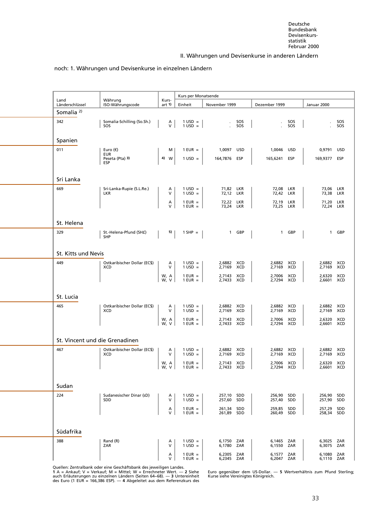#### noch: 1. Währungen und Devisenkurse in einzelnen Ländern

<span id="page-45-0"></span>

|                                |                                            |                 | Kurs per Monatsende                    |                             |                                    |                          |            |
|--------------------------------|--------------------------------------------|-----------------|----------------------------------------|-----------------------------|------------------------------------|--------------------------|------------|
| Land<br>Länderschlüssel        | Währung<br>ISO-Währungscode                | Kurs-<br>art 1) | Einheit                                | November 1999               | Dezember 1999                      | Januar 2000              |            |
| Somalia <sup>2)</sup>          |                                            |                 |                                        |                             |                                    |                          |            |
| 342                            | Somalia-Schilling (So.Sh.)<br>SOS          | A<br>V          | $1 \text{ USD} =$<br>$1 \text{ USD} =$ | SOS<br>SOS                  | SOS<br>SOS                         |                          | SOS<br>SOS |
| Spanien                        |                                            |                 |                                        |                             |                                    |                          |            |
| 011                            | Euro $(\epsilon)$<br>EUR                   | м               | $1$ EUR $=$                            | 1,0097 USD                  | 1,0046<br><b>USD</b>               | 0,9791                   | <b>USD</b> |
|                                | Peseta (Pta) 3)<br>ESP                     | 4)<br>w         | $1 \text{ USD} =$                      | 164,7876<br>ESP             | 165,6241<br>ESP                    | 169,9377                 | ESP        |
| Sri Lanka                      |                                            |                 |                                        |                             |                                    |                          |            |
| 669                            | Sri-Lanka-Rupie (S.L.Re.)<br><b>LKR</b>    | A<br>V          | $1 \text{ USD} =$<br>$1$ USD =         | 71,82 LKR<br>72,12 LKR      | 72,08 LKR<br>72,42 LKR             | 73,06 LKR<br>73,38       | LKR        |
|                                |                                            | Α<br>V          | $1$ EUR =<br>$1$ EUR $=$               | 72,22 LKR<br>73,24 LKR      | 72,19 LKR<br>73,25 LKR             | 71,20 LKR<br>72,24 LKR   |            |
| St. Helena                     |                                            |                 |                                        |                             |                                    |                          |            |
| 329                            | St.-Helena-Pfund (SH£)<br><b>SHP</b>       | 5)              | $1$ SHP $=$                            | 1 GBP                       | 1 GBP                              | $\mathbf{1}$             | GBP        |
| St. Kitts und Nevis            |                                            |                 |                                        |                             |                                    |                          |            |
| 449                            | Ostkaribischer Dollar (EC\$)<br><b>XCD</b> | А<br>V          | $1 \text{ USD} =$<br>$1$ USD =         | 2,6882 XCD<br>XCD<br>2,7169 | 2,6882 XCD<br>XCD<br>2,7169        | 2,6882 XCD<br>2,7169     | <b>XCD</b> |
|                                |                                            | W, A<br>W, V    | $1$ EUR $=$<br>$1$ EUR $=$             | 2,7143 XCD<br>2,7433 XCD    | 2,7006 XCD<br>2,7294 XCD           | 2,6320 XCD<br>2,6601 XCD |            |
| St. Lucia                      |                                            |                 |                                        |                             |                                    |                          |            |
| 465                            | Ostkaribischer Dollar (EC\$)<br><b>XCD</b> | А<br>V          | $1 \text{ USD} =$<br>$1 \text{ USD} =$ | 2,6882 XCD<br>2,7169 XCD    | 2,6882 XCD<br>2,7169 XCD           | 2,6882 XCD<br>2,7169 XCD |            |
|                                |                                            | W, A<br>W, V    | $1$ EUR $=$<br>$1$ EUR $=$             | 2,7143 XCD<br>2,7433 XCD    | 2,7006<br><b>XCD</b><br>2,7294 XCD | 2,6320 XCD<br>2,6601 XCD |            |
| St. Vincent und die Grenadinen |                                            |                 |                                        |                             |                                    |                          |            |
| 467                            | Ostkaribischer Dollar (EC\$)<br><b>XCD</b> | Α<br>$\vee$     | $1 \text{ USD} =$<br>$1$ USD =         | 2,6882 XCD<br>XCD<br>2,7169 | 2,6882 XCD<br>2,7169 XCD           | 2,6882 XCD<br>2,7169     | <b>XCD</b> |
|                                |                                            | W, A<br> w, v   | $1$ EUR $=$<br>$1$ EUR $=$             | 2,7143 XCD<br>2,7433 XCD    | 2,7006 XCD<br>2,7294 XCD           | 2,6320 XCD<br>2,6601 XCD |            |
| Sudan                          |                                            |                 |                                        |                             |                                    |                          |            |
| 224                            | Sudanesischer Dinar (sD)<br>SDD            | A<br>V          | $1$ USD =<br>$1$ USD =                 | 257,10 SDD<br>257,60 SDD    | 256,90 SDD<br>257,40 SDD           | 256,90 SDD<br>257,90     | SDD        |
|                                |                                            | Α<br>V          | $1$ EUR $=$<br>$1$ EUR $=$             | 261,34 SDD<br>261,89 SDD    | 259,85 SDD<br>260,49<br>SDD        | 257,29 SDD<br>258,34     | SDD        |
| Südafrika                      |                                            |                 |                                        |                             |                                    |                          |            |
| 388                            | Rand (R)<br>ZAR                            | A<br>V          | $1 \text{ USD} =$<br>$1$ USD =         | 6,1750 ZAR<br>6,1780 ZAR    | 6,1465 ZAR<br>6,1550 ZAR           | 6,3025 ZAR<br>6,3075 ZAR |            |
|                                |                                            | Α<br>v          | $1$ EUR $=$<br>$1$ EUR $=$             | 6,2305 ZAR<br>6,2345 ZAR    | 6,1577 ZAR<br>6,2047<br>ZAR        | 6,1080 ZAR<br>6,1110 ZAR |            |

Quellen: Zentralbank oder eine Geschäftsbank des jeweiligen Landes.

auch Erläuterungen zu einzelnen Ländern (Seiten 64–68). — **3** Untereinheit Kurse siehe Vereinigtes Königreich.<br>des Euro (1 EUR = 166,386 ESP). — **4** Abgeleitet aus dem Referenzkurs des

Euro gegenüber dem US-Dollar. — 5 Wertverhältnis zum Pfund Sterling;<br>Kurse siehe Vereinigtes Königreich.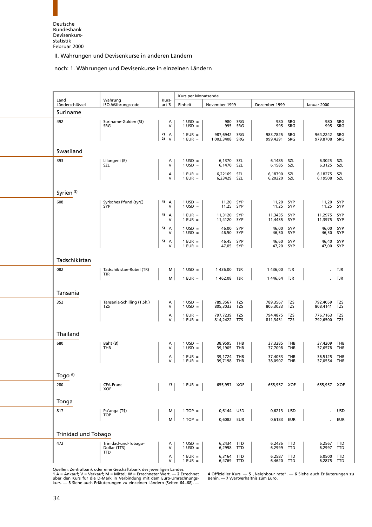#### noch: 1. Währungen und Devisenkurse in einzelnen Ländern

<span id="page-46-0"></span>

|                         |                                                     |                    | Kurs per Monatsende            |                            |            |                          |            |                        |            |
|-------------------------|-----------------------------------------------------|--------------------|--------------------------------|----------------------------|------------|--------------------------|------------|------------------------|------------|
| Land<br>Länderschlüssel | Währung<br>ISO-Währungscode                         | Kurs-<br>art 1     | Einheit                        | November 1999              |            | Dezember 1999            |            | Januar 2000            |            |
| Suriname                |                                                     |                    |                                |                            |            |                          |            |                        |            |
| 492                     | Suriname-Gulden (Sf)<br>SRG                         | А<br>$\vee$        | $1$ USD =<br>$1$ USD =         | 980<br>995                 | SRG<br>SRG | 980<br>995               | SRG<br>SRG | 980<br>995             | SRG<br>SRG |
|                         |                                                     | 2)<br>A<br>2)<br>V | $1$ EUR $=$<br>$1$ EUR $=$     | 987,6942<br>1 003,3408 SRG | SRG        | 983,7825<br>999,4291     | SRG<br>SRG | 964,2242<br>979,8708   | SRG<br>SRG |
|                         |                                                     |                    |                                |                            |            |                          |            |                        |            |
| Swasiland               |                                                     |                    |                                |                            |            |                          |            |                        |            |
| 393                     | Lilangeni (E)<br>SZL                                | A<br>$\vee$        | $1$ USD =<br>$1$ USD =         | 6,1370<br>6,1470 SZL       | SZL        | 6,1485<br>6,1585 SZL     | SZL        | 6,3025<br>6,3125       | SZL<br>SZL |
|                         |                                                     | А<br>v             | $1$ EUR $=$<br>$1$ EUR $=$     | 6,22169<br>6,23429         | SZL<br>SZL | 6,18790<br>6,20220       | SZL<br>SZL | 6,18275<br>6,19508     | SZL<br>SZL |
| Syrien <sup>3)</sup>    |                                                     |                    |                                |                            |            |                          |            |                        |            |
| 608                     | Syrisches Pfund (syr£)<br>SYP                       | 4) A<br>V          | $1$ USD =<br>$1$ USD =         | 11,20 SYP<br>11,25 SYP     |            | 11,20 SYP<br>11,25 SYP   |            | 11,20 SYP<br>11,25 SYP |            |
|                         |                                                     | 4)<br>A<br>v       | $1$ EUR =<br>$1$ EUR =         | 11,3120<br>11,4120         | SYP<br>SYP | 11,3435<br>11,4435 SYP   | SYP        | 11,2975<br>11,3975     | SYP<br>SYP |
|                         |                                                     | 5)<br>A<br>V       | $1$ USD =<br>$1$ USD =         | 46,00<br>46,50 SYP         | SYP        | 46,00<br>46,50 SYP       | SYP        | 46,00<br>46,50         | SYP<br>SYP |
|                         |                                                     | 5)<br>A<br>V       | $1$ EUR $=$<br>$1$ EUR $=$     | 46,45<br>47,05 SYP         | SYP        | 46,60 SYP<br>47,20 SYP   |            | 46,40 SYP<br>47,00 SYP |            |
| Tadschikistan           |                                                     |                    |                                |                            |            |                          |            |                        |            |
| 082                     | Tadschikistan-Rubel (TR)<br>TJR                     | м                  | $1 \text{ USD} =$              | 1 436,00                   | TJR        | 1436,00                  | TJR        |                        | TJR        |
|                         |                                                     | M                  | $1$ EUR $=$                    | 1462,08 TJR                |            | 1446,64 TJR              |            |                        | TJR        |
| Tansania                |                                                     |                    |                                |                            |            |                          |            |                        |            |
| 352                     | Tansania-Schilling (T.Sh.)<br>TZS                   | Α<br>V             | $1 \text{ USD} =$<br>$1$ USD = | 789,3567<br>805,3033       | TZS<br>TZS | 789,3567<br>805,3033     | TZS<br>TZS | 792,4059<br>808,4141   | TZS<br>TZS |
|                         |                                                     | А<br>V             | $1$ EUR $=$<br>$1$ EUR $=$     | 797,7239<br>814,2422 TZS   | TZS        | 794,4875<br>811,3431 TZS | TZS        | 776,7163<br>792,6500   | TZS<br>TZS |
| Thailand                |                                                     |                    |                                |                            |            |                          |            |                        |            |
| 680                     | Baht (B)<br>THB                                     | Α<br>V             | $1 \text{ USD} =$<br>$1$ USD = | 38,9595<br>39,1905         | THB<br>THB | 37,3285<br>37,7098       | THB<br>THB | 37,4209<br>37,6578     | THB<br>THB |
|                         |                                                     | Α<br>V             | $1$ EUR =<br>$1$ EUR $=$       | 39,1724<br>39,7198         | THB<br>THB | 37,4053<br>38,0907       | THB<br>THB | 36,5125<br>37,0554     | THB<br>THB |
| Togo <sup>6)</sup>      |                                                     |                    |                                |                            |            |                          |            |                        |            |
| 280                     | CFA-Franc<br><b>XOF</b>                             | 7)                 | $1$ EUR $=$                    | 655,957 XOF                |            | 655,957 XOF              |            | 655,957 XOF            |            |
| Tonga                   |                                                     |                    |                                |                            |            |                          |            |                        |            |
| 817                     | Pa'anga (T\$)                                       | M                  | $1 TOP =$                      | 0,6144                     | <b>USD</b> | 0,6213                   | USD        |                        | USD        |
|                         | <b>TOP</b>                                          | M                  | $1 TOP =$                      | 0,6082 EUR                 |            | 0,6183 EUR               |            |                        | <b>EUR</b> |
| Trinidad und Tobago     |                                                     |                    |                                |                            |            |                          |            |                        |            |
| 472                     | Trinidad-und-Tobago-<br>Dollar (TT\$)<br><b>TTD</b> | Α<br>v             | $1 \text{ USD} =$<br>$1$ USD = | 6,2434 TTD<br>6,2998 TTD   |            | 6,2436<br>6,2999 TTD     | TTD        | 6,2567<br>6,2997       | TTD<br>TTD |
|                         |                                                     | А<br>V             | $1$ EUR =<br>$1$ EUR $=$       | 6,3164 TTD<br>6,4769 TTD   |            | 6,2587<br>6,4620         | TTD<br>TTD | 6,0500<br>6,2875       | TTD<br>TTD |

Quellen: Zentralbank oder eine Geschäftsbank des jeweiligen Landes.

über den Kurs für die D-Mark in Verbindung mit dem Euro-Umrechnungs- Benin. — **7** Wertverhältnis zum Euro.<br>kurs. — **3** Siehe auch Erläuterungen zu einzelnen Ländern (Seiten 64–68). —

**4** Offizieller Kurs. — **5** "Neighbour rate". — **6** Siehe auch Erläuterungen zu Benin. — 7 Wertverhältnis zum Euro.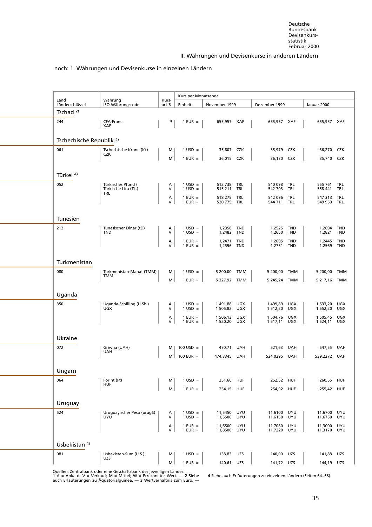#### [noch: 1. Währungen und Devisenkurse in](#page-6-1) einzelnen Ländern

<span id="page-47-0"></span>

| Land<br>Länderschlüssel             | Währung<br>ISO-Währungscode                | Kurs-<br>art 1)   | Kurs per Monatsende<br>Einheit | November 1999          |                          | Dezember 1999          |                   | Januar 2000            |                          |
|-------------------------------------|--------------------------------------------|-------------------|--------------------------------|------------------------|--------------------------|------------------------|-------------------|------------------------|--------------------------|
| Tschad $2$ )                        |                                            |                   |                                |                        |                          |                        |                   |                        |                          |
| 244                                 | CFA-Franc<br>XAF                           | 3)                | $1$ EUR $=$                    | 655,957 XAF            |                          | 655,957 XAF            |                   | 655,957 XAF            |                          |
| Tschechische Republik <sup>4)</sup> |                                            |                   |                                |                        |                          |                        |                   |                        |                          |
| 061                                 | Tschechische Krone (Kč)<br><b>CZK</b>      | м                 | $1 \text{ USD} =$              | 35,607                 | <b>CZK</b>               | 35,979                 | <b>CZK</b>        | 36,270                 | CZK                      |
|                                     |                                            | M <sub>1</sub>    | $1$ EUR =                      | 36,015                 | CZK                      | 36,130                 | <b>CZK</b>        | 35,740                 | CZK                      |
| Türkei 4)                           |                                            |                   |                                |                        |                          |                        |                   |                        |                          |
| 052                                 | Türkisches Pfund /<br>Türkische Lira (TL.) | Α<br>V            | $1 \text{ USD} =$<br>$1$ USD = | 512738<br>515 211      | TRL<br>TRL               | 540 098<br>542 703     | TRL<br>TRL        | 555 761<br>558 441     | TRL<br>TRL               |
|                                     | TRL                                        | А<br>$\vee$       | $1$ EUR $=$<br>$1$ EUR =       | 518 275<br>520 775     | TRL<br>TRL               | 542 096<br>544 711     | TRL<br>TRL        | 547 313<br>549 953 TRL | <b>TRL</b>               |
| Tunesien                            |                                            |                   |                                |                        |                          |                        |                   |                        |                          |
| 212                                 | Tunesischer Dinar (tD)<br><b>TND</b>       | A<br>v            | $1$ USD =<br>$1$ USD =         | 1,2358<br>1,2482 TND   | TND                      | 1,2525<br>1,2650       | <b>TND</b><br>TND | 1,2694<br>1,2821       | <b>TND</b><br><b>TND</b> |
|                                     |                                            | А<br>V            | $1$ EUR $=$<br>$1$ EUR =       | 1,2471<br>1,2596       | <b>TND</b><br><b>TND</b> | 1,2605<br>1,2731       | <b>TND</b><br>TND | 1,2445<br>1,2569       | <b>TND</b><br><b>TND</b> |
| Turkmenistan                        |                                            |                   |                                |                        |                          |                        |                   |                        |                          |
| 080                                 | Turkmenistan-Manat (TMM)<br>TMM            | м                 | $1 \text{ USD} =$              | 5 200,00 TMM           |                          | 5 200,00               | TMM               | 5 200,00               | TMM                      |
|                                     |                                            | м                 | $1$ EUR $=$                    | 5 327,92 TMM           |                          | 5 245,24               | TMM               | 5 217,16 TMM           |                          |
| Uganda<br>350                       | Uganda-Schilling (U.Sh.)                   | A                 | $1 \text{ USD} =$              | 1 491,88               | UGX                      | 1499,89                | <b>UGX</b>        | 1 533,20               | UGX                      |
|                                     | <b>UGX</b>                                 | V<br>А            | $1$ USD =<br>$1$ EUR $=$       | 1 505,82<br>1 506,13   | UGX<br>UGX               | 1 512,20<br>1 504,76   | UGX<br>UGX        | 1 552,20<br>1 505,45   | UGX<br>UGX               |
|                                     |                                            | V                 | $1$ EUR $=$                    | 1 520,20               | UGX                      | 1 517,11               | UGX               | 1 524,11               | UGX                      |
| Ukraine                             |                                            |                   |                                |                        |                          |                        |                   |                        |                          |
| 072                                 | Griwna (UAH)<br>UAH                        | м<br>$M \mid$     | $100$ USD =<br>$100$ EUR $=$   | 470,71 UAH<br>474,3345 | UAH                      | 521,63<br>524,0295     | UAH<br>UAH        | 547,55<br>539,2272 UAH | UAH                      |
| Ungarn                              |                                            |                   |                                |                        |                          |                        |                   |                        |                          |
| 064                                 | Forint (Ft)<br><b>HUF</b>                  | M                 | $1 \text{ USD} =$              | 251,66                 | HUF                      | 252,52                 | HUF               | 260,55                 | <b>HUF</b>               |
|                                     |                                            | M                 | $1$ EUR $=$                    | 254,15 HUF             |                          | 254,92 HUF             |                   | 255,42 HUF             |                          |
| Uruguay                             |                                            |                   |                                |                        |                          |                        |                   |                        |                          |
| 524                                 | Uruguayischer Peso (urug\$)<br><b>UYU</b>  | A<br>V            | $1 \text{ USD} =$<br>$1$ USD = | 11,5450 UYU<br>11,5500 | UYU                      | 11,6100<br>11,6150     | UYU<br>UYU        | 11,6700 UYU<br>11,6750 | UYU                      |
|                                     |                                            | А<br>$\mathsf{V}$ | $1$ EUR $=$<br>$1$ EUR $=$     | 11,6500<br>11,8500     | UYU<br>UYU               | 11,7080<br>11,7220 UYU | UYU               | 11,3000<br>11,3170 UYU | UYU                      |
| Usbekistan <sup>4)</sup>            |                                            |                   |                                |                        |                          |                        |                   |                        |                          |
| 081                                 | Usbekistan-Sum (U.S.)<br>UZS               | м                 | $1 \text{ USD} =$              | 138,83                 | UZS                      | 140,00                 | UZS               | 141,88                 | UZS                      |
|                                     |                                            | M                 | $1$ EUR $=$                    | 140,61 UZS             |                          | 141,72 UZS             |                   | 144,19 UZS             |                          |

Quellen: Zentralbank oder eine Geschäftsbank des jeweiligen Landes.<br>1 A = Ankauf; V = Verkauf; M = Mittel; W = Errechneter Wert. — 2 Siehe 4 Siehe auch Erläuterungen zu einzelnen Ländern (Seiten 64–68).<br>auch Erläuter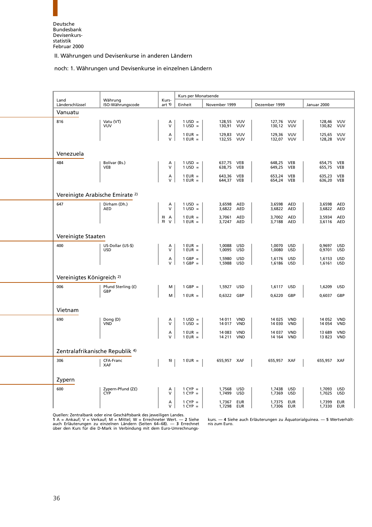#### [noch: 1. Währungen und Devisenkurse](#page-6-1) in einzelnen Ländern

<span id="page-48-0"></span>

|                                            |                                 |                    | Kurs per Monatsende      |                       |                          |                      |                          |                          |                          |
|--------------------------------------------|---------------------------------|--------------------|--------------------------|-----------------------|--------------------------|----------------------|--------------------------|--------------------------|--------------------------|
| Land<br>Länderschlüssel                    | Währung<br>ISO-Währungscode     | Kurs-<br>art 1)    | Einheit                  | November 1999         |                          | Dezember 1999        |                          | Januar 2000              |                          |
| Vanuatu                                    |                                 |                    |                          |                       |                          |                      |                          |                          |                          |
| 816                                        | Vatu (VT)<br>VUV                | A<br>V             | $1$ USD =<br>$1$ USD =   | 128,55<br>130,91      | VUV<br>VUV               | 127,76<br>130,12     | VUV<br>VUV               | 128,46 VUV<br>130,82 VUV |                          |
|                                            |                                 | $\lambda$<br>V     | $1$ EUR =<br>$1$ EUR =   | 129,83<br>132,55      | <b>VUV</b><br>VUV        | 129,36<br>132,07     | VUV<br><b>VUV</b>        | 125,65<br>128,28         | VUV<br>VUV               |
| Venezuela                                  |                                 |                    |                          |                       |                          |                      |                          |                          |                          |
| 484                                        | Bolívar (Bs.)<br><b>VEB</b>     | Α<br>$\vee$        | $1$ USD =<br>$1$ USD =   | 637,75<br>638,75      | VEB<br><b>VEB</b>        | 648,25 VEB<br>649,25 | <b>VEB</b>               | 654,75<br>655,75         | VEB<br><b>VEB</b>        |
|                                            |                                 | A<br>V             | $1$ EUR =<br>$1$ EUR =   | 643,36<br>644,37 VEB  | <b>VEB</b>               | 653,24<br>654,24 VEB | <b>VEB</b>               | 635,23<br>636,20 VEB     | <b>VEB</b>               |
| Vereinigte Arabische Emirate <sup>2)</sup> |                                 |                    |                          |                       |                          |                      |                          |                          |                          |
| 647                                        | Dirham (Dh.)<br><b>AED</b>      | $\lambda$<br>V     | $1$ USD =<br>$1$ USD =   | 3,6598<br>3,6822      | AED<br>AED               | 3,6598<br>3,6822     | <b>AED</b><br>AED        | 3,6598<br>3,6822         | <b>AED</b><br><b>AED</b> |
|                                            |                                 | 3)<br>Α<br>3)<br>V | $1$ EUR =<br>$1$ EUR =   | 3,7061<br>3,7247      | <b>AED</b><br>AED        | 3,7002<br>3,7188     | <b>AED</b><br>AED        | 3,5934<br>3,6116         | <b>AED</b><br><b>AED</b> |
| Vereinigte Staaten                         |                                 |                    |                          |                       |                          |                      |                          |                          |                          |
| 400                                        | US-Dollar (US-\$)<br><b>USD</b> | Α<br>V             | $1$ EUR =<br>$1$ EUR =   | 1,0088<br>1,0095      | USD<br>USD               | 1,0070<br>1,0080     | USD<br><b>USD</b>        | 0,9697<br>0,9701         | USD<br><b>USD</b>        |
|                                            |                                 | A<br>V             | $1$ GBP $=$<br>$1$ GBP = | 1,5980<br>1,5988      | <b>USD</b><br><b>USD</b> | 1,6176<br>1,6186     | <b>USD</b><br><b>USD</b> | 1,6153<br>1,6161         | <b>USD</b><br><b>USD</b> |
| Vereinigtes Königreich <sup>2)</sup>       |                                 |                    |                          |                       |                          |                      |                          |                          |                          |
| 006                                        | Pfund Sterling (£)<br>GBP       | M                  | $1$ GBP $=$              | 1,5927                | USD                      | 1,6117               | <b>USD</b>               | 1,6209                   | <b>USD</b>               |
|                                            |                                 | м                  | $1$ EUR =                | 0,6322                | GBP                      | 0,6220               | GBP                      | 0,6037                   | GBP                      |
| Vietnam                                    |                                 |                    |                          |                       |                          |                      |                          |                          |                          |
| 690                                        | Dong (D)<br>VND                 | А<br>$\vee$        | $1$ USD =<br>$1$ USD =   | 14 011 VND<br>14 0 17 | <b>VND</b>               | 14 0 25<br>14 030    | <b>VND</b><br><b>VND</b> | 14 052<br>14 0 54        | <b>VND</b><br><b>VND</b> |
|                                            |                                 | A<br>V             | $1$ EUR =<br>$1$ EUR =   | 14 083<br>14 211      | <b>VND</b><br><b>VND</b> | 14 037<br>14 164     | <b>VND</b><br><b>VND</b> | 13 689<br>13 823         | <b>VND</b><br><b>VND</b> |
| Zentralafrikanische Republik <sup>4)</sup> |                                 |                    |                          |                       |                          |                      |                          |                          |                          |
| 306                                        | CFA-Franc<br><b>XAF</b>         | 5)                 | $1$ EUR $=$              | 655,957 XAF           |                          | 655,957 XAF          |                          | 655,957 XAF              |                          |
| Zypern                                     |                                 |                    |                          |                       |                          |                      |                          |                          |                          |
| 600                                        | Zypern-Pfund (Z£)<br>CYP        | Α<br>$\mathsf{V}$  | $1$ CYP =<br>$1$ CYP =   | 1,7568<br>1,7499      | <b>USD</b><br><b>USD</b> | 1,7438<br>1,7369     | USD<br><b>USD</b>        | 1,7093<br>1,7025         | <b>USD</b><br><b>USD</b> |
|                                            |                                 | А<br>$\vee$        | $1$ CYP =<br>$1$ CYP =   | 1,7367<br>1,7298      | <b>EUR</b><br>EUR        | 1,7375<br>1,7306     | <b>EUR</b><br>EUR        | 1,7399<br>1,7330         | <b>EUR</b><br>EUR        |

Quellen: Zentralbank oder eine Geschäftsbank des jeweiligen Landes. auch Erläuterungen zu einzelnen Ländern (Seiten 64–68). — **3** Errechnet — nis zum Euro.<br>über den Kurs für die D-Mark in Verbindung mit dem Euro-Umrechnungs-

**1** A = Ankauf;V=Verkauf; M = Mittel; W = Errechneter Wert. — **2** Siehe kurs. — **4** Siehe auch Erläuterungen zu Äquatorialguinea. — **5** Wertverhält-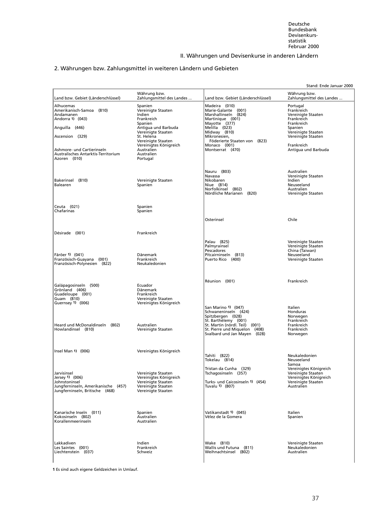# <span id="page-49-0"></span>2. Währungen bzw. Zahlungsmittel in weiteren Ländern und Gebieten

|                                                                                                                                                                                                  |                                                                                                                                                                                                                     |                                                                                                                                                                                                                        | Stand: Ende Januar 2000                                                                                                                                              |
|--------------------------------------------------------------------------------------------------------------------------------------------------------------------------------------------------|---------------------------------------------------------------------------------------------------------------------------------------------------------------------------------------------------------------------|------------------------------------------------------------------------------------------------------------------------------------------------------------------------------------------------------------------------|----------------------------------------------------------------------------------------------------------------------------------------------------------------------|
| Land bzw. Gebiet (Länderschlüssel)                                                                                                                                                               | Währung bzw.<br>Zahlungsmittel des Landes                                                                                                                                                                           | Land bzw. Gebiet (Länderschlüssel)                                                                                                                                                                                     | Währung bzw.<br>Zahlungsmittel des Landes                                                                                                                            |
| Alhucemas<br>Amerikanisch-Samoa (810)<br>Andamanen<br>Andorra 1) (043)<br>Anguilla (446)<br>Ascension (329)<br>Ashmore- und Cartierinseln<br>Australisches Antarktis-Territorium<br>Azoren (010) | Spanien<br>Vereinigte Staaten<br>Indien<br>Frankreich<br>Spanien<br>Antigua und Barbuda<br>Vereinigte Staaten<br>St. Helena<br>Vereinigte Staaten<br>Vereinigtes Königreich<br>Australien<br>Australien<br>Portugal | Madeira (010)<br>Marie-Galante (001)<br>Marshallinseln (824)<br>Martinique (001)<br>Mayotte (377)<br>Melilla (023)<br>Midway (810)<br>Mikronesien,<br>Föderierte Staaten von (823)<br>Monaco (001)<br>Montserrat (470) | Portugal<br>Frankreich<br>Vereinigte Staaten<br>Frankreich<br>Frankreich<br>Spanien<br>Vereinigte Staaten<br>Vereinigte Staaten<br>Frankreich<br>Antiqua und Barbuda |
| Bakerinsel (810)<br>Balearen                                                                                                                                                                     | Vereinigte Staaten<br>Spanien                                                                                                                                                                                       | Nauru (803)<br>Navassa<br>Nikobaren<br>Niue (814)<br>Norfolkinsel (802)<br>Nördliche Marianen (820)                                                                                                                    | Australien<br>Vereinigte Staaten<br>Indien<br>Neuseeland<br>Australien<br>Vereinigte Staaten                                                                         |
| Ceuta (021)<br>Chafarinas                                                                                                                                                                        | Spanien<br>Spanien                                                                                                                                                                                                  |                                                                                                                                                                                                                        |                                                                                                                                                                      |
|                                                                                                                                                                                                  |                                                                                                                                                                                                                     | Osterinsel                                                                                                                                                                                                             | Chile                                                                                                                                                                |
| Désirade (001)                                                                                                                                                                                   | Frankreich                                                                                                                                                                                                          |                                                                                                                                                                                                                        |                                                                                                                                                                      |
| Färöer 1) (041)<br>Französisch-Guayana (001)<br>Französisch-Polynesien (822)                                                                                                                     | Dänemark<br>Frankreich<br>Neukaledonien                                                                                                                                                                             | Palau (825)<br>Palmyrainsel<br>Pescadores<br>Pitcairninseln (813)<br>Puerto Rico (400)                                                                                                                                 | Vereinigte Staaten<br>Vereinigte Staaten<br>China (Taiwan)<br>Neuseeland<br>Vereinigte Staaten                                                                       |
| Galápagosinseln (500)<br>Grönland (406)<br>Guadeloupe (001)<br>Guam (810)<br>Guernsey 1) (006)                                                                                                   | Ecuador<br>Dänemark<br>Frankreich<br>Vereinigte Staaten<br>Vereinigtes Königreich                                                                                                                                   | Réunion (001)<br>San Marino 1) (047)                                                                                                                                                                                   | Frankreich<br>Italien                                                                                                                                                |
| Heard und McDonaldinseln (802)<br>Howlandinsel (810)                                                                                                                                             | Australien<br>Vereinigte Staaten                                                                                                                                                                                    | Schwaneninseln (424)<br>Spitzbergen (028)<br>St. Barthélemy (001)<br>St. Martin (nördl. Teil) (001)<br>St. Pierre und Miguelon (408)<br>Svalbard und Jan Mayen (028)                                                   | Honduras<br>Norwegen<br>Frankreich<br>Frankreich<br>Frankreich<br>Norwegen                                                                                           |
| Insel Man $1)$ (006)                                                                                                                                                                             | Vereinigtes Königreich                                                                                                                                                                                              | Tahiti (822)<br>Tokelau (814)                                                                                                                                                                                          | Neukaledonien<br>Neuseeland                                                                                                                                          |
| Jarvisinsel<br>Jersey 1) (006)<br>Johnstoninsel<br>Jungferninseln, Amerikanische (457)<br>Jungferninseln, Britische (468)                                                                        | Vereinigte Staaten<br>Vereinigtes Königreich<br>Vereinigte Staaten<br>Vereinigte Staaten<br>Vereinigte Staaten                                                                                                      | Tristan da Cunha (329)<br>Tschagosinseln (357)<br>Turks- und Caicosinseln 1) (454)<br>Tuvalu 1) (807)                                                                                                                  | Samoa<br>Vereinigtes Königreich<br>Vereinigte Staaten<br>Vereinigtes Königreich<br>Vereinigte Staaten<br>Australien                                                  |
| Kanarische Inseln (011)<br>Kokosinseln (802)<br>Korallenmeerinseln                                                                                                                               | Spanien<br>Australien<br>Australien                                                                                                                                                                                 | Vatikanstadt 1) (045)<br>Vélez de la Gomera                                                                                                                                                                            | Italien<br>Spanien                                                                                                                                                   |
| Lakkadiven<br>Les Saintes (001)<br>Liechtenstein (037)                                                                                                                                           | Indien<br>Frankreich<br>Schweiz                                                                                                                                                                                     | Wake (810)<br>Wallis und Futuna (811)<br>Weihnachtsinsel (802)                                                                                                                                                         | Vereinigte Staaten<br>Neukaledonien<br>Australien                                                                                                                    |

**1** Es sind auch eigene Geldzeichen in Umlauf.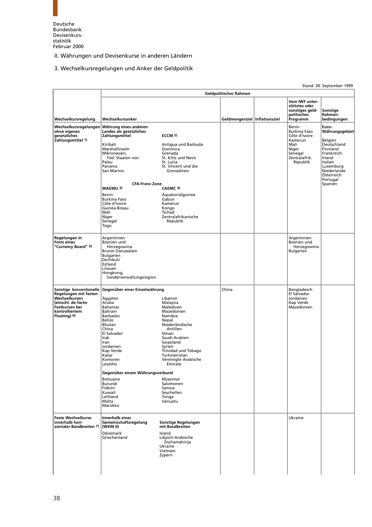<span id="page-50-0"></span>

#### 3. Wechselkursregelungen und Anker der Geldpolitik

**Geldpolitischer Rahmen Vom IWF unter stütztes oder sonstiges geld- Sonstige** politisches **Rahmen-**<br>Programm bedingungen **Wechselkursregelung Wechselkursanker Programmental inflationsziel Geldmengenziel** Inflationsziel **Wechselkursregelungen Währung eines anderen** Benin **Euro-ohne eigenes Landes als gesetzliches** Burkina Faso **Währungsgebiet gesetzliches Zahlungsmittel ECCM 2)** Côte d'Ivoire ECCM 2)<br>
Versiens and Experimental Schwarzen and Barbuda<br>
Zahlungsmittel 1)<br>
Zahlungsmittel 1)<br>
Xiribati Antigua und Barbuda<br>
Xamerun Belgien<br>
Xiribati Burkina Faso<br>
Burkina Faso<br>
Burkina Faso<br>
Burkina Faso<br>
Burkina Faso<br> [Kiribati Antigua und Barbuda Mali Deutschland](#page-7-2) Marshallinseln Dominica Niger Finnland Mikronesien, Grenada Senegal Frankreich<br>
Mikronesien, Stenegal Frankreich<br>
Palau St. Lucia St. Lucia (Senegal Senegal Frankreich<br>
Palau St. Lucia (Senegal St. Lucia (Senegal St. Lucia (Senegal St. Lucia ) St. Kitts und Nevis<br>St. Lucia Prinsipalesien,<br>Palau<br>Palau<br>Panama<br>San Marino Panama St. Vincent und die Luxemburg San Marino Grenadinen Niederlande Franch<br>Luxemburg<br>Niederlande<br>Österreich Portugal<br>Spanien **CFA-Franc-Zone**<br>**CAEMC 4 WAEMU 3)** Benin (Benin Aquatorialguinea)<br>Burkina Easo Burkina Faso<br>Côte d'Ivoire d'ann - Gabun<br>Kamerun Externa Transport of Côte d'Ivoire Mamer<br>
Suinea-Bissau Kongo<br>
Mali Kongo Mali Kongo Guinea-Bissau Kongo Mali Tschad nschau<br>Zentralafrikanische Republik Senegal<br>Togo **Regelungen in Argentinien Argentinien Argentinien Argentinien Argentinien Argentinien Form eines** Bosnien und Bosnien und **"Currency Board" 5)** Herzegowina Herzegowina werk and the second second term in the second of the second second term in the second of the second of the second second in the second of the second second in the second second second second second second second second sec Bulgarien **Dschibuti** Estland Litauen Hongkong, Sonderverwaltungsregion **Sonstige konventionelle Gegenüber einer Einzelwährung aus and Einzelwährung auf der Bangladesch auf Bangladesch<br>Regelungen mit festen Einzelwährung der Bangladesch auf der Bangladesch ein Bangladesch ein Salvador Regelungen mit festen** El Salvador **Wechselkursen** Ägypten Libanon Jordanien **(einschl. de-facto-** Aruba Malaysia Kap Verde **Festkursen bei Bahamas Malediven (\* 1888)**<br>**Festkursen bei Bahamas Malediven Mazedonien (\* 1888)**<br>**kontrolliertem Bahrain Mazedonien** Mazedonien (\* 1888) **kontrolliertem** Bahrain Mazedon<br>**Floating)** 6) Barbados **Mamibia Floating) 6)**<br>Barbados Barbados Namibias Belize Nepal Bhutan Niederländische China Antillen El Salvador<br>Irak El Salvador<br>
Irak Irak Saudi-Arabien<br>
Iran Swasiland Swasiland Swasiland<br>Syrien Jordanien<br>Kap Verde<br>Katar Trinidad und Tobago Katar Turkmenistan<br>Komoren Vereinigte Ara<br>Lesotho Emirate Komoren Vereinigte Arabische Lesotho Emirate **Gegenüber einem Währungsverbund** Botsuana **Myanmar**<br>Burundi Salomonen Burundi Salomonen Fidschi Samoa Kuwait Seychellen **Lettland**<br>Malta Malta Vanuatu Marokko **Feste Wechselkurse Innerhalb einer** Ukraine **innerhalb hori- Gemeinschaftsregelung Sonstige Regelungen zoont are current and term in the search of the search of the interfalb horicity of the interfalb horic of the <br>zontaler Bandbreiten 7) (WKM II) and the and breiten Dänemark** Island<br>Griechenland **Island** Libysc Libysch-Arabische Dschamahirija Ukraine Vietnam Zypern

Stand: 30. September 1999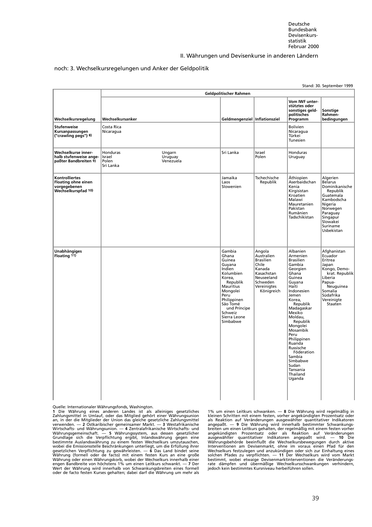#### noch: 3. Wechselkursregelungen und Anker der Geldpolitik

|                                                                                            |                                                                            |                                                                                                                                                                                                     |                                                                                                                           |                                                                                                                                                                                                                                                                                                                                                       | Stand: 30. September 1999                                                                                                                                                |
|--------------------------------------------------------------------------------------------|----------------------------------------------------------------------------|-----------------------------------------------------------------------------------------------------------------------------------------------------------------------------------------------------|---------------------------------------------------------------------------------------------------------------------------|-------------------------------------------------------------------------------------------------------------------------------------------------------------------------------------------------------------------------------------------------------------------------------------------------------------------------------------------------------|--------------------------------------------------------------------------------------------------------------------------------------------------------------------------|
|                                                                                            |                                                                            | Geldpolitischer Rahmen                                                                                                                                                                              |                                                                                                                           |                                                                                                                                                                                                                                                                                                                                                       |                                                                                                                                                                          |
| Wechselkursregelung                                                                        | Wechselkursanker                                                           | Geldmengenziel Inflationsziel                                                                                                                                                                       |                                                                                                                           | Vom IWF unter-<br>stütztes oder<br>sonstiges geld-<br>politisches<br>Programm                                                                                                                                                                                                                                                                         | Sonstige<br>Rahmen-<br>bedingungen                                                                                                                                       |
| <b>Stufenweise</b><br>Kursanpassungen<br>("crawling pegs") 8)                              | Costa Rica<br>Nicaragua                                                    |                                                                                                                                                                                                     |                                                                                                                           | <b>Bolivien</b><br>Nicaragua<br>Türkei<br>Tunesien                                                                                                                                                                                                                                                                                                    |                                                                                                                                                                          |
| Wechselkurse inner-<br>halb stufenweise ange-<br>paßter Bandbreiten 9)                     | Honduras<br>Ungarn<br>Uruguay<br>Israel<br>Polen<br>Venezuela<br>Sri Lanka | Sri Lanka                                                                                                                                                                                           | Israel<br>Polen                                                                                                           | Honduras<br>Uruguay                                                                                                                                                                                                                                                                                                                                   |                                                                                                                                                                          |
| <b>Kontrolliertes</b><br><b>Floating ohne einen</b><br>vorgegebenen<br>Wechselkurspfad 10) |                                                                            | Jamaika<br>Laos<br>Slowenien                                                                                                                                                                        | Tschechische<br>Republik                                                                                                  | Äthiopien<br>Aserbaidschan<br>Kenia<br>Kirgisistan<br>Kroatien<br>Malawi<br>Mauretanien<br>Pakistan<br>Rumänien<br>Tadschikistan                                                                                                                                                                                                                      | Algerien<br><b>Belarus</b><br>Dominikanische<br>Republik<br>Guatemala<br>Kambodscha<br>Nigeria<br>Norwegen<br>Paraguay<br>Singapur<br>Slowakei<br>Suriname<br>Usbekistan |
| <b>Unabhängiges</b><br>Floating 11)                                                        |                                                                            | Gambia<br>Ghana<br>Guinea<br>Guyana<br>Indien<br>Kolumbien<br>Korea,<br>Republik<br>Mauritius<br>Mongolei<br>Peru<br>Philippinen<br>São Tomé<br>und Príncipe<br>Schweiz<br>Sierra Leone<br>Simbabwe | Angola<br>Australien<br>Brasilien<br>Chile<br>Kanada<br>Kasachstan<br>Neuseeland<br>Schweden<br>Vereinigtes<br>Königreich | Albanien<br>Armenien<br><b>Brasilien</b><br>Gambia<br>Georgien<br>Ghana<br>Guinea<br>Guyana<br>Haiti<br>Indonesien<br>Jemen<br>Korea,<br>Republik<br>Madagaskar<br>Mexiko<br>Moldau,<br>Republik<br>Mongolei<br>Mosambik<br>Peru<br>Philippinen<br>Ruanda<br>Russische<br>Föderation<br>Sambia<br>Simbabwe<br>Sudan<br>Tansania<br>Thailand<br>Uganda | Afghanistan<br>Ecuador<br>Eritrea<br>Japan<br>Kongo, Demo-<br>krat. Republik<br>Liberia<br>Papua-<br>Neuguinea<br>Somalia<br>Südafrika<br>Vereinigte<br>Staaten          |

Quelle: Internationaler Währungsfonds, Washington.<br>1 Die Währung eines anderen Landes ist als alleiniges gesetzliches<br>Zahlungsmittel in Umlauf, oder das Mitglied gehört einer Währungsunion<br>an, in der die Mitglieder der Uni 1 Die Währung eines anderen Landes ist als alleiniges gesetzliches 1 % un einen Leitkurs schwanken. — 8 Die Währung wird regelmäßig in an, in der die Mitglieder der Union das gleiche gesetzliche Zahlungsmittel<br>an, in der d Wert der Währung wird innerhalb von Schwankungsbreiten eines formell — jedoch kein bestimmtes Kursniveau herbeiführen sollen.<br>oder de facto festen Kurses gehalten; dabei darf die Währung um mehr als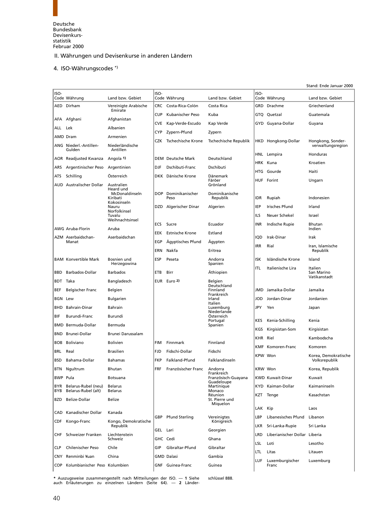<span id="page-52-0"></span>

#### 4. ISO-Währungscodes \*)

|             |                                            |                                                                      |                   |                            |                                                  |            |                               | Stand: Ende Januar 2000                |
|-------------|--------------------------------------------|----------------------------------------------------------------------|-------------------|----------------------------|--------------------------------------------------|------------|-------------------------------|----------------------------------------|
| ISO-        | Code Währung                               | Land bzw. Gebiet                                                     | ISO-              | Code Währung               | Land bzw. Gebiet                                 | ISO-       | Code Währung                  | Land bzw. Gebiet                       |
|             | AED Dirham                                 | Vereinigte Arabische<br>Emirate                                      | <b>CRC</b>        | Costa-Rica-Colón           | Costa Rica                                       |            | GRD Drachme                   | Griechenland                           |
| AFA         | Afghani                                    | Afghanistan                                                          | <b>CUP</b>        | Kubanischer Peso           | Kuba                                             |            | GTQ Quetzal                   | Guatemala                              |
| ALL         | Lek                                        | Albanien                                                             | <b>CVE</b>        | Kap-Verde-Escudo           | Kap Verde                                        |            | GYD Guyana-Dollar             | Guyana                                 |
|             | AMD Dram                                   | Armenien                                                             | CYP               | Zypern-Pfund               | Zypern                                           |            |                               |                                        |
|             | ANG Niederl.-Antillen-<br>Gulden           | Niederländische<br>Antillen                                          | CZK               | Tschechische Krone         | Tschechische Republik                            |            | HKD Hongkong-Dollar           | Hongkong, Sonder-<br>verwaltungsregion |
|             | AOR Readjusted Kwanza                      | Angola 1)                                                            |                   | <b>DEM</b> Deutsche Mark   | Deutschland                                      |            | HNL Lempira                   | Honduras                               |
| ARS         | Argentinischer Peso                        | Argentinien                                                          | <b>DJF</b>        | Dschibuti-Franc            | Dschibuti                                        |            | HRK Kuna                      | Kroatien                               |
| ATS)        | Schilling                                  | Österreich                                                           |                   | DKK Dänische Krone         | Dänemark                                         | HTG        | Gourde                        | Haiti                                  |
|             | <b>AUD</b> Australischer Dollar            | Australien<br>Heard und<br>McDonaldinseln<br>Kiribati<br>Kokosinseln | DOP.              | Dominikanischer<br>Peso    | Färöer<br>Grönland<br>Dominikanische<br>Republik | idr        | HUF Forint<br>Rupiah          | Ungarn<br>Indonesien                   |
|             |                                            | Nauru<br>Norfolkinsel                                                |                   | DZD Algerischer Dinar      | Algerien                                         | IEP        | <b>Irisches Pfund</b>         | Irland                                 |
|             |                                            | Tuvalu<br>Weihnachtsinsel                                            |                   |                            |                                                  | ILS        | Neuer Schekel                 | Israel                                 |
|             | AWG Aruba-Florin                           | Aruba                                                                | ECS               | Sucre                      | Ecuador                                          | INR        | Indische Rupie                | Bhutan<br>Indien                       |
|             | AZM Aserbaidschan-                         | Aserbaidschan                                                        | <b>EEK</b>        | <b>Estnische Krone</b>     | Estland                                          | iqd        | Irak-Dinar                    | Irak                                   |
|             | Manat                                      |                                                                      | EGP<br><b>ERN</b> | Ägyptisches Pfund<br>Nakfa | Agypten<br>Eritrea                               | IRR        | Rial                          | Iran, Islamische<br>Republik           |
|             | <b>BAM Konvertible Mark</b>                | Bosnien und<br>Herzegowina                                           | ESP               | Peseta                     | Andorra<br>Spanien                               | ISK        | Isländische Krone             | Island                                 |
| BBD         | Barbados-Dollar                            | <b>Barbados</b>                                                      | ETB               | Birr                       | Äthiopien                                        | ITL        | Italienische Lira             | Italien<br>San Marino                  |
| <b>BDT</b>  | Taka                                       | Bangladesch                                                          | <b>EUR</b>        | Euro 2)                    | Belgien                                          |            |                               | Vatikanstadt                           |
| BEF         | <b>Belgischer Franc</b>                    | Belgien                                                              |                   |                            | Deutschland<br>Finnland                          |            | JMD Jamaika-Dollar            | Jamaika                                |
| BGN         | Lew                                        | <b>Bulgarien</b>                                                     |                   |                            | Frankreich<br>Irland                             | JOD        | Jordan-Dinar                  | Jordanien                              |
| <b>BHD</b>  | <b>Bahrain-Dinar</b>                       | Bahrain                                                              |                   |                            | Italien<br>Luxemburg                             | JPY        | Yen                           | Japan                                  |
| BIF         | <b>Burundi-Franc</b>                       | Burundi                                                              |                   |                            | Niederlande<br>Österreich                        |            |                               |                                        |
| BMD         | Bermuda-Dollar                             | Bermuda                                                              |                   |                            | Portugal<br>Spanien                              | KES<br>KGS | Kenia-Schilling               | Kenia<br>Kirgisistan                   |
| BND         | Brunei-Dollar                              | Brunei Darussalam                                                    |                   |                            |                                                  | KHR Riel   | Kirgisistan-Som               | Kambodscha                             |
| BOB         | Boliviano                                  | <b>Bolivien</b>                                                      | FIM               | Finnmark                   | Finnland                                         | KMF        | Komoren-Franc                 | Komoren                                |
| BRL         | Real                                       | <b>Brasilien</b>                                                     | <b>FJD</b>        | Fidschi-Dollar             | Fidschi                                          |            | KPW Won                       | Korea, Demokratische                   |
| BSD         | Bahama-Dollar                              | Bahamas                                                              | <b>FKP</b>        | Falkland-Pfund             | Falklandinseln                                   |            |                               | Volksrepublik                          |
| BTN         | Ngultrum                                   | Bhutan                                                               | FRF               | Französischer Franc        | Andorra<br>Frankreich                            |            | KRW Won                       | Korea, Republik                        |
| <b>BWP</b>  | Pula                                       | Botsuana                                                             |                   |                            | Französisch-Guayana<br>Guadeloupe                |            | KWD Kuwait-Dinar              | Kuwait                                 |
| BYR.<br>BYB | Belarus-Rubel (neu)<br>Belarus-Rubel (alt) | <b>Belarus</b><br><b>Belarus</b>                                     |                   |                            | Martinique<br>Monaco                             | KYD.       | Kaiman-Dollar                 | Kaimaninseln                           |
| BZD         | Belize-Dollar                              | Belize                                                               |                   |                            | Réunion<br>St. Pierre und<br>Miquelon            | KZT        | Tenge                         | Kasachstan                             |
| CAD         | Kanadischer Dollar                         | Kanada                                                               |                   |                            |                                                  | LAK        | Kip                           | Laos                                   |
| CDF         | Kongo-Franc                                | Kongo, Demokratische                                                 | GBP               | <b>Pfund Sterling</b>      | Vereinigtes<br>Königreich                        | LBP        | Libanesisches Pfund           | Libanon                                |
|             |                                            | Republik                                                             | GEL               | Lari                       | Georgien                                         | LKR        | Sri-Lanka-Rupie               | Sri Lanka                              |
| <b>CHF</b>  | Schweizer Franken                          | Liechtenstein<br>Schweiz                                             | GHC Cedi          |                            | Ghana                                            | LRD        | Liberianischer Dollar Liberia |                                        |
| <b>CLP</b>  | Chilenischer Peso                          | Chile                                                                | GIP               | Gibraltar-Pfund            | Gibraltar                                        | LSL        | Loti                          | Lesotho                                |
| <b>CNY</b>  | Renminbi ¥uan                              | China                                                                |                   | <b>GMD Dalasi</b>          | Gambia                                           | LTL        | Litas                         | Litauen                                |
| <b>COP</b>  | Kolumbianischer Peso Kolumbien             |                                                                      | GNF               | Guinea-Franc               | Guinea                                           | LUF        | Luxemburgischer<br>Franc      | Luxemburg                              |

**\*** Auszugsweise zusammengestellt nach Mitteilungen der ISO. — **1** Siehe schlüssel 888. auch Erläuterungen zu einzelnen Ländern (Seite 64). — **2** Länder-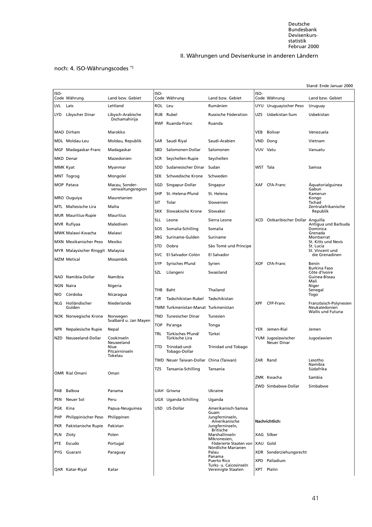Deutsche Bundesbank Devisenkursstatistik Februar 2000

# II. Währungen und Devisenkurse in anderen Ländern

# noch: 4. ISO-Währungscodes \*)

|            |                                   |                          |            |                                        |                                                         |            |                                    | Stand: Ende Januar 2000                 |
|------------|-----------------------------------|--------------------------|------------|----------------------------------------|---------------------------------------------------------|------------|------------------------------------|-----------------------------------------|
| ISO-       | Code Währung                      | Land bzw. Gebiet         | ISO-       | Code Währung                           | Land bzw. Gebiet                                        | ISO-       | Code Währung                       | Land bzw. Gebiet                        |
| <b>LVL</b> | Lats                              | Lettland                 | ROL Leu    |                                        | Rumänien                                                |            | UYU Uruguayischer Peso             | Uruguay                                 |
| LYD.       | Libyscher Dinar                   | Libysch-Arabische        | <b>RUB</b> | Rubel                                  | Russische Föderation                                    | UZS.       | Usbekistan-Sum                     | Usbekistan                              |
|            |                                   | Dschamahirija            |            | <b>RWF</b> Ruanda-Franc                | Ruanda                                                  |            |                                    |                                         |
|            | MAD Dirham                        | Marokko                  |            |                                        |                                                         | <b>VEB</b> | Bolívar                            | Venezuela                               |
|            | MDL Moldau-Leu                    | Moldau, Republik         | SAR        | Saudi Riyal                            | Saudi-Arabien                                           |            | VND Dong                           | Vietnam                                 |
|            | MGF Madagaskar-Franc              | Madagaskar               | SBD        | Salomonen-Dollar                       | Salomonen                                               | VUV Vatu   |                                    | Vanuatu                                 |
|            | <b>MKD</b> Denar                  | Mazedonien               | <b>SCR</b> | Seychellen-Rupie                       | Seychellen                                              |            |                                    |                                         |
|            | MMK Kyat                          | Myanmar                  | <b>SDD</b> | Sudanesischer Dinar                    | Sudan                                                   | WST Tala   |                                    | Samoa                                   |
|            | MNT Togrog                        | Mongolei                 | <b>SEK</b> | Schwedische Krone                      | Schweden                                                |            |                                    |                                         |
|            | MOP Pataca                        | Macau, Sonder-           | SGD        | Singapur-Dollar                        | Singapur                                                | <b>XAF</b> | CFA-Franc                          | Aquatorialguinea                        |
|            |                                   | verwaltungsregion        | <b>SHP</b> | St.-Helena-Pfund                       | St. Helena                                              |            |                                    | Gabun<br>Kamerun                        |
|            | MRO Ouguiya                       | Mauretanien              | SIT        | Tolar                                  | Slowenien                                               |            |                                    | Kongo<br>Tschad                         |
|            | MTL Maltesische Lira              | Malta                    | <b>SKK</b> | Slowakische Krone                      | Slowakei                                                |            |                                    | Zentralafrikanische<br>Republik         |
|            | <b>MUR</b> Mauritius-Rupie        | <b>Mauritius</b>         | <b>SLL</b> | Leone                                  | Sierra Leone                                            |            | XCD Ostkaribischer Dollar Anguilla |                                         |
|            | MVR Rufiyaa                       | Malediven                | SOS        | Somalia-Schilling                      | Somalia                                                 |            |                                    | Antigua und Barbuda<br>Dominica         |
|            | MWK Malawi-Kwacha                 | Malawi                   | <b>SRG</b> | Suriname-Gulden                        | Suriname                                                |            |                                    | Grenada<br>Montserrat                   |
|            | MXN Mexikanischer Peso            | Mexiko                   | <b>STD</b> | Dobra                                  | São Tomé und Príncipe                                   |            |                                    | St. Kitts und Nevis<br>St. Lucia        |
|            | MYR Malaysischer Ringgit Malaysia |                          | <b>SVC</b> | El-Salvador-Colón                      | El Salvador                                             |            |                                    | St. Vincent und<br>die Grenadinen       |
|            | <b>MZM Metical</b>                | Mosambik                 | SYP        | Syrisches Pfund                        | Syrien                                                  |            | XOF CFA-Franc                      | Benin                                   |
|            |                                   |                          | SZL        | Lilangeni                              | Swasiland                                               |            |                                    | Burkina Faso<br>Côte d'Ivoire           |
|            | NAD Namibia-Dollar                | Namibia                  |            |                                        |                                                         |            |                                    | Guinea-Bissau<br>Mali                   |
|            | <b>NGN Naira</b>                  | Nigeria                  | THB        | Baht                                   | Thailand                                                |            |                                    | Niger<br>Senegal                        |
| NIO        | Córdoba                           | Nicaragua                | TJR        | Tadschikistan-Rubel                    | Tadschikistan                                           |            |                                    | Togo                                    |
|            | NLG Holländischer<br>Gulden       | Niederlande              |            | TMM Turkmenistan-Manat Turkmenistan    |                                                         | <b>XPF</b> | CFP-Franc                          | Französisch-Polynesien<br>Neukaledonien |
|            | NOK Norwegische Krone             | Norwegen                 | TND        | Tunesischer Dinar                      | Tunesien                                                |            |                                    | Wallis und Futuna                       |
|            |                                   | Svalbard u. Jan Mayen    | TOP        | Pa'anga                                | Tonga                                                   |            |                                    |                                         |
| NPR.       | Nepalesische Rupie                | Nepal                    | TRL        | Türkisches Pfund/                      | Türkei                                                  |            | YER Jemen-Rial                     | Jemen                                   |
| NZD        | Neuseeland-Dollar                 | Cookinseln<br>Neuseeland |            | Türkische Lira                         |                                                         |            | YUM Jugoslawischer<br>Neuer Dinar  | Jugoslawien                             |
|            |                                   | Niue<br>Pitcairninseln   | TTD        | Trinidad-und-<br>Tobago-Dollar         | Trinidad und Tobago                                     |            |                                    |                                         |
|            |                                   | Tokelau                  |            | TWD Neuer Taiwan-Dollar China (Taiwan) |                                                         |            | ZAR Rand                           | Lesotho                                 |
|            |                                   |                          | TZS        | Tansania-Schilling                     | Tansania                                                |            |                                    | Namibia<br>Südafrika                    |
|            | <b>OMR</b> Rial Omani             | Oman                     |            |                                        |                                                         |            | ZMK Kwacha                         | Sambia                                  |
|            |                                   |                          |            |                                        |                                                         |            | ZWD Simbabwe-Dollar                | Simbabwe                                |
| PAB        | Balboa                            | Panama                   |            | <b>UAH Griwna</b>                      | Ukraine                                                 |            |                                    |                                         |
| PEN        | Neuer Sol                         | Peru                     |            | UGX Uganda-Schilling                   | Uganda                                                  |            |                                    |                                         |
| PGK Kina   |                                   | Papua-Neuguinea          |            | USD US-Dollar                          | Amerikanisch-Samoa<br>Guam                              |            |                                    |                                         |
| PHP        | Philippinischer Peso              | Philippinen              |            |                                        | Jungferninseln,<br>Amerikanische                        |            | Nachrichtlich:                     |                                         |
| PKR        | Pakistanische Rupie               | Pakistan                 |            |                                        | Jungferninseln,<br><b>Britische</b>                     |            |                                    |                                         |
| PLN        | Zloty                             | Polen                    |            |                                        | Marshallinseln<br>Mikronesien,                          |            | XAG Silber                         |                                         |
| PTE        | Escudo                            | Portugal                 |            |                                        | Föderierte Staaten von   XAU Gold<br>Nördliche Marianen |            |                                    |                                         |
|            | PYG Guaraní                       | Paraguay                 |            |                                        | Palau<br>Panama                                         |            | XDR Sonderziehungsrecht            |                                         |
|            |                                   |                          |            |                                        | <b>Puerto Rico</b><br>Turks- u. Caicosinseln            | <b>XPD</b> | Palladium                          |                                         |
|            | QAR Katar-Riyal                   | Katar                    |            |                                        | Vereinigte Staaten                                      |            | XPT Platin                         |                                         |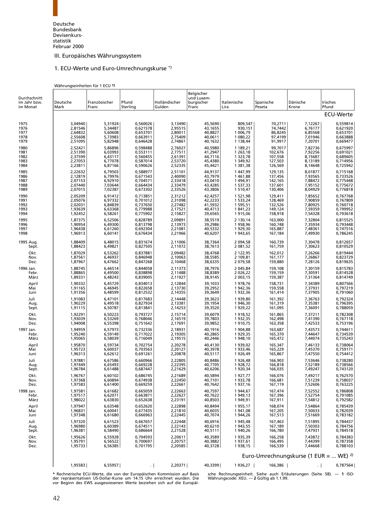# [1. ECU-Werte und Euro-Umrechnungskurse \\*\)](#page-8-3)

#### Währungseinheiten für 1 ECU **1)**

<span id="page-54-0"></span>

| Durchschnitt<br>im Jahr bzw. | Deutsche                      | Französischer                 | Pfund                            | Holländischer                 | Belgischer<br>und Luxem-<br>burgischer | Italienische                  | Spanische                     | Dänische                                          | <b>Irisches</b>                  |
|------------------------------|-------------------------------|-------------------------------|----------------------------------|-------------------------------|----------------------------------------|-------------------------------|-------------------------------|---------------------------------------------------|----------------------------------|
| im Monat                     | Mark                          | Franc                         | Sterling                         | Gulden                        | Franc                                  | Lira                          | Peseta                        | Krone                                             | Pfund<br>ECU-Werte               |
|                              |                               |                               |                                  |                               |                                        |                               |                               |                                                   |                                  |
| 1975                         | 3,04940                       | 5,31924                       | 0,560026                         | 3,13490                       | 45,5690                                | 809,547                       | 70,2711                       | 7,12267                                           | 0,559814                         |
| 1976                         | 2,81546                       | 5,34487                       | 0,621578                         | 2,95515                       | 43,1655                                | 930,151                       | 74,7442                       | 6,76177                                           | 0,621920                         |
| 1977                         | 2,64832                       | 5,60608                       | 0,653701                         | 2,80011                       | 40,8827                                | 1 006,79                      | 86,8245                       | 6,85568                                           | 0,653701                         |
| 1978                         | 2,55608                       | 5,73983                       | 0,663911                         | 2,75409                       | 40,0611                                | 1 080,22                      | 97,4199                       | 7,01946                                           | 0,663888                         |
| 1979                         | 2,51095                       | 5,82948                       | 0,646428                         | 2,74861                       | 40,1632                                | 1 138,44                      | 91,9917                       | 7,20701                                           | 0,669477                         |
|                              |                               |                               |                                  |                               |                                        |                               |                               |                                                   |                                  |
| 1980                         | 2,52421                       | 5,86896                       | 0,598488                         | 2,76027                       | 40,5980                                | 1 189,21                      | 99,7017                       | 7,82736                                           | 0,675997                         |
| 1981                         | 2.51390                       | 6,03993                       | 0,553111                         | 2.77511                       | 41,2947                                | 1 263,18                      | 102,676                       | 7,92256                                           | 0,691021                         |
| 1982                         | 2,37599                       | 6,43117                       | 0,560455                         | 2,61391                       | 44,7116                                | 1 3 2 3 , 7 8                 | 107,558                       | 8,15687                                           | 0,689605                         |
| 1983                         | 2,27053                       | 6,77078                       | 0,587014                         | 2,53720                       | 45,4380                                | 1 349,92                      | 127,503                       | 8,13189                                           | 0,714956                         |
| 1984                         | 2,23811                       | 6,87166                       | 0,590626                         | 2,52335                       | 45,4421                                | 1 381,38                      | 126,569                       | 8,14648                                           | 0,725942                         |
| 1985                         | 2,22632                       | 6,79503                       | 0,588977                         | 2,51101                       | 44,9137                                | 1447,99                       | 129,135                       | 8,01877                                           | 0,715168                         |
| 1986                         | 2,12819                       | 6,79976                       | 0,671543                         | 2,40090                       | 43,7979                                | 1461,88                       | 137,456                       | 7,93565                                           | 0,733526                         |
| 1987                         | 2,07153                       | 6,92910                       | 0,704571                         | 2,33418                       | 43,0410                                | 1494,91                       | 142,165                       | 7,88472                                           | 0,775448                         |
| 1988                         | 2,07440                       | 7,03644                       | 0,664434                         | 2,33479                       | 43,4285                                | 1 537,33                      | 137,601                       | 7,95152                                           | 0,775672                         |
| 1989                         | 2,07015                       | 7,02387                       | 0,673302                         | 2,33526                       | 43,3806                                | 1 510,47                      | 130,406                       | 8,04929                                           | 0,776818                         |
|                              |                               |                               |                                  |                               |                                        |                               |                               |                                                   |                                  |
| 1990                         | 2,05209                       | 6,91412                       | 0,713851                         | 2,31212                       | 42,4257                                | 1 521,98                      | 129,411                       | 7,85652                                           | 0,767768                         |
| 1991                         | 2,05076                       | 6,97332                       | 0,701012                         | 2,31098                       | 42,2233                                | 1 533,24                      | 128,469                       | 7,90859                                           | 0,767809                         |
| 1992                         | 2,02031                       | 6,84839                       | 0,737650                         | 2,27482                       | 41,5932                                | 1 595,51                      | 132,526                       | 7,80925                                           | 0,760718                         |
| 1993                         | 1,93639                       | 6,63368                       | 0,779988                         | 2,17521                       | 40,4713                                | 1841,23                       | 149,124                       | 7,59359                                           | 0,799952                         |
| 1994                         | 1,92452                       | 6,58261                       | 0,775902                         | 2,15827                       | 39,6565                                | 1915,06                       | 158,918                       | 7,54328                                           | 0,793618                         |
| 1995                         | 1,87375                       | 6,52506                       | 0,828789                         | 2,09891                       | 38,5519                                | 2 130,14                      | 163,000                       | 7,32804                                           | 0,815525                         |
| 1996                         | 1,90954                       | 6,49300                       | 0,813798                         | 2,13973                       | 39,2986                                | 1958,96                       | 160,748                       | 7,35934                                           | 0,793448                         |
| 1997                         | 1,96438                       | 6,61260                       | 0,692304                         | 2,21081                       | 40,5332                                | 1929,30                       | 165,887                       | 7,48361                                           | 0,747516                         |
| 1998                         | 1,96913                       | 6,60141                       | 0,676434                         | 2,21966                       | 40,6207                                | 1943,65                       | 167,184                       | 7,49930                                           | 0,786245                         |
| 1995 Aug.                    | 1,88409                       | 6,48015                       | 0,831674                         | 2,11006                       | 38,7364                                | 2 094,58                      | 160,739                       | 7,30478                                           | 0,812657                         |
| Sept.                        | 1,88423                       | 6,49821                       | 0,827505                         | 2,11072                       | 38,7613                                | 2 081,52                      | 161,759                       | 7,30623                                           | 0,810529                         |
| Okt.                         | 1,87029                       | 6,53262                       | 0,837881                         | 2,09482                       | 38,4768                                | 2 122,95                      | 162,012                       | 7,26266                                           | 0,819444                         |
| Nov.                         | 1.87561                       | 6,46937                       | 0,846948                         | 2,10063                       | 38.5585                                | 2 109,81                      | 161,177                       | 7,26867                                           | 0,823729                         |
| Dez.                         | 1,87967                       | 6,47662                       | 0,847268                         | 2,10468                       | 38,6335                                | 2 079,58                      | 159,880                       | 7,28126                                           | 0,819635                         |
| 1996 Jan.                    | 1,88745                       | 6,46514                       | 0,844058                         | 2,11373                       | 38,7976                                | 2 045,84                      | 159,108                       | 7,30159                                           | 0,815783                         |
| Febr.                        | 1,88865                       | 6,49500                       | 0,838898                         | 2,11488                       | 38,8389                                | 2 0 2 6, 2 2                  | 159,159                       | 7,30591                                           | 0,814528                         |
| März                         | 1,89331                       | 6,48243                       | 0,839005                         | 2,11927                       | 38,9145                                | 2 003,15                      | 159,387                       | 7,31364                                           | 0,814749                         |
| April                        | 1,90332                       | 6,45729                       | 0,834013                         | 2,12844                       | 39,1033                                | 1978,76                       | 158,731                       | 7,34389                                           | 0,807566                         |
| Mai                          | 1,91165                       | 6,46945                       | 0,822658                         | 2,13730                       | 39,2952                                | 1942,36                       | 159,558                       | 7,37931                                           | 0,797219                         |
| Juni                         | 1,91356                       | 6,48599                       | 0,812532                         | 2,14355                       | 39,3649                                | 1932,36                       | 161,414                       | 7,37905                                           | 0,791060                         |
| Juli                         | 1,91083                       | 6,47101                       | 0,817683                         | 2,14448                       | 39,3623                                | 1939,80                       | 161,392                       | 7,36763                                           | 0,792324                         |
| Aug.                         | 1,90229                       | 6,49518                       | 0,827934                         | 2,13381                       | 39,1954                                | 1946,30                       | 161,319                       | 7,35381                                           | 0,796395                         |
| Sept.                        | 1,91115                       | 6,50787                       | 0,813841                         | 2,14253                       | 39,3520                                | 1929,22                       | 161,095                       | 7,36091                                           | 0,788059                         |
| Okt.                         | 1,92291                       | 6,50223                       | 0,793727                         | 2,15714                       | 39,6079                                | 1918,52                       | 161,865                       | 7,37211                                           | 0,782308                         |
| Nov.                         | 1,93039                       | 6,53269                       | 0,768046                         | 2,16519                       | 39,7803                                | 1932,35                       | 162,498                       | 7,41390                                           | 0,767118                         |
| Dez.                         | 1,94008                       | 6,55398                       | 0,751642                         | 2,17691                       | 39,9852                                | 1910,75                       | 163,358                       | 7,42533                                           | 0,753196                         |
| 1997 Jan.                    | 1,94959                       | 6,57973                       | 0,732336                         | 2,18931                       | 40,1916                                | 1904,88                       | 163,687                       | 7,43573                                           | 0,744611                         |
| Febr.                        | 1,95240                       | 6,59149                       | 0.717022                         | 2,19305                       | 40,2865                                | 1929,35                       | 165,370                       | 7,44647                                           | 0,734539                         |
| März                         | 1,95065                       | 6,58039                       | 0,716049                         | 2,19515                       | 40,2446                                | 1948,10                       | 165,472                       | 7,44074                                           | 0,735243                         |
| April                        | 1,95870                       | 6,59734                       | 0,702754                         | 2,20278                       | 40,4130                                | 1939,02                       | 165,347                       | 7,46133                                           | 0,738064                         |
| Mai                          | 1,95723                       | 6,60037                       | 0,703563                         | 2,20127                       | 40,3978                                | 1933,46                       | 165,229                       | 7,45370                                           | 0,759171                         |
| Juni                         | 1,96313                       | 6,62612                       | 0,691261                         | 2,20878                       | 40,5117                                | 1926,49                       | 165,867                       | 7,47550                                           | 0,754412                         |
| Juli                         | 1,97881                       | 6,67586                       | 0,660966                         | 2,22805                       | 40.8486                                | 1926,48                       | 166,903                       | 7,53646                                           | 0,738280                         |
| Aug.                         | 1,97449                       | 6,65493                       | 0,669228                         | 2,22395                       | 40,7705                                | 1928,72                       | 166,818                       | 7,52189                                           | 0,738566                         |
| Sept.                        | 1,96784                       | 6,61488                       | 0,687447                         | 2,21629                       | 40,6206                                | 1920,34                       | 166,035                       | 7,49247                                           | 0,743120                         |
| Okt.<br>Nov.<br>Dez.         | 1,96767<br>1,97368<br>1,97583 | 6,60102<br>6,60894<br>6,61400 | 0,686745<br>0,674938<br>0,669259 | 2,21689<br>2,22450<br>2,22661 | 40,5894<br>40,7101<br>40,7642          | 1927,77<br>1933,78<br>1937,16 | 166,076<br>166,681<br>167,119 | 7,49217<br>7,51239<br>7,52606                     | 0,762570<br>0,758037<br>0,763225 |
| 1998 Jan.                    | 1,97581                       | 6,61682                       | 0,665059                         | 2,22663                       | 40,7597                                | 1944,67                       | 167,474                       | 7,52552                                           | 0,786808                         |
| Febr.                        | 1,97517                       | 6,62071                       | 0,663871                         | 2,22627                       | 40,7622                                | 1949,13                       | 167,396                       | 7,52754                                           | 0,791085                         |
| März                         | 1,98022                       | 6,63830                       | 0,652638                         | 2,23191                       | 40,8503                                | 1949,91                       | 167,911                       | 7,54812                                           | 0,792582                         |
| April                        | 1,97947                       | 6,63548                       | 0,652620                         | 2,22898                       | 40,8494                                | 1955,17                       | 168,074                       | 7,54864                                           | 0,785439                         |
| Mai                          | 1,96831                       | 6,60041                       | 0,677435                         | 2,21810                       | 40,6035                                | 1941,08                       | 167,205                       | 7,50033                                           | 0,782039                         |
| Juni                         | 1,97348                       | 6,61680                       | 0,666963                         | 2,22445                       | 40,7074                                | 1 944,26                      | 167,513                       | 7,51669                                           | 0,783182                         |
| Juli                         | 1,97320                       | 6,61523                       | 0,667657                         | 2,22448                       | 40,6916                                | 1945,48                       | 167,463                       | 7,51895                                           | 0,784437                         |
| Aug.                         | 1,96980                       | 6,60389                       | 0,674511                         | 2,22143                       | 40,6210                                | 1 943,55                      | 167,189                       | 7,50303                                           | 0,784756                         |
| Sept.                        | 1,96381                       | 6,58490                       | 0,686664                         | 2,21528                       | 40,5111                                | 1940,26                       | 166,780                       | 7,47931                                           | 0,784518                         |
| Okt.                         | 1,95626                       | 6,55928                       | 0,704593                         | 2,20611                       | 40,3589                                | 1935,39                       | 166,258                       | 7,43872                                           | 0,784383                         |
| Nov.                         | 1,95791                       | 6,56522                       | 0,700697                         | 2,20757                       | 40,3882                                | 1937,61                       | 166,495                       | 7,44399                                           | 0,787358                         |
| Dez.                         | 1,95733                       | 6,56385                       | 0,701795                         | 2,20585                       | 40,3728                                | 1938,15                       | 166,539                       | 7,44668                                           | 0,788103                         |
|                              |                               |                               |                                  |                               |                                        |                               |                               | Euro-Umrechnungskurse (1 EUR =  WE) <sup>2)</sup> |                                  |
|                              | 1,95583                       | 6,55957                       | $\cdot$ 1                        | 2,20371                       | 40,3399                                | 1936,27                       | 166,386                       | $\cdot$ 1                                         | 0,787564                         |

der repräsentativen US-Dollar-Kurse um 14.15 Uhr errechnet wurden. Die Währungscode: XEU. — **2** Gültig ab 1.1.99.<br>vor Beginn des EWS ausgewiesenen Werte beziehen sich auf die Europäi-

**\*** Rechnerische ECU-Werte, die von der Europäischen Kommission auf Basis sche Rechnungseinheit. Siehe auch Erläuterungen (Seite 58). — **1** ISO-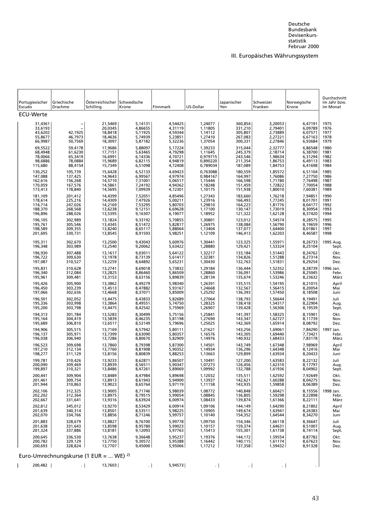<span id="page-55-0"></span>

|                                                     |                                                    |                                                     |                                                     |                                                     |                                                     |                                                     |                                                     |                                                     | Durchschnitt                         |
|-----------------------------------------------------|----------------------------------------------------|-----------------------------------------------------|-----------------------------------------------------|-----------------------------------------------------|-----------------------------------------------------|-----------------------------------------------------|-----------------------------------------------------|-----------------------------------------------------|--------------------------------------|
| Portugiesischer<br>Escudo                           | Griechische<br>Drachme                             | Österreichischer Schwedische<br>Schilling           | Krone                                               | Finnmark                                            | US-Dollar                                           | Japanischer<br>Yen                                  | Schweizer<br>Franken                                | Norwegische<br>Krone                                | im Jahr bzw.<br>im Monat             |
| ECU-Werte                                           |                                                    |                                                     |                                                     |                                                     |                                                     |                                                     |                                                     |                                                     |                                      |
| 31,4361<br>33,6193<br>43,6202<br>55,8677<br>66,9987 | $\qquad \qquad -$<br>42,1925<br>46,7973<br>50,7569 | 21,5469<br>20,0345<br>18,8418<br>18,4636<br>18,3097 | 5,14131<br>4.86655<br>5,11925<br>5,74939<br>5,87182 | 4,54425<br>4,31119<br>4,59344<br>5,23851<br>5,32236 | 1,24077<br>1,11805<br>1,14112<br>1,27410<br>1,37054 | 360,854<br>331,210<br>305,807<br>267,083<br>300,331 | 3,20053<br>2,79401<br>2,73889<br>2,27221<br>2,27846 | 6,47191<br>6.09789<br>6,07571<br>6,67163<br>6,93684 | 1975<br>1976<br>1977<br>1978<br>1979 |
| 69,5522                                             | 59,4178                                            | 17,9686                                             | 5,88097                                             | 5,17224                                             | 1,39233                                             | 315,044                                             | 2,32777                                             | 6,86548                                             | 1980                                 |
| 68,4948                                             | 61,6230                                            | 17,7151                                             | 5,63465                                             | 4,79298                                             | 1,11645                                             | 245,379                                             | 2,18714                                             | 6.38700                                             | 1981                                 |
| 78,0066                                             | 65,3419                                            | 16,6991                                             | 6.14336                                             | 4,70721                                             | 0,979715                                            | 243,546                                             | 1,98634                                             | 6,31294                                             | 1982                                 |
| 98,6886                                             | 78,0884                                            | 15,9689                                             | 6,82115                                             | 4,94819                                             | 0,890220                                            | 211,354                                             | 1,86753                                             | 6,49113                                             | 1983                                 |
| 115,680                                             | 88,4154                                            | 15,7349                                             | 6,51098                                             | 4,72408                                             | 0,789034                                            | 187,089                                             | 1,84753                                             | 6,41698                                             | 1984                                 |
| 130,252                                             | 105,739                                            | 15,6428                                             | 6,52133                                             | 4,69423                                             | 0,763088                                            | 180,559                                             | 1,85572                                             | 6,51104                                             | 1985                                 |
| 147,088                                             | 137,425                                            | 14,9643                                             | 6,99567                                             | 4,97974                                             | 0,984167                                            | 164,997                                             | 1,76086                                             | 7,27750                                             | 1986                                 |
| 162,616                                             | 156,268                                            | 14,5710                                             | 7,31001                                             | 5.06517                                             | 1,15444                                             | 166,598                                             | 1,71780                                             | 7,76498                                             | 1987                                 |
| 170,059                                             | 167,576                                            | 14,5861                                             | 7,24192                                             | 4,94362                                             | 1,18248                                             | 151,459                                             | 1,72822                                             | 7,70054                                             | 1988                                 |
| 173,413                                             | 178,840                                            | 14,5695                                             | 7,09939                                             | 4,72301                                             | 1,10175                                             | 151,938                                             | 1,80010                                             | 7,60381                                             | 1989                                 |
| 181,109                                             | 201,412                                            | 14,4399                                             | 7,52051                                             | 4,85496                                             | 1,27343                                             | 183,660                                             | 1,76218                                             | 7,94851                                             | 1990                                 |
| 178,614                                             | 225,216                                            | 14,4309                                             | 7,47926                                             | 5,00211                                             | 1,23916                                             | 166,493                                             | 1,77245                                             | 8.01701                                             | 1991                                 |
| 174,714                                             | 247,026                                            | 14,2169                                             | 7,53295                                             | 5,80703                                             | 1,29810                                             | 164,223                                             | 1,81776                                             | 8,04177                                             | 1992                                 |
| 188,370                                             | 268,568                                            | 13,6238                                             | 9,12151                                             | 6,69628                                             | 1,17100                                             | 130,147                                             | 1,73019                                             | 8,30954                                             | 1993                                 |
| 196,896                                             | 288,026                                            | 13,5395                                             | 9,16307                                             | 6,19077                                             | 1,18952                                             | 121,322                                             | 1.62128                                             | 8.37420                                             | 1994                                 |
| 196,105                                             | 302,989                                            | 13,1824                                             | 9.33192                                             | 5,70855                                             | 1,30801                                             | 123,012                                             | 1,54574                                             | 8,28575                                             | 1995                                 |
| 195,761                                             | 305,546                                            | 13,4345                                             | 8,51472                                             | 5,82817                                             | 1,26975                                             | 138,084                                             | 1,56790                                             | 8,19659                                             | 1996                                 |
| 198,589                                             | 309,355                                            | 13,8240                                             | 8,65117                                             | 5,88064                                             | 1,13404                                             | 137,077                                             | 1,64400                                             | 8,01861                                             | 1997                                 |
| 201,695                                             | 330,731                                            | 13,8545                                             | 8,91593                                             | 5,98251                                             | 1,12109                                             | 146,413                                             | 1,62203                                             | 8,46587                                             | 1998                                 |
| 195,311                                             | 302,670                                            | 13,2500                                             | 9.43043                                             | 5.60976                                             | 1,30441                                             | 123,325                                             | 1,55971                                             | 8,26733                                             | 1995 Aug.                            |
| 196,348                                             | 303,989                                            | 13,2540                                             | 9,20062                                             | 5,63422                                             | 1,28880                                             | 129,421                                             | 1,53324                                             | 8,25104                                             | Sept.                                |
| 196,930                                             | 307,488                                            | 13,1617                                             | 9,03011                                             | 5,64122                                             | 1,32217                                             | 133,184                                             | 1,51443                                             | 8,24762                                             | Okt.                                 |
| 196,722                                             | 309,630                                            | 13,1978                                             | 8,73139                                             | 5.61417                                             | 1,32381                                             | 134,826                                             | 1,51288                                             | 8,27314                                             | Nov.                                 |
| 197,087                                             | 310,527                                            | 13,2259                                             | 8,64892                                             | 5,65231                                             | 1,30430                                             | 132,763                                             | 1,51831                                             | 8,29254                                             | Dez.                                 |
| 195,831                                             | 310,628                                            | 13,2741                                             | 8,69018                                             | 5,73832                                             | 1,29184                                             | 136,444                                             | 1,52352                                             | 8,28739                                             | 1996 Jan.                            |
| 196,340                                             | 312,084                                            | 13,2825                                             | 8,86460                                             | 5,86509                                             | 1,28860                                             | 136,091                                             | 1,53986                                             | 8,25045                                             | Febr.                                |
| 195,961                                             | 309,481                                            | 13,3153                                             | 8,63156                                             | 5,89839                                             | 1,28134                                             | 135,674                                             | 1,53246                                             | 8,23632                                             | März                                 |
| 195,426                                             | 305,900                                            | 13,3862                                             | 8,49279                                             | 5,98340                                             | 1,26391                                             | 135,515                                             | 1,54195                                             | 8,21015                                             | April                                |
| 196,450                                             | 303,239                                            | 13,4513                                             | 8,47882                                             | 5,93167                                             | 1,24668                                             | 132,567                                             | 1,56415                                             | 8,20054                                             | Mai                                  |
| 197,066                                             | 302,636                                            | 13,4668                                             | 8,37071                                             | 5,85009                                             | 1,25292                                             | 136,393                                             | 1,57450                                             | 8,18508                                             | Juni                                 |
| 196,501                                             | 302,052                                            | 13,4475                                             | 8,43833                                             | 5,82689                                             | 1,27064                                             | 138,793                                             | 1,56644                                             | 8.19491                                             | Juli                                 |
| 195,336                                             | 303,998                                            | 13,3864                                             | 8,49551                                             | 5,74750                                             | 1,28325                                             | 138,418                                             | 1,54317                                             | 8,22904                                             | Aug.                                 |
| 195,200                                             | 303,798                                            | 13,4475                                             | 8,42542                                             | 5,75969                                             | 1,26907                                             | 139,428                                             | 1,56306                                             | 8,19539                                             | Sept.                                |
| 194,313                                             | 301,784                                            | 13,5283                                             | 8,30499                                             | 5,75156                                             | 1,25841                                             | 141,397                                             | 1,58325                                             | 8,15901                                             | Okt.                                 |
| 195,164                                             | 304,419                                            | 13,5839                                             | 8,46235                                             | 5,81198                                             | 1,27690                                             | 143,347                                             | 1,62727                                             | 8,11739                                             | Nov.                                 |
| 195,689                                             | 306,810                                            | 13,6517                                             | 8,53149                                             | 5,79696                                             | 1,25025                                             | 142,369                                             | 1,65914                                             | 8,08792                                             | Dez.                                 |
| 194,906                                             | 305,515                                            | 13,7169                                             | 8,57942                                             | 5,80111                                             | 1,21621                                             | 143,256                                             | 1,69061                                             | 7,84290                                             | 1997 Jan.                            |
| 196,137                                             | 305,971                                            | 13,7399                                             | 8.63090                                             | 5,80357                                             | 1,16576                                             | 143,305                                             | 1,69440                                             | 7,73421                                             | Febr.                                |
| 196,038                                             | 306,940                                            | 13,7286                                             | 8,80670                                             | 5,82909                                             | 1,14976                                             | 140,932                                             | 1,68433                                             | 7,83178                                             | März                                 |
| 196,523                                             | 309,698                                            | 13,7860                                             | 8,79398                                             | 5,87300                                             | 1,14501                                             | 143,749                                             | 1,67348                                             | 7.98969                                             | April                                |
| 197,210                                             | 312,134                                            | 13,7760                                             | 8,81908                                             | 5,90352                                             | 1,14934                                             | 136,296                                             | 1,64348                                             | 8,12416                                             | Mai                                  |
| 198,277                                             | 311,129                                            | 13,8156                                             | 8,80839                                             | 5,88253                                             | 1,13663                                             | 129,899                                             | 1,63934                                             | 8,20433                                             | Juni                                 |
| 199,781                                             | 310,426                                            | 13,9233                                             | 8,62871                                             | 5,86507                                             | 1,10491                                             | 127,200                                             | 1,63583                                             | 8,22132                                             | Juli                                 |
| 200,090                                             | 309,469                                            | 13,8939                                             | 8,56511                                             | 5,90347                                             | 1,07273                                             | 126,456                                             | 1,62310                                             | 8,17797                                             | Aug.                                 |
| 199,897                                             | 310,321                                            | 13,8486                                             | 8,47261                                             | 5,89069                                             | 1,09992                                             | 132,788                                             | 1,61936                                             | 8,04902                                             | Sept.                                |
| 200,441<br>201,461<br>201,944                       | 309,904<br>309,754<br>310,863                      | 13,8489<br>13,8913<br>13,9023                       | 8,47984<br>8,61943<br>8,65764                       | 5,89698<br>5,94900<br>5,97119                       | 1,12032<br>1,13937<br>1,11158                       | 135,511<br>142,621<br>143,935                       | 1,62592<br>1,60288<br>1,59858                       | 7,92649<br>8,04275<br>8,06389                       | Okt.<br>Nov.<br>Dez.                 |
| 202,106<br>202,202<br>202,667                       | 312,325<br>312,364<br>331,641                      | 13,9005<br>13,8975<br>13,9316                       | 8,71746<br>8,79515<br>8,63924                       | 5,98039<br>5,99054<br>6,00974                       | 1,08772<br>1,08845<br>1,08433                       | 140,848<br>136,805<br>139,874                       | 1,60421<br>1,59298<br>1,61366                       | 8,15556<br>8,22898<br>8,22111                       | 1998 Jan.<br>Febr.<br>März           |
| 202,812                                             | 345,012                                            | 13,9270                                             | 8,53429                                             | 6,00914                                             | 1,09106                                             | 144,149                                             | 1,64290                                             | 8,21802                                             | April                                |
| 201,639                                             | 340,314                                            | 13,8501                                             | 8,53511                                             | 5,98225                                             | 1,10905                                             | 149,674                                             | 1,63941                                             | 8,26383                                             | Mai                                  |
| 202,070                                             | 334,766                                            | 13,8856                                             | 8,71246                                             | 5,99757                                             | 1,10140                                             | 154,352                                             | 1,64544                                             | 8,34270                                             | Juni                                 |
| 201,883<br>201,638<br>201,324                       | 328,679<br>331,643<br>337,886                      | 13,8827<br>13,8598<br>13,8181                       | 8,76700<br>8,95780<br>9,12093                       | 5,99778<br>5,99023<br>5,97763                       | 1,09750<br>1,10157<br>1,15413                       | 154,346<br>159,374<br>155,301                       | 1,66118<br>1,64631<br>1,61738                       | 8,36647<br>8,51007<br>8,74114                       | Juli<br>Aug.<br>Sept.                |
| 200,645                                             | 336,530                                            | 13,7638                                             | 9,36648                                             | 5,95237                                             | 1,19376                                             | 144,172                                             | 1,59554                                             | 8,87782                                             | Okt.                                 |
| 200,782                                             | 329,129                                            | 13,7750                                             | 9.30572                                             | 5,95388                                             | 1,16442                                             | 140,115                                             | 1,61174                                             | 8,67623                                             | Nov.                                 |
| 200,693                                             | 328,824                                            | 13,7707                                             | 9,45000                                             | 5,95066                                             | 1,17212                                             | 137,358                                             | 1,59432                                             | 8,91328                                             | Dez.                                 |
|                                                     |                                                    | Euro-Umrechnungskurse (1 EUR =  WE) <sup>2)</sup>   |                                                     |                                                     |                                                     |                                                     |                                                     |                                                     |                                      |
| 200,482                                             |                                                    | 13,7603                                             |                                                     | 5,94573                                             |                                                     |                                                     |                                                     |                                                     |                                      |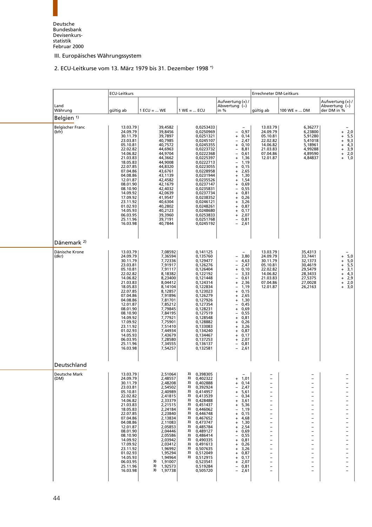# <span id="page-56-0"></span>[2. ECU-Leitkurse vom 13. März 1979 bis 31. Dezembe](#page-8-5)r 1998 \*)

|                                  | <b>ECU-Leitkurs</b>                                                                                                                                                                                                                                                              |                                                                                                                                                                                                                                                                             |                                                                                                                                                                                                                                                                                                                                                                                                          |                                                                                                                                                                                                                                                                                                                                                                                                                                                                                                                                                          |                                                                                                                                                                                                                                                                                                                                                                                                                                                                                                                                                                                                                               | Errechneter DM-Leitkurs                                                                                                                                                                                                                                                                                                                                                                                          |                                                                                                                                                                                                                                                                                                                                                                                                                                                                     |  |
|----------------------------------|----------------------------------------------------------------------------------------------------------------------------------------------------------------------------------------------------------------------------------------------------------------------------------|-----------------------------------------------------------------------------------------------------------------------------------------------------------------------------------------------------------------------------------------------------------------------------|----------------------------------------------------------------------------------------------------------------------------------------------------------------------------------------------------------------------------------------------------------------------------------------------------------------------------------------------------------------------------------------------------------|----------------------------------------------------------------------------------------------------------------------------------------------------------------------------------------------------------------------------------------------------------------------------------------------------------------------------------------------------------------------------------------------------------------------------------------------------------------------------------------------------------------------------------------------------------|-------------------------------------------------------------------------------------------------------------------------------------------------------------------------------------------------------------------------------------------------------------------------------------------------------------------------------------------------------------------------------------------------------------------------------------------------------------------------------------------------------------------------------------------------------------------------------------------------------------------------------|------------------------------------------------------------------------------------------------------------------------------------------------------------------------------------------------------------------------------------------------------------------------------------------------------------------------------------------------------------------------------------------------------------------|---------------------------------------------------------------------------------------------------------------------------------------------------------------------------------------------------------------------------------------------------------------------------------------------------------------------------------------------------------------------------------------------------------------------------------------------------------------------|--|
| Land<br>Währung                  | gültig ab                                                                                                                                                                                                                                                                        | $1 ECU =  WE$                                                                                                                                                                                                                                                               | $1 WE =  ECU$                                                                                                                                                                                                                                                                                                                                                                                            | Aufwertung (+) /<br>Abwertung $(-)$<br>in $%$                                                                                                                                                                                                                                                                                                                                                                                                                                                                                                            | gültig ab                                                                                                                                                                                                                                                                                                                                                                                                                                                                                                                                                                                                                     | $100$ WE =  DM                                                                                                                                                                                                                                                                                                                                                                                                   | Aufwertung (+) /<br>Abwertung (-)<br>der DM in %                                                                                                                                                                                                                                                                                                                                                                                                                    |  |
| Belgien <sup>1)</sup>            |                                                                                                                                                                                                                                                                                  |                                                                                                                                                                                                                                                                             |                                                                                                                                                                                                                                                                                                                                                                                                          |                                                                                                                                                                                                                                                                                                                                                                                                                                                                                                                                                          |                                                                                                                                                                                                                                                                                                                                                                                                                                                                                                                                                                                                                               |                                                                                                                                                                                                                                                                                                                                                                                                                  |                                                                                                                                                                                                                                                                                                                                                                                                                                                                     |  |
| <b>Belgischer Franc</b><br>(bfr) | 13.03.79<br>24.09.79<br>30.11.79<br>23.03.81<br>05.10.81<br>22.02.82<br>14.06.82<br>21.03.83<br>18.05.83<br>22.07.85<br>07.04.86<br>04.08.86<br>12.01.87<br>08.01.90<br>08.10.90<br>14.09.92<br>17.09.92<br>23.11.92<br>01.02.93<br>14.05.93<br>06.03.95<br>25.11.96<br>16.03.98 | 39,4582<br>39,8456<br>39,7897<br>40,7985<br>40,7572<br>44,6963<br>44,9704<br>44,3662<br>44,9008<br>44,8320<br>43,6761<br>43,1139<br>42,4582<br>42,1679<br>42,4032<br>42,0639<br>41,9547<br>40,6304<br>40,2802<br>40,2123<br>39,3960<br>39,7191<br>40,7844                   | 0,0253433<br>0,0250969<br>0,0251321<br>0,0245107<br>0,0245355<br>0,0223732<br>0,0222368<br>0,0225397<br>0,0222713<br>0,0223055<br>0,0228958<br>0,0231944<br>0,0235526<br>0,0237147<br>0,0235831<br>0,0237734<br>0,0238352<br>0,0246121<br>0,0248261<br>0,0248680<br>0,0253833<br>0,0251768<br>0,0245192                                                                                                  | $\overline{\phantom{0}}$<br>$-0,97$<br>$+ 0,14$<br>2,47<br>$\overline{\phantom{0}}$<br>$\ddot{}$<br>0, 10<br>8,81<br>$\overline{\phantom{0}}$<br>$\overline{\phantom{0}}$<br>0,61<br>1,36<br>$\ddot{}$<br>1,19<br>$\overline{\phantom{0}}$<br>$+$<br>0,15<br>2,65<br>1,30<br>$\ddot{}$<br>$\ddot{}$<br>1,54<br>$\ddot{}$<br>0,69<br>$\ddot{}$<br>0,55<br>$\qquad \qquad -$<br>0,81<br>$+$<br>0,26<br>$\ddot{}$<br>3,26<br>$\ddot{}$<br>0,87<br>$+$<br>0,17<br>$+$<br>2,07<br>$+$<br>0,81<br>$\overline{\phantom{0}}$<br>$\overline{\phantom{0}}$<br>2,61 | 13.03.79<br>24.09.79<br>05.10.81<br>22.02.82<br>14.06.82<br>21.03.83<br>07.04.86<br>12.01.87                                                                                                                                                                                                                                                                                                                                                                                                                                                                                                                                  | 6,36277<br>6,23800<br>5,91280<br>5,41018<br>5,18961<br>4,99288<br>4,89590<br>4,84837                                                                                                                                                                                                                                                                                                                             | 2,0<br>$\ddot{}$<br>5,5<br>$\ddot{}$<br>$9,3$<br>$4,3$<br>$3,9$<br>$\ddot{}$<br>$\ddot{}$<br>$\ddot{}$<br>2,0<br>$\begin{array}{c} + \end{array}$<br>1,0<br>$+$                                                                                                                                                                                                                                                                                                     |  |
| Dänemark <sup>2)</sup>           |                                                                                                                                                                                                                                                                                  |                                                                                                                                                                                                                                                                             |                                                                                                                                                                                                                                                                                                                                                                                                          |                                                                                                                                                                                                                                                                                                                                                                                                                                                                                                                                                          |                                                                                                                                                                                                                                                                                                                                                                                                                                                                                                                                                                                                                               |                                                                                                                                                                                                                                                                                                                                                                                                                  |                                                                                                                                                                                                                                                                                                                                                                                                                                                                     |  |
| Dänische Krone<br>(dkr)          | 13.03.79<br>24.09.79<br>30.11.79<br>23.03.81<br>05.10.81<br>22.02.82<br>14.06.82<br>21.03.83<br>18.05.83<br>22.07.85<br>07.04.86<br>04.08.86<br>12.01.87<br>08.01.90<br>08.10.90<br>14.09.92<br>17.09.92<br>23.11.92<br>01.02.93<br>14.05.93<br>06.03.95<br>25.11.96<br>16.03.98 | 7,08592<br>7,36594<br>7,72336<br>7,91917<br>7,91117<br>8,18382<br>8,23400<br>8,04412<br>8,14104<br>8,12857<br>7,91896<br>7,81701<br>7,85212<br>7,79845<br>7,84195<br>7,77921<br>7,75901<br>7,51410<br>7,44934<br>7,43679<br>7,28580<br>7,34555<br>7,54257                   | 0,141125<br>0,135760<br>0,129477<br>0,126276<br>0,126404<br>0,122192<br>0,121448<br>0,124314<br>0,122834<br>0,123023<br>0,126279<br>0,127926<br>0,127354<br>0,128231<br>0,127519<br>0,128548<br>0,128882<br>0,133083<br>0,134240<br>0,134467<br>0,137253<br>0,136137<br>0,132581                                                                                                                         | 3,80<br>-<br>$\frac{1}{2}$<br>4,63<br>2,47<br>0,10<br>$+$<br>3,33<br>$\overline{\phantom{0}}$<br>0,61<br>$\overline{\phantom{0}}$<br>2,36<br>$+$<br>1,19<br>$\overline{\phantom{0}}$<br>0,15<br>$\ddot{}$<br>2,65<br>$+$<br>1,30<br>$+$<br>0,45<br>$\qquad \qquad -$<br>0,69<br>$+$<br>$\overline{\phantom{0}}$<br>0,55<br>0,81<br>$+$<br>0,26<br>$+$<br>3,26<br>$+$<br>0,87<br>$\ddot{}$<br>$+ 0,17$<br>2,07<br>$+$<br>0,81<br>$\overline{\phantom{0}}$<br>$-2,61$                                                                                      | 13.03.79<br>24.09.79<br>30.11.79<br>05.10.81<br>22.02.82<br>14.06.82<br>21.03.83<br>07.04.86<br>12.01.87                                                                                                                                                                                                                                                                                                                                                                                                                                                                                                                      | 35,4313<br>33,7441<br>32,1373<br>30,4619<br>29,5479<br>28,3433<br>27,5375<br>27,0028<br>26,2163                                                                                                                                                                                                                                                                                                                  | 5,0<br>$\ddot{}$<br>$\frac{5,0}{5,5}$<br>$\frac{5}{3,1}$<br>$\ddot{}$<br>$\ddot{}$<br>$\ddot{}$<br>$4,3$<br>2,9<br>2,0<br>$\begin{array}{c} + \end{array}$<br>$\ddot{}$<br>$\ddot{}$<br>$\ddot{}$<br>3,0                                                                                                                                                                                                                                                            |  |
| Deutschland                      |                                                                                                                                                                                                                                                                                  |                                                                                                                                                                                                                                                                             |                                                                                                                                                                                                                                                                                                                                                                                                          |                                                                                                                                                                                                                                                                                                                                                                                                                                                                                                                                                          |                                                                                                                                                                                                                                                                                                                                                                                                                                                                                                                                                                                                                               |                                                                                                                                                                                                                                                                                                                                                                                                                  |                                                                                                                                                                                                                                                                                                                                                                                                                                                                     |  |
| Deutsche Mark<br>(DM)            | 13.03.79<br>24.09.79<br>30.11.79<br>23.03.81<br>05.10.81<br>22.02.82<br>14.06.82<br>21.03.83<br>18.05.83<br>22.07.85<br>07.04.86<br>04.08.86<br>12.01.87<br>08.01.90<br>08.10.90<br>14.09.92<br>17.09.92<br>23.11.92<br>01.02.93<br>14.05.93<br>06.03.95<br>25.11.96<br>16.03.98 | 2,51064<br>2,48557<br>2,48208<br>2,54502<br>2,40989<br>2,41815<br>2,33379<br>2,21515<br>2,24184<br>2,23840<br>2,13834<br>2,11083<br>2,05853<br>2,04446<br>2,05586<br>2,03942<br>2,03412<br>1,96992<br>1,95294<br>1,94964<br>3)<br>1,91007<br>3)<br>1,92573<br>3)<br>1,97738 | 0,398305<br>3)<br>3)<br>0,402322<br>3)<br>0.402888<br>3)<br>0,392924<br>3)<br>0,414957<br>3)<br>0,413539<br>3)<br>0,428488<br>3)<br>0,451437<br>3)<br>0,446062<br>3)<br>0,446748<br>3)<br>0,467652<br>3)<br>0,473747<br>3)<br>0,485784<br>3)<br>0,489127<br>3)<br>0,486414<br>3)<br>0,490335<br>3)<br>0,491613<br>3)<br>0,507635<br>3)<br>0,512049<br>3)<br>0,512915<br>0,523541<br>0,519284<br>0,505720 | $\overline{\phantom{0}}$<br>1,01<br>$\ddot{}$<br>0,14<br>$\ddot{}$<br>2,47<br>5,61<br>$\ddot{}$<br>0,34<br>$\qquad \qquad -$<br>3,61<br>$\ddot{}$<br>5,36<br>$\ddot{}$<br>1,19<br>$\qquad \qquad -$<br>0,15<br>$\ddot{}$<br>4,68<br>$\ddot{}$<br>1,30<br>$\ddot{}$<br>2,54<br>$\ddot{}$<br>0,69<br>$\ddot{}$<br>0,55<br>$\qquad \qquad -$<br>0,81<br>$\ddot{}$<br>0,26<br>$\ddot{}$<br>3,26<br>$\ddot{}$<br>0,87<br>$\ddot{}$<br>0,17<br>$\ddot{}$<br>2,07<br>$\ddot{}$<br>0,81<br>$\qquad \qquad -$<br>2,61<br>$-$                                      | $\overline{\phantom{a}}$<br>$\qquad \qquad -$<br>$\overline{\phantom{a}}$<br>$\overline{\phantom{a}}$<br>$\overline{\phantom{a}}$<br>$\overline{\phantom{a}}$<br>$\overline{\phantom{a}}$<br>$\overline{\phantom{a}}$<br>$\overline{\phantom{a}}$<br>$\overline{\phantom{a}}$<br>$\overline{\phantom{a}}$<br>$\overline{\phantom{a}}$<br>$\overline{\phantom{a}}$<br>$\overline{\phantom{a}}$<br>$\overline{\phantom{a}}$<br>$\overline{\phantom{a}}$<br>$\overline{\phantom{a}}$<br>$\overline{\phantom{a}}$<br>$\overline{\phantom{a}}$<br>$\overline{\phantom{a}}$<br>$\overline{\phantom{a}}$<br>$\overline{\phantom{a}}$ | $\overline{\phantom{0}}$<br>-<br>-<br>-<br>$\overline{\phantom{0}}$<br>$\overline{\phantom{0}}$<br>$\overline{\phantom{0}}$<br>-<br>$\overline{\phantom{0}}$<br>-<br>-<br>$\overline{\phantom{0}}$<br>$\overline{\phantom{0}}$<br>-<br>-<br>$\overline{\phantom{0}}$<br>$\overline{\phantom{0}}$<br>$\overline{\phantom{0}}$<br>$\overline{\phantom{0}}$<br>$\overline{\phantom{0}}$<br>$\overline{\phantom{0}}$ | $\overline{\phantom{0}}$<br>-<br>-<br>$\overline{\phantom{0}}$<br>$\overline{\phantom{0}}$<br>$\overline{\phantom{0}}$<br>$\overline{\phantom{0}}$<br>-<br>$\overline{\phantom{0}}$<br>$\overline{\phantom{0}}$<br>-<br>$\overline{\phantom{0}}$<br>$\overline{\phantom{0}}$<br>-<br>-<br>$\overline{\phantom{0}}$<br>$\overline{\phantom{0}}$<br>$\overline{\phantom{0}}$<br>$\overline{\phantom{0}}$<br>$\overline{\phantom{0}}$<br>$\overline{\phantom{0}}$<br>- |  |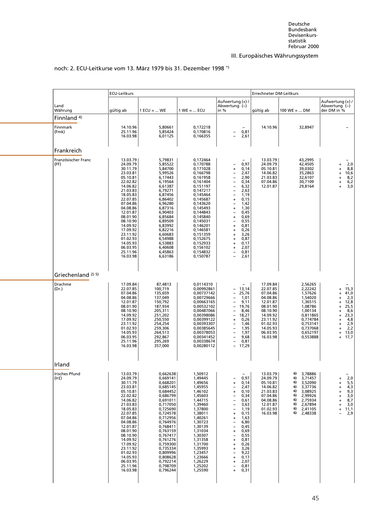<span id="page-57-0"></span>

|                                             |                                                                                                                                                                                                                                                                                  | Errechneter DM-Leitkurs                                                                                                                                                                                                                                                          |                                                                                                                                                                                                                                                                                  |                                                                                                                                                                                                                                                                                                                                                                                                                                                                                                                                                                                                                                                                             |                                                                                                                                                          |                                                                                                                                                   |                                                                                                                                                                                                                       |
|---------------------------------------------|----------------------------------------------------------------------------------------------------------------------------------------------------------------------------------------------------------------------------------------------------------------------------------|----------------------------------------------------------------------------------------------------------------------------------------------------------------------------------------------------------------------------------------------------------------------------------|----------------------------------------------------------------------------------------------------------------------------------------------------------------------------------------------------------------------------------------------------------------------------------|-----------------------------------------------------------------------------------------------------------------------------------------------------------------------------------------------------------------------------------------------------------------------------------------------------------------------------------------------------------------------------------------------------------------------------------------------------------------------------------------------------------------------------------------------------------------------------------------------------------------------------------------------------------------------------|----------------------------------------------------------------------------------------------------------------------------------------------------------|---------------------------------------------------------------------------------------------------------------------------------------------------|-----------------------------------------------------------------------------------------------------------------------------------------------------------------------------------------------------------------------|
| Land<br>Währung                             | gültig ab                                                                                                                                                                                                                                                                        | $1$ ECU =  WE                                                                                                                                                                                                                                                                    | $1 WE =  ECU$                                                                                                                                                                                                                                                                    | Aufwertung (+) /<br>Abwertung (-)<br>in %                                                                                                                                                                                                                                                                                                                                                                                                                                                                                                                                                                                                                                   | gültig ab                                                                                                                                                | $100$ WE =  DM                                                                                                                                    | Aufwertung (+) /<br>Abwertung (-)<br>der DM in %                                                                                                                                                                      |
| Finnland <sup>4)</sup><br>Finnmark<br>(Fmk) | 14.10.96<br>25.11.96<br>16.03.98                                                                                                                                                                                                                                                 | 5,80661<br>5,85424<br>6,01125                                                                                                                                                                                                                                                    | 0,172218<br>0,170816<br>0,166355                                                                                                                                                                                                                                                 | $\overline{\phantom{0}}$<br>0,81<br>$\bar{a}$<br>2,61                                                                                                                                                                                                                                                                                                                                                                                                                                                                                                                                                                                                                       | 14.10.96                                                                                                                                                 | 32,8947                                                                                                                                           | $\overline{\phantom{0}}$                                                                                                                                                                                              |
| Frankreich                                  |                                                                                                                                                                                                                                                                                  |                                                                                                                                                                                                                                                                                  |                                                                                                                                                                                                                                                                                  |                                                                                                                                                                                                                                                                                                                                                                                                                                                                                                                                                                                                                                                                             |                                                                                                                                                          |                                                                                                                                                   |                                                                                                                                                                                                                       |
| Französischer Franc<br>(FF)                 | 13.03.79<br>24.09.79<br>30.11.79<br>23.03.81<br>05.10.81<br>22.02.82<br>14.06.82<br>21.03.83<br>18.05.83<br>22.07.85<br>07.04.86<br>04.08.86<br>12.01.87<br>08.01.90<br>08.10.90<br>14.09.92<br>17.09.92<br>23.11.92<br>01.02.93<br>14.05.93<br>06.03.95<br>25.11.96<br>16.03.98 | 5,79831<br>5,85522<br>5,84700<br>5,99526<br>6,17443<br>6,19564<br>6,61387<br>6,79271<br>6,87456<br>6,86402<br>6,96280<br>6,87316<br>6,90403<br>6,85684<br>6,89509<br>6,83992<br>6,82216<br>6,60683<br>6,54988<br>6,53883<br>6,40608<br>6,45863<br>6,63186                        | 0,172464<br>0,170788<br>0,171028<br>0,166798<br>0,161958<br>0,161404<br>0,151197<br>0,147217<br>0,145464<br>0,145687<br>0,143620<br>0,145493<br>0,144843<br>0,145840<br>0,145031<br>0,146201<br>0,146581<br>0,151359<br>0,152675<br>0,152933<br>0,156102<br>0,154832<br>0,150787 | 0,97<br>$\overline{\phantom{a}}$<br>0,14<br>$\ddot{}$<br>2,47<br>$\qquad \qquad -$<br>$\overline{a}$<br>2,90<br>$\qquad \qquad -$<br>0,34<br>$\qquad \qquad -$<br>6,32<br>$\overline{a}$<br>2,63<br>$\overline{a}$<br>1,19<br>0, 15<br>$\pmb{+}$<br>1,42<br>$\overline{\phantom{a}}$<br>1,30<br>$\ddot{}$<br>0,45<br>$\qquad \qquad -$<br>0,69<br>$\pmb{+}$<br>0,55<br>$\qquad \qquad -$<br>0,81<br>$\ddot{}$<br>0,26<br>$\ddot{}$<br>3,26<br>$\ddot{}$<br>0,87<br>$\begin{array}{c} + \end{array}$<br>0,17<br>$\ddot{}$<br>2,07<br>$\ddot{}$<br>0,81<br>$\qquad \qquad -$<br>$\overline{\phantom{a}}$<br>2,61                                                              | 13.03.79<br>24.09.79<br>05.10.81<br>14.06.82<br>21.03.83<br>07.04.86<br>12.01.87                                                                         | 43,2995<br>42,4505<br>39,0302<br>35,2863<br>32,6107<br>30,7109<br>29,8164                                                                         | 2,0<br>$\ddot{}$<br>8,8<br>$\begin{array}{c} + \end{array}$<br>10,6<br>$+$<br>8,2<br>$+$<br>6,2<br>$\ddot{}$<br>3,0<br>$\ddot{}$                                                                                      |
| Griechenland <sup>2) 5)</sup>               |                                                                                                                                                                                                                                                                                  |                                                                                                                                                                                                                                                                                  |                                                                                                                                                                                                                                                                                  |                                                                                                                                                                                                                                                                                                                                                                                                                                                                                                                                                                                                                                                                             |                                                                                                                                                          |                                                                                                                                                   |                                                                                                                                                                                                                       |
| Drachme<br>(Dr.)                            | 17.09.84<br>22.07.85<br>07.04.86<br>04.08.86<br>12.01.87<br>08.01.90<br>08.10.90<br>14.09.92<br>17.09.92<br>23.11.92<br>01.02.93<br>14.05.93<br>06.03.95<br>25.11.96<br>16.03.98                                                                                                 | 87,4813<br>100,719<br>135,659<br>137,049<br>150,792<br>187,934<br>205,311<br>251,202<br>250,550<br>254,254<br>259,306<br>264,513<br>292,867<br>295,269<br>357,000                                                                                                                | 0,0114310<br>0,00992861<br>0,00737142<br>0,00729666<br>0,00663165<br>0,00532102<br>0,00487066<br>0,00398086<br>0,00399122<br>0,00393307<br>0,00385645<br>0,00378053<br>0,00341452<br>0,00338674<br>0,00280112                                                                    | $-$<br>13,14<br>$\overline{\phantom{a}}$<br>25,76<br>$\qquad \qquad -$<br>$\qquad \qquad -$<br>1,01<br>$\qquad \qquad -$<br>9,11<br>19,76<br>$\qquad \qquad -$<br>$\overline{a}$<br>8,46<br>$\overline{\phantom{a}}$<br>18,27<br>0,26<br>$\pmb{+}$<br>1,46<br>$\overline{\phantom{a}}$<br>$\overline{\phantom{0}}$<br>1,95<br>1,97<br>$\qquad \qquad -$<br>$\frac{1}{2}$<br>9,68<br>0,81<br>$\overline{\phantom{a}}$<br>17,29                                                                                                                                                                                                                                               | 17.09.84<br>22.07.85<br>07.04.86<br>04.08.86<br>12.01.87<br>08.01.90<br>08.10.90<br>14.09.92<br>23.11.92<br>01.02.93<br>14.05.93<br>06.03.95<br>16.03.98 | 2,56265<br>2,22242<br>1,57626<br>1,54020<br>1,36515<br>1,08786<br>1,00134<br>0,811865<br>0,774784<br>0,753141<br>0,737068<br>0,652197<br>0.553888 | $+ 15,3$<br>41,0<br>$\ddot{}$<br>2,3<br>$\ddot{}$<br>12,8<br>$\ddot{}$<br>25,5<br>$\ddot{}$<br>8,6<br>$\ddot{}$<br>23,3<br>$+$<br>4,8<br>$\ddot{}$<br>2,9<br>$\ddot{}$<br>2,2<br>$\ddot{}$<br>13,0<br>$+$<br>$+ 17.7$ |
| Irland                                      |                                                                                                                                                                                                                                                                                  |                                                                                                                                                                                                                                                                                  |                                                                                                                                                                                                                                                                                  |                                                                                                                                                                                                                                                                                                                                                                                                                                                                                                                                                                                                                                                                             |                                                                                                                                                          |                                                                                                                                                   |                                                                                                                                                                                                                       |
| Irisches Pfund<br>$(\vert r f)$             | 13.03.79<br>24.09.79<br>30.11.79<br>23.03.81<br>05.10.81<br>22.02.82<br>14.06.82<br>21.03.83<br>18.05.83<br>22.07.85<br>07.04.86<br>04.08.86<br>12.01.87<br>08.01.90<br>08.10.90<br>14.09.92<br>17.09.92<br>23.11.92<br>01.02.93<br>14.05.93<br>06.03.95<br>25.11.96<br>16.03.98 | 0,662638<br>0,669141<br>0,668201<br>0,685145<br>0,684452<br>0,686799<br>0,691011<br>0,717050<br>0,725690<br>0,724578<br>0,712956<br>0,764976<br>0,768411<br>0,763159<br>0,767417<br>0,761276<br>0,759300<br>0,735334<br>0,809996<br>0,808628<br>0,792214<br>0,798709<br>0,796244 | 1,50912<br>1,49445<br>1,49656<br>1,45955<br>1,46102<br>1,45603<br>1,44715<br>1,39460<br>1,37800<br>1,38011<br>1,40261<br>1,30723<br>1,30139<br>1,31034<br>1,30307<br>1,31358<br>1,31700<br>1,35993<br>1,23457<br>1,23666<br>1,26229<br>1,25202<br>1,25590                        | $-$<br>0,97<br>$\overline{\phantom{a}}$<br>0,14<br>$\ddot{}$<br>2,47<br>$\overline{\phantom{a}}$<br>0,10<br>$\begin{array}{c} + \end{array}$<br>0,34<br>$\qquad \qquad -$<br>0,61<br>$\qquad \qquad -$<br>$\overline{a}$<br>3,63<br>$\overline{a}$<br>1,19<br>0,15<br>$\pmb{+}$<br>1,63<br>$\ddot{}$<br>6,80<br>$\qquad \qquad -$<br>0,45<br>$\overline{\phantom{a}}$<br>0,69<br>$\begin{array}{c} + \end{array}$<br>0,55<br>$\qquad \qquad -$<br>0,81<br>$\begin{array}{c} + \end{array}$<br>0,26<br>$\ddot{}$<br>3,26<br>$\ddot{}$<br>9,22<br>$\overline{\phantom{a}}$<br>0,17<br>$\ddot{}$<br>2,07<br>$\ddot{}$<br>0,81<br>$\overline{\phantom{a}}$<br>0,31<br>$\ddot{}$ | 13.03.79<br>24.09.79<br>05.10.81<br>14.06.82<br>21.03.83<br>07.04.86<br>04.08.86<br>12.01.87<br>01.02.93<br>16.03.98                                     | 6) 3,78886<br>6) 3,71457<br>6) 3,52090<br>6) 3,37736<br>6) 3,08925<br>6) 2,99926<br>6) 2,75934<br>6) 2,67894<br>6) 2,41105<br>6) 2,48338          | 2,0<br>$\ddot{}$<br>$5,5$<br>4,3<br>9,3<br>3,0<br>8,7<br>$\ddot{}$<br>$\ddot{}$<br>$\ddot{}$<br>$\ddot{}$<br>$\begin{array}{c} + \end{array}$<br>3,0<br>$\ddot{}$<br>11,1<br>$\ddot{}$<br>2,9<br>$\overline{a}$       |

# noch: 2. ECU-Leitkurse vom 13. März 1979 bis 31. Dezember 1998 \*)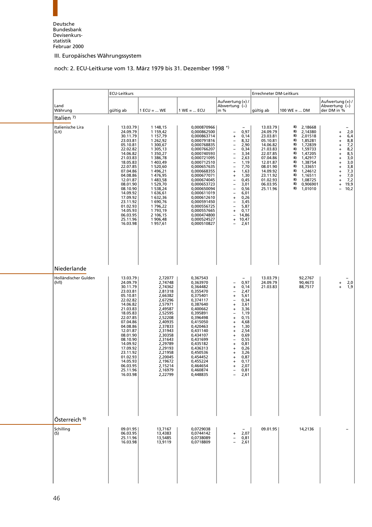# <span id="page-58-0"></span>[noch: 2. ECU-Leitkurse vom 13. März 1979 bis 31. Dezem](#page-8-7)ber 1998 \*)

|                                              | ECU-Leitkurs                                                                                                                                                                                                                                                                     |                                                                                                                                                                                                                                                                           |                                                                                                                                                                                                                                                                                                                                                       |                                                                                                                                                                                                                                                                                                                                                                                                                                                                                                                                                                                                                                                                                                                    | Errechneter DM-Leitkurs                                                                                                                                                          |                                                                                                                                                                                                                                                           |                                                                                                                                                                                                                                                                                                                                                                          |  |
|----------------------------------------------|----------------------------------------------------------------------------------------------------------------------------------------------------------------------------------------------------------------------------------------------------------------------------------|---------------------------------------------------------------------------------------------------------------------------------------------------------------------------------------------------------------------------------------------------------------------------|-------------------------------------------------------------------------------------------------------------------------------------------------------------------------------------------------------------------------------------------------------------------------------------------------------------------------------------------------------|--------------------------------------------------------------------------------------------------------------------------------------------------------------------------------------------------------------------------------------------------------------------------------------------------------------------------------------------------------------------------------------------------------------------------------------------------------------------------------------------------------------------------------------------------------------------------------------------------------------------------------------------------------------------------------------------------------------------|----------------------------------------------------------------------------------------------------------------------------------------------------------------------------------|-----------------------------------------------------------------------------------------------------------------------------------------------------------------------------------------------------------------------------------------------------------|--------------------------------------------------------------------------------------------------------------------------------------------------------------------------------------------------------------------------------------------------------------------------------------------------------------------------------------------------------------------------|--|
| Land<br>Währung                              | gültig ab                                                                                                                                                                                                                                                                        | $1 ECU =  WE$                                                                                                                                                                                                                                                             | $1 WE =  ECU$                                                                                                                                                                                                                                                                                                                                         | Aufwertung (+) /<br>Abwertung (-)<br>in $%$                                                                                                                                                                                                                                                                                                                                                                                                                                                                                                                                                                                                                                                                        | gültig ab                                                                                                                                                                        | $100 \text{ WE} =  \text{ DM}$                                                                                                                                                                                                                            | Aufwertung (+) /<br>Abwertung (-)<br>der DM in %                                                                                                                                                                                                                                                                                                                         |  |
| Italien $7$                                  |                                                                                                                                                                                                                                                                                  |                                                                                                                                                                                                                                                                           |                                                                                                                                                                                                                                                                                                                                                       |                                                                                                                                                                                                                                                                                                                                                                                                                                                                                                                                                                                                                                                                                                                    |                                                                                                                                                                                  |                                                                                                                                                                                                                                                           |                                                                                                                                                                                                                                                                                                                                                                          |  |
| Italienische Lira<br>(Lit)                   | 13.03.79<br>24.09.79<br>30.11.79<br>23.03.81<br>05.10.81<br>22.02.82<br>14.06.82<br>21.03.83<br>18.05.83<br>22.07.85<br>07.04.86<br>04.08.86<br>12.01.87<br>08.01.90<br>08.10.90<br>14.09.92<br>17.09.92<br>23.11.92<br>01.02.93<br>14.05.93<br>06.03.95<br>25.11.96<br>16.03.98 | 1 148,15<br>1 159,42<br>1 157,79<br>1 262,92<br>1 300,67<br>1 305,13<br>1 350,27<br>1 386,78<br>1 403,49<br>1 520,60<br>1496,21<br>1 476,95<br>1483,58<br>1 529,70<br>1 538,24<br>1636,61<br>1 632,36<br>1690,76<br>1796,22<br>1793,19<br>2 106,15<br>1 906,48<br>1957,61 | 0,000870966<br>0,000862500<br>0,000863714<br>0,000791816<br>0,000768835<br>0,000766207<br>0,000740593<br>0,000721095<br>0,000712510<br>0,000657635<br>0,000668355<br>0,000677071<br>0,000674045<br>0,000653723<br>0,000650094<br>0,000611019<br>0,000612610<br>0,000591450<br>0,000556725<br>0,000557665<br>0,000474800<br>0,000524527<br>0,000510827 | 0,97<br>$\overline{\phantom{a}}$<br>0,14<br>$\ddot{}$<br>8,32<br>$\qquad \qquad -$<br>$\frac{1}{2}$<br>2,90<br>0,34<br>$\overline{\phantom{0}}$<br>3,34<br>$\overline{\phantom{0}}$<br>2,63<br>$\qquad \qquad -$<br>1,19<br>$\qquad \qquad -$<br>7,70<br>$\pmb{+}$<br>1,63<br>1,30<br>$\begin{array}{c} + \end{array}$<br>0,45<br>$\overline{\phantom{a}}$<br>3,01<br>$\overline{\phantom{0}}$<br>$\qquad \qquad -$<br>0,56<br>$\qquad \qquad -$<br>6,01<br>0,26<br>$\pmb{+}$<br>3,45<br>$\overline{\phantom{a}}$<br>$\qquad \qquad -$<br>5,87<br>0,17<br>$\begin{array}{c} + \end{array}$<br>14,86<br>$\qquad \qquad -$<br>10,47<br>$+$<br>2,61<br>$\overline{\phantom{a}}$                                       | 13.03.79<br>24.09.79<br>23.03.81<br>05.10.81<br>14.06.82<br>21.03.83<br>22.07.85<br>07.04.86<br>12.01.87<br>08.01.90<br>14.09.92<br>23.11.92<br>01.02.93<br>06.03.95<br>25.11.96 | 8)<br>2,18668<br>8)<br>2,14380<br>8)<br>2,01518<br>8)<br>1,85281<br>8)<br>1,72839<br>8)<br>1,59733<br>8)<br>1,47205<br>8)<br>1,42917<br>8)<br>1,38754<br>8)<br>1,33651<br>8)<br>1,24612<br>8)<br>1,16511<br>8)<br>1,08725<br>8)<br>0,906901<br>8) 1,01010 | 2,0<br>+<br>6,4<br>$\ddot{}$<br>8,8<br>$\ddot{}$<br>$7,2$<br>8,2<br>$\ddot{}$<br>$\ddot{}$<br>8,5<br>$\ddot{}$<br>3,0<br>$\begin{array}{c} + \end{array}$<br>3,0<br>$\begin{array}{c} + \end{array}$<br>3,8<br>$\ddot{}$<br>$7,3$<br>$7,0$<br>$\ddot{}$<br>$\ddot{}$<br>7,2<br>$\ddot{}$<br>19,9<br>$\begin{array}{c} + \end{array}$<br>10,2<br>$\overline{\phantom{0}}$ |  |
| Niederlande                                  |                                                                                                                                                                                                                                                                                  |                                                                                                                                                                                                                                                                           |                                                                                                                                                                                                                                                                                                                                                       |                                                                                                                                                                                                                                                                                                                                                                                                                                                                                                                                                                                                                                                                                                                    |                                                                                                                                                                                  |                                                                                                                                                                                                                                                           |                                                                                                                                                                                                                                                                                                                                                                          |  |
| Holländischer Gulden<br>(hfl)                | 13.03.79<br>24.09.79<br>30.11.79<br>23.03.81<br>05.10.81<br>22.02.82<br>14.06.82<br>21.03.83<br>18.05.83<br>22.07.85<br>07.04.86<br>04.08.86<br>12.01.87<br>08.01.90<br>08.10.90<br>14.09.92<br>17.09.92<br>23.11.92<br>01.02.93<br>14.05.93<br>06.03.95<br>25.11.96<br>16.03.98 | 2,72077<br>2,74748<br>2,74362<br>2,81318<br>2,66382<br>2,67296<br>2,57971<br>2,49587<br>2,52595<br>2,52208<br>2,40935<br>2,37833<br>2,31943<br>2,30358<br>2,31643<br>2,29789<br>2,29193<br>2,21958<br>2,20045<br>2,19672<br>2,15214<br>2,16979<br>2,22799                 | 0,367543<br>0,363970<br>0,364482<br>0,355470<br>0,375401<br>0,374117<br>0,387640<br>0,400662<br>0,395891<br>0,396498<br>0,415050<br>0,420463<br>0,431140<br>0,434107<br>0,431699<br>0,435182<br>0,436313<br>0,450536<br>0,454452<br>0,455224<br>0,464654<br>0,460874<br>0,448835                                                                      | 0,97<br>$\overline{\phantom{a}}$<br>0,14<br>$\begin{array}{c} + \end{array}$<br>2,47<br>$\overline{\phantom{a}}$<br>5,61<br>$\pmb{+}$<br>0,34<br>$\overline{\phantom{a}}$<br>3,61<br>$\begin{array}{c} + \end{array}$<br>3,36<br>$\pmb{+}$<br>1,19<br>$\overline{\phantom{a}}$<br>0, 15<br>$\pmb{+}$<br>4,68<br>$\begin{array}{c} + \end{array}$<br>1,30<br>$\begin{array}{c} + \end{array}$<br>2,54<br>$\ddot{}$<br>0,69<br>$\pmb{+}$<br>0,55<br>$\overline{\phantom{a}}$<br>0,81<br>$\pmb{+}$<br>0,26<br>$\begin{array}{c} + \end{array}$<br>3,26<br>$\ddot{}$<br>0,87<br>$\begin{array}{c} + \end{array}$<br>0,17<br>$\begin{array}{c} + \end{array}$<br>2,07<br>$\ddot{}$<br>0,81<br>$\qquad \qquad -$<br>2,61 | 13.03.79<br>24.09.79<br>21.03.83                                                                                                                                                 | 92,2767<br>90,4673<br>88,7517                                                                                                                                                                                                                             | 2,0<br>1,9<br>$+$                                                                                                                                                                                                                                                                                                                                                        |  |
| Österreich <sup>9)</sup><br>Schilling<br>(S) | 09.01.95<br>06.03.95                                                                                                                                                                                                                                                             | 13,7167<br>13,4383                                                                                                                                                                                                                                                        | 0,0729038<br>0,0744142                                                                                                                                                                                                                                                                                                                                | 2,07<br>$\ddot{}$                                                                                                                                                                                                                                                                                                                                                                                                                                                                                                                                                                                                                                                                                                  | 09.01.95                                                                                                                                                                         | 14,2136                                                                                                                                                                                                                                                   |                                                                                                                                                                                                                                                                                                                                                                          |  |
|                                              | 25.11.96<br>16.03.98                                                                                                                                                                                                                                                             | 13,5485<br>13,9119                                                                                                                                                                                                                                                        | 0,0738089<br>0,0718809                                                                                                                                                                                                                                                                                                                                | 0,81<br>$\overline{\phantom{a}}$<br>2,61<br>$\equiv$                                                                                                                                                                                                                                                                                                                                                                                                                                                                                                                                                                                                                                                               |                                                                                                                                                                                  |                                                                                                                                                                                                                                                           |                                                                                                                                                                                                                                                                                                                                                                          |  |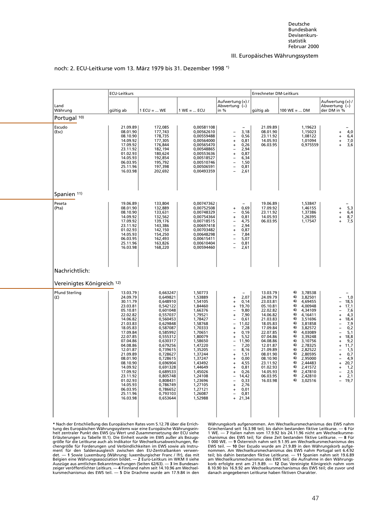<span id="page-59-1"></span><span id="page-59-0"></span>

|                              | <b>ECU-Leitkurs</b>                                                                                                                                                                                                                                                                                      |                                                                                                                                                                                                                                                                                                          |                                                                                                                                                                                                                                                                                 | Errechneter DM-Leitkurs                                                                                                                                                                                                                             |                                                                                                                                                                                                                                                          |                                                                                                                                                                                                                                                                                                                                                               |                                                                                                                                                                                                                                                                                                                                                                                                                                                                                          |  |  |
|------------------------------|----------------------------------------------------------------------------------------------------------------------------------------------------------------------------------------------------------------------------------------------------------------------------------------------------------|----------------------------------------------------------------------------------------------------------------------------------------------------------------------------------------------------------------------------------------------------------------------------------------------------------|---------------------------------------------------------------------------------------------------------------------------------------------------------------------------------------------------------------------------------------------------------------------------------|-----------------------------------------------------------------------------------------------------------------------------------------------------------------------------------------------------------------------------------------------------|----------------------------------------------------------------------------------------------------------------------------------------------------------------------------------------------------------------------------------------------------------|---------------------------------------------------------------------------------------------------------------------------------------------------------------------------------------------------------------------------------------------------------------------------------------------------------------------------------------------------------------|------------------------------------------------------------------------------------------------------------------------------------------------------------------------------------------------------------------------------------------------------------------------------------------------------------------------------------------------------------------------------------------------------------------------------------------------------------------------------------------|--|--|
| Land<br>Währung              | gültig ab                                                                                                                                                                                                                                                                                                | $1 ECU =  WE$                                                                                                                                                                                                                                                                                            | $1 WE =  ECU$                                                                                                                                                                                                                                                                   | Aufwertung (+) /<br>Abwertung (-)<br>in %                                                                                                                                                                                                           | gültig ab                                                                                                                                                                                                                                                | $100 \text{ WE} =  \text{ DM}$                                                                                                                                                                                                                                                                                                                                | Aufwertung (+) /<br>Abwertung (-)<br>der DM in %                                                                                                                                                                                                                                                                                                                                                                                                                                         |  |  |
| Portugal <sup>10)</sup>      |                                                                                                                                                                                                                                                                                                          |                                                                                                                                                                                                                                                                                                          |                                                                                                                                                                                                                                                                                 |                                                                                                                                                                                                                                                     |                                                                                                                                                                                                                                                          |                                                                                                                                                                                                                                                                                                                                                               |                                                                                                                                                                                                                                                                                                                                                                                                                                                                                          |  |  |
| Escudo<br>(Esc)              | 21.09.89<br>08.01.90<br>08.10.90<br>14.09.92<br>17.09.92<br>23.11.92<br>01.02.93<br>14.05.93<br>06.03.95<br>25.11.96<br>16.03.98                                                                                                                                                                         | 172,085<br>177,743<br>178,735<br>177,305<br>176,844<br>182,194<br>180,624<br>192,854<br>195,792<br>197,398<br>202,692                                                                                                                                                                                    | 0,00581108<br>0,00562610<br>0,00559488<br>0,00564000<br>0,00565470<br>0,00548865<br>0,00553636<br>0,00518527<br>0,00510746<br>0,00506591<br>0,00493359                                                                                                                          | 3,18<br>0,56<br>0,81<br>+<br>0,26<br>2,94<br>0,87<br>6,34<br>1,50<br>0,81<br>$\overline{\phantom{a}}$<br>2,61                                                                                                                                       | 21.09.89<br>08.01.90<br>23.11.92<br>14.05.93<br>06.03.95                                                                                                                                                                                                 | 1,19623<br>1,15023<br>1,08122<br>1,01094<br>0,975559                                                                                                                                                                                                                                                                                                          | 4,0<br>+<br>6,4<br>$\ddot{}$<br>7,0<br>$\ddot{}$<br>3,6<br>$\ddot{}$                                                                                                                                                                                                                                                                                                                                                                                                                     |  |  |
| Spanien 11)                  |                                                                                                                                                                                                                                                                                                          |                                                                                                                                                                                                                                                                                                          |                                                                                                                                                                                                                                                                                 |                                                                                                                                                                                                                                                     |                                                                                                                                                                                                                                                          |                                                                                                                                                                                                                                                                                                                                                               |                                                                                                                                                                                                                                                                                                                                                                                                                                                                                          |  |  |
| Peseta<br>(Pta)              | 19.06.89<br>08.01.90<br>08.10.90<br>14.09.92<br>17.09.92<br>23.11.92<br>01.02.93<br>14.05.93<br>06.03.95<br>25.11.96<br>16.03.98                                                                                                                                                                         | 133,804<br>132,889<br>133,631<br>132,562<br>139,176<br>143,386<br>142,150<br>154,250<br>162,493<br>163,826<br>168,220                                                                                                                                                                                    | 0,00747362<br>0,00752508<br>0,00748329<br>0,00754364<br>0,00718515<br>0,00697418<br>0,00703482<br>0,00648298<br>0,00615411<br>0,00610404<br>0,00594460                                                                                                                          | $\overline{\phantom{0}}$<br>0,69<br>$\ddot{}$<br>0,56<br>0,81<br>4,75<br>2,94<br>0,87<br>$\ddot{}$<br>7,84<br>$\qquad \qquad -$<br>5,07<br>$\overline{\phantom{0}}$<br>0,81<br>2,61                                                                 | 19.06.89<br>17.09.92<br>23.11.92<br>14.05.93<br>06.03.95                                                                                                                                                                                                 | 1,53847<br>1,46155<br>1,37386<br>1,26395<br>1,17547                                                                                                                                                                                                                                                                                                           | $\begin{bmatrix} 5,3 \\ 6,4 \\ 8,7 \end{bmatrix}$<br>+<br>$\ddot{}$<br>$\begin{array}{c} + \end{array}$<br>7,5<br>$\ddot{}$                                                                                                                                                                                                                                                                                                                                                              |  |  |
| Nachrichtlich:               |                                                                                                                                                                                                                                                                                                          |                                                                                                                                                                                                                                                                                                          |                                                                                                                                                                                                                                                                                 |                                                                                                                                                                                                                                                     |                                                                                                                                                                                                                                                          |                                                                                                                                                                                                                                                                                                                                                               |                                                                                                                                                                                                                                                                                                                                                                                                                                                                                          |  |  |
| Vereinigtes Königreich 12)   |                                                                                                                                                                                                                                                                                                          |                                                                                                                                                                                                                                                                                                          |                                                                                                                                                                                                                                                                                 |                                                                                                                                                                                                                                                     |                                                                                                                                                                                                                                                          |                                                                                                                                                                                                                                                                                                                                                               |                                                                                                                                                                                                                                                                                                                                                                                                                                                                                          |  |  |
| <b>Pfund Sterling</b><br>(f) | 13.03.79<br>24.09.79<br>30.11.79<br>23.03.81<br>05.10.81<br>22.02.82<br>14.06.82<br>21.03.83<br>18.05.83<br>17.09.84<br>22.07.85<br>07.04.86<br>04.08.86<br>12.01.87<br>21.09.89<br>08.01.90<br>08.10.90<br>14.09.92<br>17.09.92<br>23.11.92<br>01.02.93<br>14.05.93<br>06.03.95<br>25.11.96<br>16.03.98 | 0,663247<br>0,649821<br>0,648910<br>0,542122<br>0,601048<br>0,557037<br>0,560453<br>0,629848<br>0,587087<br>0,585992<br>0,555312<br>0,630317<br>0,679256<br>0,739615<br>0,728627<br>0,728615<br>0,696904<br>0,691328<br>0,689533<br>0,805748<br>0,808431<br>0,786749<br>0,786652<br>0,793103<br>0,653644 | 1,50773<br>1,53889<br>1,54105<br>1,84460<br>1,66376<br>1,79521<br>1,78427<br>1,58768<br>1,70333<br>1,70651<br>1,80079<br>1,58650<br>1,47220<br>1,35205<br>1,37244<br>1,37247<br>1,43492<br>1,44649<br>1,45026<br>1,24108<br>1,23696<br>1,27105<br>1,27121<br>1,26087<br>1,52988 | 2,07<br>0,14<br>+<br>19,70<br>$\ddot{}$<br>9,80<br>7,90<br>0,61<br>11,02<br>7,28<br>$\ddot{}$<br>0, 19<br>5,52<br>11,90<br>7,20<br>8,16<br>1,51<br>+<br>0,00<br>$\ddot{}$<br>4,55<br>0,81<br>0,26<br>14,42<br>0,33<br>2,76<br>0,01<br>0,81<br>21,34 | 13.03.79<br>24.09.79<br>23.03.81<br>05.10.81<br>22.02.82<br>14.06.82<br>21.03.83<br>18.05.83<br>17.09.84<br>22.07.85<br>07.04.86<br>04.08.86<br>12.01.87<br>21.09.89<br>08.01.90<br>08.10.90<br>23.11.92<br>01.02.93<br>14.05.93<br>06.03.95<br>16.03.98 | 3,78538<br>6)<br>6)<br>3,82501<br>6)<br>4,69455<br>4,00948<br>6)<br>6)<br>4,34109<br>6)<br>4,16411<br>3,51696<br>6)<br>6)<br>3,81858<br>6)<br>3,82572<br>4,03089<br>6)<br>6)<br>3,39248<br>6)<br>3,10756<br>6)<br>2,78325<br>6)<br>2,82522<br>6)<br>2,80595<br>6)<br>2,95000<br>6)<br>2.44483<br>$6)$ 2,41572<br>2,47810<br>6)<br>6)<br>2,42810<br>6) 3,02516 | 1,0<br>18,5<br>$\overline{\phantom{0}}$<br>17,1<br>$\ddot{}$<br>7,6<br>$\overline{\phantom{0}}$<br>4,3<br>$\ddot{}$<br>18,4<br>$\ddot{}$<br>7,9<br>$\overline{a}$<br>0,2<br>$\overline{\phantom{0}}$<br>$\overline{a}$<br>5,1<br>$\frac{18,8}{9,2}$<br>$\ddot{}$<br>$\begin{array}{c} + \end{array}$<br>11,7<br>$\ddot{}$<br>1,5<br>$\qquad \qquad -$<br>0,7<br>$\ddot{}$<br>4,9<br>$\overline{\phantom{a}}$<br>20,7<br>$\ddot{}$<br>1,2<br>$\ddot{}$<br>2,5<br>2,1<br>$\ddot{}$<br>19,7 |  |  |

#### [noch: 2. ECU-Leitkurse vom 13. März 1979 bis 31. Dezemb](#page-8-8)er 1998 \*)

Erläuterungen zu Tabelle III.1). Die Einheit wurde im EWS außer als Bezugg-<br>größe für die Leitkurse auch als Indikator für Wechselkursabweichungen, Re-<br>ment für den Saldenausgleich zwischen den EU-Zentralbanken verwen-<br>det

\* Nach der Entschließung des Europäischen Rates vom 5.12.78 über die Errich-<br>
tung des Europäischen Währungskorb aufgenommen. Am Wechselkursmechanismus des EWS nahm<br>
tung des Europäischen Währungssystems war eine Europäisc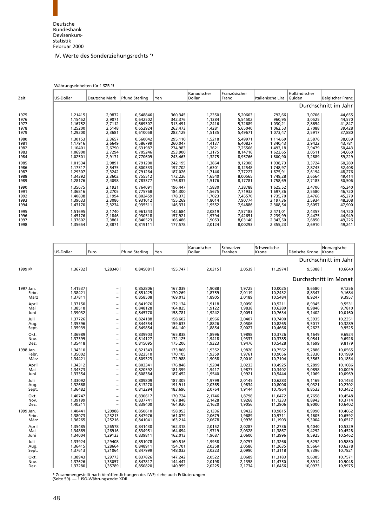### IV. Werte des Sonderziehungsrechts \*)

<span id="page-60-0"></span>

|      | Währungseinheiten für 1 SZR 1) |               |                |         |                       |                        |                   |                         |                      |
|------|--------------------------------|---------------|----------------|---------|-----------------------|------------------------|-------------------|-------------------------|----------------------|
| Zeit | US-Dollar                      | Deutsche Mark | Pfund Sterling | Yen     | Kanadischer<br>Dollar | Französischer<br>Franc | Italienische Lira | Holländischer<br>Gulden | Belgischer Franc     |
|      |                                |               |                |         |                       |                        |                   |                         | Durchschnitt im Jahr |
| 1975 | 1,21415                        | 2,9872        | 0.548846       | 360,345 | 1,2350                | 5.20603                | 792,66            | 3,0706                  | 44,655               |
| 1976 | 1,15452                        | 2,9071        | 0,642502       | 342,376 | 1,1384                | 5,54502                | 960,95            | 3,0525                  | 44,570               |
| 1977 | 1,16752                        | 2,7112        | 0.669307       | 313,491 | 1,2416                | 5,72689                | 1 030,21          | 2,8654                  | 41,847               |
| 1978 | 1,25200                        | 2,5148        | 0,652924       | 263,473 | 1,4281                | 5,65040                | 1 062,53          | 2,7088                  | 39,428               |
| 1979 | 1,29200                        | 2,3681        | 0,610058       | 283,129 | 1,5135                | 5,49671                | 1 073,47          | 2,5917                  | 37,880               |
| 1980 | 1.30153                        | 2,3657        | 0.560042       | 295,110 | 1,5218                | 5.49971                | 1 1 1 4 . 6 9     | 2,5876                  | 38,059               |
| 1981 | 1,17916                        | 2,6649        | 0.586799       | 260,047 | 1,4137                | 6,40827                | 1 340,43          | 2,9422                  | 43,781               |
| 1982 | 1,10401                        | 2,6790        | 0,631987       | 274,983 | 1,3621                | 7,25566                | 1493,18           | 2,9479                  | 50,443               |
| 1983 | 1,06900                        | 2,7294        | 0.705246       | 253,900 | 1,3175                | 8,14716                | 1 623,65          | 3,0511                  | 54,660               |
| 1984 | 1,02501                        | 2,9171        | 0,770609       | 243,463 | 1,3275                | 8,95766                | 1800,90           | 3,2889                  | 59,229               |
| 1985 | 1,01534                        | 2,9891        | 0.791200       | 242,195 | 1,3864                | 9.12306                | 1938,73           | 3,3724                  | 60,289               |
| 1986 | 1,17317                        | 2,5475        | 0,800333       | 197,702 | 1,6301                | 8,12548                | 1748,97           | 2,8743                  | 52,408               |
| 1987 | 1,29307                        | 2,3242        | 0,791264       | 187,026 | 1,7146                | 7,77227                | 1675,91           | 2,6194                  | 48,276               |
| 1988 | 1,34392                        | 2,3602        | 0,755512       | 172,226 | 1,6540                | 8,00565                | 1749,28           | 2,6564                  | 49,414               |
| 1989 | 1,28176                        | 2,4098        | 0,783377       | 176,837 | 1,5176                | 8,17781                | 1758,69           | 2,7183                  | 50,506               |
| 1990 | 1.35675                        | 2,1921        | 0.764091       | 196.447 | 1,5830                | 7.38788                | 1 625,52          | 2.4706                  | 45,340               |
| 1991 | 1,36816                        | 2,2705        | 0,775768       | 184,300 | 1,5675                | 7.71932                | 1697,36           | 2,5580                  | 46,720               |
| 1992 | 1,40838                        | 2,1994        | 0.802459       | 178,373 | 1,7023                | 7,45570                | 1735,70           | 2,4766                  | 45,279               |
| 1993 | 1,39633                        | 2,3086        | 0,931012       | 155,269 | 1,8014                | 7,90774                | 2 197,36          | 2,5934                  | 48,308               |
| 1994 | 1,43170                        | 2,3234        | 0,935511       | 146,331 | 1,9552                | 7,94886                | 2 308,54          | 2,6057                  | 47,900               |
| 1995 | 1,51695                        | 2,1740        | 0,961243       | 142,684 | 2,0819                | 7,57183                | 2 471,01          | 2,4357                  | 44,720               |
| 1996 | 1,45176                        | 2,1846        | 0,930518       | 157,921 | 1,9794                | 7,42651                | 2 2 3 9 , 9 9     | 2,4475                  | 44,949               |
| 1997 | 1,37602                        | 2,3861        | 0.840523       | 166,486 | 1,9053                | 8,03140                | 2 343,50          | 2,6850                  | 49,226               |
| 1998 | 1.35654                        | 2,3871        | 0,819111       | 177,578 | 2,0124                | 8,00293                | 2355,23           | 2,6910                  | 49,241               |

|           | US-Dollar | Euro                     | <b>Pfund Sterling</b> | Yen     | Kanadischer<br>Dollar | Schweizer<br>Franken | Schwedische<br>Krone | Dänische Krone | Norwegische<br>Krone  |
|-----------|-----------|--------------------------|-----------------------|---------|-----------------------|----------------------|----------------------|----------------|-----------------------|
|           |           |                          |                       |         |                       |                      |                      |                | Durchschnitt im Jahr  |
| 1999 p)   | 1,36732   | 1,28340                  | 0,845081              | 155,747 | 2,0315                | 2,0539               | 11,2974              | 9,5388         | 10,6640               |
|           |           |                          |                       |         |                       |                      |                      |                | Durchschnitt im Monat |
| 1997 Jan. | 1.41537   | $\overline{\phantom{a}}$ | 0,852806              | 167,039 | 1.9088                | 1,9725               | 10.0025              | 8,6580         | 9,1256                |
| Febr.     | 1,38421   | $\qquad \qquad -$        | 0,851425              | 170,269 | 1,8759                | 2,0119               | 10,2432              | 8,8347         | 9,1684                |
| März      | 1,37811   | $\qquad \qquad -$        | 0,858508              | 169,013 | 1,8905                | 2,0189               | 10,5484              | 8,9247         | 9,3957                |
| April     | 1.37150   | $\qquad \qquad -$        | 0.841976              | 172,134 | 1,9118                | 2.0050               | 10.5211              | 8,9345         | 9,5531                |
| Mai       | 1,38518   | $\qquad \qquad -$        | 0,848128              | 164,825 | 1,9122                | 1,9838               | 10,6289              | 8,9846         | 9,7810                |
| Juni      | 1,39032   | $\overline{\phantom{a}}$ | 0,845770              | 158,781 | 1,9242                | 2,0051               | 10,7634              | 9,1402         | 10,0160               |
| Juli      | 1,37726   | $\overline{\phantom{0}}$ | 0,824188              | 158,602 | 1,8966                | 2,0407               | 10,7490              | 9,3935         | 10,2351               |
| Aug.      | 1,35396   | $\overline{\phantom{0}}$ | 0,844554              | 159,633 | 1,8826                | 2,0506               | 10,8265              | 9,5017         | 10,3289               |
| Sept.     | 1,35939   | $\overline{\phantom{a}}$ | 0,849854              | 164,140 | 1,8854                | 2,0027               | 10,4666              | 9,2623         | 9,9525                |
| Okt.      | 1,36989   | $\qquad \qquad -$        | 0,839903              | 165,838 | 1,8996                | 1,9898               | 10,3726              | 9,1649         | 9,6924                |
| Nov.      | 1.37399   | $\overline{\phantom{0}}$ | 0.814127              | 172,125 | 1,9418                | 1,9337               | 10.3785              | 9.0541         | 9,6926                |
| Dez.      | 1,35418   | $\qquad \qquad -$        | 0,815095              | 175,206 | 1,9323                | 1,9476               | 10,5428              | 9,1699         | 9,8179                |
| 1998 Jan. | 1,34310   | $\qquad \qquad -$        | 0,821343              | 173,868 | 1,9352                | 1,9820               | 10,7562              | 9,2886         | 10,0565               |
| Febr.     | 1,35002   | $\overline{a}$           | 0,823510              | 170.105 | 1,9359                | 1,9761               | 10,9056              | 9,3330         | 10,1989               |
| März      | 1,34421   | $\qquad \qquad -$        | 0,809323              | 172,988 | 1,9038                | 2,0010               | 10,7104              | 9,3563         | 10,1854               |
| April     | 1,34312   | $\qquad \qquad -$        | 0,803341              | 176,848 | 1,9204                | 2,0233               | 10,4925              | 9,2899         | 10,1086               |
| Mai       | 1,34373   | $\overline{\phantom{0}}$ | 0.820592              | 181,399 | 1,9417                | 1,9877               | 10.3402              | 9,0898         | 10,0029               |
| Juni      | 1,33354   | $\qquad \qquad -$        | 0,808384              | 187,452 | 1,9540                | 1,9921               | 10,5444              | 9,1069         | 10,0969               |
| Juli      | 1,33092   | $\overline{\phantom{a}}$ | 0,809809              | 187,305 | 1,9799                | 2,0145               | 10,6283              | 9,1169         | 10,1453               |
| Aug.      | 1,32668   | $\qquad \qquad -$        | 0,813270              | 191,911 | 2,0365                | 1,9834               | 10,8006              | 9,0321         | 10,2302               |
| Sept.     | 1,36482   | $\qquad \qquad -$        | 0,812294              | 183,696 | 2,0764                | 1,9144               | 10,7964              | 8,8533         | 10,3432               |
| Okt.      | 1.40747   | $\qquad \qquad -$        | 0.830617              | 170,724 | 2,1746                | 1,8798               | 11,0472              | 8,7658         | 10,4548               |
| Nov.      | 1.39199   | $\qquad \qquad -$        | 0.837741              | 167,848 | 2,1428                | 1,9268               | 11,1233              | 8,8943         | 10,3714               |
| Dez.      | 1,40211   | $\overline{\phantom{0}}$ | 0,839400              | 164,920 | 2,1620                | 1,9056               | 11,2906              | 8,9000         | 10,6402               |
| 1999 Jan. | 1,40441   | 1,20988                  | 0,850610              | 158,953 | 2,1336                | 1,9432               | 10,9815              | 8,9990         | 10,4662               |
| Febr.     | 1,38073   | 1,23213                  | 0,847976              | 161,079 | 2,0679                | 1,9689               | 10,9711              | 9,1605         | 10,6592               |
| März      | 1,36265   | 1,25216                  | 0,841041              | 163,214 | 2,0678                | 1,9976               | 11,1903              | 9,3004         | 10,6517               |
| April     | 1,35485   | 1,26578                  | 0,841430              | 162,318 | 2,0152                | 2,0287               | 11,2736              | 9,4040         | 10,5329               |
| Mai       | 1,34869   | 1,26916                  | 0,834951              | 164,694 | 1,9719                | 2,0328               | 11,3867              | 9,4292         | 10,4528               |
| Juni      | 1,34004   | 1,29133                  | 0,839811              | 162,013 | 1,9687                | 2,0600               | 11,3996              | 9,5925         | 10,5462               |
| Juli      | 1.33924   | 1.29408                  | 0.851078              | 160.516 | 1,9938                | 2,0757               | 11,3266              | 9,6252         | 10,5850               |
| Aug.      | 1,36415   | 1,28664                  | 0,848911              | 154.701 | 2,0358                | 2,0586               | 11,2635              | 9,5664         | 10,6278               |
| Sept.     | 1,37613   | 1,31064                  | 0,847999              | 148,032 | 2,0323                | 2,0990               | 11,3118              | 9,7396         | 10,7821               |
| Okt.      | 1,38943   | 1,29773                  | 0.837826              | 147,242 | 2,0522                | 2,0689               | 11,3183              | 9,6385         | 10,7571               |
| Nov.      | 1,37626   | 1,33057                  | 0,847817              | 144,447 | 2,0198                | 2,1358               | 11,4750              | 9,8914         | 10,9048               |
| Dez.      | 1,37280   | 1,35789                  | 0,850820              | 140,959 | 2,0225                | 2,1734               | 11,6456              | 10,0973        | 10,9975               |

**\*** Zusammengestellt nach Veröffentlichungen des IWF; siehe auch Erläuterungen (Seite 59). — **1** ISO-Währungscode: XDR.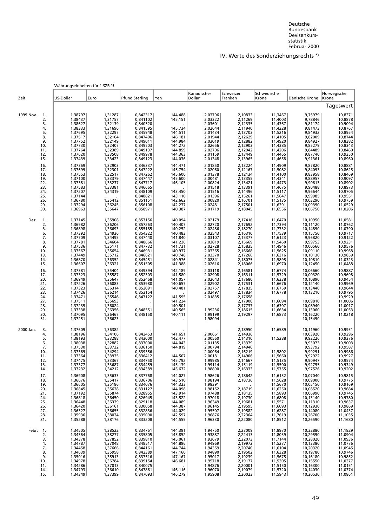### IV. Werte des Sonderziehungsrechts \*)

|                                                                                                                                  | Währungseinheiten für 1 SZR 1)                                                                                                                                                                     |                                                                                                                                                                                                    |                                                                                                                                                                                                                      |                                                                                                                                                                              |                                                                                                                                                                                                    |                                                                                                                                                                                                    |                                                                                                                                                                                                    |                                                                                                                                                                                                    |                                                                                                                                                                                         |
|----------------------------------------------------------------------------------------------------------------------------------|----------------------------------------------------------------------------------------------------------------------------------------------------------------------------------------------------|----------------------------------------------------------------------------------------------------------------------------------------------------------------------------------------------------|----------------------------------------------------------------------------------------------------------------------------------------------------------------------------------------------------------------------|------------------------------------------------------------------------------------------------------------------------------------------------------------------------------|----------------------------------------------------------------------------------------------------------------------------------------------------------------------------------------------------|----------------------------------------------------------------------------------------------------------------------------------------------------------------------------------------------------|----------------------------------------------------------------------------------------------------------------------------------------------------------------------------------------------------|----------------------------------------------------------------------------------------------------------------------------------------------------------------------------------------------------|-----------------------------------------------------------------------------------------------------------------------------------------------------------------------------------------|
| Zeit                                                                                                                             | US-Dollar                                                                                                                                                                                          | Euro                                                                                                                                                                                               | <b>Pfund Sterling</b>                                                                                                                                                                                                | Yen                                                                                                                                                                          | Kanadischer<br>Dollar                                                                                                                                                                              | Schweizer<br>Franken                                                                                                                                                                               | Schwedische<br>Krone                                                                                                                                                                               | Dänische Krone                                                                                                                                                                                     | Norwegische<br>Krone                                                                                                                                                                    |
|                                                                                                                                  |                                                                                                                                                                                                    |                                                                                                                                                                                                    |                                                                                                                                                                                                                      |                                                                                                                                                                              |                                                                                                                                                                                                    |                                                                                                                                                                                                    |                                                                                                                                                                                                    |                                                                                                                                                                                                    | Tageswert                                                                                                                                                                               |
| 1999 Nov.<br>1.<br>2.<br>3.<br>4.<br>5.<br>8.<br>9.<br>10.<br>11.<br>12.<br>15.<br>16.<br>17.<br>18.<br>19.<br>22.<br>23.<br>24. | 1,38797<br>1,38437<br>1,38627<br>1,38333<br>1,37695<br>1,37517<br>1,37752<br>1,37730<br>1,37764<br>1,37620<br>1,37439<br>1,37369<br>1,37699<br>1,37553<br>1,37100<br>1,37381<br>1,37583<br>1,37207 | 1,31287<br>1,31757<br>1,32139<br>1,31696<br>1,32297<br>1,32164<br>1,32149<br>1,32407<br>1,32389<br>1,33508<br>1,33423<br>1,32903<br>1,32301<br>1,32517<br>1,33379<br>1,33237<br>1,33381<br>1,34319 | 0,842317<br>0,841102<br>0,840520<br>0.841595<br>0,845948<br>0,847406<br>0,849011<br>0,849503<br>0,849137<br>0,849978<br>0,849123<br>0,846337<br>0,847222<br>0,847262<br>0,847447<br>0,847717<br>0,846665<br>0,848109 | 144,488<br>145,151<br>145,734<br>144,511<br>146,181<br>144,984<br>144,272<br>144,859<br>144,363<br>144,036<br>144,471<br>145,754<br>145,600<br>145,600<br>146,105<br>143,450 | 2,03796<br>2,03322<br>2,03601<br>2,02644<br>2,01434<br>2,01944<br>2,03019<br>2,02656<br>2,02706<br>2,01159<br>2,01348<br>2,01850<br>2,02060<br>2,01378<br>2,00481<br>2,00824<br>2,01518<br>2,01516 | 2,10833<br>2,11269<br>2,12335<br>2,11940<br>2,13703<br>2,12629<br>2,12882<br>2,12903<br>2,12942<br>2,13449<br>2,13965<br>2,13224<br>2,12167<br>2,12134<br>2,13355<br>2,13421<br>2,13391<br>2,14496 | 11,3467<br>11,4003<br>11,4367<br>11,4228<br>11,5216<br>11,4105<br>11,4920<br>11,4385<br>11,4206<br>11,4465<br>11,4658<br>11,4909<br>11,5082<br>11,4100<br>11,4341<br>11,4473<br>11,4675<br>11,5117 | 9,75979<br>9,78846<br>9,81174<br>9,81473<br>9,84932<br>9,82009<br>9,84927<br>9,85279<br>9,84489<br>9,87740<br>9,91361<br>9,87820<br>9,84093<br>9,83958<br>9,88957<br>9,90613<br>9,90488<br>9,96644 | 10,8371<br>10,8878<br>10,9094<br>10,8767<br>10,8954<br>10,8744<br>10,8382<br>10,8343<br>10,8460<br>10,9350<br>10,8960<br>10,8881<br>10,8625<br>10,8469<br>10,9097<br>10,8902<br>10,8973 |
| 25.<br>26.<br>29.<br>30.                                                                                                         | 1,37144<br>1,36780<br>1,37294<br>1,36963                                                                                                                                                           | 1,35412<br>1,36245<br>1,35647                                                                                                                                                                      | 0,848821<br>0,851151<br>0,856108<br>0,858971                                                                                                                                                                         | 143,110<br>142,662<br>142,237<br>140,387                                                                                                                                     | 2,01396<br>2,00820<br>2,02481<br>2,01719                                                                                                                                                           | 2,15261<br>2,16701<br>2,17501<br>2,18045                                                                                                                                                           | 11,5647<br>11,5135<br>11,6391<br>11,6556                                                                                                                                                           | 9,99985<br>10,03290<br>10,09390<br>10,06750                                                                                                                                                        | 10,9705<br>10,9551<br>10,9759<br>11,0529<br>11,0206                                                                                                                                     |
| Dez.<br>1.<br>2.<br>3.<br>6.<br>7.<br>8.<br>9.<br>10.<br>13.<br>14.<br>15.<br>16.<br>17.                                         | 1,37145<br>1,36982<br>1,36898<br>1,37392<br>1,37709<br>1,37781<br>1,37536<br>1,37567<br>1,37449<br>1,36870<br>1,36607<br>1,37381<br>1,37323                                                        | 1,35908<br>1,36206<br>1,36693<br>1,34936<br>1,34495<br>1,34604<br>1,35171<br>1,35654<br>1,35712<br>1,36352<br>1,36321<br>1,35404<br>1,35587                                                        | 0,857156<br>0,857263<br>0,855185<br>0.854322<br>0,847440<br>0,848666<br>0,847732<br>0,846931<br>0,846621<br>0,845451<br>0,851505<br>0,849394<br>0,852303                                                             | 140,094<br>140,407<br>140,252<br>140,483<br>141,840<br>141,226<br>141,731<br>140,937<br>140,748<br>140,976<br>141,388<br>142,189<br>141,580                                  | 2,02179<br>2,02720<br>2,02486<br>2,02543<br>2,03107<br>2,03819<br>2,02728<br>2,03365<br>2,03370<br>2,02841<br>2,02616<br>2,03118<br>2,02908                                                        | 2,17416<br>2,17692<br>2,18270<br>2,16310<br>2,15377<br>2,15669<br>2,15835<br>2,16668<br>2,17266<br>2,18075<br>2,18066<br>2,16581<br>2,16311                                                        | 11,6470<br>11,7394<br>11,7732<br>11,7539<br>11,6123<br>11,5460<br>11,4946<br>11,5625<br>11,6316<br>11,5895<br>11,6970<br>11,6774<br>11,5729                                                        | 10,10950<br>10,11120<br>10,14890<br>10,15750<br>9,96820<br>9,99753<br>10,00560<br>10,09110<br>10,10130<br>10,10810<br>10,12450<br>10,06660<br>10,00320                                             | 11,0581<br>11,0762<br>11,0790<br>10,9717<br>10,9122<br>10,9231<br>10,9576<br>10,9968<br>10,9859<br>11,0323<br>11,0488<br>10,9887                                                        |
| 20.<br>21.<br>22.<br>23.<br>24.<br>27.<br>28.<br>29.<br>30.<br>31.                                                               | 1,36949<br>1,37226<br>1,37323<br>1,37426<br>1,37471<br>1,37511<br>1,37235<br>1,37338<br>1,37095<br>1,37251                                                                                         | 1,35647<br>1,36083<br>1,36314<br>1,36214<br>1,35546<br>1,35693<br>1,36024<br>1,36356<br>1,36467<br>1,36623                                                                                         | 0,852468<br>0,853980<br>0,852091<br>0,853154<br>0,847122<br>0,848551<br>0,848150                                                                                                                                     | 141,057<br>140,657<br>140,481<br>141,595<br>141,224<br>140,501<br>140,565<br>140,111                                                                                         | 2,02643<br>2,02902<br>2,02757<br>2,02497<br>2,01835<br>1,99236<br>1,99199<br>1,98094                                                                                                               | 2,17680<br>2,17531<br>2,17835<br>2,17834<br>2,17658<br>2,17900<br>2,17737<br>2,18615<br>2,19297                                                                                                    | 11,6338<br>11,6676<br>11,6759<br>11,6778<br>11,6094<br>11,6307<br>11,6634<br>11,6873                                                                                                               | 10,10890<br>10,12140<br>10,13440<br>10,13210<br>10,09810<br>10,08940<br>10,13060<br>10,16220<br>10,15490                                                                                           | 10,9698<br>10,9698<br>10,9969<br>10,9644<br>10,9795<br>10,9929<br>11,0006<br>11,0017<br>11,0053<br>11,0218                                                                              |
| 2000 Jan.<br>3.<br>4.<br>5.<br>6.<br>7.<br>10.<br>11.<br>12.<br>13.<br>14.                                                       | 1,37609<br>1,38196<br>1,38193<br>1,38038<br>1,37530<br>1,37369<br>1,37364<br>1,37475<br>1,37377<br>1,37232                                                                                         | 1,36382<br>1,34106<br>1,33288<br>1,32882<br>1,33732<br>1,34294<br>1,33935<br>1,33367<br>1,33687<br>1,34212                                                                                         | 0,842453<br>0,843000<br>0,837000<br>0,836150<br>0,839356<br>0,836412<br>0,834750<br>0,834459<br>0,834389                                                                                                             | 141,651<br>142,477<br>144,043<br>144,819<br>144,507<br>145,792<br>145,139<br>145,672                                                                                         | 2,00661<br>2,00560<br>2,01135<br>2,00794<br>2,00064<br>2,00181<br>1,99985<br>1,99114<br>1,98890                                                                                                    | 2,18950<br>2,14936<br>2,14310<br>2,13379<br>2,14946<br>2,16219<br>2,14906<br>2,14667<br>2,15119<br>2,16333                                                                                         | 11,6589<br>11,5288<br>11,5802<br>11,5660<br>11,5135<br>11,5500<br>11,5755                                                                                                                          | 10,11960<br>10,03920<br>9,92226<br>9,93073<br>9,93792<br>9,99291<br>9,92922<br>9,90947<br>9,92755<br>9,97526                                                                                       | 10,9951<br>10,9296<br>10,9376<br>10,9003<br>10,9587<br>10,9986<br>10,9927<br>10,9574<br>10,9349<br>10,9202                                                                              |
| 17.<br>18.<br>19.<br>20.<br>21.<br>24.<br>25.<br>26.<br>27.<br>28.<br>31.                                                        | 1,36908<br>1,36676<br>1,36605<br>1,36845<br>1,37192<br>1,36818<br>1,36448<br>1,36420<br>1,36327<br>1,35936<br>1,35288                                                                              | 1,35633<br>1,35417<br>1,35186<br>1,35638<br>1,35874<br>1,36450<br>1.36339<br>1,36161<br>1,36655<br>1,38034<br>1,38176                                                                              | 0,837768<br>0,836706<br>0,834076<br>0,831127<br>0,828955<br>0,826945<br>0,829118<br>0,830058<br>0,832836<br>0,835090<br>0,833208                                                                                     | 144,027<br>143,510<br>144,323<br>144,098<br>143,914<br>143,522<br>144,089<br>144,387<br>144,029<br>142,597<br>144,555                                                        | 1,98626<br>1,98194<br>1,98391<br>1,98152<br>1,97488<br>1,97018<br>1,96349<br>1,96145<br>1,95507<br>1,96876<br>1,96330                                                                              | 2,18642<br>2,18736<br>2,18719<br>2,18135<br>2,19730<br>2,19681<br>2,19595<br>2,19582<br>2,22364<br>2,22080                                                                                         | 11,6132<br>11,5628<br>11,5670<br>11,6250<br>11,5893<br>11,6808<br>11,5571<br>11,6093<br>11,6287<br>11,7619<br>11,8512                                                                              | 10,07040<br>10,09000<br>10,05150<br>10,08520<br>10,06990<br>10,13140<br>10,11310<br>10,12930<br>10,14080<br>10,26700<br>10,26590                                                                   | 10,9815<br>10,9775<br>10,9169<br>10,9684<br>10,9745<br>10,9780<br>10,9637<br>10,9869<br>11,0437<br>11,1035<br>11,1680                                                                   |
| Febr. 1.<br>2.<br>3.<br>4.<br>7.<br>8.<br>9.<br>10.<br>11.<br>14.<br>15.                                                         | 1,34505<br>1,34364<br>1,34378<br>1,34787<br>1,34458<br>1,34639<br>1,35016<br>1,34978<br>1,34286<br>1,34793<br>1,34349                                                                              | 1,38522<br>1,38277<br>1,37852<br>1,37048<br>1,37666<br>1,35958<br>1,35913<br>1,36784<br>1,37013<br>1,36610<br>1,37399                                                                              | 0,834761<br>0,835805<br>0,839810<br>0,848517<br>0,844161<br>0,842389<br>0,837516<br>0,839154<br>0,840075<br>0,847861<br>0,847093                                                                                     | 144,391<br>145,852<br>145,061<br>144,896<br>144,744<br>147,160<br>147,167<br>146,681<br>146,116<br>146,279                                                                   | 1,94750<br>1,93887<br>1,93679<br>1,94969<br>1,94359<br>1,94890<br>1,95017<br>1,95718<br>1,94876<br>1,96070<br>1,95908                                                                              | 2,23009<br>2,22413<br>2,22073<br>2,19972<br>2,20740<br>2,19502<br>2,19239<br>2,19177<br>2,20001<br>2,19079<br>2,20023                                                                              | 11,8970<br>11,8039<br>11,7144<br>11,5277<br>11,6104<br>11,6328<br>11,5675<br>11,5305<br>11,5150<br>11,5720<br>11,5943                                                                              | 10,32880<br>10,29590<br>10,28020<br>10,13380<br>10,20320<br>10,19780<br>10,16180<br>10,15550<br>10,16300<br>10,14030<br>10,20530                                                                   | 11,1829<br>11,0904<br>11,0936<br>11,0776<br>11,0945<br>10,9746<br>10,9852<br>11,0377<br>11,0151<br>11,0374<br>11,0861                                                                   |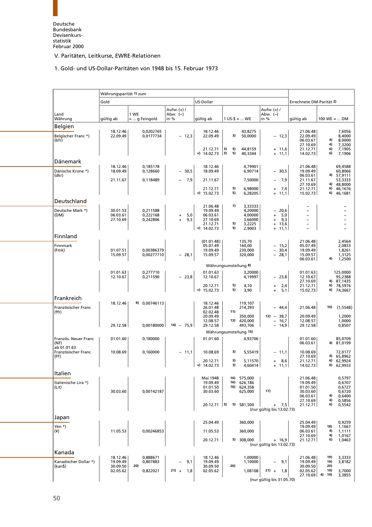# 1. Gold- und US-Dollar-Paritäten von 1948 bis 15. Februar 1973

<span id="page-62-1"></span><span id="page-62-0"></span>

|                                                | Währungsparität 1) zum |                        |                                 |                                  |                                              |                                                        |                                              |                                                  |  |
|------------------------------------------------|------------------------|------------------------|---------------------------------|----------------------------------|----------------------------------------------|--------------------------------------------------------|----------------------------------------------|--------------------------------------------------|--|
|                                                | Gold                   |                        |                                 | US-Dollar                        |                                              |                                                        | Errechnete DM-Parität 2)                     |                                                  |  |
| Land                                           |                        | 1 WE                   | Aufw. (+) /<br>Abw. (-)<br>in % |                                  | $1 \text{ US-}$ \$ =  WE                     | Aufw. (+) /<br>Abw. $(-)$<br>in %                      |                                              |                                                  |  |
| Währung                                        | gültig ab              | =  g Feingold          |                                 | gültig ab                        |                                              |                                                        | gültig ab                                    | $100 \text{ WE} =  \text{ DM}$                   |  |
| <b>Belgien</b><br>Belgischer Franc *)<br>(bfr) | 18.12.46<br>22.09.49   | 0,0202765<br>0,0177734 | $-12,3$                         | 18.12.46<br>22.09.49             | 43,8275<br>50,0000<br>3)                     | $-12,3$                                                | 21.06.48<br>22.09.49<br>06.03.61<br>27.10.69 | 7,6056<br>8,4000<br>8,0000<br>4)<br>4)<br>7,3200 |  |
|                                                |                        |                        |                                 | 21.12.71<br>$v)$ 14.02.73        | 5)<br> 3)<br>44,8159<br>5)<br> 3)<br>40,3344 | $+ 11,6$<br>$+ 11,1$                                   | 21.12.71<br>14.02.73                         | 6)<br>7,1905<br>7,1906<br>6)                     |  |
| Dänemark                                       |                        |                        |                                 |                                  |                                              |                                                        |                                              |                                                  |  |
| Dänische Krone *)<br>(dkr)                     | 18.12.46<br>18.09.49   | 0,185178<br>0,128660   | $-30,5$                         | 18.12.46<br>18.09.49             | 4,79901<br>6,90714                           | $-30,5$                                                | 21.06.48<br>19.09.49<br>06.03.61             | 69,4588<br>60,8066<br>4) 57,9111                 |  |
|                                                | 21.11.67               | 0,118489               | $-7,9$                          | 21.11.67                         | 7,50000                                      | 7,9<br>$\overline{\phantom{a}}$                        | 21.11.67<br>27.10.69                         | 53,3333<br>4) 48,8000                            |  |
|                                                |                        |                        |                                 | 21.12.71<br>$v)$ 15.02.73        | 5)<br>6,98000<br>5)<br>6,28205               | 7,4<br>$\begin{array}{c} + \end{array}$<br>11,1<br>$+$ | 21.12.71<br>15.02.73                         | 46,1676<br>6)<br>6)<br>46,1681                   |  |
| Deutschland                                    |                        |                        |                                 |                                  |                                              |                                                        |                                              |                                                  |  |
| Deutsche Mark *)<br>(DM)                       | 30.01.53<br>06.03.61   | 0,211588<br>0,222168   | 5,0<br>$\ddot{}$                | 21.06.48<br>19.09.49<br>06.03.61 | 7)<br>3,33333<br>4,20000<br>4,00000          | 20,6<br>$-$<br>5,0<br>$\ddot{}$                        |                                              | -<br>$\overline{\phantom{0}}$                    |  |
|                                                | 27.10.69               | 0,242806               | $+$<br>9,3                      | 27.10.69<br>21.12.71             | 3,66000<br>5)<br>3,2225                      | 9,3<br>$\begin{array}{c} + \end{array}$<br>13,6<br>$+$ | $\qquad \qquad -$                            | $\overline{\phantom{m}}$                         |  |
|                                                |                        |                        |                                 | $v)$ 14.02.73                    | 5)<br>2,9003                                 | $+$<br>11,1                                            |                                              |                                                  |  |
| Finnland                                       |                        |                        |                                 | (01.01.48)                       | 135,70                                       |                                                        | 21.06.48                                     | 2,4564                                           |  |
| Finnmark<br>(Fmk)                              | 01.07.51               | 0,00386379             |                                 | 05.07.49<br>19.09.49             | 160,00<br>230,000                            | $-15,2$<br>30,4<br>$\overline{\phantom{a}}$            | 05.07.49<br>19.09.49                         | 2,0833<br>1,8261                                 |  |
|                                                | 15.09.57               | 0,00277710             | $-28,1$                         | 15.09.57                         | 320,000                                      | $-28,1$                                                | 15.09.57                                     | 1,3125                                           |  |
|                                                |                        |                        |                                 |                                  | Währungsumstellung 8)                        |                                                        | 06.03.61                                     | 4)<br>1,2500                                     |  |
|                                                | 01.01.63               | 0,277710               |                                 | 01.01.63                         | 3,20000                                      |                                                        | 01.01.63                                     | 125,0000                                         |  |
|                                                | 12.10.67               | 0,211590               | $-23,8$                         | 12.10.67                         | 4,19997<br>5)                                | $-23,8$                                                | 12.10.67<br>27.10.69                         | 95,2388<br>4) 87,1435                            |  |
|                                                |                        |                        |                                 | 20.12.71<br>v)<br>15.02.73       | 4,10<br>5)<br>3,90                           | 2,4<br>$\ddot{}$<br>5,1<br>$+$                         | 21.12.71<br>15.02.73                         | 78,5976<br>6)<br>6) 74,3667                      |  |
| Frankreich                                     |                        |                        |                                 |                                  |                                              |                                                        |                                              |                                                  |  |
| Französischer Franc                            | 18.12.46               | 9) 0,00746113          |                                 | 18.12.46<br>26.01.48             | 119,107<br>214,393                           | $-44,4$                                                | 21.06.48                                     | 10)<br>(1, 5548)                                 |  |
| (ffr)                                          |                        |                        |                                 | 02.02.48<br>20.09.49             | 11)<br>350,000                               | $12) - 38,7$                                           | 20.09.49                                     | 1,2000                                           |  |
|                                                | 29.12.58               | 0,00180000             | $14) - 75,9$                    | 12.08.57<br>29.12.58             | 13) 420,000<br>493,706                       | 16,7<br>$\overline{\phantom{a}}$<br>$-14,9$            | 12.08.57<br>29.12.58                         | 1,0000<br>0,8507                                 |  |
|                                                |                        |                        |                                 |                                  | Währungsumstellung 15)                       |                                                        |                                              |                                                  |  |
| Französ. Neuer Franc<br>(NF)                   | 01.01.60               | 0,180000               |                                 | 01.01.60                         | 4,93706                                      |                                                        | 01.01.60<br>06.03.61                         | 85.0709<br>81,0199<br>4)                         |  |
| ab 01.01.63<br>Französischer Franc<br>(FF)     | 10.08.69               | 0,160000               | $-11,1$                         | 10.08.69                         | 3)<br>5,55419                                | $-11,1$                                                | 10.08.69<br>27.10.69                         | 72,0177<br>4) 65,8962                            |  |
|                                                |                        |                        |                                 | 20.12.71<br>14.02.73<br>v)       | 3)<br>5,11570<br>4,60414<br>3)               | 8,6<br>$\ddot{}$<br>$+ 11,1$                           | 21.12.71<br>14.02.73                         | 62,9924<br>6)<br>6) 62,9933                      |  |
| Italien                                        |                        |                        |                                 |                                  |                                              |                                                        |                                              |                                                  |  |
| Italienische Lira *)                           |                        |                        |                                 | Mai 1948<br>19.09.49             | 575,000<br>16)<br>16) 626,186                |                                                        | 21.06.48<br>19.09.49                         | 0,5797<br>0,6707                                 |  |
| (Lit)                                          | 30.03.60               | 0,00142187             |                                 | 01.01.50<br>30.03.60             | 16) 624,358<br>625,000                       | 17)                                                    | 01.01.50<br>30.03.60                         | 0,6727<br>0,6720                                 |  |
|                                                |                        |                        |                                 |                                  |                                              |                                                        | 06.03.61                                     | 4)<br>0,6400                                     |  |
|                                                |                        |                        |                                 | $20.12.71$ 3)                    | 5) 581,500                                   | $+ 7,5$                                                | 27.10.69<br>21.12.71                         | 4)<br>0,5856<br>6)<br>0,5542                     |  |
|                                                |                        |                        |                                 |                                  |                                              | (nur gültig bis 13.02.73)                              |                                              |                                                  |  |
| Japan                                          |                        |                        |                                 | 25.04.49                         | 360,000                                      |                                                        | 25.04.49                                     | 0,9259                                           |  |
| Yen *)<br>$(\yen)$                             | 11.05.53               | 0,00246853             |                                 | 11.05.53                         | 360,000                                      |                                                        | 19.09.49<br>06.03.61                         | 18)<br>1,1667<br>1,1111<br>4)                    |  |
|                                                |                        |                        |                                 |                                  |                                              |                                                        | 27.10.69                                     | 1,0167<br>4)                                     |  |
|                                                |                        |                        |                                 | 20.12.71                         | 5) 308,000                                   | $+ 16,9$<br>(nur gültig bis 13.02.73)                  | 21.12.71                                     | 1,0463<br>6)                                     |  |
| Kanada                                         |                        |                        |                                 |                                  |                                              |                                                        |                                              |                                                  |  |
| Kanadischer Dollar *)                          | 18.12.46<br>19.09.49   | 0,888671<br>0,807883   | 9,1                             | 18.12.46<br>19.09.49             | 1,00000<br>1,10000                           | 9,1                                                    | 21.06.48<br>19.09.49                         | 19)<br>3,3333<br>19)<br>3,8182                   |  |
| (kan\$)                                        | 30.09.50               | 20)                    |                                 | 30.09.50                         | 20)                                          |                                                        | 30.09.50                                     | 20)                                              |  |
|                                                | 02.05.62               | 0,822021               | $21) + 1,8$                     | 02.05.62                         | 1,08108                                      | $21) +$<br>- 1,8                                       | 02.05.62<br>$27.10.69$ 4) 19)                | 19)<br>3,7000<br>3,3855                          |  |
|                                                |                        |                        |                                 |                                  |                                              | (nur gültig bis 31.05.70)                              |                                              |                                                  |  |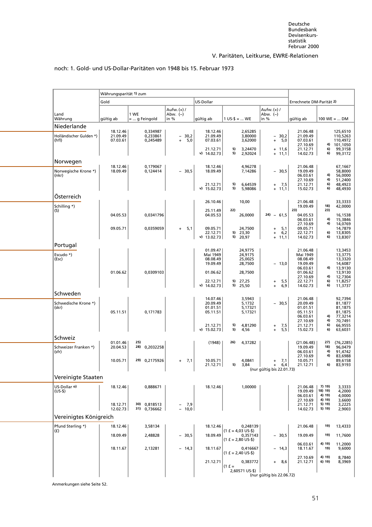|  |  | noch: 1. Gold- und US-Dollar-Paritäten von 1948 bis 15. Februar 1973 |  |  |
|--|--|----------------------------------------------------------------------|--|--|
|--|--|----------------------------------------------------------------------|--|--|

<span id="page-63-0"></span>

| Währungsparität 1) zum<br>US-Dollar<br>Gold<br>Errechnete DM-Parität 2)<br>Aufw. (+) /<br>Aufw. (+) /<br>Abw. $(-)$<br>Abw. (-)<br>1 WE<br>Land<br>Währung<br>qültiq ab<br>$1 \text{ US-}$ \$ =  WE<br>in %<br>$100$ WE =  DM<br>gültig ab<br>$=  g$ Feingold<br>in %<br>gültig ab<br>Niederlande<br>18.12.46<br>0,334987<br>18.12.46<br>2,65285<br>21.06.48<br>125,6510<br>3,80000<br>21.09.49<br>0,233861<br>21.09.49<br>21.09.49<br>Holländischer Gulden *)<br>$-30,2$<br>$-30,2$<br>110,5263<br>(hfl)<br>0,245489<br>$+$<br>5,0<br>07.03.61<br>3,62000<br>5,0<br>07.03.61<br>110,4972<br>07.03.61<br>$\ddot{}$<br>27.10.69<br>4) 101,1050<br>99,3158<br>5)<br>3,24470<br>$+ 11,6$<br>21.12.71<br>6)<br>21.12.71<br>5)<br>v)<br>14.02.73<br>2,92024<br>14.02.73<br>6)<br>99,3172<br>$+ 11,1$<br>Norwegen<br>0,179067<br>4,96278<br>18.12.46<br>18.12.46<br>21.06.48<br>67,1667<br>Norwegische Krone *)<br>18.09.49<br>$-30,5$<br>18.09.49<br>$-30,5$<br>19.09.49<br>58,8000<br>0,124414<br>7,14286<br>06.03.61<br>4)<br>56,0000<br>(nkr)<br>4)<br>27.10.69<br>51,2400<br>5)<br>6)<br>48,4923<br>21.12.71<br>6,64539<br>7,5<br>21.12.71<br>$+$<br>5)<br>$v)$ 15.02.73<br>5,98086<br>$+ 11,1$<br>15.02.73<br>6)<br>48,4930<br>Österreich<br>10,00<br>26.10.46<br>21.06.48<br>33,3333<br>18)<br>Schilling *)<br>19.09.49<br>42,0000<br>22)<br>23)<br>23)<br>(S)<br>25.11.49<br>04.05.53<br>$24) - 61,5$<br>16,1538<br>04.05.53<br>0,0341796<br>26,0000<br>04.05.53<br>4)<br>15,3846<br>06.03.61<br>4)<br>27.10.69<br>14,0769<br>09.05.71<br>0,0359059<br>24,7500<br>09.05.71<br>14,7879<br>5,1<br>09.05.71<br>5,1<br>$+$<br>$\ddot{}$<br>5)<br>23,30<br>6,2<br>6)<br>13,8305<br>22.12.71<br>22.12.71<br>$\ddot{}$<br>5) 20,97<br>6)<br>$v)$ 13.02.73<br>$+ 11,1$<br>14.02.73<br>13,8307<br>Portugal<br>01.09.47<br>24,9775<br>21.06.48<br>13,3453<br>Mai 1949<br>24,9175<br>13,3775<br>Escudo *)<br>Mai 1949<br>08.08.49<br>25,0025<br>08.08.49<br>13,3320<br>(Esc)<br>19.09.49<br>19.09.49<br>28,7500<br>$-13,0$<br>14,6087<br>06.03.61<br>4)<br>13,9130<br>01.06.62<br>0,0309103<br>28,7500<br>01.06.62<br>01.06.62<br>13,9130<br>27.10.69<br>12,7304<br>4)<br>5) 27,25<br>5,5<br>6)<br>11,8257<br>22.12.71<br>22.12.71<br>$\ddot{}$<br>6)<br>5) 25,50<br>6,9<br>v) $14.02.73$<br>14.02.73<br>11,3737<br>$+$<br>Schweden<br>92,7394<br>14.07.46<br>3,5943<br>21.06.48<br>20.09.49<br>20.09.49<br>Schwedische Krone *)<br>5,1732<br>30,5<br>81,1877<br>$\overline{\phantom{0}}$<br>01.01.51<br>5,17321<br>01.01.51<br>(skr)<br>81,1875<br>05.11.51<br>0,171783<br>05.11.51<br>5,17321<br>05.11.51<br>81,1875<br>06.03.61<br>4)<br>77,3214<br>27.10.69<br>4)<br>70,7491<br>4,81290<br>6)<br>66,9555<br>21.12.71<br>5)<br>7,5<br>21.12.71<br>$\ddot{}$<br>5)<br>5,5<br>$v)$ 15.02.73<br>15.02.73<br>6)<br>4,56<br>63,6031<br>$+$<br>Schweiz<br>25)<br>26)<br>27)<br>(76, 2285)<br>01.01.46<br>(1948)<br>4,37282<br>(21.06.48)<br>28) 0,2032258<br>18)<br>20.04.53<br>19.09.49<br>Schweizer Franken *)<br>96,0479<br>4)<br>91,4742<br>(sfr)<br>06.03.61<br>27.10.69<br>4)<br>83,6988<br>29) 0,2175926<br>10.05.71<br>7,1<br>10.05.71<br>4,0841<br>10.05.71<br>89,6158<br>7,1<br>$+$<br>$\ddot{}$<br>5)<br>6)<br>21.12.71<br>3,84<br>6,4<br>21.12.71<br>83,9193<br>$\ddot{}$<br>(nur gültig bis 22.01.73)<br>Vereinigte Staaten<br>US-Dollar o)<br>18.12.46<br>0,888671<br>18.12.46<br>1,00000<br>21.06.48<br>7) 19)<br>3,3333<br>18) 19)<br>19.09.49<br>4,2000<br>$(US-$)$<br>4) 19)<br>06.03.61<br>4,0000<br>27.10.69<br>4) 19)<br>3,6600<br>30) 0,818513<br>21.12.71<br>3,2225<br>18.12.71<br>- 7,9<br>5) 19)<br>$-10,0$<br>12.02.73<br>31) 0,736662<br>14.02.73<br>5) 19)<br>2,9003<br>Vereinigtes Königreich<br>Pfund Sterling *)<br>18.12.46<br>3,58134<br>18.12.46<br>0,248139<br>21.06.48<br>13,4333<br>19)<br>$(1 f = 4.03 US-$)$<br>(f)<br>0,357143<br>19)<br>18.09.49<br>2,48828<br>18.09.49<br>11,7600<br>$-30,5$<br>$-30,5$<br>19.09.49<br>$(1 f = 2,80 US-$)$<br>4) 19)<br>11,2000<br>06.03.61<br>2,13281<br>18.11.67<br>19)<br>9,6000<br>18.11.67<br>$-14,3$<br>0,416667<br>$-14,3$<br>18.11.67<br>$(1 f = 2,40 US-$)$<br>8,7840 |  |  |  |  |          |        |  |
|----------------------------------------------------------------------------------------------------------------------------------------------------------------------------------------------------------------------------------------------------------------------------------------------------------------------------------------------------------------------------------------------------------------------------------------------------------------------------------------------------------------------------------------------------------------------------------------------------------------------------------------------------------------------------------------------------------------------------------------------------------------------------------------------------------------------------------------------------------------------------------------------------------------------------------------------------------------------------------------------------------------------------------------------------------------------------------------------------------------------------------------------------------------------------------------------------------------------------------------------------------------------------------------------------------------------------------------------------------------------------------------------------------------------------------------------------------------------------------------------------------------------------------------------------------------------------------------------------------------------------------------------------------------------------------------------------------------------------------------------------------------------------------------------------------------------------------------------------------------------------------------------------------------------------------------------------------------------------------------------------------------------------------------------------------------------------------------------------------------------------------------------------------------------------------------------------------------------------------------------------------------------------------------------------------------------------------------------------------------------------------------------------------------------------------------------------------------------------------------------------------------------------------------------------------------------------------------------------------------------------------------------------------------------------------------------------------------------------------------------------------------------------------------------------------------------------------------------------------------------------------------------------------------------------------------------------------------------------------------------------------------------------------------------------------------------------------------------------------------------------------------------------------------------------------------------------------------------------------------------------------------------------------------------------------------------------------------------------------------------------------------------------------------------------------------------------------------------------------------------------------------------------------------------------------------------------------------------------------------------------------------------------------------------------------------------------------------------------------------------------------------------------------------------------------------------------------------------------------------------------------------------------------------------------------------------------------------------------------------------------------------------------------------------------------------------------------------------------------------------------------------------|--|--|--|--|----------|--------|--|
|                                                                                                                                                                                                                                                                                                                                                                                                                                                                                                                                                                                                                                                                                                                                                                                                                                                                                                                                                                                                                                                                                                                                                                                                                                                                                                                                                                                                                                                                                                                                                                                                                                                                                                                                                                                                                                                                                                                                                                                                                                                                                                                                                                                                                                                                                                                                                                                                                                                                                                                                                                                                                                                                                                                                                                                                                                                                                                                                                                                                                                                                                                                                                                                                                                                                                                                                                                                                                                                                                                                                                                                                                                                                                                                                                                                                                                                                                                                                                                                                                                                                                                                                              |  |  |  |  |          |        |  |
|                                                                                                                                                                                                                                                                                                                                                                                                                                                                                                                                                                                                                                                                                                                                                                                                                                                                                                                                                                                                                                                                                                                                                                                                                                                                                                                                                                                                                                                                                                                                                                                                                                                                                                                                                                                                                                                                                                                                                                                                                                                                                                                                                                                                                                                                                                                                                                                                                                                                                                                                                                                                                                                                                                                                                                                                                                                                                                                                                                                                                                                                                                                                                                                                                                                                                                                                                                                                                                                                                                                                                                                                                                                                                                                                                                                                                                                                                                                                                                                                                                                                                                                                              |  |  |  |  |          |        |  |
|                                                                                                                                                                                                                                                                                                                                                                                                                                                                                                                                                                                                                                                                                                                                                                                                                                                                                                                                                                                                                                                                                                                                                                                                                                                                                                                                                                                                                                                                                                                                                                                                                                                                                                                                                                                                                                                                                                                                                                                                                                                                                                                                                                                                                                                                                                                                                                                                                                                                                                                                                                                                                                                                                                                                                                                                                                                                                                                                                                                                                                                                                                                                                                                                                                                                                                                                                                                                                                                                                                                                                                                                                                                                                                                                                                                                                                                                                                                                                                                                                                                                                                                                              |  |  |  |  |          |        |  |
|                                                                                                                                                                                                                                                                                                                                                                                                                                                                                                                                                                                                                                                                                                                                                                                                                                                                                                                                                                                                                                                                                                                                                                                                                                                                                                                                                                                                                                                                                                                                                                                                                                                                                                                                                                                                                                                                                                                                                                                                                                                                                                                                                                                                                                                                                                                                                                                                                                                                                                                                                                                                                                                                                                                                                                                                                                                                                                                                                                                                                                                                                                                                                                                                                                                                                                                                                                                                                                                                                                                                                                                                                                                                                                                                                                                                                                                                                                                                                                                                                                                                                                                                              |  |  |  |  |          |        |  |
|                                                                                                                                                                                                                                                                                                                                                                                                                                                                                                                                                                                                                                                                                                                                                                                                                                                                                                                                                                                                                                                                                                                                                                                                                                                                                                                                                                                                                                                                                                                                                                                                                                                                                                                                                                                                                                                                                                                                                                                                                                                                                                                                                                                                                                                                                                                                                                                                                                                                                                                                                                                                                                                                                                                                                                                                                                                                                                                                                                                                                                                                                                                                                                                                                                                                                                                                                                                                                                                                                                                                                                                                                                                                                                                                                                                                                                                                                                                                                                                                                                                                                                                                              |  |  |  |  |          |        |  |
|                                                                                                                                                                                                                                                                                                                                                                                                                                                                                                                                                                                                                                                                                                                                                                                                                                                                                                                                                                                                                                                                                                                                                                                                                                                                                                                                                                                                                                                                                                                                                                                                                                                                                                                                                                                                                                                                                                                                                                                                                                                                                                                                                                                                                                                                                                                                                                                                                                                                                                                                                                                                                                                                                                                                                                                                                                                                                                                                                                                                                                                                                                                                                                                                                                                                                                                                                                                                                                                                                                                                                                                                                                                                                                                                                                                                                                                                                                                                                                                                                                                                                                                                              |  |  |  |  |          |        |  |
|                                                                                                                                                                                                                                                                                                                                                                                                                                                                                                                                                                                                                                                                                                                                                                                                                                                                                                                                                                                                                                                                                                                                                                                                                                                                                                                                                                                                                                                                                                                                                                                                                                                                                                                                                                                                                                                                                                                                                                                                                                                                                                                                                                                                                                                                                                                                                                                                                                                                                                                                                                                                                                                                                                                                                                                                                                                                                                                                                                                                                                                                                                                                                                                                                                                                                                                                                                                                                                                                                                                                                                                                                                                                                                                                                                                                                                                                                                                                                                                                                                                                                                                                              |  |  |  |  |          |        |  |
|                                                                                                                                                                                                                                                                                                                                                                                                                                                                                                                                                                                                                                                                                                                                                                                                                                                                                                                                                                                                                                                                                                                                                                                                                                                                                                                                                                                                                                                                                                                                                                                                                                                                                                                                                                                                                                                                                                                                                                                                                                                                                                                                                                                                                                                                                                                                                                                                                                                                                                                                                                                                                                                                                                                                                                                                                                                                                                                                                                                                                                                                                                                                                                                                                                                                                                                                                                                                                                                                                                                                                                                                                                                                                                                                                                                                                                                                                                                                                                                                                                                                                                                                              |  |  |  |  |          |        |  |
|                                                                                                                                                                                                                                                                                                                                                                                                                                                                                                                                                                                                                                                                                                                                                                                                                                                                                                                                                                                                                                                                                                                                                                                                                                                                                                                                                                                                                                                                                                                                                                                                                                                                                                                                                                                                                                                                                                                                                                                                                                                                                                                                                                                                                                                                                                                                                                                                                                                                                                                                                                                                                                                                                                                                                                                                                                                                                                                                                                                                                                                                                                                                                                                                                                                                                                                                                                                                                                                                                                                                                                                                                                                                                                                                                                                                                                                                                                                                                                                                                                                                                                                                              |  |  |  |  |          |        |  |
|                                                                                                                                                                                                                                                                                                                                                                                                                                                                                                                                                                                                                                                                                                                                                                                                                                                                                                                                                                                                                                                                                                                                                                                                                                                                                                                                                                                                                                                                                                                                                                                                                                                                                                                                                                                                                                                                                                                                                                                                                                                                                                                                                                                                                                                                                                                                                                                                                                                                                                                                                                                                                                                                                                                                                                                                                                                                                                                                                                                                                                                                                                                                                                                                                                                                                                                                                                                                                                                                                                                                                                                                                                                                                                                                                                                                                                                                                                                                                                                                                                                                                                                                              |  |  |  |  |          |        |  |
|                                                                                                                                                                                                                                                                                                                                                                                                                                                                                                                                                                                                                                                                                                                                                                                                                                                                                                                                                                                                                                                                                                                                                                                                                                                                                                                                                                                                                                                                                                                                                                                                                                                                                                                                                                                                                                                                                                                                                                                                                                                                                                                                                                                                                                                                                                                                                                                                                                                                                                                                                                                                                                                                                                                                                                                                                                                                                                                                                                                                                                                                                                                                                                                                                                                                                                                                                                                                                                                                                                                                                                                                                                                                                                                                                                                                                                                                                                                                                                                                                                                                                                                                              |  |  |  |  |          |        |  |
|                                                                                                                                                                                                                                                                                                                                                                                                                                                                                                                                                                                                                                                                                                                                                                                                                                                                                                                                                                                                                                                                                                                                                                                                                                                                                                                                                                                                                                                                                                                                                                                                                                                                                                                                                                                                                                                                                                                                                                                                                                                                                                                                                                                                                                                                                                                                                                                                                                                                                                                                                                                                                                                                                                                                                                                                                                                                                                                                                                                                                                                                                                                                                                                                                                                                                                                                                                                                                                                                                                                                                                                                                                                                                                                                                                                                                                                                                                                                                                                                                                                                                                                                              |  |  |  |  |          |        |  |
|                                                                                                                                                                                                                                                                                                                                                                                                                                                                                                                                                                                                                                                                                                                                                                                                                                                                                                                                                                                                                                                                                                                                                                                                                                                                                                                                                                                                                                                                                                                                                                                                                                                                                                                                                                                                                                                                                                                                                                                                                                                                                                                                                                                                                                                                                                                                                                                                                                                                                                                                                                                                                                                                                                                                                                                                                                                                                                                                                                                                                                                                                                                                                                                                                                                                                                                                                                                                                                                                                                                                                                                                                                                                                                                                                                                                                                                                                                                                                                                                                                                                                                                                              |  |  |  |  |          |        |  |
|                                                                                                                                                                                                                                                                                                                                                                                                                                                                                                                                                                                                                                                                                                                                                                                                                                                                                                                                                                                                                                                                                                                                                                                                                                                                                                                                                                                                                                                                                                                                                                                                                                                                                                                                                                                                                                                                                                                                                                                                                                                                                                                                                                                                                                                                                                                                                                                                                                                                                                                                                                                                                                                                                                                                                                                                                                                                                                                                                                                                                                                                                                                                                                                                                                                                                                                                                                                                                                                                                                                                                                                                                                                                                                                                                                                                                                                                                                                                                                                                                                                                                                                                              |  |  |  |  |          |        |  |
|                                                                                                                                                                                                                                                                                                                                                                                                                                                                                                                                                                                                                                                                                                                                                                                                                                                                                                                                                                                                                                                                                                                                                                                                                                                                                                                                                                                                                                                                                                                                                                                                                                                                                                                                                                                                                                                                                                                                                                                                                                                                                                                                                                                                                                                                                                                                                                                                                                                                                                                                                                                                                                                                                                                                                                                                                                                                                                                                                                                                                                                                                                                                                                                                                                                                                                                                                                                                                                                                                                                                                                                                                                                                                                                                                                                                                                                                                                                                                                                                                                                                                                                                              |  |  |  |  |          |        |  |
|                                                                                                                                                                                                                                                                                                                                                                                                                                                                                                                                                                                                                                                                                                                                                                                                                                                                                                                                                                                                                                                                                                                                                                                                                                                                                                                                                                                                                                                                                                                                                                                                                                                                                                                                                                                                                                                                                                                                                                                                                                                                                                                                                                                                                                                                                                                                                                                                                                                                                                                                                                                                                                                                                                                                                                                                                                                                                                                                                                                                                                                                                                                                                                                                                                                                                                                                                                                                                                                                                                                                                                                                                                                                                                                                                                                                                                                                                                                                                                                                                                                                                                                                              |  |  |  |  |          |        |  |
|                                                                                                                                                                                                                                                                                                                                                                                                                                                                                                                                                                                                                                                                                                                                                                                                                                                                                                                                                                                                                                                                                                                                                                                                                                                                                                                                                                                                                                                                                                                                                                                                                                                                                                                                                                                                                                                                                                                                                                                                                                                                                                                                                                                                                                                                                                                                                                                                                                                                                                                                                                                                                                                                                                                                                                                                                                                                                                                                                                                                                                                                                                                                                                                                                                                                                                                                                                                                                                                                                                                                                                                                                                                                                                                                                                                                                                                                                                                                                                                                                                                                                                                                              |  |  |  |  |          |        |  |
|                                                                                                                                                                                                                                                                                                                                                                                                                                                                                                                                                                                                                                                                                                                                                                                                                                                                                                                                                                                                                                                                                                                                                                                                                                                                                                                                                                                                                                                                                                                                                                                                                                                                                                                                                                                                                                                                                                                                                                                                                                                                                                                                                                                                                                                                                                                                                                                                                                                                                                                                                                                                                                                                                                                                                                                                                                                                                                                                                                                                                                                                                                                                                                                                                                                                                                                                                                                                                                                                                                                                                                                                                                                                                                                                                                                                                                                                                                                                                                                                                                                                                                                                              |  |  |  |  |          |        |  |
|                                                                                                                                                                                                                                                                                                                                                                                                                                                                                                                                                                                                                                                                                                                                                                                                                                                                                                                                                                                                                                                                                                                                                                                                                                                                                                                                                                                                                                                                                                                                                                                                                                                                                                                                                                                                                                                                                                                                                                                                                                                                                                                                                                                                                                                                                                                                                                                                                                                                                                                                                                                                                                                                                                                                                                                                                                                                                                                                                                                                                                                                                                                                                                                                                                                                                                                                                                                                                                                                                                                                                                                                                                                                                                                                                                                                                                                                                                                                                                                                                                                                                                                                              |  |  |  |  |          |        |  |
|                                                                                                                                                                                                                                                                                                                                                                                                                                                                                                                                                                                                                                                                                                                                                                                                                                                                                                                                                                                                                                                                                                                                                                                                                                                                                                                                                                                                                                                                                                                                                                                                                                                                                                                                                                                                                                                                                                                                                                                                                                                                                                                                                                                                                                                                                                                                                                                                                                                                                                                                                                                                                                                                                                                                                                                                                                                                                                                                                                                                                                                                                                                                                                                                                                                                                                                                                                                                                                                                                                                                                                                                                                                                                                                                                                                                                                                                                                                                                                                                                                                                                                                                              |  |  |  |  |          |        |  |
|                                                                                                                                                                                                                                                                                                                                                                                                                                                                                                                                                                                                                                                                                                                                                                                                                                                                                                                                                                                                                                                                                                                                                                                                                                                                                                                                                                                                                                                                                                                                                                                                                                                                                                                                                                                                                                                                                                                                                                                                                                                                                                                                                                                                                                                                                                                                                                                                                                                                                                                                                                                                                                                                                                                                                                                                                                                                                                                                                                                                                                                                                                                                                                                                                                                                                                                                                                                                                                                                                                                                                                                                                                                                                                                                                                                                                                                                                                                                                                                                                                                                                                                                              |  |  |  |  |          |        |  |
|                                                                                                                                                                                                                                                                                                                                                                                                                                                                                                                                                                                                                                                                                                                                                                                                                                                                                                                                                                                                                                                                                                                                                                                                                                                                                                                                                                                                                                                                                                                                                                                                                                                                                                                                                                                                                                                                                                                                                                                                                                                                                                                                                                                                                                                                                                                                                                                                                                                                                                                                                                                                                                                                                                                                                                                                                                                                                                                                                                                                                                                                                                                                                                                                                                                                                                                                                                                                                                                                                                                                                                                                                                                                                                                                                                                                                                                                                                                                                                                                                                                                                                                                              |  |  |  |  |          |        |  |
|                                                                                                                                                                                                                                                                                                                                                                                                                                                                                                                                                                                                                                                                                                                                                                                                                                                                                                                                                                                                                                                                                                                                                                                                                                                                                                                                                                                                                                                                                                                                                                                                                                                                                                                                                                                                                                                                                                                                                                                                                                                                                                                                                                                                                                                                                                                                                                                                                                                                                                                                                                                                                                                                                                                                                                                                                                                                                                                                                                                                                                                                                                                                                                                                                                                                                                                                                                                                                                                                                                                                                                                                                                                                                                                                                                                                                                                                                                                                                                                                                                                                                                                                              |  |  |  |  |          |        |  |
|                                                                                                                                                                                                                                                                                                                                                                                                                                                                                                                                                                                                                                                                                                                                                                                                                                                                                                                                                                                                                                                                                                                                                                                                                                                                                                                                                                                                                                                                                                                                                                                                                                                                                                                                                                                                                                                                                                                                                                                                                                                                                                                                                                                                                                                                                                                                                                                                                                                                                                                                                                                                                                                                                                                                                                                                                                                                                                                                                                                                                                                                                                                                                                                                                                                                                                                                                                                                                                                                                                                                                                                                                                                                                                                                                                                                                                                                                                                                                                                                                                                                                                                                              |  |  |  |  |          |        |  |
|                                                                                                                                                                                                                                                                                                                                                                                                                                                                                                                                                                                                                                                                                                                                                                                                                                                                                                                                                                                                                                                                                                                                                                                                                                                                                                                                                                                                                                                                                                                                                                                                                                                                                                                                                                                                                                                                                                                                                                                                                                                                                                                                                                                                                                                                                                                                                                                                                                                                                                                                                                                                                                                                                                                                                                                                                                                                                                                                                                                                                                                                                                                                                                                                                                                                                                                                                                                                                                                                                                                                                                                                                                                                                                                                                                                                                                                                                                                                                                                                                                                                                                                                              |  |  |  |  |          |        |  |
|                                                                                                                                                                                                                                                                                                                                                                                                                                                                                                                                                                                                                                                                                                                                                                                                                                                                                                                                                                                                                                                                                                                                                                                                                                                                                                                                                                                                                                                                                                                                                                                                                                                                                                                                                                                                                                                                                                                                                                                                                                                                                                                                                                                                                                                                                                                                                                                                                                                                                                                                                                                                                                                                                                                                                                                                                                                                                                                                                                                                                                                                                                                                                                                                                                                                                                                                                                                                                                                                                                                                                                                                                                                                                                                                                                                                                                                                                                                                                                                                                                                                                                                                              |  |  |  |  |          |        |  |
|                                                                                                                                                                                                                                                                                                                                                                                                                                                                                                                                                                                                                                                                                                                                                                                                                                                                                                                                                                                                                                                                                                                                                                                                                                                                                                                                                                                                                                                                                                                                                                                                                                                                                                                                                                                                                                                                                                                                                                                                                                                                                                                                                                                                                                                                                                                                                                                                                                                                                                                                                                                                                                                                                                                                                                                                                                                                                                                                                                                                                                                                                                                                                                                                                                                                                                                                                                                                                                                                                                                                                                                                                                                                                                                                                                                                                                                                                                                                                                                                                                                                                                                                              |  |  |  |  |          |        |  |
|                                                                                                                                                                                                                                                                                                                                                                                                                                                                                                                                                                                                                                                                                                                                                                                                                                                                                                                                                                                                                                                                                                                                                                                                                                                                                                                                                                                                                                                                                                                                                                                                                                                                                                                                                                                                                                                                                                                                                                                                                                                                                                                                                                                                                                                                                                                                                                                                                                                                                                                                                                                                                                                                                                                                                                                                                                                                                                                                                                                                                                                                                                                                                                                                                                                                                                                                                                                                                                                                                                                                                                                                                                                                                                                                                                                                                                                                                                                                                                                                                                                                                                                                              |  |  |  |  |          |        |  |
|                                                                                                                                                                                                                                                                                                                                                                                                                                                                                                                                                                                                                                                                                                                                                                                                                                                                                                                                                                                                                                                                                                                                                                                                                                                                                                                                                                                                                                                                                                                                                                                                                                                                                                                                                                                                                                                                                                                                                                                                                                                                                                                                                                                                                                                                                                                                                                                                                                                                                                                                                                                                                                                                                                                                                                                                                                                                                                                                                                                                                                                                                                                                                                                                                                                                                                                                                                                                                                                                                                                                                                                                                                                                                                                                                                                                                                                                                                                                                                                                                                                                                                                                              |  |  |  |  |          |        |  |
|                                                                                                                                                                                                                                                                                                                                                                                                                                                                                                                                                                                                                                                                                                                                                                                                                                                                                                                                                                                                                                                                                                                                                                                                                                                                                                                                                                                                                                                                                                                                                                                                                                                                                                                                                                                                                                                                                                                                                                                                                                                                                                                                                                                                                                                                                                                                                                                                                                                                                                                                                                                                                                                                                                                                                                                                                                                                                                                                                                                                                                                                                                                                                                                                                                                                                                                                                                                                                                                                                                                                                                                                                                                                                                                                                                                                                                                                                                                                                                                                                                                                                                                                              |  |  |  |  |          |        |  |
|                                                                                                                                                                                                                                                                                                                                                                                                                                                                                                                                                                                                                                                                                                                                                                                                                                                                                                                                                                                                                                                                                                                                                                                                                                                                                                                                                                                                                                                                                                                                                                                                                                                                                                                                                                                                                                                                                                                                                                                                                                                                                                                                                                                                                                                                                                                                                                                                                                                                                                                                                                                                                                                                                                                                                                                                                                                                                                                                                                                                                                                                                                                                                                                                                                                                                                                                                                                                                                                                                                                                                                                                                                                                                                                                                                                                                                                                                                                                                                                                                                                                                                                                              |  |  |  |  |          |        |  |
|                                                                                                                                                                                                                                                                                                                                                                                                                                                                                                                                                                                                                                                                                                                                                                                                                                                                                                                                                                                                                                                                                                                                                                                                                                                                                                                                                                                                                                                                                                                                                                                                                                                                                                                                                                                                                                                                                                                                                                                                                                                                                                                                                                                                                                                                                                                                                                                                                                                                                                                                                                                                                                                                                                                                                                                                                                                                                                                                                                                                                                                                                                                                                                                                                                                                                                                                                                                                                                                                                                                                                                                                                                                                                                                                                                                                                                                                                                                                                                                                                                                                                                                                              |  |  |  |  |          |        |  |
|                                                                                                                                                                                                                                                                                                                                                                                                                                                                                                                                                                                                                                                                                                                                                                                                                                                                                                                                                                                                                                                                                                                                                                                                                                                                                                                                                                                                                                                                                                                                                                                                                                                                                                                                                                                                                                                                                                                                                                                                                                                                                                                                                                                                                                                                                                                                                                                                                                                                                                                                                                                                                                                                                                                                                                                                                                                                                                                                                                                                                                                                                                                                                                                                                                                                                                                                                                                                                                                                                                                                                                                                                                                                                                                                                                                                                                                                                                                                                                                                                                                                                                                                              |  |  |  |  |          |        |  |
| 6) 19)<br>21.12.71<br>0,383772<br>8,3969<br>8,6<br>21.12.71<br>$\ddot{}$                                                                                                                                                                                                                                                                                                                                                                                                                                                                                                                                                                                                                                                                                                                                                                                                                                                                                                                                                                                                                                                                                                                                                                                                                                                                                                                                                                                                                                                                                                                                                                                                                                                                                                                                                                                                                                                                                                                                                                                                                                                                                                                                                                                                                                                                                                                                                                                                                                                                                                                                                                                                                                                                                                                                                                                                                                                                                                                                                                                                                                                                                                                                                                                                                                                                                                                                                                                                                                                                                                                                                                                                                                                                                                                                                                                                                                                                                                                                                                                                                                                                     |  |  |  |  | 27.10.69 | 4) 19) |  |
| $(1 f =$<br>2,60571 US-\$)<br>(nur gültig bis 22.06.72)                                                                                                                                                                                                                                                                                                                                                                                                                                                                                                                                                                                                                                                                                                                                                                                                                                                                                                                                                                                                                                                                                                                                                                                                                                                                                                                                                                                                                                                                                                                                                                                                                                                                                                                                                                                                                                                                                                                                                                                                                                                                                                                                                                                                                                                                                                                                                                                                                                                                                                                                                                                                                                                                                                                                                                                                                                                                                                                                                                                                                                                                                                                                                                                                                                                                                                                                                                                                                                                                                                                                                                                                                                                                                                                                                                                                                                                                                                                                                                                                                                                                                      |  |  |  |  |          |        |  |

Anmerkungen siehe Seite 52.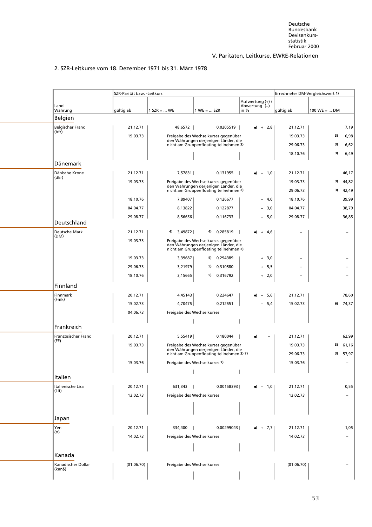# 2. SZR-Leitkurse vom 18. Dezember 1971 bis 31. März 1978

<span id="page-64-0"></span>

|                               | SZR-Parität bzw. - Leitkurs |                            |                                                                                                                        |                                           | Errechneter DM-Vergleichswert 1) |                |       |
|-------------------------------|-----------------------------|----------------------------|------------------------------------------------------------------------------------------------------------------------|-------------------------------------------|----------------------------------|----------------|-------|
| Land<br>Währung               | gültig ab                   | $1$ SZR =  WE              | $1 WE =  SZR$                                                                                                          | Aufwertung (+) /<br>Abwertung (-)<br>in % | gültig ab                        | $100$ WE =  DM |       |
| Belgien                       |                             |                            |                                                                                                                        |                                           |                                  |                |       |
| <b>Belgischer Franc</b>       | 21.12.71                    | 48,6572                    | 0,0205519                                                                                                              | $+2,8$                                    | 21.12.71                         |                | 7,19  |
| (bfr)                         | 19.03.73                    |                            | Freigabe des Wechselkurses gegenüber                                                                                   |                                           | 19.03.73                         | 3)             | 6,98  |
|                               |                             |                            | den Währungen derjenigen Länder, die<br>nicht am Gruppenfloating teilnehmen 2)                                         |                                           | 29.06.73                         | 3)             | 6,62  |
|                               |                             |                            |                                                                                                                        |                                           | 18.10.76                         | 3)             | 6,49  |
| Dänemark                      |                             |                            |                                                                                                                        |                                           |                                  |                |       |
| Dänische Krone                | 21.12.71                    | 7,57831                    | 0,131955                                                                                                               | $-1,0$                                    | 21.12.71                         |                | 46,17 |
| (dkr)                         | 19.03.73                    |                            | Freigabe des Wechselkurses gegenüber                                                                                   |                                           | 19.03.73                         | 3)             | 44,82 |
|                               |                             |                            | den Währungen derjenigen Länder, die<br>nicht am Gruppenfloating teilnehmen 2)                                         |                                           | 29.06.73                         | 3)             | 42,49 |
|                               | 18.10.76                    | 7,89407                    | 0,126677                                                                                                               | $-4,0$                                    | 18.10.76                         |                | 39,99 |
|                               | 04.04.77                    | 8,13822                    | 0,122877                                                                                                               | $-3,0$                                    | 04.04.77                         |                | 38,79 |
|                               | 29.08.77                    | 8,56656                    | 0,116733                                                                                                               | $-5,0$                                    | 29.08.77                         |                | 36,85 |
| Deutschland                   |                             |                            |                                                                                                                        |                                           |                                  |                |       |
| Deutsche Mark<br>(DM)         | 21.12.71                    | 4)<br>3,49872              | 0,285819<br>4)                                                                                                         | $+ 4,6$                                   |                                  |                |       |
|                               | 19.03.73                    |                            | Freigabe des Wechselkurses gegenüber<br>den Währungen derjenigen Länder, die<br>nicht am Gruppenfloating teilnehmen 2) |                                           |                                  |                |       |
|                               | 19.03.73                    | 3,39687                    | 0,294389<br>5)                                                                                                         | $+ 3,0$                                   |                                  |                |       |
|                               | 29.06.73                    | 3,21979                    | 5)<br>0,310580                                                                                                         | $+ 5,5$                                   |                                  |                |       |
|                               | 18.10.76                    | 3,15665                    | 5)<br>0,316792                                                                                                         | $+ 2,0$                                   | $\overline{\phantom{0}}$         |                |       |
| Finnland                      |                             |                            |                                                                                                                        |                                           |                                  |                |       |
| Finnmark                      | 20.12.71                    | 4,45143                    | 0,224647                                                                                                               | - 5,6                                     | 21.12.71                         |                | 78,60 |
| (Fmk)                         | 15.02.73                    | 4,70475                    | 0,212551                                                                                                               | $-5,4$                                    | 15.02.73                         | 6)             | 74,37 |
|                               | 04.06.73                    | Freigabe des Wechselkurses |                                                                                                                        |                                           |                                  |                |       |
|                               |                             |                            |                                                                                                                        |                                           |                                  |                |       |
| Frankreich                    |                             |                            |                                                                                                                        |                                           |                                  |                |       |
| Französischer Franc<br>(FF)   | 20.12.71                    | 5,55419                    | 0,180044                                                                                                               |                                           | 21.12.71                         |                | 62,99 |
|                               | 19.03.73                    |                            | Freigabe des Wechselkurses gegenüber<br>den Währungen derjenigen Länder, die                                           |                                           | 19.03.73                         | 3)             | 61,16 |
|                               |                             |                            | nicht am Gruppenfloating teilnehmen 2) 7)                                                                              |                                           | 29.06.73                         | 3)             | 57,97 |
|                               | 15.03.76                    |                            | Freigabe des Wechselkurses 7)                                                                                          |                                           | 15.03.76                         |                |       |
| <b>Italien</b>                |                             |                            |                                                                                                                        |                                           |                                  |                |       |
| Italienische Lira<br>(Lit)    | 20.12.71                    | $631,343$                  | 0,00158393                                                                                                             | $-1,0$                                    | 21.12.71                         |                | 0,55  |
|                               | 13.02.73                    | Freigabe des Wechselkurses |                                                                                                                        |                                           | 13.02.73                         |                |       |
|                               |                             |                            |                                                                                                                        |                                           |                                  |                |       |
|                               |                             |                            |                                                                                                                        |                                           |                                  |                |       |
| Japan                         |                             |                            |                                                                                                                        |                                           |                                  |                |       |
| Yen<br>(Y)                    | 20.12.71                    | 334,400                    | 0,00299043                                                                                                             | $+ 7,7$                                   | 21.12.71                         |                | 1,05  |
|                               | 14.02.73                    | Freigabe des Wechselkurses |                                                                                                                        |                                           | 14.02.73                         |                |       |
|                               |                             |                            |                                                                                                                        |                                           |                                  |                |       |
| Kanada                        |                             |                            |                                                                                                                        |                                           |                                  |                |       |
| Kanadischer Dollar<br>(kan\$) | (01.06.70)                  | Freigabe des Wechselkurses |                                                                                                                        |                                           | (01.06.70)                       |                |       |
|                               |                             |                            |                                                                                                                        |                                           |                                  |                |       |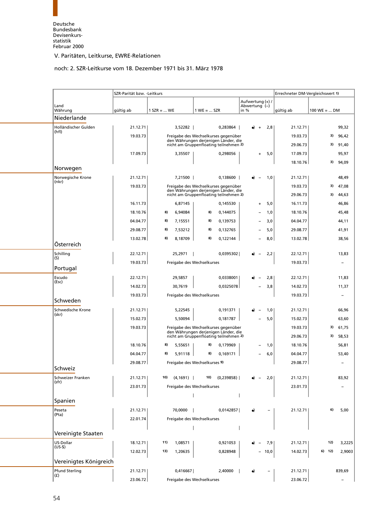# noch: 2. SZR-Leitkurse vom 18. Dezember 1971 bis 31. März 1978

<span id="page-65-0"></span>

|                               | SZR-Parität bzw. - Leitkurs |               |           |                               |                                                                                |                                   |      | Errechneter DM-Vergleichswert 1) |                                |                          |
|-------------------------------|-----------------------------|---------------|-----------|-------------------------------|--------------------------------------------------------------------------------|-----------------------------------|------|----------------------------------|--------------------------------|--------------------------|
| Land                          |                             |               |           |                               |                                                                                | Aufwertung (+) /<br>Abwertung (-) |      |                                  |                                |                          |
| Währung                       | gültig ab                   | $1$ SZR =  WE |           | $1 WE =  SZR$                 |                                                                                | in %                              |      | gültig ab                        | $100 \text{ WE} =  \text{ DM}$ |                          |
| Niederlande                   |                             |               |           |                               |                                                                                |                                   |      |                                  |                                |                          |
| Holländischer Gulden<br>(hfl) | 21.12.71                    |               | 3,52282   |                               | 0,283864                                                                       | $\ddot{}$                         | 2,8  | 21.12.71                         |                                | 99,32                    |
|                               | 19.03.73                    |               |           |                               | Freigabe des Wechselkurses gegenüber                                           |                                   |      | 19.03.73                         | 3)                             | 96,42                    |
|                               |                             |               |           |                               | den Währungen derjenigen Länder, die<br>nicht am Gruppenfloating teilnehmen 2) |                                   |      | 29.06.73                         | 3)                             | 91,40                    |
|                               | 17.09.73                    |               | 3,35507   |                               | 0,298056                                                                       | $+$                               | 5,0  | 17.09.73                         |                                | 95,97                    |
|                               |                             |               |           |                               |                                                                                |                                   |      | 18.10.76                         | 3)                             | 94,09                    |
| Norwegen                      |                             |               |           |                               |                                                                                |                                   |      |                                  |                                |                          |
| Norwegische Krone<br>(nkr)    | 21.12.71                    |               | 7,21500   |                               | 0,138600                                                                       |                                   | 1,0  | 21.12.71                         |                                | 48,49                    |
|                               | 19.03.73                    |               |           |                               | Freigabe des Wechselkurses gegenüber                                           |                                   |      | 19.03.73                         | 3)                             | 47,08                    |
|                               |                             |               |           |                               | den Währungen derjenigen Länder, die<br>nicht am Gruppenfloating teilnehmen 2) |                                   |      | 29.06.73                         | 3)                             | 44,63                    |
|                               | 16.11.73                    |               | 6,87145   |                               | 0,145530                                                                       |                                   | 5,0  | 16.11.73                         |                                | 46,86                    |
|                               | 18.10.76                    | 8)            | 6,94084   | 8)                            | 0,144075                                                                       |                                   | 1,0  | 18.10.76                         |                                | 45,48                    |
|                               | 04.04.77                    | 8)            | 7,15551   | 8)                            | 0,139753                                                                       |                                   | 3,0  | 04.04.77                         |                                | 44,11                    |
|                               | 29.08.77                    | 8)            | 7,53212   | 8)                            | 0,132765                                                                       |                                   | 5,0  | 29.08.77                         |                                | 41,91                    |
|                               | 13.02.78                    | 8)            | 8,18709   | 8)                            | 0,122144                                                                       |                                   | 8,0  | 13.02.78                         |                                | 38,56                    |
| Österreich                    |                             |               |           |                               |                                                                                |                                   |      |                                  |                                |                          |
| Schilling                     | 22.12.71                    |               | 25,2971   |                               | 0,0395302                                                                      |                                   | 2,2  | 22.12.71                         |                                | 13,83                    |
| (S)                           | 19.03.73                    |               |           | Freigabe des Wechselkurses    |                                                                                |                                   |      | 19.03.73                         |                                | $\overline{\phantom{0}}$ |
| Portugal                      |                             |               |           |                               |                                                                                |                                   |      |                                  |                                |                          |
| Escudo                        | 22.12.71                    |               | 29,5857   |                               | 0,0338001                                                                      |                                   | 2,8  | 22.12.71                         |                                | 11,83                    |
| (Esc)                         | 14.02.73                    |               | 30,7619   |                               | 0,0325078                                                                      |                                   | 3,8  | 14.02.73                         |                                | 11,37                    |
|                               | 19.03.73                    |               |           | Freigabe des Wechselkurses    |                                                                                |                                   |      | 19.03.73                         |                                | $\overline{\phantom{m}}$ |
| Schweden                      |                             |               |           |                               |                                                                                |                                   |      |                                  |                                |                          |
| Schwedische Krone<br>(skr)    | 21.12.71                    |               | 5,22545   |                               | 0,191371                                                                       |                                   | 1,0  | 21.12.71                         |                                | 66,96                    |
|                               | 15.02.73                    |               | 5,50094   |                               | 0,181787                                                                       |                                   | 5,0  | 15.02.73                         |                                | 63,60                    |
|                               | 19.03.73                    |               |           |                               | Freigabe des Wechselkurses gegenüber                                           |                                   |      | 19.03.73                         | 3)                             | 61,75                    |
|                               |                             |               |           |                               | den Währungen derjenigen Länder, die<br>nicht am Gruppenfloating teilnehmen 2) |                                   |      | 29.06.73                         | 3)                             | 58,53                    |
|                               | 18.10.76                    | 8)            | 5,55651   | 8)                            | 0,179969                                                                       |                                   | 1,0  | 18.10.76                         |                                | 56,81                    |
|                               | 04.04.77                    | 8)            | 5.91118   | 8)                            | 0,169171                                                                       |                                   | 6,0  | 04.04.77                         |                                | 53,40                    |
|                               | 29.08.77                    |               |           | Freigabe des Wechselkurses 9) |                                                                                |                                   |      | 29.08.77                         |                                | $\overline{\phantom{0}}$ |
| Schweiz                       |                             |               |           |                               |                                                                                |                                   |      |                                  |                                |                          |
| Schweizer Franken<br>(sfr)    | 21.12.71                    | 10)           | (4, 1691) |                               | 10) (0,239858)                                                                 |                                   | 2,0  | 21.12.71                         |                                | 83,92                    |
|                               | 23.01.73                    |               |           | Freigabe des Wechselkurses    |                                                                                |                                   |      | 23.01.73                         |                                |                          |
|                               |                             |               |           |                               |                                                                                |                                   |      |                                  |                                |                          |
| Spanien                       |                             |               |           |                               |                                                                                |                                   |      |                                  |                                |                          |
| Peseta<br>(Pta)               | 21.12.71                    |               | 70,0000   |                               | 0,0142857                                                                      | $\bullet$                         |      | 21.12.71                         | 6)                             | 5,00                     |
|                               | 22.01.74                    |               |           | Freigabe des Wechselkurses    |                                                                                |                                   |      |                                  |                                |                          |
|                               |                             |               |           |                               |                                                                                |                                   |      |                                  |                                |                          |
| Vereinigte Staaten            |                             |               |           |                               |                                                                                |                                   |      |                                  |                                |                          |
| US-Dollar<br>$(US-$)$         | 18.12.71                    | 11)           | 1,08571   |                               | 0,921053                                                                       |                                   | 7,9  | 21.12.71                         | 12)                            | 3,2225                   |
|                               | 12.02.73                    | 13)           | 1,20635   |                               | 0,828948                                                                       |                                   | 10,0 | 14.02.73                         | 6) 12)                         | 2,9003                   |
| Vereinigtes Königreich        |                             |               |           |                               |                                                                                |                                   |      |                                  |                                |                          |
| Pfund Sterling                | 21.12.71                    |               | 0,416667  |                               | 2,40000                                                                        | $\bullet$                         |      | 21.12.71                         |                                | 839,69                   |
| (f)                           | 23.06.72                    |               |           | Freigabe des Wechselkurses    |                                                                                |                                   |      | 23.06.72                         |                                | $\overline{\phantom{a}}$ |
|                               |                             |               |           |                               |                                                                                |                                   |      |                                  |                                |                          |